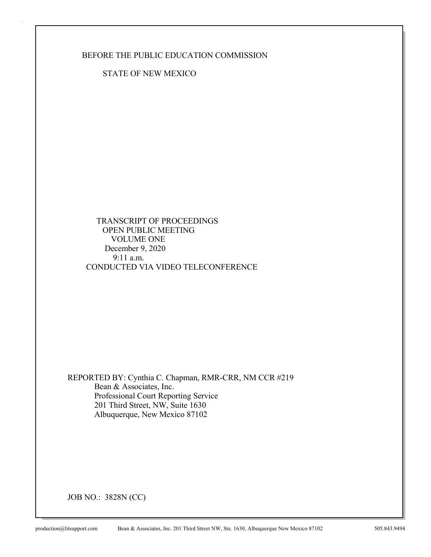### BEFORE THE PUBLIC EDUCATION COMMISSION

STATE OF NEW MEXICO

 TRANSCRIPT OF PROCEEDINGS OPEN PUBLIC MEETING VOLUME ONE December 9, 2020 9:11 a.m. CONDUCTED VIA VIDEO TELECONFERENCE

REPORTED BY: Cynthia C. Chapman, RMR-CRR, NM CCR #219 Bean & Associates, Inc. Professional Court Reporting Service 201 Third Street, NW, Suite 1630 Albuquerque, New Mexico 87102

JOB NO.: 3828N (CC)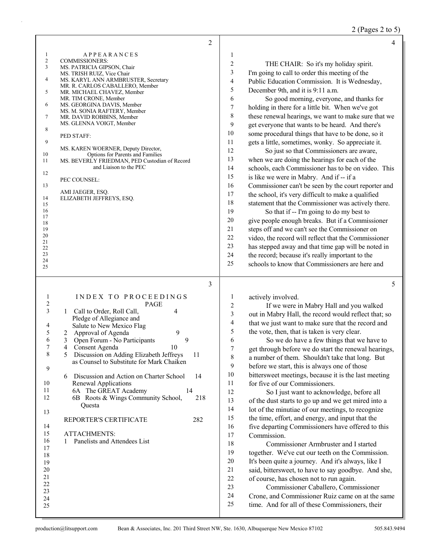2 (Pages 2 to 5)

|                                                                                                                                                             | 2                                                                                                                                                                                                                                                                                                                                                                                                                                                                                                                                                                                                   |                                                                                                                                                                                   | $\overline{4}$                                                                                                                                                                                                                                                                                                                                                                                                                                                                                                                                                                                                                                                                                                                                                                                                                                                                                                                                                                                                                                                                                                                                                                                                                                         |
|-------------------------------------------------------------------------------------------------------------------------------------------------------------|-----------------------------------------------------------------------------------------------------------------------------------------------------------------------------------------------------------------------------------------------------------------------------------------------------------------------------------------------------------------------------------------------------------------------------------------------------------------------------------------------------------------------------------------------------------------------------------------------------|-----------------------------------------------------------------------------------------------------------------------------------------------------------------------------------|--------------------------------------------------------------------------------------------------------------------------------------------------------------------------------------------------------------------------------------------------------------------------------------------------------------------------------------------------------------------------------------------------------------------------------------------------------------------------------------------------------------------------------------------------------------------------------------------------------------------------------------------------------------------------------------------------------------------------------------------------------------------------------------------------------------------------------------------------------------------------------------------------------------------------------------------------------------------------------------------------------------------------------------------------------------------------------------------------------------------------------------------------------------------------------------------------------------------------------------------------------|
| $\mathbf{1}$<br>$\overline{c}$<br>3<br>4<br>5<br>6<br>7<br>8<br>9<br>10<br>11<br>12<br>13<br>14<br>15<br>16<br>17<br>18<br>19<br>20<br>21<br>22<br>23<br>24 | <b>APPEARANCES</b><br><b>COMMISSIONERS:</b><br>MS. PATRICIA GIPSON, Chair<br>MS. TRISH RUIZ, Vice Chair<br>MS. KARYL ANN ARMBRUSTER, Secretary<br>MR. R. CARLOS CABALLERO, Member<br>MR. MICHAEL CHAVEZ, Member<br>MR. TIM CRONE, Member<br>MS. GEORGINA DAVIS, Member<br>MS. M. SONIA RAFTERY, Member<br>MR. DAVID ROBBINS, Member<br>MS. GLENNA VOIGT, Member<br>PED STAFF:<br>MS. KAREN WOERNER, Deputy Director,<br>Options for Parents and Families<br>MS. BEVERLY FRIEDMAN, PED Custodian of Record<br>and Liaison to the PEC<br>PEC COUNSEL:<br>AMI JAEGER, ESQ.<br>ELIZABETH JEFFREYS, ESQ. | 1<br>$\overline{c}$<br>3<br>4<br>5<br>6<br>$\boldsymbol{7}$<br>$\,$ $\,$<br>9<br>10<br>11<br>12<br>13<br>14<br>15<br>16<br>17<br>18<br>19<br>20<br>21<br>$22\,$<br>23<br>24<br>25 | THE CHAIR: So it's my holiday spirit.<br>I'm going to call to order this meeting of the<br>Public Education Commission. It is Wednesday,<br>December 9th, and it is 9:11 a.m.<br>So good morning, everyone, and thanks for<br>holding in there for a little bit. When we've got<br>these renewal hearings, we want to make sure that we<br>get everyone that wants to be heard. And there's<br>some procedural things that have to be done, so it<br>gets a little, sometimes, wonky. So appreciate it.<br>So just so that Commissioners are aware,<br>when we are doing the hearings for each of the<br>schools, each Commissioner has to be on video. This<br>is like we were in Mabry. And if -- if a<br>Commissioner can't be seen by the court reporter and<br>the school, it's very difficult to make a qualified<br>statement that the Commissioner was actively there.<br>So that if -- I'm going to do my best to<br>give people enough breaks. But if a Commissioner<br>steps off and we can't see the Commissioner on<br>video, the record will reflect that the Commissioner<br>has stepped away and that time gap will be noted in<br>the record; because it's really important to the<br>schools to know that Commissioners are here and |
| $\mathbf{1}$<br>$\overline{c}$<br>3                                                                                                                         | 3<br>INDEX TO PROCEEDINGS<br>PAGE<br>1 Call to Order, Roll Call,<br>4<br>Pledge of Allegiance and                                                                                                                                                                                                                                                                                                                                                                                                                                                                                                   | $\mathbf{1}$<br>$\overline{c}$<br>3<br>4                                                                                                                                          | 5<br>actively involved.<br>If we were in Mabry Hall and you walked<br>out in Mabry Hall, the record would reflect that; so                                                                                                                                                                                                                                                                                                                                                                                                                                                                                                                                                                                                                                                                                                                                                                                                                                                                                                                                                                                                                                                                                                                             |
| 4<br>5<br>6<br>7<br>9<br>10                                                                                                                                 | Salute to New Mexico Flag<br>9<br>2 Approval of Agenda<br>9<br>Open Forum - No Participants<br>3<br>4<br>Consent Agenda<br>10<br>Discussion on Adding Elizabeth Jeffreys<br>-11<br>as Counsel to Substitute for Mark Chaiken<br>Discussion and Action on Charter School<br>14<br>6<br>Renewal Applications                                                                                                                                                                                                                                                                                          | 5<br>6<br>7<br>8<br>9<br>10<br>11                                                                                                                                                 | that we just want to make sure that the record and<br>the vote, then, that is taken is very clear.<br>So we do have a few things that we have to<br>get through before we do start the renewal hearings,<br>a number of them. Shouldn't take that long. But<br>before we start, this is always one of those<br>bittersweet meetings, because it is the last meeting<br>for five of our Commissioners.                                                                                                                                                                                                                                                                                                                                                                                                                                                                                                                                                                                                                                                                                                                                                                                                                                                  |
| 11<br>12<br>13<br>14<br>15<br>16<br>17<br>18                                                                                                                | 6A The GREAT Academy<br>14<br>6B Roots & Wings Community School,<br>218<br>Questa<br>REPORTER'S CERTIFICATE<br>282<br><b>ATTACHMENTS:</b><br>Panelists and Attendees List<br>1                                                                                                                                                                                                                                                                                                                                                                                                                      | 12<br>13<br>14<br>15<br>16<br>17<br>18<br>19                                                                                                                                      | So I just want to acknowledge, before all<br>of the dust starts to go up and we get mired into a<br>lot of the minutiae of our meetings, to recognize<br>the time, effort, and energy, and input that the<br>five departing Commissioners have offered to this<br>Commission.<br>Commissioner Armbruster and I started<br>together. We've cut our teeth on the Commission.                                                                                                                                                                                                                                                                                                                                                                                                                                                                                                                                                                                                                                                                                                                                                                                                                                                                             |
| 19<br>$20\,$<br>21<br>$22\,$<br>23<br>24                                                                                                                    |                                                                                                                                                                                                                                                                                                                                                                                                                                                                                                                                                                                                     | $20\,$<br>$21\,$<br>22<br>23<br>24                                                                                                                                                | It's been quite a journey. And it's always, like I<br>said, bittersweet, to have to say goodbye. And she,<br>of course, has chosen not to run again.<br>Commissioner Caballero, Commissioner<br>Crone, and Commissioner Ruiz came on at the same                                                                                                                                                                                                                                                                                                                                                                                                                                                                                                                                                                                                                                                                                                                                                                                                                                                                                                                                                                                                       |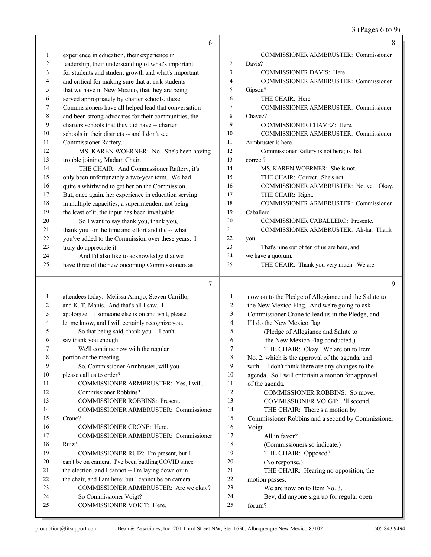# 3 (Pages 6 to 9)

|              | 6                                                                                            |                | $\,8\,$                                                                                             |
|--------------|----------------------------------------------------------------------------------------------|----------------|-----------------------------------------------------------------------------------------------------|
| 1            | experience in education, their experience in                                                 | 1              | COMMISSIONER ARMBRUSTER: Commissioner                                                               |
| 2            | leadership, their understanding of what's important                                          | $\overline{c}$ | Davis?                                                                                              |
| 3            | for students and student growth and what's important                                         | 3              | COMMISSIONER DAVIS: Here.                                                                           |
| 4            | and critical for making sure that at-risk students                                           | 4              | COMMISSIONER ARMBRUSTER: Commissioner                                                               |
| 5            | that we have in New Mexico, that they are being                                              | 5              | Gipson?                                                                                             |
| 6            | served appropriately by charter schools, these                                               | 6              | THE CHAIR: Here.                                                                                    |
| 7            | Commissioners have all helped lead that conversation                                         | 7              | COMMISSIONER ARMBRUSTER: Commissioner                                                               |
| $\,$ 8 $\,$  | and been strong advocates for their communities, the                                         | 8              | Chavez?                                                                                             |
| 9            | charters schools that they did have -- charter                                               | 9              | COMMISSIONER CHAVEZ: Here.                                                                          |
| 10           | schools in their districts -- and I don't see                                                | 10             | COMMISSIONER ARMBRUSTER: Commissioner                                                               |
|              |                                                                                              | 11             |                                                                                                     |
| 11           | Commissioner Raftery.                                                                        | 12             | Armbruster is here.                                                                                 |
| 12           | MS. KAREN WOERNER: No. She's been having                                                     |                | Commissioner Raftery is not here; is that                                                           |
| 13           | trouble joining, Madam Chair.                                                                | 13             | correct?                                                                                            |
| 14           | THE CHAIR: And Commissioner Raftery, it's                                                    | 14             | MS. KAREN WOERNER: She is not.                                                                      |
| 15           | only been unfortunately a two-year term. We had                                              | 15             | THE CHAIR: Correct. She's not.                                                                      |
| 16           | quite a whirlwind to get her on the Commission.                                              | 16             | COMMISSIONER ARMBRUSTER: Not yet. Okay.                                                             |
| 17           | But, once again, her experience in education serving                                         | 17             | THE CHAIR: Right.                                                                                   |
| 18           | in multiple capacities, a superintendent not being                                           | 18             | COMMISSIONER ARMBRUSTER: Commissioner                                                               |
| 19           | the least of it, the input has been invaluable.                                              | 19             | Caballero.                                                                                          |
| 20           | So I want to say thank you, thank you,                                                       | 20             | COMMISSIONER CABALLERO: Presente.                                                                   |
| 21           | thank you for the time and effort and the -- what                                            | 21             | COMMISSIONER ARMBRUSTER: Ah-ha. Thank                                                               |
| 22           | you've added to the Commission over these years. I                                           | 22             | you.                                                                                                |
| 23           | truly do appreciate it.                                                                      | 23             | That's nine out of ten of us are here, and                                                          |
| 24           | And I'd also like to acknowledge that we                                                     | 24             | we have a quorum.                                                                                   |
| 25           | have three of the new oncoming Commissioners as                                              | 25             | THE CHAIR: Thank you very much. We are                                                              |
|              | 7                                                                                            |                | 9                                                                                                   |
| $\mathbf{1}$ | attendees today: Melissa Armijo, Steven Carrillo,                                            | 1              |                                                                                                     |
| 2            | and K. T. Manis. And that's all I saw. I                                                     | $\overline{c}$ | now on to the Pledge of Allegiance and the Salute to<br>the New Mexico Flag. And we're going to ask |
| 3            | apologize. If someone else is on and isn't, please                                           | 3              | Commissioner Crone to lead us in the Pledge, and                                                    |
| 4            |                                                                                              | 4              |                                                                                                     |
| 5            | let me know, and I will certainly recognize you.<br>So that being said, thank you -- I can't | 5              | I'll do the New Mexico flag.                                                                        |
| 6            | say thank you enough.                                                                        |                | (Pledge of Allegiance and Salute to                                                                 |
|              |                                                                                              | 6              | the New Mexico Flag conducted.)                                                                     |
| 7            | We'll continue now with the regular                                                          | 7              | THE CHAIR: Okay. We are on to Item                                                                  |
| 8            | portion of the meeting.                                                                      | 8              | No. 2, which is the approval of the agenda, and                                                     |
| 9            | So, Commissioner Armbruster, will you                                                        | 9              | with -- I don't think there are any changes to the                                                  |
| 10           | please call us to order?                                                                     | 10             | agenda. So I will entertain a motion for approval                                                   |
| 11           | COMMISSIONER ARMBRUSTER: Yes, I will.                                                        | 11             | of the agenda.                                                                                      |
| 12           | Commissioner Robbins?                                                                        | 12             | COMMISSIONER ROBBINS: So move.                                                                      |
| 13           | COMMISSIONER ROBBINS: Present.                                                               | 13             | COMMISSIONER VOIGT: I'll second.                                                                    |
| 14           | COMMISSIONER ARMBRUSTER: Commissioner                                                        |                |                                                                                                     |
| 15           |                                                                                              | 14             | THE CHAIR: There's a motion by                                                                      |
| 16           | Crone?                                                                                       | 15             | Commissioner Robbins and a second by Commissioner                                                   |
|              | COMMISSIONER CRONE: Here.                                                                    | 16             | Voigt.                                                                                              |
| 17           | COMMISSIONER ARMBRUSTER: Commissioner                                                        | 17             | All in favor?                                                                                       |
| 18           | Ruiz?                                                                                        | 18             | (Commissioners so indicate.)                                                                        |
| 19           | COMMISSIONER RUIZ: I'm present, but I                                                        | 19             | THE CHAIR: Opposed?                                                                                 |
| 20           | can't be on camera. I've been battling COVID since                                           | 20             | (No response.)                                                                                      |
| 21           | the election, and I cannot -- I'm laying down or in                                          | 21             | THE CHAIR: Hearing no opposition, the                                                               |
| 22           | the chair, and I am here; but I cannot be on camera.                                         | 22             | motion passes.                                                                                      |
| 23           | COMMISSIONER ARMBRUSTER: Are we okay?                                                        | 23             | We are now on to Item No. 3.                                                                        |
| 24           | So Commissioner Voigt?                                                                       | 24             | Bev, did anyone sign up for regular open                                                            |
| 25           | COMMISSIONER VOIGT: Here.                                                                    | 25             | forum?                                                                                              |

H.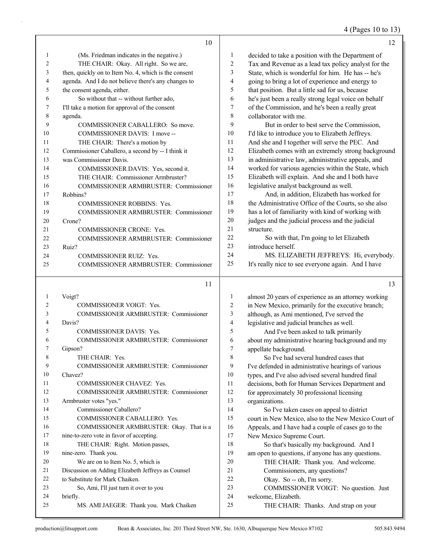### 4 (Pages 10 to 13)

|          | 10                                                   |                | 12                                                                                  |
|----------|------------------------------------------------------|----------------|-------------------------------------------------------------------------------------|
| 1        | (Ms. Friedman indicates in the negative.)            | 1              | decided to take a position with the Department of                                   |
| 2        | THE CHAIR: Okay. All right. So we are,               | 2              | Tax and Revenue as a lead tax policy analyst for the                                |
| 3        | then, quickly on to Item No. 4, which is the consent | 3              | State, which is wonderful for him. He has -- he's                                   |
| 4        | agenda. And I do not believe there's any changes to  | 4              | going to bring a lot of experience and energy to                                    |
| 5        | the consent agenda, either.                          | 5              | that position. But a little sad for us, because                                     |
| 6        | So without that -- without further ado,              | 6              | he's just been a really strong legal voice on behalf                                |
| 7        | I'll take a motion for approval of the consent       | 7              | of the Commission, and he's been a really great                                     |
| 8        | agenda.                                              | 8              | collaborator with me.                                                               |
| 9        | COMMISSIONER CABALLERO: So move.                     | 9              | But in order to best serve the Commission,                                          |
| 10       | COMMISSIONER DAVIS: I move --                        | 10             | I'd like to introduce you to Elizabeth Jeffreys.                                    |
| 11       | THE CHAIR: There's a motion by                       | 11             | And she and I together will serve the PEC. And                                      |
| 12       | Commissioner Caballero, a second by -- I think it    | 12             | Elizabeth comes with an extremely strong background                                 |
| 13       | was Commissioner Davis.                              | 13             | in administrative law, administrative appeals, and                                  |
| 14       | COMMISSIONER DAVIS: Yes, second it.                  | 14             | worked for various agencies within the State, which                                 |
| 15       | THE CHAIR: Commissioner Armbruster?                  | 15             | Elizabeth will explain. And she and I both have                                     |
| 16       | COMMISSIONER ARMBRUSTER: Commissioner                | 16             | legislative analyst background as well.                                             |
| 17       | Robbins?                                             | 17             | And, in addition, Elizabeth has worked for                                          |
| 18       | <b>COMMISSIONER ROBBINS: Yes.</b>                    | 18             | the Administrative Office of the Courts, so she also                                |
| 19       | COMMISSIONER ARMBRUSTER: Commissioner                | 19             | has a lot of familiarity with kind of working with                                  |
| 20       | Crone?                                               | 20             | judges and the judicial process and the judicial                                    |
| 21       | COMMISSIONER CRONE: Yes.                             | 21             | structure.                                                                          |
| 22       | COMMISSIONER ARMBRUSTER: Commissioner                | 22             | So with that, I'm going to let Elizabeth                                            |
| 23       | Ruiz?                                                | 23             | introduce herself.                                                                  |
| 24       | <b>COMMISSIONER RUIZ: Yes.</b>                       | 24             | MS. ELIZABETH JEFFREYS: Hi, everybody.                                              |
| 25       | COMMISSIONER ARMBRUSTER: Commissioner                | 25             | It's really nice to see everyone again. And I have                                  |
|          | 11                                                   |                | 13                                                                                  |
| 1        | Voigt?                                               | 1              |                                                                                     |
| 2        |                                                      |                |                                                                                     |
|          | COMMISSIONER VOIGT: Yes.                             | $\overline{2}$ | almost 20 years of experience as an attorney working                                |
| 3        | COMMISSIONER ARMBRUSTER: Commissioner                | 3              | in New Mexico, primarily for the executive branch;                                  |
| 4        | Davis?                                               | 4              | although, as Ami mentioned, I've served the                                         |
| 5        | COMMISSIONER DAVIS: Yes.                             | 5              | legislative and judicial branches as well.<br>And I've been asked to talk primarily |
| 6        | COMMISSIONER ARMBRUSTER: Commissioner                | 6              | about my administrative hearing background and my                                   |
| 7        | Gipson?                                              | 7              | appellate background.                                                               |
| 8        | THE CHAIR: Yes.                                      | 8              | So I've had several hundred cases that                                              |
| 9        | COMMISSIONER ARMBRUSTER: Commissioner                | 9              | I've defended in administrative hearings of various                                 |
| 10       | Chavez?                                              | 10             | types, and I've also advised several hundred final                                  |
| 11       | COMMISSIONER CHAVEZ: Yes.                            | 11             | decisions, both for Human Services Department and                                   |
| 12       | COMMISSIONER ARMBRUSTER: Commissioner                | 12             | for approximately 30 professional licensing                                         |
| 13       | Armbruster votes "yes."                              | 13             | organizations.                                                                      |
| 14       | Commissioner Caballero?                              | 14             | So I've taken cases on appeal to district                                           |
| 15       | COMMISSIONER CABALLERO: Yes.                         | 15             | court in New Mexico, also to the New Mexico Court of                                |
| 16       | COMMISSIONER ARMBRUSTER: Okay. That is a             | 16             | Appeals, and I have had a couple of cases go to the                                 |
| 17       | nine-to-zero vote in favor of accepting.             | 17             | New Mexico Supreme Court.                                                           |
| 18       | THE CHAIR: Right. Motion passes,                     | 18             | So that's basically my background. And I                                            |
| 19       | nine-zero. Thank you.                                | 19             | am open to questions, if anyone has any questions.                                  |
| 20       | We are on to Item No. 5, which is                    | 20             | THE CHAIR: Thank you. And welcome.                                                  |
| 21       | Discussion on Adding Elizabeth Jeffreys as Counsel   | 21             | Commissioners, any questions?                                                       |
| 22       | to Substitute for Mark Chaiken.                      | 22             | Okay. So -- oh, I'm sorry.                                                          |
| 23       | So, Ami, I'll just turn it over to you               | 23             | COMMISSIONER VOIGT: No question. Just                                               |
| 24<br>25 | briefly.<br>MS. AMI JAEGER: Thank you. Mark Chaiken  | 24<br>25       | welcome, Elizabeth.<br>THE CHAIR: Thanks. And strap on your                         |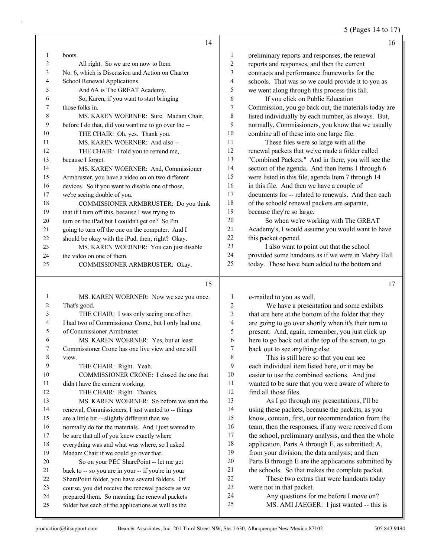#### 5 (Pages 14 to 17)

|                | 14                                                  |                | 16                                                   |
|----------------|-----------------------------------------------------|----------------|------------------------------------------------------|
| $\mathbf{1}$   | boots.                                              | $\mathbf{1}$   | preliminary reports and responses, the renewal       |
| 2              | All right. So we are on now to Item                 | $\overline{2}$ | reports and responses, and then the current          |
| 3              | No. 6, which is Discussion and Action on Charter    | 3              | contracts and performance frameworks for the         |
| 4              | School Renewal Applications.                        | 4              | schools. That was so we could provide it to you as   |
| 5              | And 6A is The GREAT Academy.                        | 5              | we went along through this process this fall.        |
| 6              | So, Karen, if you want to start bringing            | 6              | If you click on Public Education                     |
| 7              | those folks in.                                     | 7              | Commission, you go back out, the materials today are |
| 8              | MS. KAREN WOERNER: Sure. Madam Chair,               | 8              | listed individually by each number, as always. But,  |
| 9              | before I do that, did you want me to go over the -- | 9              | normally, Commissioners, you know that we usually    |
| 10             | THE CHAIR: Oh, yes. Thank you.                      | 10             | combine all of these into one large file.            |
| 11             | MS. KAREN WOERNER: And also --                      | 11             | These files were so large with all the               |
| 12             | THE CHAIR: I told you to remind me,                 | 12             | renewal packets that we've made a folder called      |
| 13             | because I forget.                                   | 13             | "Combined Packets." And in there, you will see the   |
| 14             | MS. KAREN WOERNER: And, Commissioner                | 14             | section of the agenda. And then Items 1 through 6    |
| 15             | Armbruster, you have a video on on two different    | 15             | were listed in this file, agenda Item 7 through 14   |
| 16             | devices. So if you want to disable one of those,    | 16             | in this file. And then we have a couple of           |
| 17             | we're seeing double of you.                         | 17             | documents for -- related to renewals. And then each  |
| 18             | COMMISSIONER ARMBRUSTER: Do you think               | 18             | of the schools' renewal packets are separate,        |
| 19             | that if I turn off this, because I was trying to    | 19             | because they're so large.                            |
| 20             | turn on the iPad but I couldn't get on? So I'm      | 20             | So when we're working with The GREAT                 |
| 21             | going to turn off the one on the computer. And I    | 21             | Academy's, I would assume you would want to have     |
| 22             | should be okay with the iPad, then; right? Okay.    | 22             | this packet opened.                                  |
| 23             | MS. KAREN WOERNER: You can just disable             | 23             | I also want to point out that the school             |
| 24             | the video on one of them.                           | 24             | provided some handouts as if we were in Mabry Hall   |
| 25             | COMMISSIONER ARMBRUSTER: Okay.                      | 25             | today. Those have been added to the bottom and       |
|                | 15                                                  |                | 17                                                   |
| 1              | MS. KAREN WOERNER: Now we see you once.             | 1              | e-mailed to you as well.                             |
| $\overline{c}$ | That's good.                                        | $\overline{c}$ | We have a presentation and some exhibits             |
| 3              | THE CHAIR: I was only seeing one of her.            | 3              | that are here at the bottom of the folder that they  |
| 4              | I had two of Commissioner Crone, but I only had one | 4              | are going to go over shortly when it's their turn to |

| 5  | of Commissioner Armbruster.                         |
|----|-----------------------------------------------------|
| 6  | MS. KAREN WOERNER: Yes, but at least                |
| 7  | Commissioner Crone has one live view and one still  |
| 8  | view.                                               |
| 9  | THE CHAIR: Right. Yeah.                             |
| 10 | COMMISSIONER CRONE: I closed the one that           |
| 11 | didn't have the camera working.                     |
| 12 | THE CHAIR: Right. Thanks.                           |
| 13 | MS. KAREN WOERNER: So before we start the           |
| 14 | renewal, Commissioners, I just wanted to -- things  |
| 15 | are a little bit -- slightly different than we      |
| 16 | normally do for the materials. And I just wanted to |
| 17 | be sure that all of you knew exactly where          |
| 18 | everything was and what was where, so I asked       |
| 19 | Madam Chair if we could go over that.               |
| 20 | So on your PEC SharePoint -- let me get             |
| 21 | $\frac{1}{2}$                                       |

 back to -- so you are in your -- if you're in your SharePoint folder, you have several folders. Of

course, you did receive the renewal packets as we

 prepared them. So meaning the renewal packets folder has each of the applications as well as the

 are going to go over shortly when it's their turn to present. And, again, remember, you just click up here to go back out at the top of the screen, to go back out to see anything else.

8 This is still here so that you can see each individual item listed here, or it may be easier to use the combined sections. And just wanted to be sure that you were aware of where to find all those files.

13 As I go through my presentations, I'll be using these packets, because the packets, as you know, contain, first, our recommendation from the 16 team, then the responses, if any were received from the school, preliminary analysis, and then the whole 18 application, Parts A through E, as submitted; A,<br>19 from vour division, the data analysis; and then from your division, the data analysis; and then Parts B through E are the applications submitted by the schools. So that makes the complete packet. 22 These two extras that were handouts today were not in that packet.

24 Any questions for me before I move on?

25 MS. AMI JAEGER: I just wanted -- this is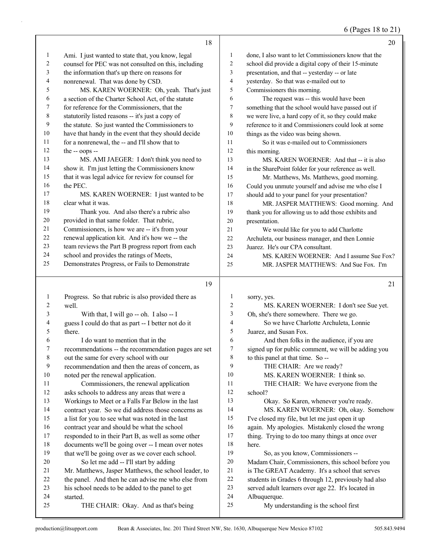6 (Pages 18 to 21)

|                  | 18                                                                                         |                  | 20                                                            |
|------------------|--------------------------------------------------------------------------------------------|------------------|---------------------------------------------------------------|
| 1                | Ami. I just wanted to state that, you know, legal                                          | 1                | done, I also want to let Commissioners know that the          |
| 2                | counsel for PEC was not consulted on this, including                                       | 2                | school did provide a digital copy of their 15-minute          |
| 3                | the information that's up there on reasons for                                             | 3                | presentation, and that -- yesterday -- or late                |
| 4                | nonrenewal. That was done by CSD.                                                          | 4                | yesterday. So that was e-mailed out to                        |
| 5                | MS. KAREN WOERNER: Oh, yeah. That's just                                                   | 5                | Commissioners this morning.                                   |
| 6                | a section of the Charter School Act, of the statute                                        | 6                | The request was -- this would have been                       |
| 7                | for reference for the Commissioners, that the                                              | 7                | something that the school would have passed out if            |
| 8                | statutorily listed reasons -- it's just a copy of                                          | 8                | we were live, a hard copy of it, so they could make           |
| 9                | the statute. So just wanted the Commissioners to                                           | 9                | reference to it and Commissioners could look at some          |
| 10               | have that handy in the event that they should decide                                       | 10               | things as the video was being shown.                          |
| 11               | for a nonrenewal, the -- and I'll show that to                                             | 11               | So it was e-mailed out to Commissioners                       |
| 12               | the -- oops --                                                                             | 12               | this morning.                                                 |
| 13               | MS. AMI JAEGER: I don't think you need to                                                  | 13               | MS. KAREN WOERNER: And that -- it is also                     |
| 14               | show it. I'm just letting the Commissioners know                                           | 14               | in the SharePoint folder for your reference as well.          |
| 15               | that it was legal advice for review for counsel for                                        | 15               | Mr. Matthews, Ms. Matthews, good morning.                     |
| 16               | the PEC.                                                                                   | 16               | Could you unmute yourself and advise me who else I            |
| 17               | MS. KAREN WOERNER: I just wanted to be                                                     | 17               | should add to your panel for your presentation?               |
| 18               | clear what it was.                                                                         | 18               | MR. JASPER MATTHEWS: Good morning. And                        |
| 19               | Thank you. And also there's a rubric also                                                  | 19               | thank you for allowing us to add those exhibits and           |
| 20               | provided in that same folder. That rubric,                                                 | 20               | presentation.                                                 |
| 21               | Commissioners, is how we are -- it's from your                                             | 21               | We would like for you to add Charlotte                        |
| 22               | renewal application kit. And it's how we -- the                                            | 22               | Archuleta, our business manager, and then Lonnie              |
| 23               | team reviews the Part B progress report from each                                          | 23               | Juarez. He's our CPA consultant.                              |
| 24               | school and provides the ratings of Meets,                                                  | 24               | MS. KAREN WOERNER: And I assume Sue Fox?                      |
| 25               | Demonstrates Progress, or Fails to Demonstrate                                             | 25               | MR. JASPER MATTHEWS: And Sue Fox. I'm                         |
|                  |                                                                                            |                  |                                                               |
|                  | 19                                                                                         |                  | 21                                                            |
|                  |                                                                                            |                  |                                                               |
| 1                | Progress. So that rubric is also provided there as                                         | 1<br>2           | sorry, yes.                                                   |
| 2                | well.                                                                                      |                  | MS. KAREN WOERNER: I don't see Sue yet.                       |
| 3                | With that, I will go -- oh. I also -- I                                                    | 3<br>4           | Oh, she's there somewhere. There we go.                       |
| 4<br>5           | guess I could do that as part -- I better not do it                                        | 5                | So we have Charlotte Archuleta, Lonnie                        |
| 6                | there.<br>I do want to mention that in the                                                 | 6                | Juarez, and Susan Fox.                                        |
| 7                |                                                                                            | $\boldsymbol{7}$ | And then folks in the audience, if you are                    |
|                  | recommendations -- the recommendation pages are set                                        | $\,8\,$          | signed up for public comment, we will be adding you           |
| $\,$ 8 $\,$<br>9 | out the same for every school with our<br>recommendation and then the areas of concern, as | 9                | to this panel at that time. So --<br>THE CHAIR: Are we ready? |
| $10\,$           |                                                                                            | 10               | MS. KAREN WOERNER: I think so.                                |
| 11               | noted per the renewal application.                                                         | 11               | THE CHAIR: We have everyone from the                          |
| 12               | Commissioners, the renewal application<br>asks schools to address any areas that were a    | 12               | school?                                                       |
| 13               | Workings to Meet or a Falls Far Below in the last                                          | 13               | Okay. So Karen, whenever you're ready.                        |
| 14               | contract year. So we did address those concerns as                                         | 14               | MS. KAREN WOERNER: Oh, okay. Somehow                          |
| 15               | a list for you to see what was noted in the last                                           | 15               | I've closed my file, but let me just open it up               |
| 16               | contract year and should be what the school                                                | 16               | again. My apologies. Mistakenly closed the wrong              |
| 17               | responded to in their Part B, as well as some other                                        | $17\,$           | thing. Trying to do too many things at once over              |
| $18\,$           | documents we'll be going over -- I mean over notes                                         | $18\,$           | here.                                                         |
| 19               | that we'll be going over as we cover each school.                                          | 19               | So, as you know, Commissioners --                             |
| 20               | So let me add -- I'll start by adding                                                      | 20               | Madam Chair, Commissioners, this school before you            |
| 21               | Mr. Matthews, Jasper Matthews, the school leader, to                                       | 21               | is The GREAT Academy. It's a school that serves               |
| 22               | the panel. And then he can advise me who else from                                         | 22               | students in Grades 6 through 12, previously had also          |
| 23               | his school needs to be added to the panel to get                                           | 23               | served adult learners over age 22. It's located in            |
| 24<br>25         | started.<br>THE CHAIR: Okay. And as that's being                                           | 24<br>25         | Albuquerque.<br>My understanding is the school first          |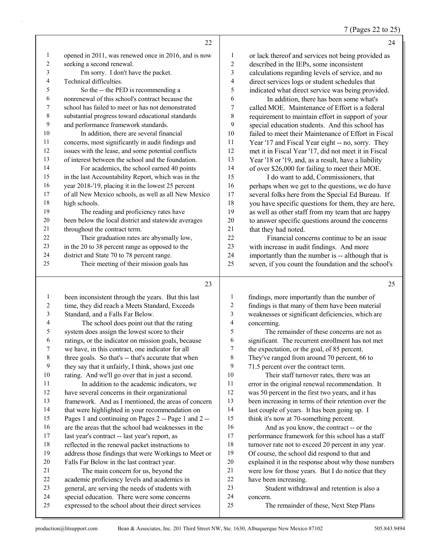7 (Pages 22 to 25)

|                | 22                                                   |                          | 24                                                   |
|----------------|------------------------------------------------------|--------------------------|------------------------------------------------------|
| $\mathbf{1}$   | opened in 2011, was renewed once in 2016, and is now | 1                        | or lack thereof and services not being provided as   |
| $\sqrt{2}$     | seeking a second renewal.                            | $\overline{c}$           | described in the IEPs, some inconsistent             |
| 3              | I'm sorry. I don't have the packet.                  | 3                        | calculations regarding levels of service, and no     |
| 4              | Technical difficulties.                              | $\overline{\mathcal{L}}$ | direct services logs or student schedules that       |
| 5              | So the -- the PED is recommending a                  | 5                        | indicated what direct service was being provided.    |
| 6              | nonrenewal of this school's contract because the     | 6                        | In addition, there has been some what's              |
| 7              | school has failed to meet or has not demonstrated    | 7                        | called MOE. Maintenance of Effort is a federal       |
| 8              | substantial progress toward educational standards    | $\,$ $\,$                | requirement to maintain effort in support of your    |
| 9              | and performance framework standards.                 | 9                        | special education students. And this school has      |
| 10             | In addition, there are several financial             | 10                       | failed to meet their Maintenance of Effort in Fiscal |
| 11             | concerns, most significantly in audit findings and   | 11                       | Year '17 and Fiscal Year eight -- no, sorry. They    |
| 12             | issues with the lease, and some potential conflicts  | 12                       | met it in Fiscal Year '17, did not meet it in Fiscal |
| 13             | of interest between the school and the foundation.   | 13                       | Year '18 or '19, and, as a result, have a liability  |
| 14             | For academics, the school earned 40 points           | 14                       | of over \$26,000 for failing to meet their MOE.      |
| 15             | in the last Accountability Report, which was in the  | 15                       | I do want to add, Commissioners, that                |
| 16             | year 2018-'19, placing it in the lowest 25 percent   | 16                       | perhaps when we get to the questions, we do have     |
| 17             | of all New Mexico schools, as well as all New Mexico | 17                       | several folks here from the Special Ed Bureau. If    |
| 18             | high schools.                                        | 18                       | you have specific questions for them, they are here, |
| 19             | The reading and proficiency rates have               | 19                       | as well as other staff from my team that are happy   |
| 20             | been below the local district and statewide averages | 20                       | to answer specific questions around the concerns     |
| 21             | throughout the contract term.                        | 21                       | that they had noted.                                 |
| 22             | Their graduation rates are abysmally low,            | 22                       | Financial concerns continue to be an issue           |
| 23             | in the 20 to 38 percent range as opposed to the      | 23                       | with increase in audit findings. And more            |
| 24             | district and State 70 to 78 percent range.           | 24                       | importantly than the number is -- although that is   |
| 25             | Their meeting of their mission goals has             | 25                       | seven, if you count the foundation and the school's  |
|                | 23                                                   |                          | 25                                                   |
| $\mathbf{1}$   | been inconsistent through the years. But this last   | 1                        | findings, more importantly than the number of        |
| $\overline{c}$ | time, they did reach a Meets Standard, Exceeds       | $\boldsymbol{2}$         | findings is that many of them have been material     |
| 3              | Standard, and a Falls Far Below.                     | $\overline{\mathbf{3}}$  | weaknesses or significant deficiencies, which are    |
| $\overline{4}$ | The school does point out that the rating            | $\overline{4}$           | concerning.                                          |
| $\mathfrak s$  | system does assign the lowest score to their         | 5                        | The remainder of these concerns are not as           |
| 6              | ratings, or the indicator on mission goals, because  | 6                        | significant. The recurrent enrollment has not met    |
| 7              | we have, in this contract, one indicator for all     | $\boldsymbol{7}$         | the expectation, or the goal, of 85 percent.         |
| $\,$ 8 $\,$    | three goals. So that's -- that's accurate that when  | $\,$ $\,$                | They've ranged from around 70 percent, 66 to         |
| 9              | they say that it unfairly, I think, shows just one   | 9                        | 71.5 percent over the contract term.                 |

10 Their staff turnover rates, there was an error in the original renewal recommendation. It was 50 percent in the first two years, and it has been increasing in terms of their retention over the 14 last couple of years. It has been going up. I 15 think it's now at 70-something percent.

16 And as you know, the contract -- or the performance framework for this school has a staff turnover rate not to exceed 20 percent in any year. Of course, the school did respond to that and explained it in the response about why those numbers were low for those years. But I do notice that they have been increasing. 23 Student withdrawal and retention is also a

concern.

25 The remainder of these, Next Step Plans

 rating. And we'll go over that in just a second. 11 In addition to the academic indicators, we have several concerns in their organizational

 last year's contract -- last year's report, as reflected in the renewal packet instructions to

 Falls Far Below in the last contract year. 21 The main concern for us, beyond the academic proficiency levels and academics in general, are serving the needs of students with special education. There were some concerns expressed to the school about their direct services

 framework. And as I mentioned, the areas of concern 14 that were highlighted in your recommendation on Pages 1 and continuing on Pages 2 -- Page 1 and 2 -- are the areas that the school had weaknesses in the

address those findings that were Workings to Meet or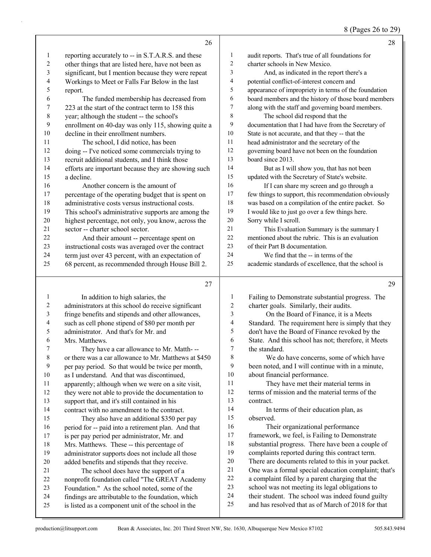8 (Pages 26 to 29)

|                         | 26                                                                                                       |                          | 28                                                                                                      |
|-------------------------|----------------------------------------------------------------------------------------------------------|--------------------------|---------------------------------------------------------------------------------------------------------|
| 1                       | reporting accurately to -- in S.T.A.R.S. and these                                                       | $\mathbf{1}$             | audit reports. That's true of all foundations for                                                       |
| $\sqrt{2}$              | other things that are listed here, have not been as                                                      | 2                        | charter schools in New Mexico.                                                                          |
| 3                       | significant, but I mention because they were repeat                                                      | 3                        | And, as indicated in the report there's a                                                               |
| $\overline{\mathbf{4}}$ | Workings to Meet or Falls Far Below in the last                                                          | 4                        | potential conflict-of-interest concern and                                                              |
| 5                       | report.                                                                                                  | 5                        | appearance of impropriety in terms of the foundation                                                    |
| 6                       | The funded membership has decreased from                                                                 | 6                        | board members and the history of those board members                                                    |
| 7                       | 223 at the start of the contract term to 158 this                                                        | 7                        | along with the staff and governing board members.                                                       |
| $\,$ $\,$               | year; although the student -- the school's                                                               | 8                        | The school did respond that the                                                                         |
| 9                       | enrollment on 40-day was only 115, showing quite a                                                       | 9                        | documentation that I had have from the Secretary of                                                     |
| 10                      | decline in their enrollment numbers.                                                                     | 10                       | State is not accurate, and that they -- that the                                                        |
| 11                      | The school, I did notice, has been                                                                       | 11                       | head administrator and the secretary of the                                                             |
| 12                      | doing -- I've noticed some commercials trying to                                                         | 12                       | governing board have not been on the foundation                                                         |
| 13                      | recruit additional students, and I think those                                                           | 13                       | board since 2013.                                                                                       |
| 14                      | efforts are important because they are showing such                                                      | 14                       | But as I will show you, that has not been                                                               |
| 15                      | a decline.                                                                                               | 15                       | updated with the Secretary of State's website.                                                          |
| 16                      | Another concern is the amount of                                                                         | 16                       | If I can share my screen and go through a                                                               |
| 17                      | percentage of the operating budget that is spent on                                                      | 17                       | few things to support, this recommendation obviously                                                    |
| 18                      | administrative costs versus instructional costs.                                                         | 18                       | was based on a compilation of the entire packet. So                                                     |
| 19                      | This school's administrative supports are among the                                                      | 19                       | I would like to just go over a few things here.                                                         |
| 20                      | highest percentage, not only, you know, across the                                                       | 20                       | Sorry while I scroll.                                                                                   |
| 21                      | sector -- charter school sector.                                                                         | 21                       | This Evaluation Summary is the summary I                                                                |
| 22                      | And their amount -- percentage spent on                                                                  | 22                       | mentioned about the rubric. This is an evaluation                                                       |
| 23                      | instructional costs was averaged over the contract                                                       | 23                       | of their Part B documentation.                                                                          |
| 24                      | term just over 43 percent, with an expectation of                                                        | 24                       | We find that the -- in terms of the                                                                     |
| 25                      | 68 percent, as recommended through House Bill 2.                                                         | 25                       | academic standards of excellence, that the school is                                                    |
|                         |                                                                                                          |                          |                                                                                                         |
|                         |                                                                                                          |                          |                                                                                                         |
|                         | 27                                                                                                       |                          | 29                                                                                                      |
| 1                       | In addition to high salaries, the                                                                        | $\mathbf{1}$             | Failing to Demonstrate substantial progress. The                                                        |
| 2                       | administrators at this school do receive significant                                                     | $\sqrt{2}$               | charter goals. Similarly, their audits.                                                                 |
| 3                       | fringe benefits and stipends and other allowances,                                                       | 3                        | On the Board of Finance, it is a Meets                                                                  |
| 4                       | such as cell phone stipend of \$80 per month per                                                         | $\overline{\mathcal{L}}$ | Standard. The requirement here is simply that they                                                      |
| 5                       | administrator. And that's for Mr. and                                                                    | $\mathfrak s$            | don't have the Board of Finance revoked by the                                                          |
| 6                       | Mrs. Matthews.                                                                                           | 6                        | State. And this school has not; therefore, it Meets                                                     |
| 7                       | They have a car allowance to Mr. Matth---                                                                | $\tau$                   | the standard.                                                                                           |
| $\,8\,$                 | or there was a car allowance to Mr. Matthews at \$450                                                    | 8                        | We do have concerns, some of which have                                                                 |
| 9                       | per pay period. So that would be twice per month,                                                        | 9                        | been noted, and I will continue with in a minute,                                                       |
| $10\,$                  | as I understand. And that was discontinued,                                                              | 10                       | about financial performance.                                                                            |
| 11                      | apparently; although when we were on a site visit,                                                       | 11                       | They have met their material terms in                                                                   |
| 12                      | they were not able to provide the documentation to                                                       | 12                       | terms of mission and the material terms of the                                                          |
| 13                      | support that, and it's still contained in his                                                            | 13                       | contract.                                                                                               |
| 14                      | contract with no amendment to the contract.                                                              | 14                       | In terms of their education plan, as                                                                    |
| 15                      | They also have an additional \$350 per pay                                                               | 15                       | observed.                                                                                               |
| 16                      | period for -- paid into a retirement plan. And that                                                      | 16                       | Their organizational performance                                                                        |
| 17                      | is per pay period per administrator, Mr. and                                                             | 17                       | framework, we feel, is Failing to Demonstrate                                                           |
| 18                      | Mrs. Matthews. These -- this percentage of                                                               | $18\,$                   | substantial progress. There have been a couple of                                                       |
| 19                      | administrator supports does not include all those                                                        | 19                       | complaints reported during this contract term.                                                          |
| 20                      | added benefits and stipends that they receive.                                                           | $20\,$                   | There are documents related to this in your packet.                                                     |
| 21                      | The school does have the support of a                                                                    | $21\,$<br>22             | One was a formal special education complaint; that's                                                    |
| 22                      | nonprofit foundation called "The GREAT Academy                                                           | 23                       | a complaint filed by a parent charging that the                                                         |
| 23<br>24                | Foundation." As the school noted, some of the                                                            | 24                       | school was not meeting its legal obligations to                                                         |
| 25                      | findings are attributable to the foundation, which<br>is listed as a component unit of the school in the | 25                       | their student. The school was indeed found guilty<br>and has resolved that as of March of 2018 for that |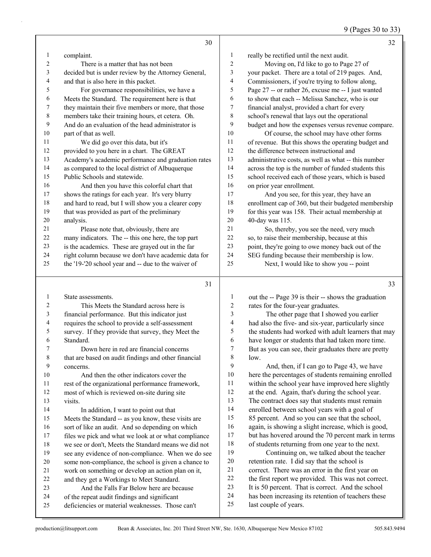9 (Pages 30 to 33)

|    | 30                                                   |                  | 32                                                   |
|----|------------------------------------------------------|------------------|------------------------------------------------------|
| 1  | complaint.                                           | 1                | really be rectified until the next audit.            |
| 2  | There is a matter that has not been                  | $\overline{c}$   | Moving on, I'd like to go to Page 27 of              |
| 3  | decided but is under review by the Attorney General, | 3                | your packet. There are a total of 219 pages. And,    |
| 4  | and that is also here in this packet.                | $\overline{4}$   | Commissioners, if you're trying to follow along,     |
| 5  | For governance responsibilities, we have a           | 5                | Page 27 -- or rather 26, excuse me -- I just wanted  |
| 6  | Meets the Standard. The requirement here is that     | 6                | to show that each -- Melissa Sanchez, who is our     |
| 7  | they maintain their five members or more, that those | 7                | financial analyst, provided a chart for every        |
| 8  | members take their training hours, et cetera. Oh.    | 8                | school's renewal that lays out the operational       |
| 9  | And do an evaluation of the head administrator is    | 9                | budget and how the expenses versus revenue compare.  |
| 10 | part of that as well.                                | 10               | Of course, the school may have other forms           |
| 11 | We did go over this data, but it's                   | 11               | of revenue. But this shows the operating budget and  |
| 12 | provided to you here in a chart. The GREAT           | 12               | the difference between instructional and             |
| 13 | Academy's academic performance and graduation rates  | 13               | administrative costs, as well as what -- this number |
| 14 | as compared to the local district of Albuquerque     | 14               | across the top is the number of funded students this |
| 15 | Public Schools and statewide.                        | 15               | school received each of those years, which is based  |
| 16 | And then you have this colorful chart that           | 16               | on prior year enrollment.                            |
| 17 | shows the ratings for each year. It's very blurry    | 17               | And you see, for this year, they have an             |
| 18 | and hard to read, but I will show you a clearer copy | 18               | enrollment cap of 360, but their budgeted membership |
| 19 | that was provided as part of the preliminary         | 19               | for this year was 158. Their actual membership at    |
| 20 | analysis.                                            | 20               | 40-day was 115.                                      |
| 21 | Please note that, obviously, there are               | 21               | So, thereby, you see the need, very much             |
| 22 | many indicators. The -- this one here, the top part  | 22               | so, to raise their membership, because at this       |
| 23 | is the academics. These are grayed out in the far    | 23               | point, they're going to owe money back out of the    |
| 24 | right column because we don't have academic data for | 24               | SEG funding because their membership is low.         |
| 25 | the '19-'20 school year and -- due to the waiver of  | 25               | Next, I would like to show you -- point              |
|    | 31                                                   |                  | 33                                                   |
| 1  | State assessments.                                   | 1                | out the -- Page 39 is their -- shows the graduation  |
| 2  | This Meets the Standard across here is               | $\boldsymbol{2}$ | rates for the four-year graduates.                   |
| 3  | financial performance. But this indicator just       | 3                | The other page that I showed you earlier             |
| 4  | requires the school to provide a self-assessment     | 4                | had also the five- and six-year, particularly since  |

survey. If they provide that survey, they Meet the

 Standard. Down here in red are financial concerns that are based on audit findings and other financial concerns.

10 And then the other indicators cover the rest of the organizational performance framework,

most of which is reviewed on-site during site

 visits. 14 In addition, I want to point out that Meets the Standard -- as you know, these visits are sort of like an audit. And so depending on which files we pick and what we look at or what compliance we see or don't, Meets the Standard means we did not see any evidence of non-compliance. When we do see some non-compliance, the school is given a chance to work on something or develop an action plan on it, and they get a Workings to Meet Standard.

- 23 And the Falls Far Below here are because of the repeat audit findings and significant
- deficiencies or material weaknesses. Those can't

| 1              | out the -- Page 39 is their -- shows the graduation  |
|----------------|------------------------------------------------------|
| $\overline{2}$ | rates for the four-year graduates.                   |
| 3              | The other page that I showed you earlier             |
| $\overline{4}$ | had also the five- and six-year, particularly since  |
| 5              | the students had worked with adult learners that may |
| 6              | have longer or students that had taken more time.    |
| 7              | But as you can see, their graduates there are pretty |
| 8              | low.                                                 |
| 9              | And, then, if I can go to Page 43, we have           |
| 10             | here the percentages of students remaining enrolled  |
| 11             | within the school year have improved here slightly   |
| 12             | at the end. Again, that's during the school year.    |
| 13             | The contract does say that students must remain      |
| 14             | enrolled between school years with a goal of         |
| 15             | 85 percent. And so you can see that the school,      |
| 16             | again, is showing a slight increase, which is good,  |
| 17             | but has hovered around the 70 percent mark in terms  |
| 18             | of students returning from one year to the next.     |
| 19             | Continuing on, we talked about the teacher           |
| 20             | retention rate. I did say that the school is         |
| 21             | correct. There was an error in the first year on     |
| 22             | the first report we provided. This was not correct.  |
| 23             | It is 50 percent. That is correct. And the school    |
| 24             | has been increasing its retention of teachers these  |
| 25             | last couple of years.                                |
|                |                                                      |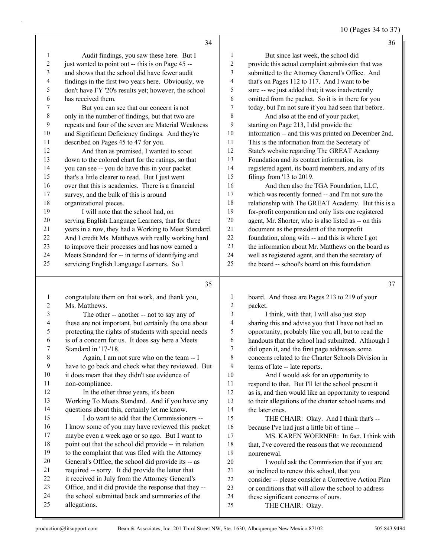|  | 10 (Pages 34 to 37) |  |  |  |
|--|---------------------|--|--|--|
|--|---------------------|--|--|--|

|                          | 34                                                                                             |                         | 36                                                                      |
|--------------------------|------------------------------------------------------------------------------------------------|-------------------------|-------------------------------------------------------------------------|
| 1                        | Audit findings, you saw these here. But I                                                      | 1                       | But since last week, the school did                                     |
| $\sqrt{2}$               | just wanted to point out -- this is on Page 45 --                                              | $\mathbf{2}$            | provide this actual complaint submission that was                       |
| 3                        | and shows that the school did have fewer audit                                                 | 3                       | submitted to the Attorney General's Office. And                         |
| 4                        | findings in the first two years here. Obviously, we                                            | $\overline{\mathbf{4}}$ | that's on Pages 112 to 117. And I want to be                            |
| 5                        | don't have FY '20's results yet; however, the school                                           | 5                       | sure -- we just added that; it was inadvertently                        |
| 6                        | has received them.                                                                             | 6                       | omitted from the packet. So it is in there for you                      |
| 7                        | But you can see that our concern is not                                                        | $\overline{7}$          | today, but I'm not sure if you had seen that before.                    |
| $\,$ $\,$                | only in the number of findings, but that two are                                               | 8                       | And also at the end of your packet,                                     |
| 9                        | repeats and four of the seven are Material Weakness                                            | 9                       | starting on Page 213, I did provide the                                 |
| $10\,$                   | and Significant Deficiency findings. And they're                                               | $10\,$                  | information -- and this was printed on December 2nd.                    |
| $11\,$                   | described on Pages 45 to 47 for you.                                                           | 11                      | This is the information from the Secretary of                           |
| $12\,$                   | And then as promised, I wanted to scoot                                                        | $12\,$                  | State's website regarding The GREAT Academy                             |
| 13                       | down to the colored chart for the ratings, so that                                             | 13                      | Foundation and its contact information, its                             |
| 14                       | you can see -- you do have this in your packet                                                 | 14                      | registered agent, its board members, and any of its                     |
| 15                       | that's a little clearer to read. But I just went                                               | 15                      | filings from '13 to 2019.                                               |
| 16                       | over that this is academics. There is a financial                                              | 16                      | And then also the TGA Foundation, LLC,                                  |
| $17\,$                   | survey, and the bulk of this is around                                                         | $17\,$                  | which was recently formed -- and I'm not sure the                       |
| $18\,$                   | organizational pieces.                                                                         | $18\,$                  | relationship with The GREAT Academy. But this is a                      |
| 19                       | I will note that the school had, on                                                            | 19                      | for-profit corporation and only lists one registered                    |
| $20\,$                   | serving English Language Learners, that for three                                              | $20\,$                  | agent, Mr. Shorter, who is also listed as -- on this                    |
| 21                       | years in a row, they had a Working to Meet Standard.                                           | 21                      | document as the president of the nonprofit                              |
| 22                       | And I credit Ms. Matthews with really working hard                                             | 22                      | foundation, along with -- and this is where I got                       |
| 23                       | to improve their processes and has now earned a                                                | 23                      | the information about Mr. Matthews on the board as                      |
| 24                       | Meets Standard for -- in terms of identifying and                                              | 24                      | well as registered agent, and then the secretary of                     |
| 25                       | servicing English Language Learners. So I                                                      | 25                      | the board -- school's board on this foundation                          |
|                          |                                                                                                |                         |                                                                         |
|                          |                                                                                                |                         |                                                                         |
|                          | 35                                                                                             |                         | 37                                                                      |
| $\mathbf{1}$             | congratulate them on that work, and thank you,                                                 | 1                       | board. And those are Pages 213 to 219 of your                           |
| $\boldsymbol{2}$         | Ms. Matthews.                                                                                  | 2                       | packet.                                                                 |
| 3                        | The other -- another -- not to say any of                                                      | 3                       | I think, with that, I will also just stop                               |
| $\overline{\mathcal{L}}$ | these are not important, but certainly the one about                                           | 4                       | sharing this and advise you that I have not had an                      |
| 5                        | protecting the rights of students with special needs                                           | 5                       | opportunity, probably like you all, but to read the                     |
| 6<br>7                   | is of a concern for us. It does say here a Meets                                               | 6<br>$\overline{7}$     | handouts that the school had submitted. Although I                      |
|                          | Standard in '17-'18.                                                                           |                         | did open it, and the first page addresses some                          |
| 8<br>9                   | Again, I am not sure who on the team -- I<br>have to go back and check what they reviewed. But | 8<br>9                  | concerns related to the Charter Schools Division in                     |
| 10                       | it does mean that they didn't see evidence of                                                  | 10                      | terms of late -- late reports.<br>And I would ask for an opportunity to |
| 11                       | non-compliance.                                                                                | 11                      | respond to that. But I'll let the school present it                     |
| 12                       | In the other three years, it's been                                                            | $12\,$                  | as is, and then would like an opportunity to respond                    |
| 13                       | Working To Meets Standard. And if you have any                                                 | 13                      | to their allegations of the charter school teams and                    |
| 14                       | questions about this, certainly let me know.                                                   | 14                      | the later ones.                                                         |
| 15                       | I do want to add that the Commissioners --                                                     | 15                      | THE CHAIR: Okay. And I think that's --                                  |
| 16                       | I know some of you may have reviewed this packet                                               | 16                      | because I've had just a little bit of time --                           |
| 17                       | maybe even a week ago or so ago. But I want to                                                 | 17                      | MS. KAREN WOERNER: In fact, I think with                                |
| 18                       | point out that the school did provide -- in relation                                           | 18                      | that, I've covered the reasons that we recommend                        |
| 19                       | to the complaint that was filed with the Attorney                                              | 19                      | nonrenewal.                                                             |
| $20\,$                   | General's Office, the school did provide its -- as                                             | $20\,$                  | I would ask the Commission that if you are                              |
| 21                       | required -- sorry. It did provide the letter that                                              | 21                      | so inclined to renew this school, that you                              |
| $22\,$                   | it received in July from the Attorney General's                                                | 22                      | consider -- please consider a Corrective Action Plan                    |
| 23                       | Office, and it did provide the response that they --                                           | 23                      | or conditions that will allow the school to address                     |
| 24<br>25                 | the school submitted back and summaries of the<br>allegations.                                 | 24<br>25                | these significant concerns of ours.<br>THE CHAIR: Okay.                 |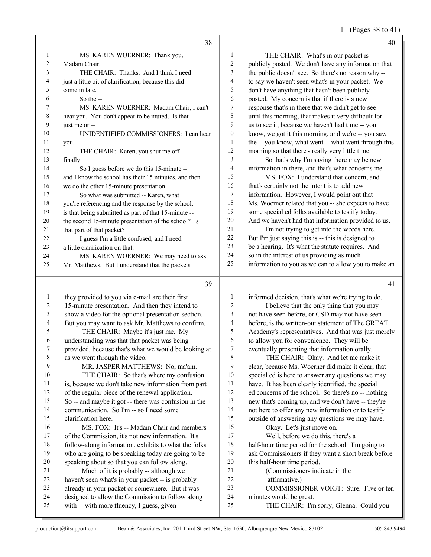11 (Pages 38 to 41)

|                | 38                                                   |                | 40                                                   |
|----------------|------------------------------------------------------|----------------|------------------------------------------------------|
| 1              | MS. KAREN WOERNER: Thank you,                        | 1              | THE CHAIR: What's in our packet is                   |
| $\overline{c}$ | Madam Chair.                                         | $\overline{c}$ | publicly posted. We don't have any information that  |
| 3              | THE CHAIR: Thanks. And I think I need                | 3              | the public doesn't see. So there's no reason why --  |
| 4              | just a little bit of clarification, because this did | 4              | to say we haven't seen what's in your packet. We     |
| 5              | come in late.                                        | 5              | don't have anything that hasn't been publicly        |
| 6              | So the --                                            | 6              | posted. My concern is that if there is a new         |
| 7              | MS. KAREN WOERNER: Madam Chair, I can't              | 7              | response that's in there that we didn't get to see   |
| 8              | hear you. You don't appear to be muted. Is that      | 8              | until this morning, that makes it very difficult for |
| 9              | just me or --                                        | 9              | us to see it, because we haven't had time -- you     |
| 10             | UNIDENTIFIED COMMISSIONERS: I can hear               | 10             | know, we got it this morning, and we're -- you saw   |
| 11             | you.                                                 | 11             | the -- you know, what went -- what went through this |
| 12             | THE CHAIR: Karen, you shut me off                    | 12             | morning so that there's really very little time.     |
| 13             | finally.                                             | 13             | So that's why I'm saying there may be new            |
| 14             | So I guess before we do this 15-minute --            | 14             | information in there, and that's what concerns me.   |
| 15             | and I know the school has their 15 minutes, and then | 15             | MS. FOX: I understand that concern, and              |
| 16             | we do the other 15-minute presentation.              | 16             | that's certainly not the intent is to add new        |
| 17             | So what was submitted -- Karen, what                 | 17             | information. However, I would point out that         |
| 18             | you're referencing and the response by the school,   | 18             | Ms. Woerner related that you -- she expects to have  |
| 19             | is that being submitted as part of that 15-minute -- | 19             | some special ed folks available to testify today.    |
| 20             | the second 15-minute presentation of the school? Is  | 20             | And we haven't had that information provided to us.  |
| 21             | that part of that packet?                            | 21             | I'm not trying to get into the weeds here.           |
| 22             | I guess I'm a little confused, and I need            | 22             | But I'm just saying this is -- this is designed to   |
| 23             | a little clarification on that.                      | 23             | be a hearing. It's what the statute requires. And    |
| 24             | MS. KAREN WOERNER: We may need to ask                | 24             | so in the interest of us providing as much           |
| 25             | Mr. Matthews. But I understand that the packets      | 25             | information to you as we can to allow you to make an |
|                | 39                                                   |                | 41                                                   |
| 1              | they provided to you via e-mail are their first      | 1              | informed decision, that's what we're trying to do.   |
| $\overline{2}$ | 15-minute presentation. And then they intend to      | 2              | I believe that the only thing that you may           |
| 3              | show a video for the optional presentation section.  | 3              | not have seen before, or CSD may not have seen       |

| 4  | But you may want to ask Mr. Matthews to confirm.     |
|----|------------------------------------------------------|
| 5  | THE CHAIR: Maybe it's just me. My                    |
| 6  | understanding was that that packet was being         |
| 7  | provided, because that's what we would be looking at |
| 8  | as we went through the video.                        |
| 9  | MR. JASPER MATTHEWS: No, ma'am.                      |
| 10 | THE CHAIR: So that's where my confusion              |
| 11 | is, because we don't take new information from part  |
| 12 | of the regular piece of the renewal application.     |
| 13 | So -- and maybe it got -- there was confusion in the |
| 14 | communication. So I'm -- so I need some              |
| 15 | clarification here.                                  |
| 16 | MS. FOX: It's -- Madam Chair and members             |
| 17 | of the Commission, it's not new information. It's    |
| 18 | follow-along information, exhibits to what the folks |
| 19 | who are going to be speaking today are going to be   |
| 20 | speaking about so that you can follow along.         |

### 21 Much of it is probably -- although we haven't seen what's in your packet -- is probably already in your packet or somewhere. But it was

- designed to allow the Commission to follow along
- with -- with more fluency, I guess, given --
- before, is the written-out statement of The GREAT Academy's representatives. And that was just merely 6 to allow you for convenience. They will be<br>
2 eventually presenting that information orally eventually presenting that information orally. 8 THE CHAIR: Okay. And let me make it clear, because Ms. Woerner did make it clear, that special ed is here to answer any questions we may have. It has been clearly identified, the special ed concerns of the school. So there's no -- nothing new that's coming up, and we don't have -- they're not here to offer any new information or to testify outside of answering any questions we may have. 16 Okay. Let's just move on. 17 Well, before we do this, there's a half-hour time period for the school. I'm going to ask Commissioners if they want a short break before this half-hour time period.
- 21 (Commissioners indicate in the
- 22 affirmative.)
- 23 COMMISSIONER VOIGT: Sure. Five or ten
- minutes would be great.
- 25 THE CHAIR: I'm sorry, Glenna. Could you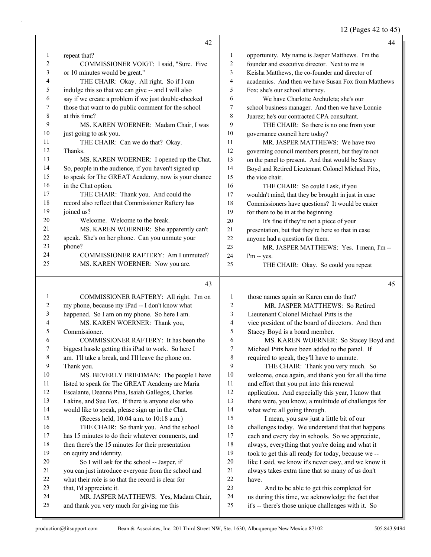12 (Pages 42 to 45)

|              | 42                                                   |                         | 44                                                   |
|--------------|------------------------------------------------------|-------------------------|------------------------------------------------------|
| $\mathbf{1}$ | repeat that?                                         | 1                       | opportunity. My name is Jasper Matthews. I'm the     |
| 2            | COMMISSIONER VOIGT: I said, "Sure. Five              | $\overline{c}$          | founder and executive director. Next to me is        |
| 3            | or 10 minutes would be great."                       | 3                       | Keisha Matthews, the co-founder and director of      |
| 4            | THE CHAIR: Okay. All right. So if I can              | $\overline{\mathbf{4}}$ | academics. And then we have Susan Fox from Matthews  |
| 5            | indulge this so that we can give -- and I will also  | 5                       | Fox; she's our school attorney.                      |
| 6            | say if we create a problem if we just double-checked | 6                       | We have Charlotte Archuleta; she's our               |
| 7            | those that want to do public comment for the school  | $\tau$                  | school business manager. And then we have Lonnie     |
| 8            | at this time?                                        | 8                       | Juarez; he's our contracted CPA consultant.          |
| 9            | MS. KAREN WOERNER: Madam Chair, I was                | 9                       | THE CHAIR: So there is no one from your              |
| 10           | just going to ask you.                               | 10                      | governance council here today?                       |
| 11           | THE CHAIR: Can we do that? Okay.                     | 11                      | MR. JASPER MATTHEWS: We have two                     |
| 12           | Thanks.                                              | 12                      | governing council members present, but they're not   |
| 13           | MS. KAREN WOERNER: I opened up the Chat.             | 13                      | on the panel to present. And that would be Stacey    |
| 14           | So, people in the audience, if you haven't signed up | 14                      | Boyd and Retired Lieutenant Colonel Michael Pitts,   |
| 15           | to speak for The GREAT Academy, now is your chance   | 15                      | the vice chair.                                      |
| 16           | in the Chat option.                                  | 16                      | THE CHAIR: So could I ask, if you                    |
| 17           | THE CHAIR: Thank you. And could the                  | 17                      | wouldn't mind, that they be brought in just in case  |
| 18           | record also reflect that Commissioner Raftery has    | 18                      | Commissioners have questions? It would be easier     |
| 19           | joined us?                                           | 19                      | for them to be in at the beginning.                  |
| 20           | Welcome. Welcome to the break.                       | 20                      | It's fine if they're not a piece of your             |
| 21           | MS. KAREN WOERNER: She apparently can't              | $21\,$                  | presentation, but that they're here so that in case  |
| 22           | speak. She's on her phone. Can you unmute your       | 22                      | anyone had a question for them.                      |
| 23           | phone?                                               | 23                      | MR. JASPER MATTHEWS: Yes. I mean, I'm --             |
| 24           | COMMISSIONER RAFTERY: Am I unmuted?                  | 24                      | I'm -- yes.                                          |
| 25           | MS. KAREN WOERNER: Now you are.                      | 25                      | THE CHAIR: Okay. So could you repeat                 |
|              | 43                                                   |                         | 45                                                   |
| $\mathbf{1}$ | COMMISSIONER RAFTERY: All right. I'm on              | 1                       | those names again so Karen can do that?              |
| 2            | my phone, because my iPad -- I don't know what       | 2                       | MR. JASPER MATTHEWS: So Retired                      |
| 3            | happened. So I am on my phone. So here I am.         | 3                       | Lieutenant Colonel Michael Pitts is the              |
| 4            | MS. KAREN WOERNER: Thank you,                        | 4                       | vice president of the board of directors. And then   |
| 5            | Commissioner.                                        | 5                       | Stacey Boyd is a board member.                       |
| 6            | COMMISSIONER RAFTERY: It has been the                | 6                       | MS. KAREN WOERNER: So Stacey Boyd and                |
|              | biggest hassle getting this iPad to work. So here I  | 7                       | Michael Pitts have been added to the panel. If       |
| 8            | am. I'll take a break, and I'll leave the phone on.  | 8                       | required to speak, they'll have to unmute.           |
| 9            | Thank you.                                           | 9                       | THE CHAIR: Thank you very much. So                   |
| 10           | MS. BEVERLY FRIEDMAN: The people I have              | 10                      | welcome, once again, and thank you for all the time  |
| 11           | listed to speak for The GREAT Academy are Maria      | 11                      | and effort that you put into this renewal            |
| 12           | Escalante, Deanna Pina, Isaiah Gallegos, Charles     | 12                      | application. And especially this year, I know that   |
| 13           | Lakins, and Sue Fox. If there is anyone else who     | 13                      | there were, you know, a multitude of challenges for  |
| 14           | would like to speak, please sign up in the Chat.     | 14                      | what we're all going through.                        |
| 15           | (Recess held, 10:04 a.m. to 10:18 a.m.)              | 15                      | I mean, you saw just a little bit of our             |
| 16           | THE CHAIR: So thank you. And the school              | 16                      | challenges today. We understand that that happens    |
| 17           | has 15 minutes to do their whatever comments, and    | 17                      | each and every day in schools. So we appreciate,     |
| 18           | then there's the 15 minutes for their presentation   | 18                      | always, everything that you're doing and what it     |
| 19           | on equity and identity.                              | 19                      | took to get this all ready for today, because we --  |
| 20           | So I will ask for the school -- Jasper, if           | $20\,$                  | like I said, we know it's never easy, and we know it |
| 21           | you can just introduce everyone from the school and  | $21\,$                  | always takes extra time that so many of us don't     |
| 22           | what their role is so that the record is clear for   | $22\,$                  | have.                                                |
| 23           |                                                      |                         |                                                      |
|              | that, I'd appreciate it.                             | 23                      | And to be able to get this completed for             |

and thank you very much for giving me this

it's -- there's those unique challenges with it. So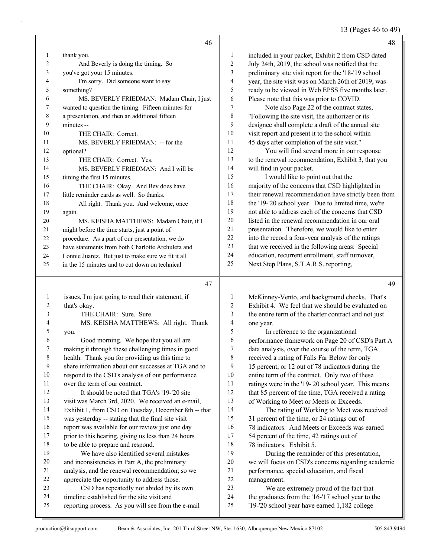13 (Pages 46 to 49)

|                | 46                                                                             |                          | 48                                                                                               |
|----------------|--------------------------------------------------------------------------------|--------------------------|--------------------------------------------------------------------------------------------------|
| 1              | thank you.                                                                     | $\mathbf{1}$             | included in your packet, Exhibit 2 from CSD dated                                                |
| 2              | And Beverly is doing the timing. So                                            | $\sqrt{2}$               | July 24th, 2019, the school was notified that the                                                |
| 3              | you've got your 15 minutes.                                                    | 3                        | preliminary site visit report for the '18-'19 school                                             |
| 4              | I'm sorry. Did someone want to say                                             | 4                        | year, the site visit was on March 26th of 2019, was                                              |
| 5              | something?                                                                     | 5                        | ready to be viewed in Web EPSS five months later.                                                |
| 6              | MS. BEVERLY FRIEDMAN: Madam Chair, I just                                      | 6                        | Please note that this was prior to COVID.                                                        |
| 7              | wanted to question the timing. Fifteen minutes for                             | 7                        | Note also Page 22 of the contract states,                                                        |
| 8              | a presentation, and then an additional fifteen                                 | 8                        | "Following the site visit, the authorizer or its                                                 |
| 9              | minutes --                                                                     | 9                        | designee shall complete a draft of the annual site                                               |
| 10             | THE CHAIR: Correct.                                                            | $10\,$                   | visit report and present it to the school within                                                 |
| 11             | MS. BEVERLY FRIEDMAN: -- for the                                               | 11                       | 45 days after completion of the site visit."                                                     |
| 12             | optional?                                                                      | 12                       | You will find several more in our response                                                       |
| 13             | THE CHAIR: Correct. Yes.                                                       | 13                       | to the renewal recommendation, Exhibit 3, that you                                               |
| 14             | MS. BEVERLY FRIEDMAN: And I will be                                            | 14                       | will find in your packet.                                                                        |
| 15             | timing the first 15 minutes.                                                   | 15                       | I would like to point out that the                                                               |
| 16             | THE CHAIR: Okay. And Bev does have                                             | 16                       | majority of the concerns that CSD highlighted in                                                 |
| 17             | little reminder cards as well. So thanks.                                      | 17                       | their renewal recommendation have strictly been from                                             |
| 18             | All right. Thank you. And welcome, once                                        | 18                       | the '19-'20 school year. Due to limited time, we're                                              |
| 19             | again.                                                                         | 19                       | not able to address each of the concerns that CSD                                                |
| 20             | MS. KEISHA MATTHEWS: Madam Chair, if I                                         | $20\,$                   | listed in the renewal recommendation in our oral                                                 |
| 21             | might before the time starts, just a point of                                  | 21                       | presentation. Therefore, we would like to enter                                                  |
| $22\,$         | procedure. As a part of our presentation, we do                                | 22                       | into the record a four-year analysis of the ratings                                              |
| 23             | have statements from both Charlotte Archuleta and                              | 23                       | that we received in the following areas: Special                                                 |
| 24             | Lonnie Juarez. But just to make sure we fit it all                             | 24                       | education, recurrent enrollment, staff turnover,                                                 |
| 25             | in the 15 minutes and to cut down on technical                                 | 25                       | Next Step Plans, S.T.A.R.S. reporting,                                                           |
|                |                                                                                |                          |                                                                                                  |
|                | 47                                                                             |                          | 49                                                                                               |
| $\mathbf{1}$   | issues, I'm just going to read their statement, if                             | $\mathbf{1}$             | McKinney-Vento, and background checks. That's                                                    |
| 2              | that's okay.                                                                   | $\overline{c}$           | Exhibit 4. We feel that we should be evaluated on                                                |
| 3              | THE CHAIR: Sure. Sure.                                                         | 3                        | the entire term of the charter contract and not just                                             |
| $\overline{4}$ | MS. KEISHA MATTHEWS: All right. Thank                                          | $\overline{\mathcal{A}}$ | one year.                                                                                        |
| 5              | you.                                                                           | 5                        | In reference to the organizational                                                               |
| 6              | Good morning. We hope that you all are                                         | 6                        | performance framework on Page 20 of CSD's Part A                                                 |
| 7              | making it through these challenging times in good                              | 7                        | data analysis, over the course of the term, TGA                                                  |
| 8              | health. Thank you for providing us this time to                                | $\,$ 8 $\,$              | received a rating of Falls Far Below for only                                                    |
| 9              | share information about our successes at TGA and to                            | 9                        | 15 percent, or 12 out of 78 indicators during the                                                |
| 10             | respond to the CSD's analysis of our performance                               | 10                       | entire term of the contract. Only two of these                                                   |
| 11             |                                                                                |                          |                                                                                                  |
| 12             | over the term of our contract.                                                 | 11                       |                                                                                                  |
|                | It should be noted that TGA's '19-'20 site                                     | 12                       | ratings were in the '19-'20 school year. This means                                              |
|                |                                                                                | 13                       | that 85 percent of the time, TGA received a rating                                               |
| 13<br>14       | visit was March 3rd, 2020. We received an e-mail,                              | 14                       | of Working to Meet or Meets or Exceeds.                                                          |
| 15             | Exhibit 1, from CSD on Tuesday, December 8th -- that                           | 15                       | The rating of Working to Meet was received                                                       |
| 16             | was yesterday -- stating that the final site visit                             | 16                       | 31 percent of the time, or 24 ratings out of                                                     |
|                | report was available for our review just one day                               | 17                       | 78 indicators. And Meets or Exceeds was earned                                                   |
| $17$<br>18     | prior to this hearing, giving us less than 24 hours                            | $18\,$                   | 54 percent of the time, 42 ratings out of                                                        |
| 19             | to be able to prepare and respond.<br>We have also identified several mistakes | 19                       | 78 indicators. Exhibit 5.                                                                        |
| $20\,$         | and inconsistencies in Part A, the preliminary                                 | $20\,$                   | During the remainder of this presentation,<br>we will focus on CSD's concerns regarding academic |

- analysis, and the renewal recommendation; so we
- appreciate the opportunity to address those. 23 CSD has repeatedly not abided by its own
- timeline established for the site visit and
- reporting process. As you will see from the e-mail

production@litsupport.com Bean & Associates, Inc. 201 Third Street NW, Ste. 1630, Albuquerque New Mexico 87102 505.843.9494

22 management.<br>23 We are

We are extremely proud of the fact that

 the graduates from the '16-'17 school year to the '19-'20 school year have earned 1,182 college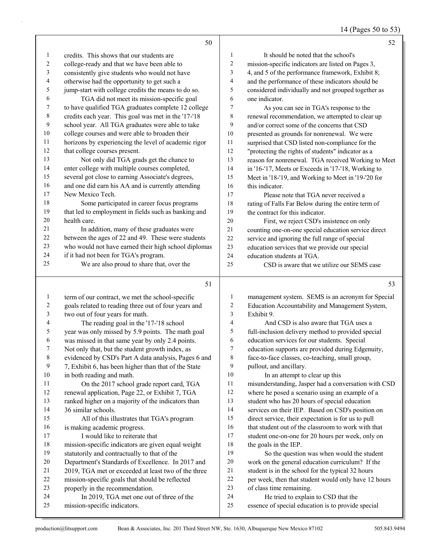14 (Pages 50 to 53)

|                          | 50                                                   |                          | 52                                                   |
|--------------------------|------------------------------------------------------|--------------------------|------------------------------------------------------|
| $\mathbf{1}$             | credits. This shows that our students are            | 1                        | It should be noted that the school's                 |
| $\overline{c}$           | college-ready and that we have been able to          | $\overline{\mathbf{c}}$  | mission-specific indicators are listed on Pages 3,   |
| 3                        | consistently give students who would not have        | 3                        | 4, and 5 of the performance framework, Exhibit 8;    |
| $\overline{\mathcal{A}}$ | otherwise had the opportunity to get such a          | 4                        | and the performance of these indicators should be    |
| 5                        | jump-start with college credits the means to do so.  | 5                        | considered individually and not grouped together as  |
| 6                        | TGA did not meet its mission-specific goal           | 6                        | one indicator.                                       |
| 7                        | to have qualified TGA graduates complete 12 college  | 7                        | As you can see in TGA's response to the              |
| $\,$ $\,$                | credits each year. This goal was met in the '17-'18  | 8                        | renewal recommendation, we attempted to clear up     |
| 9                        | school year. All TGA graduates were able to take     | 9                        | and/or correct some of the concerns that CSD         |
| 10                       | college courses and were able to broaden their       | $10\,$                   | presented as grounds for nonrenewal. We were         |
| 11                       | horizons by experiencing the level of academic rigor | 11                       | surprised that CSD listed non-compliance for the     |
| 12                       | that college courses present.                        | 12                       | "protecting the rights of students" indicator as a   |
| 13                       | Not only did TGA grads get the chance to             | 13                       | reason for nonrenewal. TGA received Working to Meet  |
| 14                       | enter college with multiple courses completed,       | 14                       | in '16-'17, Meets or Exceeds in '17-'18, Working to  |
| 15                       | several got close to earning Associate's degrees,    | 15                       | Meet in '18-'19, and Working to Meet in '19-'20 for  |
| 16                       | and one did earn his AA and is currently attending   | 16                       | this indicator.                                      |
| 17                       | New Mexico Tech.                                     | 17                       | Please note that TGA never received a                |
| 18                       | Some participated in career focus programs           | 18                       | rating of Falls Far Below during the entire term of  |
| 19                       | that led to employment in fields such as banking and | 19                       | the contract for this indicator.                     |
| $20\,$                   | health care.                                         | $20\,$                   | First, we reject CSD's insistence on only            |
| 21                       | In addition, many of these graduates were            | $21\,$                   | counting one-on-one special education service direct |
| $22\,$                   | between the ages of 22 and 49. These were students   | $22\,$                   | service and ignoring the full range of special       |
| 23                       | who would not have earned their high school diplomas | 23                       | education services that we provide our special       |
| 24                       | if it had not been for TGA's program.                | 24                       | education students at TGA.                           |
| 25                       | We are also proud to share that, over the            | 25                       | CSD is aware that we utilize our SEMS case           |
|                          | 51                                                   |                          | 53                                                   |
| $\mathbf{1}$             | term of our contract, we met the school-specific     | $\mathbf{1}$             | management system. SEMS is an acronym for Special    |
| $\overline{c}$           | goals related to reading three out of four years and | $\overline{c}$           | Education Accountability and Management System,      |
| $\mathfrak{Z}$           | two out of four years for math.                      | 3                        | Exhibit 9.                                           |
| 4                        | The reading goal in the '17-'18 school               | $\overline{\mathcal{A}}$ | And CSD is also aware that TGA uses a                |
| 5                        | year was only missed by 5.9 points. The math goal    | 5                        | full-inclusion delivery method to provided special   |
| 6                        | was missed in that same year by only 2.4 points.     | 6                        | education services for our students. Special         |
| 7                        | Not only that, but the student growth index, as      | 7                        | education supports are provided during Edgenuity,    |
| 8                        | evidenced by CSD's Part A data analysis, Pages 6 and | 8                        | face-to-face classes, co-teaching, small group,      |
| 9                        | 7, Exhibit 6, has been higher than that of the State | 9                        | pullout, and ancillary.                              |
| $10\,$                   | in both reading and math.                            | $10\,$                   | In an attempt to clear up this                       |
| 11                       | On the 2017 school grade report card, TGA            | 11                       | misunderstanding, Jasper had a conversation with CSD |
| $12\,$                   | renewal application, Page 22, or Exhibit 7, TGA      | $12\,$                   | where he posed a scenario using an example of a      |
| 13                       | ranked higher on a majority of the indicators than   | 13                       | student who has 20 hours of special education        |
| 14                       | 36 similar schools.                                  | 14                       | services on their IEP. Based on CSD's position on    |
| 15                       | All of this illustrates that TGA's program           | 15                       | direct service, their expectation is for us to pull  |

 is making academic progress. 17 I would like to reiterate that

properly in the recommendation.

mission-specific indicators.

mission-specific indicators are given equal weight

 Department's Standards of Excellence. In 2017 and 2019, TGA met or exceeded at least two of the three mission-specific goals that should be reflected

24 In 2019, TGA met one out of three of the

statutorily and contractually to that of the

 that student out of the classroom to work with that student one-on-one for 20 hours per week, only on

19 So the question was when would the student work on the general education curriculum? If the student is in the school for the typical 32 hours per week, then that student would only have 12 hours

24 He tried to explain to CSD that the

essence of special education is to provide special

18 the goals in the IEP.

of class time remaining.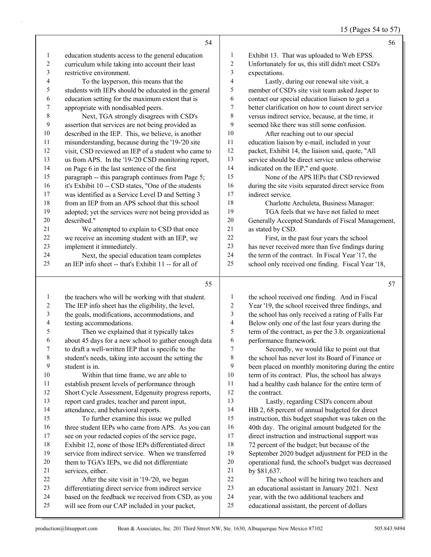15 (Pages 54 to 57)

|                | 54                                                                                                         |                          | 56                                                                                                  |
|----------------|------------------------------------------------------------------------------------------------------------|--------------------------|-----------------------------------------------------------------------------------------------------|
| $\mathbf{1}$   | education students access to the general education                                                         | 1                        | Exhibit 13. That was uploaded to Web EPSS.                                                          |
| $\overline{c}$ | curriculum while taking into account their least                                                           | $\overline{c}$           | Unfortunately for us, this still didn't meet CSD's                                                  |
| 3              | restrictive environment.                                                                                   | 3                        | expectations.                                                                                       |
| 4              | To the layperson, this means that the                                                                      | $\overline{\mathbf{4}}$  | Lastly, during our renewal site visit, a                                                            |
| 5              | students with IEPs should be educated in the general                                                       | 5                        | member of CSD's site visit team asked Jasper to                                                     |
| 6              | education setting for the maximum extent that is                                                           | 6                        | contact our special education liaison to get a                                                      |
| 7              | appropriate with nondisabled peers.                                                                        | $\tau$                   | better clarification on how to count direct service                                                 |
| $\,8\,$        | Next, TGA strongly disagrees with CSD's                                                                    | $\,$ $\,$                | versus indirect service, because, at the time, it                                                   |
| 9              | assertion that services are not being provided as                                                          | 9                        | seemed like there was still some confusion.                                                         |
| 10             | described in the IEP. This, we believe, is another                                                         | 10                       | After reaching out to our special                                                                   |
| 11             | misunderstanding, because during the '19-'20 site                                                          | 11                       | education liaison by e-mail, included in your                                                       |
| 12             | visit, CSD reviewed an IEP of a student who came to                                                        | 12                       | packet, Exhibit 14, the liaison said, quote, "All                                                   |
| 13             | us from APS. In the '19-'20 CSD monitoring report,                                                         | 13                       | service should be direct service unless otherwise                                                   |
| 14             | on Page 6 in the last sentence of the first                                                                | 14                       | indicated on the IEP," end quote.                                                                   |
| 15             | paragraph -- this paragraph continues from Page 5;                                                         | 15                       | None of the APS IEPs that CSD reviewed                                                              |
| 16             | it's Exhibit 10 -- CSD states, "One of the students                                                        | 16                       | during the site visits separated direct service from                                                |
| 17             | was identified as a Service Level D and Setting 3                                                          | 17                       | indirect service.                                                                                   |
| 18             | from an IEP from an APS school that this school                                                            | 18                       | Charlotte Archuleta, Business Manager:                                                              |
| 19             | adopted; yet the services were not being provided as                                                       | 19                       | TGA feels that we have not failed to meet                                                           |
| $20\,$         | described."                                                                                                | 20                       | Generally Accepted Standards of Fiscal Management,                                                  |
| 21             | We attempted to explain to CSD that once                                                                   | 21                       | as stated by CSD.                                                                                   |
| 22             | we receive an incoming student with an IEP, we                                                             | 22                       | First, in the past four years the school                                                            |
| 23             | implement it immediately.                                                                                  | 23                       | has never received more than five findings during                                                   |
| 24             | Next, the special education team completes                                                                 | 24                       | the term of the contract. In Fiscal Year '17, the                                                   |
| 25             | an IEP info sheet -- that's Exhibit 11 -- for all of                                                       | 25                       | school only received one finding. Fiscal Year '18,                                                  |
|                |                                                                                                            |                          |                                                                                                     |
|                | 55                                                                                                         |                          | 57                                                                                                  |
| $\mathbf{1}$   |                                                                                                            | 1                        |                                                                                                     |
| $\overline{2}$ | the teachers who will be working with that student.<br>The IEP info sheet has the eligibility, the level,  | $\boldsymbol{2}$         | the school received one finding. And in Fiscal<br>Year '19, the school received three findings, and |
| 3              | the goals, modifications, accommodations, and                                                              | $\mathfrak{Z}$           | the school has only received a rating of Falls Far                                                  |
| 4              | testing accommodations.                                                                                    | $\overline{\mathcal{L}}$ | Below only one of the last four years during the                                                    |
| 5              | Then we explained that it typically takes                                                                  | 5                        | term of the contract, as per the 3.b. organizational                                                |
| 6              | about 45 days for a new school to gather enough data                                                       | 6                        | performance framework.                                                                              |
| 7              | to draft a well-written IEP that is specific to the                                                        | 7                        | Secondly, we would like to point out that                                                           |
| $\,8\,$        | student's needs, taking into account the setting the                                                       | 8                        | the school has never lost its Board of Finance or                                                   |
| 9              | student is in.                                                                                             | 9                        | been placed on monthly monitoring during the entire                                                 |
| 10             | Within that time frame, we are able to                                                                     | 10                       | term of its contract. Plus, the school has always                                                   |
| 11             | establish present levels of performance through                                                            | 11                       | had a healthy cash balance for the entire term of                                                   |
| 12             | Short Cycle Assessment, Edgenuity progress reports,                                                        | 12                       | the contract.                                                                                       |
| 13             | report card grades, teacher and parent input,                                                              | 13                       | Lastly, regarding CSD's concern about                                                               |
| 14             | attendance, and behavioral reports.                                                                        | 14                       | HB 2, 68 percent of annual budgeted for direct                                                      |
| 15             | To further examine this issue we pulled                                                                    | 15                       | instruction, this budget snapshot was taken on the                                                  |
| 16             | three student IEPs who came from APS. As you can                                                           | 16                       | 40th day. The original amount budgeted for the                                                      |
| 17             | see on your redacted copies of the service page,                                                           | 17                       | direct instruction and instructional support was                                                    |
| 18             | Exhibit 12, none of those IEPs differentiated direct                                                       | 18                       | 72 percent of the budget; but because of the                                                        |
| 19             | service from indirect service. When we transferred                                                         | 19                       | September 2020 budget adjustment for PED in the                                                     |
| 20             | them to TGA's IEPs, we did not differentiate                                                               | 20                       | operational fund, the school's budget was decreased                                                 |
| 21             | services, either.                                                                                          | 21                       | by \$81,637.                                                                                        |
| 22             | After the site visit in '19-'20, we began                                                                  | 22                       | The school will be hiring two teachers and                                                          |
| 23<br>24       | differentiating direct service from indirect service<br>based on the feedback we received from CSD, as you | 23<br>24                 | an educational assistant in January 2021. Next<br>year, with the two additional teachers and        |

will see from our CAP included in your packet,

educational assistant, the percent of dollars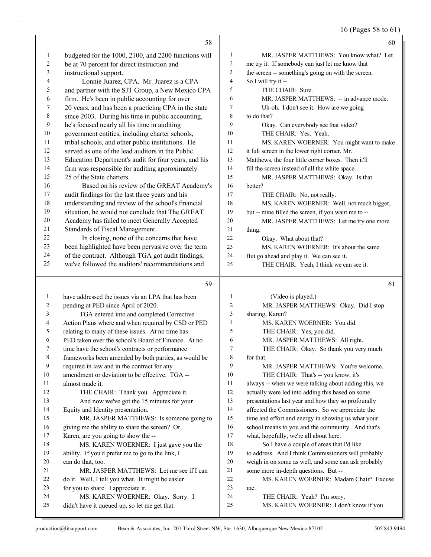16 (Pages 58 to 61)

|           | 58                                                                                 |          | 60                                                                                                     |
|-----------|------------------------------------------------------------------------------------|----------|--------------------------------------------------------------------------------------------------------|
| 1         | budgeted for the 1000, 2100, and 2200 functions will                               | 1        | MR. JASPER MATTHEWS: You know what? Let                                                                |
| 2         | be at 70 percent for direct instruction and                                        | 2        | me try it. If somebody can just let me know that                                                       |
| 3         | instructional support.                                                             | 3        | the screen -- something's going on with the screen.                                                    |
| 4         | Lonnie Juarez, CPA. Mr. Juarez is a CPA                                            | 4        | So I will try it --                                                                                    |
| 5         | and partner with the SJT Group, a New Mexico CPA                                   | 5        | THE CHAIR: Sure.                                                                                       |
| 6         | firm. He's been in public accounting for over                                      | 6        | MR. JASPER MATTHEWS: -- in advance mode.                                                               |
| 7         | 20 years, and has been a practicing CPA in the state                               | 7        | Uh-oh. I don't see it. How are we going                                                                |
| $\,$ $\,$ | since 2003. During his time in public accounting,                                  | 8        | to do that?                                                                                            |
| 9         | he's focused nearly all his time in auditing                                       | 9        | Okay. Can everybody see that video?                                                                    |
| 10        | government entities, including charter schools,                                    | 10       | THE CHAIR: Yes. Yeah.                                                                                  |
| 11        | tribal schools, and other public institutions. He                                  | 11       | MS. KAREN WOERNER: You might want to make                                                              |
| 12        | served as one of the lead auditors in the Public                                   | 12       | it full screen in the lower right corner, Mr.                                                          |
| 13        | Education Department's audit for four years, and his                               | 13       | Matthews, the four little corner boxes. Then it'll                                                     |
| 14        | firm was responsible for auditing approximately                                    | 14       | fill the screen instead of all the white space.                                                        |
| 15        | 25 of the State charters.                                                          | 15       | MR. JASPER MATTHEWS: Okay. Is that                                                                     |
| 16        | Based on his review of the GREAT Academy's                                         | 16       | better?                                                                                                |
| 17        | audit findings for the last three years and his                                    | 17       | THE CHAIR: No, not really.                                                                             |
| 18        | understanding and review of the school's financial                                 | 18       | MS. KAREN WOERNER: Well, not much bigger,                                                              |
| 19        | situation, he would not conclude that The GREAT                                    | 19       | but -- mine filled the screen, if you want me to --                                                    |
| 20        | Academy has failed to meet Generally Accepted                                      | 20       | MR. JASPER MATTHEWS: Let me try one more                                                               |
| 21        | Standards of Fiscal Management.                                                    | 21       | thing.                                                                                                 |
| 22        | In closing, none of the concerns that have                                         | 22       | Okay. What about that?                                                                                 |
| 23        | been highlighted have been pervasive over the term                                 | 23       | MS. KAREN WOERNER: It's about the same.                                                                |
| 24        | of the contract. Although TGA got audit findings,                                  | 24       | But go ahead and play it. We can see it.                                                               |
| 25        | we've followed the auditors' recommendations and                                   | 25       | THE CHAIR: Yeah, I think we can see it.                                                                |
|           |                                                                                    |          |                                                                                                        |
|           |                                                                                    |          |                                                                                                        |
|           | 59                                                                                 |          | 61                                                                                                     |
| 1         | have addressed the issues via an LPA that has been                                 | 1        | (Video is played.)                                                                                     |
| 2         | pending at PED since April of 2020.                                                | 2        | MR. JASPER MATTHEWS: Okay. Did I stop                                                                  |
| 3         | TGA entered into and completed Corrective                                          | 3        | sharing, Karen?                                                                                        |
| 4         | Action Plans where and when required by CSD or PED                                 | 4        | MS. KAREN WOERNER: You did.                                                                            |
| 5         | relating to many of these issues. At no time has                                   | 5        | THE CHAIR: Yes, you did.                                                                               |
| 6         | PED taken over the school's Board of Finance. At no                                | 6<br>7   | MR. JASPER MATTHEWS: All right.                                                                        |
| 7         | time have the school's contracts or performance                                    |          | THE CHAIR: Okay. So thank you very much                                                                |
| 8<br>9    | frameworks been amended by both parties, as would be                               | 8<br>9   | for that.                                                                                              |
| 10        | required in law and in the contract for any                                        | 10       | MR. JASPER MATTHEWS: You're welcome.                                                                   |
| 11        | amendment or deviation to be effective. TGA --<br>almost made it.                  | 11       | THE CHAIR: That's -- you know, it's                                                                    |
| 12        |                                                                                    | 12       | always -- when we were talking about adding this, we                                                   |
| 13        | THE CHAIR: Thank you. Appreciate it.<br>And now we've got the 15 minutes for your  | 13       | actually were led into adding this based on some                                                       |
| 14        | Equity and Identity presentation.                                                  | 14       | presentations last year and how they so profoundly<br>affected the Commissioners. So we appreciate the |
| 15        | MR. JASPER MATTHEWS: Is someone going to                                           | 15       | time and effort and energy in showing us what your                                                     |
| 16        | giving me the ability to share the screen? Or,                                     | 16       | school means to you and the community. And that's                                                      |
| 17        | Karen, are you going to show the --                                                | 17       | what, hopefully, we're all about here.                                                                 |
| 18        | MS. KAREN WOERNER: I just gave you the                                             | 18       | So I have a couple of areas that I'd like                                                              |
| 19        | ability. If you'd prefer me to go to the link, I                                   | 19       | to address. And I think Commissioners will probably                                                    |
| 20        | can do that, too.                                                                  | 20       | weigh in on some as well, and some can ask probably                                                    |
| 21        | MR. JASPER MATTHEWS: Let me see if I can                                           | 21       | some more in-depth questions. But --                                                                   |
| 22        | do it. Well, I tell you what. It might be easier                                   | $22\,$   | MS. KAREN WOERNER: Madam Chair? Excuse                                                                 |
| 23        | for you to share. I appreciate it.                                                 | 23       | me.                                                                                                    |
| 24<br>25  | MS. KAREN WOERNER: Okay. Sorry. I<br>didn't have it queued up, so let me get that. | 24<br>25 | THE CHAIR: Yeah? I'm sorry.<br>MS. KAREN WOERNER: I don't know if you                                  |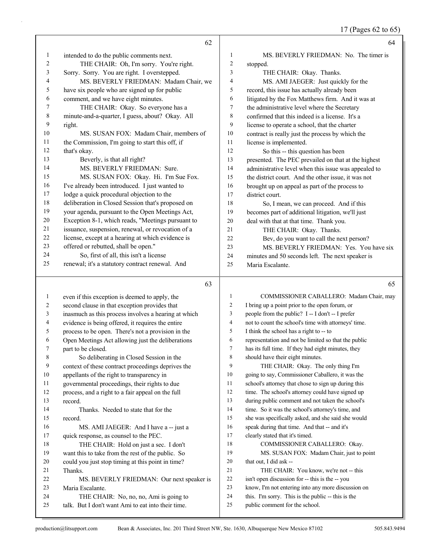17 (Pages 62 to 65)

|    | 62                                                                                                                                   |              | 64                                                   |
|----|--------------------------------------------------------------------------------------------------------------------------------------|--------------|------------------------------------------------------|
| 1  | intended to do the public comments next.                                                                                             | 1            | MS. BEVERLY FRIEDMAN: No. The timer is               |
| 2  | THE CHAIR: Oh, I'm sorry. You're right.                                                                                              | 2            | stopped.                                             |
| 3  | Sorry. Sorry. You are right. I overstepped.                                                                                          | 3            | THE CHAIR: Okay. Thanks.                             |
| 4  | MS. BEVERLY FRIEDMAN: Madam Chair, we                                                                                                | 4            | MS. AMI JAEGER: Just quickly for the                 |
| 5  | have six people who are signed up for public                                                                                         | 5            | record, this issue has actually already been         |
| 6  | comment, and we have eight minutes.                                                                                                  | 6            | litigated by the Fox Matthews firm. And it was at    |
| 7  | THE CHAIR: Okay. So everyone has a                                                                                                   | 7            | the administrative level where the Secretary         |
| 8  | minute-and-a-quarter, I guess, about? Okay. All                                                                                      | 8            | confirmed that this indeed is a license. It's a      |
| 9  | right.                                                                                                                               | 9            | license to operate a school, that the charter        |
| 10 | MS. SUSAN FOX: Madam Chair, members of                                                                                               | 10           | contract is really just the process by which the     |
| 11 | the Commission, I'm going to start this off, if                                                                                      | 11           | license is implemented.                              |
| 12 | that's okay.                                                                                                                         | 12           | So this -- this question has been                    |
| 13 | Beverly, is that all right?                                                                                                          | 13           | presented. The PEC prevailed on that at the highest  |
| 14 | MS. BEVERLY FRIEDMAN: Sure.                                                                                                          | 14           | administrative level when this issue was appealed to |
| 15 | MS. SUSAN FOX: Okay. Hi. I'm Sue Fox.                                                                                                | 15           | the district court. And the other issue, it was not  |
| 16 | I've already been introduced. I just wanted to                                                                                       | 16           | brought up on appeal as part of the process to       |
| 17 | lodge a quick procedural objection to the                                                                                            | 17           | district court.                                      |
| 18 | deliberation in Closed Session that's proposed on                                                                                    | 18           | So, I mean, we can proceed. And if this              |
| 19 | your agenda, pursuant to the Open Meetings Act,                                                                                      | 19           | becomes part of additional litigation, we'll just    |
| 20 | Exception 8-1, which reads, "Meetings pursuant to                                                                                    | 20           | deal with that at that time. Thank you.              |
| 21 | issuance, suspension, renewal, or revocation of a                                                                                    | 21           | THE CHAIR: Okay. Thanks.                             |
| 22 | license, except at a hearing at which evidence is                                                                                    | 22           | Bev, do you want to call the next person?            |
| 23 | offered or rebutted, shall be open."                                                                                                 | 23           | MS. BEVERLY FRIEDMAN: Yes. You have six              |
| 24 | So, first of all, this isn't a license                                                                                               | 24           | minutes and 50 seconds left. The next speaker is     |
| 25 | renewal; it's a statutory contract renewal. And                                                                                      | 25           | Maria Escalante.                                     |
|    | 63                                                                                                                                   |              | 65                                                   |
| 1  | even if this exception is deemed to apply, the                                                                                       | $\mathbf{1}$ | COMMISSIONER CABALLERO: Madam Chair, may             |
| 2  | second clause in that exception provides that                                                                                        | 2            | I bring up a point prior to the open forum, or       |
|    | $\mathbf{a}$ and $\mathbf{a}$ are a set of $\mathbf{a}$ and $\mathbf{a}$ and $\mathbf{a}$ are a set of $\mathbf{a}$ and $\mathbf{a}$ |              |                                                      |

- inasmuch as this process involves a hearing at which evidence is being offered, it requires the entire
- process to be open. There's not a provision in the
- 
- Open Meetings Act allowing just the deliberations part to be closed.
- 8 So deliberating in Closed Session in the
- context of these contract proceedings deprives the
- appellants of the right to transparency in
- governmental proceedings, their rights to due
- process, and a right to a fair appeal on the full
- record.
- 14 Thanks. Needed to state that for the record.
- 
- 16 MS. AMI JAEGER: And I have a -- just a
- quick response, as counsel to the PEC. 18 THE CHAIR: Hold on just a sec. I don't
- want this to take from the rest of the public. So
- could you just stop timing at this point in time?
- Thanks.
- 22 MS. BEVERLY FRIEDMAN: Our next speaker is Maria Escalante.
- 24 THE CHAIR: No, no, no, Ami is going to
- talk. But I don't want Ami to eat into their time.
- - public comment for the school.

 people from the public? I -- I don't -- I prefer not to count the school's time with attorneys' time. I think the school has a right to -- to representation and not be limited so that the public has its full time. If they had eight minutes, they should have their eight minutes. 9 THE CHAIR: Okay. The only thing I'm going to say, Commissioner Caballero, it was the school's attorney that chose to sign up during this 12 time. The school's attorney could have signed up during public comment and not taken the school's time. So it was the school's attorney's time, and she was specifically asked, and she said she would speak during that time. And that -- and it's clearly stated that it's timed. 18 COMMISSIONER CABALLERO: Okay. 19 MS. SUSAN FOX: Madam Chair, just to point that out, I did ask -- 21 THE CHAIR: You know, we're not -- this isn't open discussion for -- this is the -- you know, I'm not entering into any more discussion on this. I'm sorry. This is the public -- this is the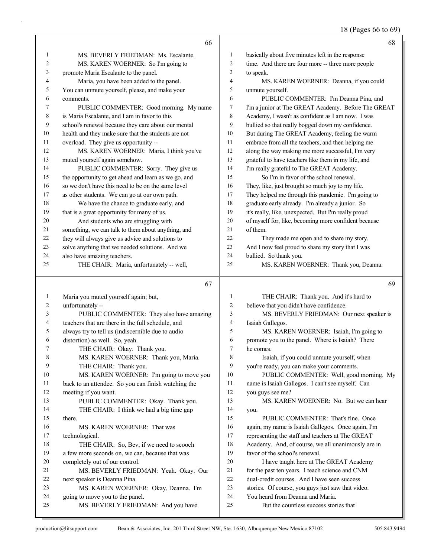### 18 (Pages 66 to 69)

|                | 66                                                                                                     |                     | 68                                                                         |
|----------------|--------------------------------------------------------------------------------------------------------|---------------------|----------------------------------------------------------------------------|
| $\mathbf{1}$   | MS. BEVERLY FRIEDMAN: Ms. Escalante.                                                                   | 1                   | basically about five minutes left in the response                          |
| $\overline{c}$ | MS. KAREN WOERNER: So I'm going to                                                                     | $\overline{c}$      | time. And there are four more -- three more people                         |
| 3              | promote Maria Escalante to the panel.                                                                  | 3                   | to speak.                                                                  |
| 4              | Maria, you have been added to the panel.                                                               | 4                   | MS. KAREN WOERNER: Deanna, if you could                                    |
| 5              | You can unmute yourself, please, and make your                                                         | 5                   | unmute yourself.                                                           |
| 6              | comments.                                                                                              | 6                   | PUBLIC COMMENTER: I'm Deanna Pina, and                                     |
| 7              | PUBLIC COMMENTER: Good morning. My name                                                                | 7                   | I'm a junior at The GREAT Academy. Before The GREAT                        |
| 8              | is Maria Escalante, and I am in favor to this                                                          | 8                   | Academy, I wasn't as confident as I am now. I was                          |
| 9              | school's renewal because they care about our mental                                                    | 9                   | bullied so that really bogged down my confidence.                          |
| 10             | health and they make sure that the students are not                                                    | 10                  | But during The GREAT Academy, feeling the warm                             |
| 11             | overload. They give us opportunity --                                                                  | 11                  | embrace from all the teachers, and then helping me                         |
| 12             | MS. KAREN WOERNER: Maria, I think you've                                                               | 12                  | along the way making me more successful, I'm very                          |
| 13             | muted yourself again somehow.                                                                          | 13                  | grateful to have teachers like them in my life, and                        |
| 14             | PUBLIC COMMENTER: Sorry. They give us                                                                  | 14                  | I'm really grateful to The GREAT Academy.                                  |
| 15             | the opportunity to get ahead and learn as we go, and                                                   | 15                  | So I'm in favor of the school renewal.                                     |
| 16             | so we don't have this need to be on the same level                                                     | 16                  | They, like, just brought so much joy to my life.                           |
| 17             | as other students. We can go at our own path.                                                          | 17                  | They helped me through this pandemic. I'm going to                         |
| 18             | We have the chance to graduate early, and                                                              | 18                  | graduate early already. I'm already a junior. So                           |
| 19             | that is a great opportunity for many of us.                                                            | 19                  | it's really, like, unexpected. But I'm really proud                        |
| 20             | And students who are struggling with                                                                   | 20                  | of myself for, like, becoming more confident because                       |
| 21             | something, we can talk to them about anything, and                                                     | 21                  | of them.                                                                   |
| 22             | they will always give us advice and solutions to                                                       | 22                  | They made me open and to share my story.                                   |
| 23             | solve anything that we needed solutions. And we                                                        | 23                  | And I now feel proud to share my story that I was                          |
| 24             | also have amazing teachers.                                                                            | 24                  | bullied. So thank you.                                                     |
| 25             | THE CHAIR: Maria, unfortunately -- well,                                                               | 25                  | MS. KAREN WOERNER: Thank you, Deanna.                                      |
|                | 67                                                                                                     |                     | 69                                                                         |
| $\mathbf{1}$   | Maria you muted yourself again; but,                                                                   | 1                   |                                                                            |
| 2              |                                                                                                        |                     |                                                                            |
|                |                                                                                                        |                     | THE CHAIR: Thank you. And it's hard to                                     |
| 3              | unfortunately --                                                                                       | $\overline{c}$<br>3 | believe that you didn't have confidence.                                   |
| 4              | PUBLIC COMMENTER: They also have amazing                                                               | $\overline{4}$      | MS. BEVERLY FRIEDMAN: Our next speaker is                                  |
| 5              | teachers that are there in the full schedule, and<br>always try to tell us (indiscernible due to audio | 5                   | Isaiah Gallegos.                                                           |
| 6              |                                                                                                        | 6                   | MS. KAREN WOERNER: Isaiah, I'm going to                                    |
| 7              | distortion) as well. So, yeah.<br>THE CHAIR: Okay. Thank you.                                          | 7                   | promote you to the panel. Where is Isaiah? There<br>he comes.              |
| 8              | MS. KAREN WOERNER: Thank you, Maria.                                                                   | 8                   | Isaiah, if you could unmute yourself, when                                 |
| 9              | THE CHAIR: Thank you.                                                                                  | 9                   | you're ready, you can make your comments.                                  |
| 10             | MS. KAREN WOERNER: I'm going to move you                                                               | 10                  | PUBLIC COMMENTER: Well, good morning. My                                   |
| 11             | back to an attendee. So you can finish watching the                                                    | 11                  | name is Isaiah Gallegos. I can't see myself. Can                           |
| 12             | meeting if you want.                                                                                   | 12                  | you guys see me?                                                           |
| 13             | PUBLIC COMMENTER: Okay. Thank you.                                                                     | 13                  | MS. KAREN WOERNER: No. But we can hear                                     |
| 14             | THE CHAIR: I think we had a big time gap                                                               | 14                  | you.                                                                       |
| 15             | there.                                                                                                 | 15                  | PUBLIC COMMENTER: That's fine. Once                                        |
| 16             | MS. KAREN WOERNER: That was                                                                            | 16                  | again, my name is Isaiah Gallegos. Once again, I'm                         |
| 17             | technological.                                                                                         | 17                  | representing the staff and teachers at The GREAT                           |
| 18             | THE CHAIR: So, Bev, if we need to scooch                                                               | 18                  | Academy. And, of course, we all unanimously are in                         |
| 19             | a few more seconds on, we can, because that was                                                        | 19                  | favor of the school's renewal.                                             |
| 20             | completely out of our control.                                                                         | 20                  | I have taught here at The GREAT Academy                                    |
| 21             | MS. BEVERLY FRIEDMAN: Yeah. Okay. Our                                                                  | 21                  | for the past ten years. I teach science and CNM                            |
| 22             | next speaker is Deanna Pina.                                                                           | 22                  | dual-credit courses. And I have seen success                               |
| 23             | MS. KAREN WOERNER: Okay, Deanna. I'm                                                                   | 23                  | stories. Of course, you guys just saw that video.                          |
| 24<br>25       | going to move you to the panel.<br>MS. BEVERLY FRIEDMAN: And you have                                  | 24<br>25            | You heard from Deanna and Maria.<br>But the countless success stories that |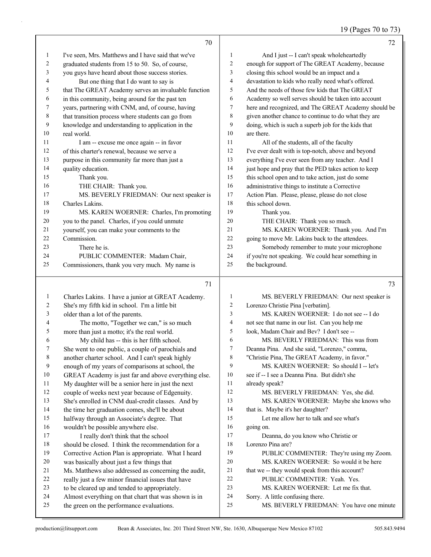# 19 (Pages 70 to 73)

|    | 70                                                   |                 | 72                                                   |
|----|------------------------------------------------------|-----------------|------------------------------------------------------|
| 1  | I've seen, Mrs. Matthews and I have said that we've  | 1               | And I just -- I can't speak wholeheartedly           |
| 2  | graduated students from 15 to 50. So, of course,     | $\overline{2}$  | enough for support of The GREAT Academy, because     |
| 3  | you guys have heard about those success stories.     | 3               | closing this school would be an impact and a         |
| 4  | But one thing that I do want to say is               | $\overline{4}$  | devastation to kids who really need what's offered.  |
| 5  | that The GREAT Academy serves an invaluable function | 5               | And the needs of those few kids that The GREAT       |
| 6  | in this community, being around for the past ten     | 6               | Academy so well serves should be taken into account  |
| 7  | years, partnering with CNM, and, of course, having   | $7\phantom{.0}$ | here and recognized, and The GREAT Academy should be |
| 8  | that transition process where students can go from   | 8               | given another chance to continue to do what they are |
| 9  | knowledge and understanding to application in the    | 9               | doing, which is such a superb job for the kids that  |
| 10 | real world.                                          | 10              | are there.                                           |
| 11 | I am -- excuse me once again -- in favor             | 11              | All of the students, all of the faculty              |
| 12 | of this charter's renewal, because we serve a        | 12              | I've ever dealt with is top-notch, above and beyond  |
| 13 | purpose in this community far more than just a       | 13              | everything I've ever seen from any teacher. And I    |
| 14 | quality education.                                   | 14              | just hope and pray that the PED takes action to keep |
| 15 | Thank you.                                           | 15              | this school open and to take action, just do some    |
| 16 | THE CHAIR: Thank you.                                | 16              | administrative things to institute a Corrective      |
| 17 | MS. BEVERLY FRIEDMAN: Our next speaker is            | 17              | Action Plan. Please, please, please do not close     |
| 18 | Charles Lakins.                                      | 18              | this school down.                                    |
| 19 | MS. KAREN WOERNER: Charles, I'm promoting            | 19              | Thank you.                                           |
| 20 | you to the panel. Charles, if you could unmute       | 20              | THE CHAIR: Thank you so much.                        |
| 21 | yourself, you can make your comments to the          | 21              | MS. KAREN WOERNER: Thank you. And I'm                |
| 22 | Commission.                                          | 22              | going to move Mr. Lakins back to the attendees.      |
| 23 | There he is.                                         | 23              | Somebody remember to mute your microphone            |
| 24 | PUBLIC COMMENTER: Madam Chair,                       | 24              | if you're not speaking. We could hear something in   |
| 25 | Commissioners, thank you very much. My name is       | 25              | the background.                                      |

### 

| -1             | Charles Lakins. I have a junior at GREAT Academy.    | 1  | MS. BEVERLY FRIEDMAN: Our next speaker is      |
|----------------|------------------------------------------------------|----|------------------------------------------------|
| 2              | She's my fifth kid in school. I'm a little bit       | 2  | Lorenzo Christie Pina [verbatim].              |
| $\mathfrak{Z}$ | older than a lot of the parents.                     | 3  | MS. KAREN WOERNER: I do not see -- I do        |
| $\overline{4}$ | The motto, "Together we can," is so much             | 4  | not see that name in our list. Can you help me |
| 5              | more than just a motto; it's the real world.         | 5  | look, Madam Chair and Bev? I don't see --      |
| 6              | My child has -- this is her fifth school.            | 6  | MS. BEVERLY FRIEDMAN: This was from            |
| 7              | She went to one public, a couple of parochials and   | 7  | Deanna Pina. And she said, "Lorenzo," comma,   |
| $8\,$          | another charter school. And I can't speak highly     | 8  | "Christie Pina, The GREAT Academy, in favor."  |
| 9              | enough of my years of comparisons at school, the     | 9  | MS. KAREN WOERNER: So should I -- let's        |
| 10             | GREAT Academy is just far and above everything else. | 10 | see if -- I see a Deanna Pina. But didn't she  |
| 11             | My daughter will be a senior here in just the next   | 11 | already speak?                                 |
| 12             | couple of weeks next year because of Edgenuity.      | 12 | MS. BEVERLY FRIEDMAN: Yes, she did.            |
| 13             | She's enrolled in CNM dual-credit classes. And by    | 13 | MS. KAREN WOERNER: Maybe she knows who         |
| 14             | the time her graduation comes, she'll be about       | 14 | that is. Maybe it's her daughter?              |
| 15             | halfway through an Associate's degree. That          | 15 | Let me allow her to talk and see what's        |
| 16             | wouldn't be possible anywhere else.                  | 16 | going on.                                      |
| 17             | I really don't think that the school                 | 17 | Deanna, do you know who Christie or            |
| 18             | should be closed. I think the recommendation for a   | 18 | Lorenzo Pina are?                              |
| 19             | Corrective Action Plan is appropriate. What I heard  | 19 | PUBLIC COMMENTER: They're using my Zoom.       |
| 20             | was basically about just a few things that           | 20 | MS. KAREN WOERNER: So would it be here         |
| 21             | Ms. Matthews also addressed as concerning the audit, | 21 | that we -- they would speak from this account? |
| 22             | really just a few minor financial issues that have   | 22 | PUBLIC COMMENTER: Yeah. Yes.                   |
| 23             | to be cleared up and tended to appropriately.        | 23 | MS. KAREN WOERNER: Let me fix that.            |
| 24             | Almost everything on that chart that was shown is in | 24 | Sorry. A little confusing there.               |
| 25             | the green on the performance evaluations.            | 25 | MS. BEVERLY FRIEDMAN: You have one minute      |
|                |                                                      |    |                                                |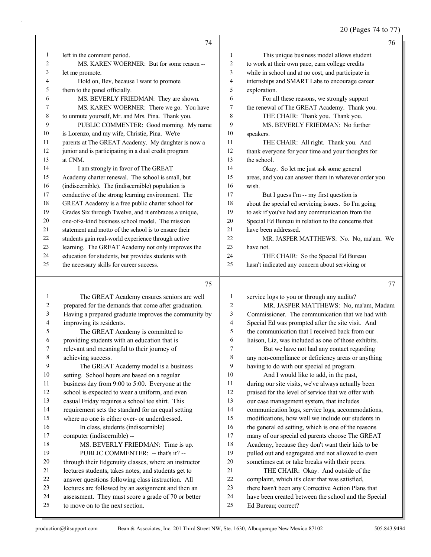20 (Pages 74 to 77)

|    | 74                                                   |                | 76                                                   |
|----|------------------------------------------------------|----------------|------------------------------------------------------|
| 1  | left in the comment period.                          | 1              | This unique business model allows student            |
| 2  | MS. KAREN WOERNER: But for some reason --            | $\mathfrak{2}$ | to work at their own pace, earn college credits      |
| 3  | let me promote.                                      | 3              | while in school and at no cost, and participate in   |
| 4  | Hold on, Bev, because I want to promote              | $\overline{4}$ | internships and SMART Labs to encourage career       |
| 5  | them to the panel officially.                        | 5              | exploration.                                         |
| 6  | MS. BEVERLY FRIEDMAN: They are shown.                | 6              | For all these reasons, we strongly support           |
| 7  | MS. KAREN WOERNER: There we go. You have             | 7              | the renewal of The GREAT Academy. Thank you.         |
| 8  | to unmute yourself, Mr. and Mrs. Pina. Thank you.    | 8              | THE CHAIR: Thank you. Thank you.                     |
| 9  | PUBLIC COMMENTER: Good morning. My name              | 9              | MS. BEVERLY FRIEDMAN: No further                     |
| 10 | is Lorenzo, and my wife, Christie, Pina. We're       | 10             | speakers.                                            |
| 11 | parents at The GREAT Academy. My daughter is now a   | 11             | THE CHAIR: All right. Thank you. And                 |
| 12 | junior and is participating in a dual credit program | 12             | thank everyone for your time and your thoughts for   |
| 13 | at CNM.                                              | 13             | the school.                                          |
| 14 | I am strongly in favor of The GREAT                  | 14             | Okay. So let me just ask some general                |
| 15 | Academy charter renewal. The school is small, but    | 15             | areas, and you can answer them in whatever order you |
| 16 | (indiscernible). The (indiscernible) population is   | 16             | wish.                                                |
| 17 | conductive of the strong learning environment. The   | 17             | But I guess I'm -- my first question is              |
| 18 | GREAT Academy is a free public charter school for    | 18             | about the special ed servicing issues. So I'm going  |
| 19 | Grades Six through Twelve, and it embraces a unique, | 19             | to ask if you've had any communication from the      |
| 20 | one-of-a-kind business school model. The mission     | 20             | Special Ed Bureau in relation to the concerns that   |
| 21 | statement and motto of the school is to ensure their | 21             | have been addressed.                                 |
| 22 | students gain real-world experience through active   | 22             | MR. JASPER MATTHEWS: No. No, ma'am. We               |
| 23 | learning. The GREAT Academy not only improves the    | 23             | have not.                                            |
| 24 | education for students, but provides students with   | 24             | THE CHAIR: So the Special Ed Bureau                  |
| 25 | the necessary skills for career success.             | 25             | hasn't indicated any concern about servicing or      |
|    | 75                                                   |                | 77                                                   |

1 The GREAT Academy ensures seniors are well prepared for the demands that come after graduation. Having a prepared graduate improves the community by improving its residents. 5 The GREAT Academy is committed to providing students with an education that is relevant and meaningful to their journey of achieving success. 9 The GREAT Academy model is a business setting. School hours are based on a regular business day from 9:00 to 5:00. Everyone at the school is expected to wear a uniform, and even casual Friday requires a school tee shirt. This requirement sets the standard for an equal setting where no one is either over- or underdressed. 16 In class, students (indiscernible) computer (indiscernible) -- 18 MS. BEVERLY FRIEDMAN: Time is up. 19 PUBLIC COMMENTER: -- that's it? -- 20 through their Edgenuity classes, where an instructor lectures students, takes notes, and students get to answer questions following class instruction. All lectures are followed by an assignment and then an assessment. They must score a grade of 70 or better to move on to the next section. service logs to you or through any audits?

2 MR. JASPER MATTHEWS: No, ma'am, Madam Commissioner. The communication that we had with Special Ed was prompted after the site visit. And the communication that I received back from our liaison, Liz, was included as one of those exhibits. 7 But we have not had any contact regarding any non-compliance or deficiency areas or anything having to do with our special ed program. 10 And I would like to add, in the past, during our site visits, we've always actually been praised for the level of service that we offer with our case management system, that includes communication logs, service logs, accommodations, modifications, how well we include our students in the general ed setting, which is one of the reasons many of our special ed parents choose The GREAT Academy, because they don't want their kids to be pulled out and segregated and not allowed to even sometimes eat or take breaks with their peers. 21 THE CHAIR: Okay. And outside of the complaint, which it's clear that was satisfied, there hasn't been any Corrective Action Plans that

have been created between the school and the Special

Ed Bureau; correct?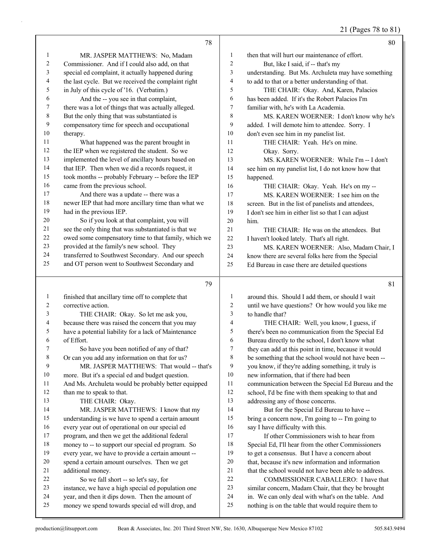# 21 (Pages 78 to 81)

|              | 78                                                                                                  |                         | 80                                                                                                       |
|--------------|-----------------------------------------------------------------------------------------------------|-------------------------|----------------------------------------------------------------------------------------------------------|
| $\mathbf{1}$ | MR. JASPER MATTHEWS: No, Madam                                                                      | 1                       | then that will hurt our maintenance of effort.                                                           |
| 2            | Commissioner. And if I could also add, on that                                                      | $\overline{c}$          | But, like I said, if -- that's my                                                                        |
| 3            | special ed complaint, it actually happened during                                                   | 3                       | understanding. But Ms. Archuleta may have something                                                      |
| 4            | the last cycle. But we received the complaint right                                                 | $\overline{\mathbf{4}}$ | to add to that or a better understanding of that.                                                        |
| 5            | in July of this cycle of '16. (Verbatim.)                                                           | 5                       | THE CHAIR: Okay. And, Karen, Palacios                                                                    |
| 6            | And the -- you see in that complaint,                                                               | 6                       | has been added. If it's the Robert Palacios I'm                                                          |
| 7            | there was a lot of things that was actually alleged.                                                | 7                       | familiar with, he's with La Academia.                                                                    |
| 8            | But the only thing that was substantiated is                                                        | 8                       | MS. KAREN WOERNER: I don't know why he's                                                                 |
| 9            | compensatory time for speech and occupational                                                       | 9                       | added. I will demote him to attendee. Sorry. I                                                           |
| 10           | therapy.                                                                                            | 10                      | don't even see him in my panelist list.                                                                  |
| 11           | What happened was the parent brought in                                                             | 11                      | THE CHAIR: Yeah. He's on mine.                                                                           |
| 12           | the IEP when we registered the student. So we                                                       | 12                      | Okay. Sorry.                                                                                             |
| 13           | implemented the level of ancillary hours based on                                                   | 13                      | MS. KAREN WOERNER: While I'm -- I don't                                                                  |
| 14           | that IEP. Then when we did a records request, it                                                    | 14                      | see him on my panelist list, I do not know how that                                                      |
| 15           | took months -- probably February -- before the IEP                                                  | 15                      | happened.                                                                                                |
| 16           | came from the previous school.                                                                      | 16                      | THE CHAIR: Okay. Yeah. He's on my --                                                                     |
| 17           | And there was a update -- there was a                                                               | 17                      | MS. KAREN WOERNER: I see him on the                                                                      |
| 18           | newer IEP that had more ancillary time than what we                                                 | $18\,$                  | screen. But in the list of panelists and attendees,                                                      |
| 19           | had in the previous IEP.                                                                            | 19                      | I don't see him in either list so that I can adjust                                                      |
| 20           | So if you look at that complaint, you will                                                          | 20                      | him.                                                                                                     |
| 21           | see the only thing that was substantiated is that we                                                | 21                      | THE CHAIR: He was on the attendees. But                                                                  |
| 22           | owed some compensatory time to that family, which we                                                | 22                      | I haven't looked lately. That's all right.                                                               |
| 23           | provided at the family's new school. They                                                           | 23                      | MS. KAREN WOERNER: Also, Madam Chair, I                                                                  |
| 24           | transferred to Southwest Secondary. And our speech                                                  | 24                      | know there are several folks here from the Special                                                       |
| 25           | and OT person went to Southwest Secondary and                                                       | 25                      | Ed Bureau in case there are detailed questions                                                           |
|              |                                                                                                     |                         |                                                                                                          |
|              |                                                                                                     |                         |                                                                                                          |
|              | 79                                                                                                  |                         | 81                                                                                                       |
| 1            | finished that ancillary time off to complete that                                                   | $\mathbf{1}$            | around this. Should I add them, or should I wait                                                         |
| 2            | corrective action.                                                                                  | $\overline{c}$          | until we have questions? Or how would you like me                                                        |
| 3            | THE CHAIR: Okay. So let me ask you,                                                                 | 3                       | to handle that?                                                                                          |
| 4            | because there was raised the concern that you may                                                   | 4                       | THE CHAIR: Well, you know, I guess, if                                                                   |
| 5            | have a potential liability for a lack of Maintenance                                                | 5                       | there's been no communication from the Special Ed                                                        |
| 6            | of Effort.                                                                                          | 6                       | Bureau directly to the school, I don't know what                                                         |
| 7            | So have you been notified of any of that?                                                           | 7                       | they can add at this point in time, because it would                                                     |
| 8            | Or can you add any information on that for us?                                                      | 8                       | be something that the school would not have been --                                                      |
| 9            | MR. JASPER MATTHEWS: That would -- that's                                                           | 9                       | you know, if they're adding something, it truly is                                                       |
| 10           | more. But it's a special ed and budget question.                                                    | 10                      | new information, that if there had been                                                                  |
| 11           | And Ms. Archuleta would be probably better equipped                                                 | 11                      | communication between the Special Ed Bureau and the                                                      |
| 12           | than me to speak to that.                                                                           | 12                      | school, I'd be fine with them speaking to that and                                                       |
| 13           | THE CHAIR: Okay.                                                                                    | 13                      | addressing any of those concerns.                                                                        |
| 14           | MR. JASPER MATTHEWS: I know that my                                                                 | 14                      | But for the Special Ed Bureau to have --                                                                 |
| 15           | understanding is we have to spend a certain amount                                                  | 15                      | bring a concern now, I'm going to -- I'm going to                                                        |
| 16           | every year out of operational on our special ed                                                     | 16                      | say I have difficulty with this.                                                                         |
| 17           | program, and then we get the additional federal                                                     | 17                      | If other Commissioners wish to hear from                                                                 |
| 18           | money to -- to support our special ed program. So                                                   | 18                      | Special Ed, I'll hear from the other Commissioners                                                       |
| 19           | every year, we have to provide a certain amount --                                                  | 19                      | to get a consensus. But I have a concern about                                                           |
| 20           | spend a certain amount ourselves. Then we get                                                       | $20\,$                  | that, because it's new information and information                                                       |
| 21           | additional money.                                                                                   | 21                      | that the school would not have been able to address.                                                     |
| 22           | So we fall short -- so let's say, for                                                               | $22\,$                  | COMMISSIONER CABALLERO: I have that                                                                      |
| 23           | instance, we have a high special ed population one                                                  | $23\,$                  | similar concern, Madam Chair, that they be brought                                                       |
| 24<br>25     | year, and then it dips down. Then the amount of<br>money we spend towards special ed will drop, and | 24<br>$25\,$            | in. We can only deal with what's on the table. And<br>nothing is on the table that would require them to |

Τ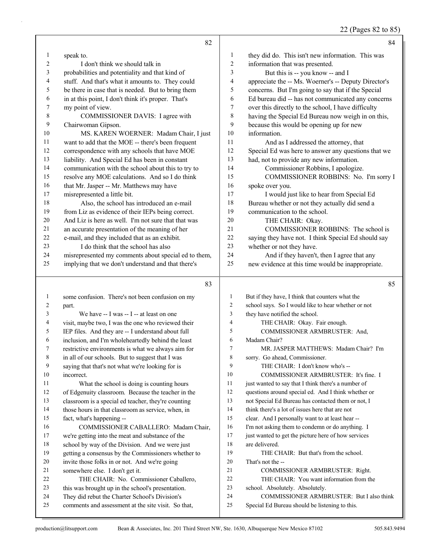22 (Pages 82 to 85)

|                | 82                                                                                                        |                | 84                                                                                          |
|----------------|-----------------------------------------------------------------------------------------------------------|----------------|---------------------------------------------------------------------------------------------|
| $\mathbf{1}$   | speak to.                                                                                                 | $\mathbf{1}$   | they did do. This isn't new information. This was                                           |
| $\overline{c}$ | I don't think we should talk in                                                                           | $\overline{c}$ | information that was presented.                                                             |
| 3              | probabilities and potentiality and that kind of                                                           | 3              | But this is -- you know -- and I                                                            |
| 4              | stuff. And that's what it amounts to. They could                                                          | 4              | appreciate the -- Ms. Woerner's -- Deputy Director's                                        |
| 5              | be there in case that is needed. But to bring them                                                        | 5              | concerns. But I'm going to say that if the Special                                          |
| 6              | in at this point, I don't think it's proper. That's                                                       | 6              | Ed bureau did -- has not communicated any concerns                                          |
| 7              | my point of view.                                                                                         | $\tau$         | over this directly to the school, I have difficulty                                         |
| 8              | COMMISSIONER DAVIS: I agree with                                                                          | 8              | having the Special Ed Bureau now weigh in on this,                                          |
| 9              | Chairwoman Gipson.                                                                                        | 9              | because this would be opening up for new                                                    |
| 10             | MS. KAREN WOERNER: Madam Chair, I just                                                                    | 10             | information.                                                                                |
| 11             | want to add that the MOE -- there's been frequent                                                         | 11             | And as I addressed the attorney, that                                                       |
| 12             | correspondence with any schools that have MOE                                                             | 12             | Special Ed was here to answer any questions that we                                         |
| 13             | liability. And Special Ed has been in constant                                                            | 13             | had, not to provide any new information.                                                    |
| 14             | communication with the school about this to try to                                                        | 14             | Commissioner Robbins, I apologize.                                                          |
| 15             | resolve any MOE calculations. And so I do think                                                           | 15             | COMMISSIONER ROBBINS: No. I'm sorry I                                                       |
| 16             | that Mr. Jasper -- Mr. Matthews may have                                                                  | 16             | spoke over you.                                                                             |
| $17\,$         | misrepresented a little bit.                                                                              | 17             | I would just like to hear from Special Ed                                                   |
| $18\,$         | Also, the school has introduced an e-mail                                                                 | 18             | Bureau whether or not they actually did send a                                              |
| 19             | from Liz as evidence of their IEPs being correct.                                                         | 19             | communication to the school.                                                                |
| 20             | And Liz is here as well. I'm not sure that that was                                                       | 20             | THE CHAIR: Okay.                                                                            |
| 21             | an accurate presentation of the meaning of her                                                            | 21             | COMMISSIONER ROBBINS: The school is                                                         |
| 22             | e-mail, and they included that as an exhibit.                                                             | 22             | saying they have not. I think Special Ed should say                                         |
| 23             | I do think that the school has also                                                                       | 23             | whether or not they have.                                                                   |
| 24             | misrepresented my comments about special ed to them,                                                      | 24             | And if they haven't, then I agree that any                                                  |
| 25             | implying that we don't understand and that there's                                                        | 25             | new evidence at this time would be inappropriate.                                           |
|                |                                                                                                           |                |                                                                                             |
|                | 83                                                                                                        |                | 85                                                                                          |
|                |                                                                                                           |                |                                                                                             |
| $\mathbf{1}$   | some confusion. There's not been confusion on my                                                          | $\mathbf{1}$   | But if they have, I think that counters what the                                            |
| 2              | part.                                                                                                     | 2              | school says. So I would like to hear whether or not                                         |
| 3              | We have -- I was -- I -- at least on one                                                                  | 3              | they have notified the school.                                                              |
| 4              | visit, maybe two, I was the one who reviewed their                                                        | 4              | THE CHAIR: Okay. Fair enough.                                                               |
| 5              | IEP files. And they are -- I understand about full                                                        | 5              | COMMISSIONER ARMBRUSTER: And,                                                               |
| 6<br>7         | inclusion, and I'm wholeheartedly behind the least                                                        | 6<br>7         | Madam Chair?                                                                                |
|                | restrictive environments is what we always aim for                                                        |                | MR. JASPER MATTHEWS: Madam Chair? I'm                                                       |
| 8              | in all of our schools. But to suggest that I was                                                          | 8<br>9         | sorry. Go ahead, Commissioner.                                                              |
| 9<br>10        | saying that that's not what we're looking for is                                                          | 10             | THE CHAIR: I don't know who's --<br>COMMISSIONER ARMBRUSTER: It's fine. I                   |
| 11             | incorrect.                                                                                                | 11             | just wanted to say that I think there's a number of                                         |
| 12             | What the school is doing is counting hours                                                                | 12             | questions around special ed. And I think whether or                                         |
| 13             | of Edgenuity classroom. Because the teacher in the                                                        | 13             | not Special Ed Bureau has contacted them or not, I                                          |
| 14             | classroom is a special ed teacher, they're counting<br>those hours in that classroom as service, when, in | 14             | think there's a lot of issues here that are not                                             |
| 15             | fact, what's happening --                                                                                 | 15             | clear. And I personally want to at least hear --                                            |
| 16             | COMMISSIONER CABALLERO: Madam Chair,                                                                      | 16             | I'm not asking them to condemn or do anything. I                                            |
| 17             | we're getting into the meat and substance of the                                                          | 17             | just wanted to get the picture here of how services                                         |
| 18             | school by way of the Division. And we were just                                                           | 18             | are delivered.                                                                              |
| 19             | getting a consensus by the Commissioners whether to                                                       | 19             | THE CHAIR: But that's from the school.                                                      |
| 20             | invite those folks in or not. And we're going                                                             | 20             | That's not the --                                                                           |
| 21             | somewhere else. I don't get it.                                                                           | 21             | COMMISSIONER ARMBRUSTER: Right.                                                             |
| 22             | THE CHAIR: No. Commissioner Caballero,                                                                    | 22             | THE CHAIR: You want information from the                                                    |
| 23             | this was brought up in the school's presentation.                                                         | 23             | school. Absolutely. Absolutely.                                                             |
| 24<br>25       | They did rebut the Charter School's Division's<br>comments and assessment at the site visit. So that,     | 24<br>25       | COMMISSIONER ARMBRUSTER: But I also think<br>Special Ed Bureau should be listening to this. |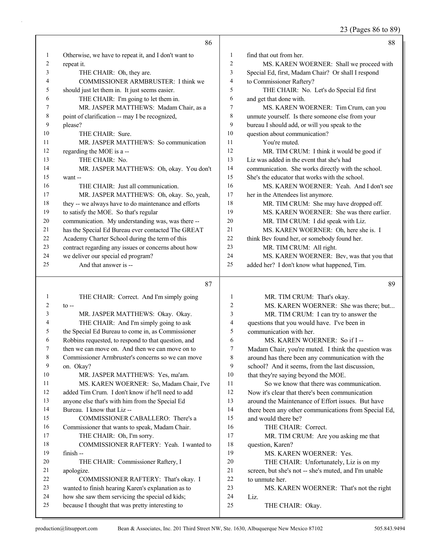23 (Pages 86 to 89)

|          | 86                                                                                                  |                         | 88                                                   |
|----------|-----------------------------------------------------------------------------------------------------|-------------------------|------------------------------------------------------|
| 1        | Otherwise, we have to repeat it, and I don't want to                                                | 1                       | find that out from her.                              |
| 2        | repeat it.                                                                                          | $\overline{\mathbf{c}}$ | MS. KAREN WOERNER: Shall we proceed with             |
| 3        | THE CHAIR: Oh, they are.                                                                            | 3                       | Special Ed, first, Madam Chair? Or shall I respond   |
| 4        | COMMISSIONER ARMBRUSTER: I think we                                                                 | 4                       | to Commissioner Raftery?                             |
| 5        | should just let them in. It just seems easier.                                                      | 5                       | THE CHAIR: No. Let's do Special Ed first             |
| 6        | THE CHAIR: I'm going to let them in.                                                                | 6                       | and get that done with.                              |
| 7        | MR. JASPER MATTHEWS: Madam Chair, as a                                                              | 7                       | MS. KAREN WOERNER: Tim Crum, can you                 |
| 8        | point of clarification -- may I be recognized,                                                      | 8                       | unmute yourself. Is there someone else from your     |
| 9        | please?                                                                                             | 9                       | bureau I should add, or will you speak to the        |
| 10       | THE CHAIR: Sure.                                                                                    | 10                      | question about communication?                        |
| 11       | MR. JASPER MATTHEWS: So communication                                                               | 11                      | You're muted.                                        |
| 12       | regarding the MOE is a --                                                                           | 12                      | MR. TIM CRUM: I think it would be good if            |
| 13       | THE CHAIR: No.                                                                                      | 13                      | Liz was added in the event that she's had            |
| 14       | MR. JASPER MATTHEWS: Oh, okay. You don't                                                            | 14                      | communication. She works directly with the school.   |
| 15       | want --                                                                                             | 15                      | She's the educator that works with the school.       |
| 16       | THE CHAIR: Just all communication.                                                                  | 16                      | MS. KAREN WOERNER: Yeah. And I don't see             |
| 17       | MR. JASPER MATTHEWS: Oh, okay. So, yeah,                                                            | 17                      | her in the Attendees list anymore.                   |
| 18       | they -- we always have to do maintenance and efforts                                                | 18                      | MR. TIM CRUM: She may have dropped off.              |
| 19       | to satisfy the MOE. So that's regular                                                               | 19                      | MS. KAREN WOERNER: She was there earlier.            |
| 20       | communication. My understanding was, was there --                                                   | 20                      | MR. TIM CRUM: I did speak with Liz.                  |
| 21       | has the Special Ed Bureau ever contacted The GREAT                                                  | 21                      | MS. KAREN WOERNER: Oh, here she is. I                |
| 22       | Academy Charter School during the term of this                                                      | 22                      | think Bev found her, or somebody found her.          |
| 23       | contract regarding any issues or concerns about how                                                 | 23                      | MR. TIM CRUM: All right.                             |
| 24       | we deliver our special ed program?                                                                  | 24                      | MS. KAREN WOERNER: Bev, was that you that            |
| 25       | And that answer is --                                                                               | 25                      | added her? I don't know what happened, Tim.          |
|          |                                                                                                     |                         |                                                      |
|          |                                                                                                     |                         |                                                      |
|          | 87                                                                                                  |                         | 89                                                   |
| 1        | THE CHAIR: Correct. And I'm simply going                                                            | 1                       | MR. TIM CRUM: That's okay.                           |
| 2        | $to -$                                                                                              | 2                       | MS. KAREN WOERNER: She was there; but                |
| 3        | MR. JASPER MATTHEWS: Okay. Okay.                                                                    | 3                       | MR. TIM CRUM: I can try to answer the                |
| 4        | THE CHAIR: And I'm simply going to ask                                                              | 4                       | questions that you would have. I've been in          |
| 5        | the Special Ed Bureau to come in, as Commissioner                                                   | 5                       | communication with her.                              |
| 6        | Robbins requested, to respond to that question, and                                                 | 6                       | MS. KAREN WOERNER: So if I --                        |
| 7        | then we can move on. And then we can move on to                                                     | 7                       | Madam Chair, you're muted. I think the question was  |
| 8        | Commissioner Armbruster's concerns so we can move                                                   | 8                       | around has there been any communication with the     |
| 9        | on. Okay?                                                                                           | 9                       | school? And it seems, from the last discussion,      |
| 10       | MR. JASPER MATTHEWS: Yes, ma'am.                                                                    | 10                      | that they're saying beyond the MOE.                  |
| 11       | MS. KAREN WOERNER: So, Madam Chair, I've                                                            | 11                      | So we know that there was communication.             |
| 12       | added Tim Crum. I don't know if he'll need to add                                                   | 12                      | Now it's clear that there's been communication       |
| 13       | anyone else that's with him from the Special Ed                                                     | 13                      | around the Maintenance of Effort issues. But have    |
| 14       | Bureau. I know that Liz --                                                                          | 14                      | there been any other communications from Special Ed, |
| 15       | COMMISSIONER CABALLERO: There's a                                                                   | 15                      | and would there be?                                  |
| 16       | Commissioner that wants to speak, Madam Chair.                                                      | 16                      | THE CHAIR: Correct.                                  |
| 17       | THE CHAIR: Oh, I'm sorry.                                                                           | 17                      | MR. TIM CRUM: Are you asking me that                 |
| 18       | COMMISSIONER RAFTERY: Yeah. I wanted to                                                             | 18                      | question, Karen?                                     |
| 19       | finish --                                                                                           | 19                      | MS. KAREN WOERNER: Yes.                              |
| 20       | THE CHAIR: Commissioner Raftery, I                                                                  | 20                      | THE CHAIR: Unfortunately, Liz is on my               |
| 21       | apologize.                                                                                          | 21                      | screen, but she's not -- she's muted, and I'm unable |
| 22<br>23 | COMMISSIONER RAFTERY: That's okay. I                                                                | $22\,$<br>23            | to unmute her.                                       |
| 24       | wanted to finish hearing Karen's explanation as to                                                  | 24                      | MS. KAREN WOERNER: That's not the right              |
| 25       | how she saw them servicing the special ed kids;<br>because I thought that was pretty interesting to | 25                      | Liz.<br>THE CHAIR: Okay.                             |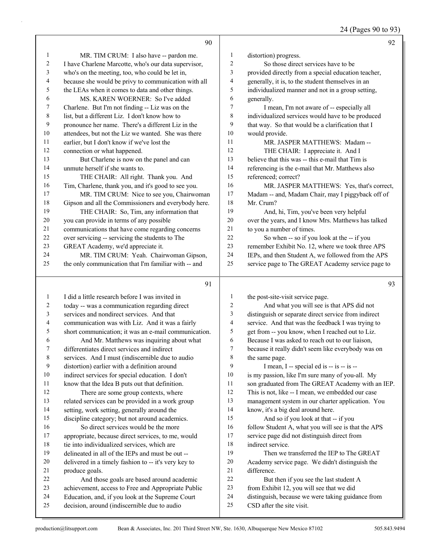|                         | 90                                                   |                         | 92                                                   |
|-------------------------|------------------------------------------------------|-------------------------|------------------------------------------------------|
| $\mathbf{1}$            | MR. TIM CRUM: I also have -- pardon me.              | $\mathbf{1}$            | distortion) progress.                                |
| $\overline{c}$          | I have Charlene Marcotte, who's our data supervisor, | $\overline{2}$          | So those direct services have to be                  |
| 3                       | who's on the meeting, too, who could be let in,      | 3                       | provided directly from a special education teacher,  |
| $\overline{4}$          | because she would be privy to communication with all | 4                       | generally, it is, to the student themselves in an    |
| 5                       | the LEAs when it comes to data and other things.     | 5                       | individualized manner and not in a group setting,    |
| 6                       | MS. KAREN WOERNER: So I've added                     | 6                       | generally.                                           |
| 7                       | Charlene. But I'm not finding -- Liz was on the      | 7                       | I mean, I'm not aware of -- especially all           |
| $\,8\,$                 | list, but a different Liz. I don't know how to       | $\,8\,$                 | individualized services would have to be produced    |
| 9                       | pronounce her name. There's a different Liz in the   | 9                       | that way. So that would be a clarification that I    |
| 10                      | attendees, but not the Liz we wanted. She was there  | 10                      | would provide.                                       |
| 11                      | earlier, but I don't know if we've lost the          | 11                      | MR. JASPER MATTHEWS: Madam --                        |
| 12                      | connection or what happened.                         | 12                      | THE CHAIR: I appreciate it. And I                    |
| 13                      | But Charlene is now on the panel and can             | 13                      | believe that this was -- this e-mail that Tim is     |
| 14                      | unmute herself if she wants to.                      | 14                      | referencing is the e-mail that Mr. Matthews also     |
| 15                      | THE CHAIR: All right. Thank you. And                 | 15                      | referenced; correct?                                 |
| 16                      | Tim, Charlene, thank you, and it's good to see you.  | 16                      | MR. JASPER MATTHEWS: Yes, that's correct,            |
| 17                      | MR. TIM CRUM: Nice to see you, Chairwoman            | $17$                    | Madam -- and, Madam Chair, may I piggyback off of    |
| $18\,$                  | Gipson and all the Commissioners and everybody here. | 18                      | Mr. Crum?                                            |
| 19                      | THE CHAIR: So, Tim, any information that             | 19                      | And, hi, Tim, you've been very helpful               |
| $20\,$                  | you can provide in terms of any possible             | 20                      | over the years, and I know Mrs. Matthews has talked  |
| 21                      | communications that have come regarding concerns     | 21                      | to you a number of times.                            |
| 22                      | over servicing -- servicing the students to The      | 22                      | So when -- so if you look at the -- if you           |
| 23                      | GREAT Academy, we'd appreciate it.                   | 23                      | remember Exhibit No. 12, where we took three APS     |
| 24                      | MR. TIM CRUM: Yeah. Chairwoman Gipson,               | 24                      | IEPs, and then Student A, we followed from the APS   |
| 25                      | the only communication that I'm familiar with -- and | 25                      | service page to The GREAT Academy service page to    |
|                         |                                                      |                         |                                                      |
|                         | 91                                                   |                         | 93                                                   |
| $\mathbf{1}$            | I did a little research before I was invited in      | $\mathbf{1}$            | the post-site-visit service page.                    |
| $\overline{c}$          | today -- was a communication regarding direct        | $\overline{c}$          | And what you will see is that APS did not            |
| $\overline{\mathbf{3}}$ | services and nondirect services. And that            | $\mathfrak{Z}$          | distinguish or separate direct service from indirect |
| $\overline{4}$          | communication was with Liz. And it was a fairly      | $\overline{\mathbf{4}}$ | service. And that was the feedback I was trying to   |
| 5                       | short communication; it was an e-mail communication. | 5                       | get from -- you know, when I reached out to Liz.     |
| $\sqrt{6}$              | And Mr. Matthews was inquiring about what            | $\epsilon$              | Because I was asked to reach out to our liaison,     |
| 7                       | differentiates direct services and indirect          | $\boldsymbol{7}$        | because it really didn't seem like everybody was on  |
| $\,$ 8 $\,$             | services. And I must (indiscernible due to audio     | $\,$ $\,$               | the same page.                                       |
| $\mathbf{9}$            | distortion) earlier with a definition around         | 9                       | I mean, I -- special ed is -- is -- is --            |
| 10                      | indirect services for special education. I don't     | 10                      | is my passion, like I'm sure many of you-all. My     |
| 11                      | know that the Idea B puts out that definition.       | 11                      | son graduated from The GREAT Academy with an IEP.    |
| 12                      | There are some group contexts, where                 | 12                      | This is not. like -- I mean, we embedded our case    |

- 12 There are some group contexts, where related services can be provided in a work group
- setting, work setting, generally around the
- discipline category; but not around academics. 16 So direct services would be the more
- appropriate, because direct services, to me, would
- tie into individualized services, which are
- delineated in all of the IEPs and must be out --
- delivered in a timely fashion to -- it's very key to
- produce goals.
- 22 And those goals are based around academic achievement, access to Free and Appropriate Public
- Education, and, if you look at the Supreme Court
- decision, around (indiscernible due to audio
- from Exhibit 12, you will see that we did distinguish, because we were taking guidance from

22 But then if you see the last student A

 know, it's a big deal around here. 15 And so if you look at that -- if you

management system in our charter application. You

16 follow Student A, what you will see is that the APS service page did not distinguish direct from

19 Then we transferred the IEP to The GREAT Academy service page. We didn't distinguish the

CSD after the site visit.

indirect service.

difference.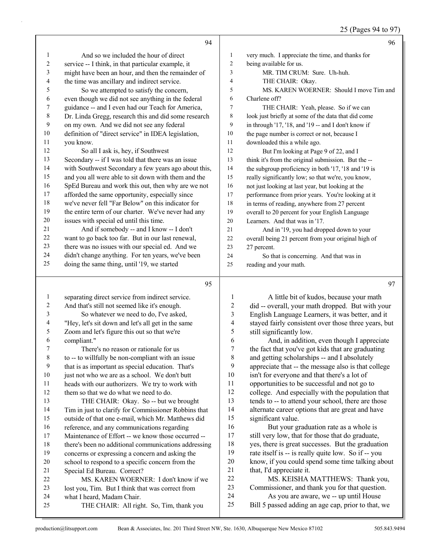# 25 (Pages 94 to 97)

|                         | 94                                                                                                         |                          | 96                                                                                           |
|-------------------------|------------------------------------------------------------------------------------------------------------|--------------------------|----------------------------------------------------------------------------------------------|
| 1                       | And so we included the hour of direct                                                                      | 1                        | very much. I appreciate the time, and thanks for                                             |
| 2                       | service -- I think, in that particular example, it                                                         | $\overline{c}$           | being available for us.                                                                      |
| 3                       | might have been an hour, and then the remainder of                                                         | 3                        | MR. TIM CRUM: Sure. Uh-huh.                                                                  |
| 4                       | the time was ancillary and indirect service.                                                               | 4                        | THE CHAIR: Okay.                                                                             |
| 5                       | So we attempted to satisfy the concern,                                                                    | 5                        | MS. KAREN WOERNER: Should I move Tim and                                                     |
| 6                       | even though we did not see anything in the federal                                                         | 6                        | Charlene off?                                                                                |
| $\overline{7}$          | guidance -- and I even had our Teach for America,                                                          | 7                        | THE CHAIR: Yeah, please. So if we can                                                        |
| $\,$ $\,$               | Dr. Linda Gregg, research this and did some research                                                       | 8                        | look just briefly at some of the data that did come                                          |
| 9                       | on my own. And we did not see any federal                                                                  | 9                        | in through '17, '18, and '19 -- and I don't know if                                          |
| $10\,$                  | definition of "direct service" in IDEA legislation,                                                        | $10\,$                   | the page number is correct or not, because I                                                 |
| 11                      | you know.                                                                                                  | 11                       | downloaded this a while ago.                                                                 |
| 12                      | So all I ask is, hey, if Southwest                                                                         | 12                       | But I'm looking at Page 9 of 22, and I                                                       |
| 13                      | Secondary -- if I was told that there was an issue                                                         | 13                       | think it's from the original submission. But the --                                          |
| 14                      | with Southwest Secondary a few years ago about this,                                                       | 14                       | the subgroup proficiency in both '17, '18 and '19 is                                         |
| 15                      | and you all were able to sit down with them and the                                                        | 15                       | really significantly low; so that we're, you know,                                           |
| 16                      | SpEd Bureau and work this out, then why are we not                                                         | 16                       | not just looking at last year, but looking at the                                            |
| 17                      | afforded the same opportunity, especially since                                                            | 17                       | performance from prior years. You're looking at it                                           |
| 18                      | we've never fell "Far Below" on this indicator for                                                         | 18                       | in terms of reading, anywhere from 27 percent                                                |
| 19                      | the entire term of our charter. We've never had any                                                        | 19                       | overall to 20 percent for your English Language                                              |
| $20\,$                  | issues with special ed until this time.                                                                    | 20                       | Learners. And that was in '17.                                                               |
| 21                      | And if somebody -- and I know -- I don't                                                                   | 21                       | And in '19, you had dropped down to your                                                     |
| $22\,$                  | want to go back too far. But in our last renewal,                                                          | 22                       | overall being 21 percent from your original high of                                          |
| 23                      | there was no issues with our special ed. And we                                                            | $23\,$                   | 27 percent.                                                                                  |
| 24                      | didn't change anything. For ten years, we've been                                                          | 24                       | So that is concerning. And that was in                                                       |
| 25                      | doing the same thing, until '19, we started                                                                | 25                       | reading and your math.                                                                       |
|                         |                                                                                                            |                          |                                                                                              |
|                         |                                                                                                            |                          |                                                                                              |
|                         | 95                                                                                                         |                          | 97                                                                                           |
| $\mathbf{1}$            | separating direct service from indirect service.                                                           | $\mathbf{1}$             | A little bit of kudos, because your math                                                     |
| $\overline{\mathbf{c}}$ | And that's still not seemed like it's enough.                                                              | $\overline{c}$           | did -- overall, your math dropped. But with your                                             |
| 3                       | So whatever we need to do, I've asked,                                                                     | 3                        | English Language Learners, it was better, and it                                             |
| 4                       | "Hey, let's sit down and let's all get in the same                                                         | $\overline{\mathcal{A}}$ | stayed fairly consistent over those three years, but                                         |
| 5                       | Zoom and let's figure this out so that we're                                                               | 5                        | still significantly low.                                                                     |
| 6                       | compliant."                                                                                                | 6                        | And, in addition, even though I appreciate                                                   |
| 7                       | There's no reason or rationale for us                                                                      | $\overline{7}$           | the fact that you've got kids that are graduating                                            |
| $\,$ 8 $\,$             | to -- to willfully be non-compliant with an issue                                                          | 8                        | and getting scholarships -- and I absolutely                                                 |
| 9                       | that is as important as special education. That's                                                          | 9                        | appreciate that -- the message also is that college                                          |
| 10                      | just not who we are as a school. We don't butt                                                             | 10                       | isn't for everyone and that there's a lot of                                                 |
| 11                      | heads with our authorizers. We try to work with                                                            | 11                       | opportunities to be successful and not go to                                                 |
| 12                      | them so that we do what we need to do.                                                                     | 12                       | college. And especially with the population that                                             |
| 13<br>14                | THE CHAIR: Okay. So -- but we brought                                                                      | 13<br>14                 | tends to -- to attend your school, there are those                                           |
| 15                      | Tim in just to clarify for Commissioner Robbins that<br>outside of that one e-mail, which Mr. Matthews did | 15                       | alternate career options that are great and have<br>significant value.                       |
| 16                      |                                                                                                            | 16                       | But your graduation rate as a whole is                                                       |
| 17                      | reference, and any communications regarding<br>Maintenance of Effort -- we know those occurred --          | 17                       | still very low, that for those that do graduate,                                             |
| 18                      | there's been no additional communications addressing                                                       | 18                       | yes, there is great successes. But the graduation                                            |
| 19                      | concerns or expressing a concern and asking the                                                            | 19                       | rate itself is -- is really quite low. So if -- you                                          |
| $20\,$                  | school to respond to a specific concern from the                                                           | $20\,$                   | know, if you could spend some time talking about                                             |
| 21                      | Special Ed Bureau. Correct?                                                                                | 21                       | that, I'd appreciate it.                                                                     |
| $22\,$                  | MS. KAREN WOERNER: I don't know if we                                                                      | 22                       | MS. KEISHA MATTHEWS: Thank you,                                                              |
| 23                      | lost you, Tim. But I think that was correct from                                                           | 23                       | Commissioner, and thank you for that question.                                               |
| 24<br>25                | what I heard, Madam Chair.<br>THE CHAIR: All right. So, Tim, thank you                                     | 24<br>25                 | As you are aware, we -- up until House<br>Bill 5 passed adding an age cap, prior to that, we |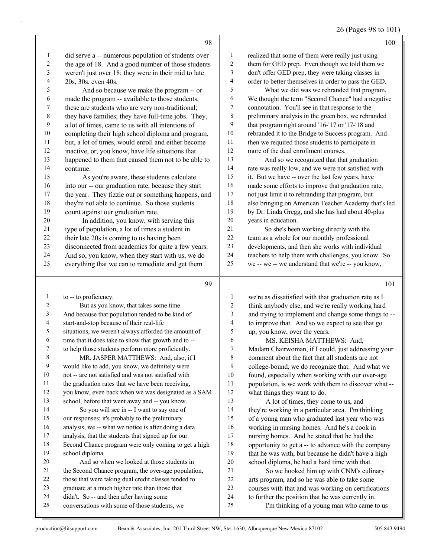| 26 (Pages 98 to 101) |  |
|----------------------|--|
|----------------------|--|

|                |                                                                                                      |                         | $20 \text{ (1460)}$                                                                                      |
|----------------|------------------------------------------------------------------------------------------------------|-------------------------|----------------------------------------------------------------------------------------------------------|
|                | 98                                                                                                   |                         | 100                                                                                                      |
| $\mathbf{1}$   | did serve a -- numerous population of students over                                                  | 1                       | realized that some of them were really just using                                                        |
| $\overline{c}$ | the age of 18. And a good number of those students                                                   | $\sqrt{2}$              | them for GED prep. Even though we told them we                                                           |
| $\mathfrak{Z}$ | weren't just over 18; they were in their mid to late                                                 | 3                       | don't offer GED prep, they were taking classes in                                                        |
| $\overline{4}$ | 20s, 30s, even 40s.                                                                                  | $\overline{4}$          | order to better themselves in order to pass the GED.                                                     |
| $\mathfrak{S}$ | And so because we make the program -- or                                                             | 5                       | What we did was we rebranded that program.                                                               |
| 6              | made the program -- available to those students,                                                     | 6                       | We thought the term "Second Chance" had a negative                                                       |
| 7              | these are students who are very non-traditional;                                                     | 7                       | connotation. You'll see in that response to the                                                          |
| $\,8\,$        | they have families; they have full-time jobs. They,                                                  | $\,8\,$                 | preliminary analysis in the green box, we rebranded                                                      |
| 9              | a lot of times, came to us with all intentions of                                                    | 9                       | that program right around '16-'17 or '17-'18 and                                                         |
| 10             | completing their high school diploma and program,                                                    | $10\,$                  | rebranded it to the Bridge to Success program. And                                                       |
| 11             | but, a lot of times, would enroll and either become                                                  | 11                      | then we required those students to participate in                                                        |
| 12             | inactive, or, you know, have life situations that                                                    | 12                      | more of the dual enrollment courses.                                                                     |
| 13             | happened to them that caused them not to be able to                                                  | 13                      | And so we recognized that that graduation                                                                |
| 14             | continue.                                                                                            | 14                      | rate was really low, and we were not satisfied with                                                      |
| 15             | As you're aware, these students calculate                                                            | 15                      | it. But we have -- over the last few years, have                                                         |
| 16             | into our -- our graduation rate, because they start                                                  | 16                      | made some efforts to improve that graduation rate,                                                       |
| 17             | the year. They fizzle out or something happens, and                                                  | 17                      | not just limit it to rebranding that program, but                                                        |
| 18             | they're not able to continue. So those students                                                      | 18                      | also bringing on American Teacher Academy that's led                                                     |
| 19             | count against our graduation rate.                                                                   | 19                      | by Dr. Linda Gregg, and she has had about 40-plus                                                        |
| 20             | In addition, you know, with serving this                                                             | 20<br>21                | years in education.                                                                                      |
| 21<br>22       | type of population, a lot of times a student in                                                      | 22                      | So she's been working directly with the                                                                  |
| 23             | their late 20s is coming to us having been                                                           | 23                      | team as a whole for our monthly professional                                                             |
| 24             | disconnected from academics for quite a few years.                                                   | 24                      | developments, and then she works with individual                                                         |
| 25             | And so, you know, when they start with us, we do<br>everything that we can to remediate and get them | 25                      | teachers to help them with challenges, you know. So<br>we -- we -- we understand that we're -- you know, |
|                |                                                                                                      |                         |                                                                                                          |
|                | 99                                                                                                   |                         | 101                                                                                                      |
| $\mathbf{1}$   | to -- to proficiency.                                                                                | 1                       | we're as dissatisfied with that graduation rate as I                                                     |
| $\overline{c}$ | But as you know, that takes some time.                                                               | 2                       | think anybody else, and we're really working hard                                                        |
| $\mathfrak{Z}$ | And because that population tended to be kind of                                                     | 3                       | and trying to implement and change some things to --                                                     |
| $\overline{4}$ | start-and-stop because of their real-life                                                            | $\overline{\mathbf{4}}$ | to improve that. And so we expect to see that go                                                         |
| 5              | situations, we weren't always afforded the amount of                                                 | 5                       | up, you know, over the years.                                                                            |
| 6              | time that it does take to show that growth and to --                                                 | 6                       | MS. KEISHA MATTHEWS: And,                                                                                |
| 7              | to help those students perform more proficiently.                                                    | 7                       | Madam Chairwoman, if I could, just addressing your                                                       |
| $\,8\,$        | MR. JASPER MATTHEWS: And, also, if I                                                                 | 8                       | comment about the fact that all students are not                                                         |
| 9              | would like to add, you know, we definitely were                                                      | 9                       | college-bound, we do recognize that. And what we                                                         |
| $10\,$         | not -- are not satisfied and was not satisfied with                                                  | $10\,$                  | found, especially when working with our over-age                                                         |
| 11             | the graduation rates that we have been receiving,                                                    | 11                      | population, is we work with them to discover what --                                                     |
| 12             | you know, even back when we was designated as a SAM                                                  | 12                      | what things they want to do.                                                                             |
| 13             | school, before that went away and -- you know.                                                       | 13                      | A lot of times, they come to us, and                                                                     |
| 14<br>15       | So you will see in -- I want to say one of                                                           | 14<br>15                | they're working in a particular area. I'm thinking                                                       |
|                | our responses; it's probably to the preliminary                                                      | 16                      | of a young man who graduated last year who was                                                           |
| 16<br>17       | analysis, we -- what we notice is after doing a data                                                 | 17                      | working in nursing homes. And he's a cook in                                                             |
| 18             | analysis, that the students that signed up for our                                                   | 18                      | nursing homes. And he stated that he had the                                                             |
| 19             | Second Chance program were only coming to get a high<br>school diploma.                              | 19                      | opportunity to get a -- to advance with the company                                                      |
| 20             | And so when we looked at those students in                                                           | $20\,$                  | that he was with, but because he didn't have a high<br>school diploma, he had a hard time with that.     |
| 21             | the Second Chance program, the over-age population,                                                  | 21                      | So we hooked him up with CNM's culinary                                                                  |
| 22             | those that were taking dual credit classes tended to                                                 | $22\,$                  | arts program, and so he was able to take some                                                            |
| 23             | graduate at a much higher rate than those that                                                       | 23                      | courses with that and was working on certifications                                                      |
|                |                                                                                                      |                         |                                                                                                          |

- 22 those that were taking dual credit classes tended to graduate at a much higher rate than those that
- graduate at a much higher rate than those that didn't. So -- and then after having some
- conversations with some of those students, we
- 25 I'm thinking of a young man who came to us

to further the position that he was currently in.

courses with that and was working on certifications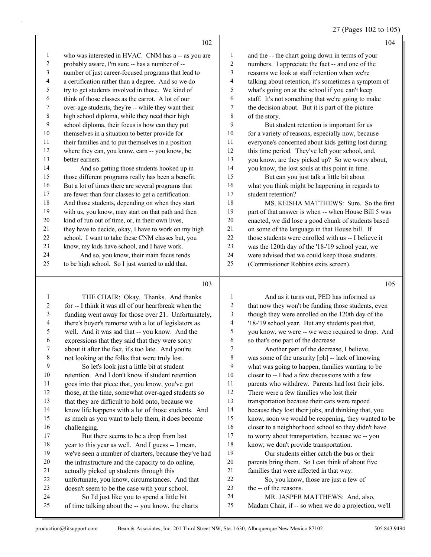27 (Pages 102 to 105)

|    | 102                                                  |    | 104                                                  |
|----|------------------------------------------------------|----|------------------------------------------------------|
| 1  | who was interested in HVAC. CNM has a -- as you are  | 1  | and the -- the chart going down in terms of your     |
| 2  | probably aware, I'm sure -- has a number of --       | 2  | numbers. I appreciate the fact -- and one of the     |
| 3  | number of just career-focused programs that lead to  | 3  | reasons we look at staff retention when we're        |
| 4  | a certification rather than a degree. And so we do   | 4  | talking about retention, it's sometimes a symptom of |
| 5  | try to get students involved in those. We kind of    | 5  | what's going on at the school if you can't keep      |
| 6  | think of those classes as the carrot. A lot of our   | 6  | staff. It's not something that we're going to make   |
| 7  | over-age students, they're -- while they want their  | 7  | the decision about. But it is part of the picture    |
| 8  | high school diploma, while they need their high      | 8  | of the story.                                        |
| 9  | school diploma, their focus is how can they put      | 9  | But student retention is important for us            |
| 10 | themselves in a situation to better provide for      | 10 | for a variety of reasons, especially now, because    |
| 11 | their families and to put themselves in a position   | 11 | everyone's concerned about kids getting lost during  |
| 12 | where they can, you know, earn -- you know, be       | 12 | this time period. They've left your school, and,     |
| 13 | better earners.                                      | 13 | you know, are they picked up? So we worry about,     |
| 14 | And so getting those students hooked up in           | 14 | you know, the lost souls at this point in time.      |
| 15 | those different programs really has been a benefit.  | 15 | But can you just talk a little bit about             |
| 16 | But a lot of times there are several programs that   | 16 | what you think might be happening in regards to      |
| 17 | are fewer than four classes to get a certification.  | 17 | student retention?                                   |
| 18 | And those students, depending on when they start     | 18 | MS. KEISHA MATTHEWS: Sure. So the first              |
| 19 | with us, you know, may start on that path and then   | 19 | part of that answer is when -- when House Bill 5 was |
| 20 | kind of run out of time, or, in their own lives,     | 20 | enacted, we did lose a good chunk of students based  |
| 21 | they have to decide, okay, I have to work on my high | 21 | on some of the language in that House bill. If       |
| 22 | school. I want to take these CNM classes but, you    | 22 | those students were enrolled with us -- I believe it |
| 23 | know, my kids have school, and I have work.          | 23 | was the 120th day of the '18-'19 school year, we     |
| 24 | And so, you know, their main focus tends             | 24 | were advised that we could keep those students.      |
| 25 | to be high school. So I just wanted to add that.     | 25 | (Commissioner Robbins exits screen).                 |
|    |                                                      |    |                                                      |
|    |                                                      |    |                                                      |

#### 

1 THE CHAIR: Okay. Thanks. And thanks for -- I think it was all of our heartbreak when the funding went away for those over 21. Unfortunately, there's buyer's remorse with a lot of legislators as well. And it was sad that -- you know. And the 6 expressions that they said that they were sorry<br>
7 about it after the fact. it's too late. And you're about it after the fact, it's too late. And you're not looking at the folks that were truly lost. 9 So let's look just a little bit at student retention. And I don't know if student retention goes into that piece that, you know, you've got those, at the time, somewhat over-aged students so that they are difficult to hold onto, because we know life happens with a lot of those students. And as much as you want to help them, it does become challenging. 17 But there seems to be a drop from last year to this year as well. And I guess -- I mean, we've seen a number of charters, because they've had the infrastructure and the capacity to do online, actually picked up students through this unfortunate, you know, circumstances. And that doesn't seem to be the case with your school. 24 So I'd just like you to spend a little bit of time talking about the -- you know, the charts

| $\mathbf{1}$   | And as it turns out, PED has informed us             |
|----------------|------------------------------------------------------|
| 2              | that now they won't be funding those students, even  |
| 3              | though they were enrolled on the 120th day of the    |
| $\overline{4}$ | '18-'19 school year. But any students past that,     |
| 5              | you know, we were -- we were required to drop. And   |
| 6              | so that's one part of the decrease.                  |
| 7              | Another part of the decrease, I believe,             |
| 8              | was some of the unsurity [ph] -- lack of knowing     |
| 9              | what was going to happen, families wanting to be     |
| 10             | closer to -- I had a few discussions with a few      |
| 11             | parents who withdrew. Parents had lost their jobs.   |
| 12             | There were a few families who lost their             |
| 13             | transportation because their cars were repoed        |
| 14             | because they lost their jobs, and thinking that, you |
| 15             | know, soon we would be reopening, they wanted to be  |
| 16             | closer to a neighborhood school so they didn't have  |
| 17             | to worry about transportation, because we -- you     |
| 18             | know, we don't provide transportation.               |
| 19             | Our students either catch the bus or their           |
| 20             | parents bring them. So I can think of about five     |
| 21             | families that were affected in that way.             |
| 22             | So, you know, those are just a few of                |
| 23             | the -- of the reasons.                               |
| 24             | MR. JASPER MATTHEWS: And, also,                      |
| 25             | Madam Chair, if -- so when we do a projection, we'll |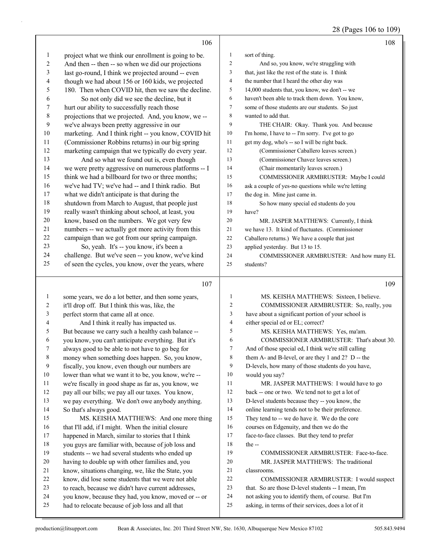28 (Pages 106 to 109)

|              | 106                                                  |                | 108                                                  |
|--------------|------------------------------------------------------|----------------|------------------------------------------------------|
| 1            | project what we think our enrollment is going to be. | $\mathbf{1}$   | sort of thing.                                       |
| 2            | And then -- then -- so when we did our projections   | 2              | And so, you know, we're struggling with              |
| 3            | last go-round, I think we projected around -- even   | 3              | that, just like the rest of the state is. I think    |
| 4            | though we had about 156 or 160 kids, we projected    | 4              | the number that I heard the other day was            |
| 5            | 180. Then when COVID hit, then we saw the decline.   | 5              | 14,000 students that, you know, we don't -- we       |
| 6            | So not only did we see the decline, but it           | 6              | haven't been able to track them down. You know,      |
| 7            | hurt our ability to successfully reach those         | 7              | some of those students are our students. So just     |
| 8            | projections that we projected. And, you know, we --  | 8              | wanted to add that.                                  |
| 9            | we've always been pretty aggressive in our           | 9              | THE CHAIR: Okay. Thank you. And because              |
| 10           | marketing. And I think right -- you know, COVID hit  | 10             | I'm home, I have to -- I'm sorry. I've got to go     |
| 11           | (Commissioner Robbins returns) in our big spring     | 11             | get my dog, who's -- so I will be right back.        |
| 12           | marketing campaign that we typically do every year.  | 12             | (Commissioner Caballero leaves screen.)              |
| 13           | And so what we found out is, even though             | 13             | (Commissioner Chavez leaves screen.)                 |
| 14           | we were pretty aggressive on numerous platforms -- I | 14             | (Chair momentarily leaves screen.)                   |
| 15           | think we had a billboard for two or three months;    | 15             | COMMISSIONER ARMBRUSTER: Maybe I could               |
| 16           | we've had TV; we've had -- and I think radio. But    | 16             | ask a couple of yes-no questions while we're letting |
| 17           | what we didn't anticipate is that during the         | 17             | the dog in. Mine just came in.                       |
| 18           | shutdown from March to August, that people just      | 18             | So how many special ed students do you               |
| 19           | really wasn't thinking about school, at least, you   | 19             | have?                                                |
| 20           | know, based on the numbers. We got very few          | 20             | MR. JASPER MATTHEWS: Currently, I think              |
| 21           | numbers -- we actually got more activity from this   | 21             | we have 13. It kind of fluctuates. (Commissioner     |
| 22           | campaign than we got from our spring campaign.       | 22             | Caballero returns.) We have a couple that just       |
| 23           | So, yeah. It's -- you know, it's been a              | 23             | applied yesterday. But 13 to 15.                     |
| 24           | challenge. But we've seen -- you know, we've kind    | 24             | COMMISSIONER ARMBRUSTER: And how many EL             |
| 25           | of seen the cycles, you know, over the years, where  | 25             | students?                                            |
|              |                                                      |                |                                                      |
|              | 107                                                  |                | 109                                                  |
| $\mathbf{1}$ | some years, we do a lot better, and then some years, | $\mathbf{1}$   | MS. KEISHA MATTHEWS: Sixteen, I believe.             |
| 2            | it'll drop off. But I think this was, like, the      | $\overline{c}$ | COMMISSIONER ARMBRUSTER: So, really, you             |
| 3            | perfect storm that came all at once.                 | $\mathfrak{Z}$ | have about a significant portion of your school is   |
| 4            | And I think it really has impacted us.               | $\overline{4}$ | either special ed or EL; correct?                    |
| 5            | But because we carry such a healthy cash balance --  | 5              | MS. KEISHA MATTHEWS: Yes, ma'am.                     |
| 6            | you know, you can't anticipate everything. But it's  | 6              | COMMISSIONER ARMBRUSTER: That's about 30.            |
| 7            | always good to be able to not have to go beg for     | $\tau$         | And of those special ed, I think we're still calling |
| 8            | money when something does happen. So, you know,      | 8              | them A- and B-level, or are they 1 and 2? D -- the   |
| 9            | fiscally, you know, even though our numbers are      | 9              | D-levels, how many of those students do you have,    |
| 10           | lower than what we want it to be, you know, we're -- | 10             | would you say?                                       |
| 11           | we're fiscally in good shape as far as, you know, we | 11             | MR. JASPER MATTHEWS: I would have to go              |
| 12           | pay all our bills; we pay all our taxes. You know,   | 12             | back -- one or two. We tend not to get a lot of      |
| 13           | we pay everything. We don't owe anybody anything.    | 13             | D-level students because they -- you know, the       |
| 14           | So that's always good.                               | 14             | online learning tends not to be their preference.    |
| 15           | MS. KEISHA MATTHEWS: And one more thing              | 15             | They tend to -- we do have it. We do the core        |
| 16           | that I'll add, if I might. When the initial closure  | 16             | courses on Edgenuity, and then we do the             |
| 17           | happened in March, similar to stories that I think   | 17             | face-to-face classes. But they tend to prefer        |
| 18           | you guys are familiar with, because of job loss and  | 18             | the --                                               |
| 19           | students -- we had several students who ended up     | 19             | COMMISSIONER ARMBRUSTER: Face-to-face.               |
| 20           | having to double up with other families and, you     | $20\,$         | MR. JASPER MATTHEWS: The traditional                 |
| 21           |                                                      | 21             | classrooms.                                          |
|              | know, situations changing, we, like the State, you   |                |                                                      |
| 22           | know, did lose some students that we were not able   | $22\,$         | COMMISSIONER ARMBRUSTER: I would suspect             |
| 23           | to reach, because we didn't have current addresses,  | 23             | that. So are those D-level students -- I mean, I'm   |
| 24           | you know, because they had, you know, moved or -- or | 24             | not asking you to identify them, of course. But I'm  |
| 25           | had to relocate because of job loss and all that     | 25             | asking, in terms of their services, does a lot of it |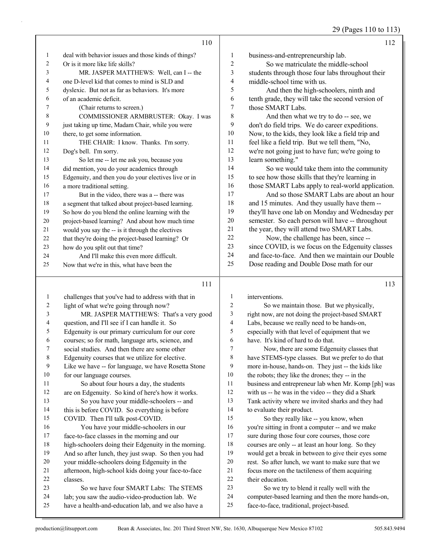29 (Pages 110 to 113)

|                | 110                                                  |    | 112                                               |
|----------------|------------------------------------------------------|----|---------------------------------------------------|
| 1              | deal with behavior issues and those kinds of things? | 1  | business-and-entrepreneurship lab.                |
| $\overline{c}$ | Or is it more like life skills?                      | 2  | So we matriculate the middle-school               |
| 3              | MR. JASPER MATTHEWS: Well, can I -- the              | 3  | students through those four labs throughout their |
| $\overline{4}$ | one D-level kid that comes to mind is SLD and        | 4  | middle-school time with us.                       |
| 5              | dyslexic. But not as far as behaviors. It's more     | 5  | And then the high-schoolers, ninth and            |
| 6              | of an academic deficit.                              | 6  | tenth grade, they will take the second version of |
| 7              | (Chair returns to screen.)                           | 7  | those SMART Labs.                                 |
| 8              | COMMISSIONER ARMBRUSTER: Okay. I was                 | 8  | And then what we try to do -- see, we             |
| 9              | just taking up time, Madam Chair, while you were     | 9  | don't do field trips. We do career expeditions.   |
| 10             | there, to get some information.                      | 10 | Now, to the kids, they look like a field trip and |
| 11             | THE CHAIR: I know. Thanks. I'm sorry.                | 11 | feel like a field trip. But we tell them, "No,    |
| 12             | Dog's bell. I'm sorry.                               | 12 | we're not going just to have fun; we're going to  |
| 13             | So let me -- let me ask you, because you             | 13 | learn something."                                 |
| 14             | did mention, you do your academics through           | 14 | So we would take them into the community          |
| 15             | Edgenuity, and then you do your electives live or in | 15 | to see how those skills that they're learning in  |
| 16             | a more traditional setting.                          | 16 | those SMART Labs apply to real-world application. |
| 17             | But in the video, there was a -- there was           | 17 | And so those SMART Labs are about an hour         |
| 18             | a segment that talked about project-based learning.  | 18 | and 15 minutes. And they usually have them --     |
| 19             | So how do you blend the online learning with the     | 19 | they'll have one lab on Monday and Wednesday per  |
| 20             | project-based learning? And about how much time      | 20 | semester. So each person will have -- throughout  |
| 21             | would you say the -- is it through the electives     | 21 | the year, they will attend two SMART Labs.        |
| 22             | that they're doing the project-based learning? Or    | 22 | Now, the challenge has been, since --             |
| 23             | how do you split out that time?                      | 23 | since COVID, is we focus on the Edgenuity classes |
| 24             | And I'll make this even more difficult.              | 24 | and face-to-face. And then we maintain our Double |
| 25             | Now that we're in this, what have been the           | 25 | Dose reading and Double Dose math for our         |
|                | 111                                                  |    | 113                                               |

#### 111

| $\mathbf{1}$   | challenges that you've had to address with that in   | 1              |
|----------------|------------------------------------------------------|----------------|
| 2              | light of what we're going through now?               | 2              |
| 3              | MR. JASPER MATTHEWS: That's a very good              | $\overline{3}$ |
| $\overline{4}$ | question, and I'll see if I can handle it. So        | $\overline{4}$ |
| 5              | Edgenuity is our primary curriculum for our core     | 5              |
| 6              | courses; so for math, language arts, science, and    | 6              |
| 7              | social studies. And then there are some other        | 7              |
| 8              | Edgenuity courses that we utilize for elective.      | 8              |
| 9              | Like we have -- for language, we have Rosetta Stone  | 9              |
| 10             | for our language courses.                            | 10             |
| 11             | So about four hours a day, the students              | 11             |
| 12             | are on Edgenuity. So kind of here's how it works.    | 12             |
| 13             | So you have your middle-schoolers -- and             | 13             |
| 14             | this is before COVID. So everything is before        | 14             |
| 15             | COVID. Then I'll talk post-COVID.                    | 15             |
| 16             | You have your middle-schoolers in our                | 16             |
| 17             | face-to-face classes in the morning and our          | 17             |
| 18             | high-schoolers doing their Edgenuity in the morning. | 18             |
| 19             | And so after lunch, they just swap. So then you had  | 19             |
| 20             | your middle-schoolers doing Edgenuity in the         | 20             |
| 21             | afternoon, high-school kids doing your face-to-face  | 21             |
| 22             | classes.                                             | 22             |
| 23             | So we have four SMART Labs: The STEMS                | 23             |
| 24             | lab; you saw the audio-video-production lab. We      | 24             |
| 25             | have a health-and-education lab, and we also have a  | 25             |
|                |                                                      |                |

interventions.

So we maintain those. But we physically, right now, are not doing the project-based SMART Labs, because we really need to be hands-on, especially with that level of equipment that we have. It's kind of hard to do that. Now, there are some Edgenuity classes that have STEMS-type classes. But we prefer to do that more in-house, hands-on. They just -- the kids like the robots; they like the drones; they -- in the business and entrepreneur lab when Mr. Komp [ph] was with us -- he was in the video -- they did a Shark Tank activity where we invited sharks and they had to evaluate their product. So they really like -- you know, when you're sitting in front a computer -- and we make sure during those four core courses, those core courses are only -- at least an hour long. So they would get a break in between to give their eyes some rest. So after lunch, we want to make sure that we focus more on the tactileness of them acquiring their education. So we try to blend it really well with the computer-based learning and then the more hands-on, face-to-face, traditional, project-based.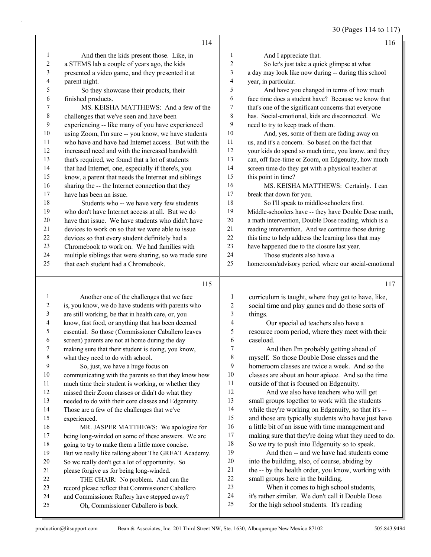30 (Pages 114 to 117)

| $\mathbf{1}$<br>And I appreciate that.<br>$\mathbf{1}$<br>And then the kids present those. Like, in<br>$\overline{c}$<br>So let's just take a quick glimpse at what<br>$\sqrt{2}$<br>a STEMS lab a couple of years ago, the kids<br>3<br>a day may look like now during -- during this school<br>3<br>presented a video game, and they presented it at<br>4<br>$\overline{\mathbf{4}}$<br>year, in particular.<br>parent night.<br>5<br>5<br>So they showcase their products, their<br>And have you changed in terms of how much<br>6<br>6<br>face time does a student have? Because we know that<br>finished products.<br>7<br>7<br>MS. KEISHA MATTHEWS: And a few of the<br>that's one of the significant concerns that everyone<br>$\,$ $\,$<br>8<br>has. Social-emotional, kids are disconnected. We<br>challenges that we've seen and have been<br>9<br>9<br>experiencing -- like many of you have experienced<br>need to try to keep track of them.<br>$10\,$<br>$10\,$<br>using Zoom, I'm sure -- you know, we have students<br>And, yes, some of them are fading away on<br>11<br>who have and have had Internet access. But with the<br>$11\,$<br>us, and it's a concern. So based on the fact that<br>$12\,$<br>12<br>increased need and with the increased bandwidth<br>your kids do spend so much time, you know, and they<br>13<br>13<br>that's required, we found that a lot of students<br>can, off face-time or Zoom, on Edgenuity, how much<br>14<br>14<br>screen time do they get with a physical teacher at<br>that had Internet, one, especially if there's, you<br>15<br>15<br>know, a parent that needs the Internet and siblings<br>this point in time?<br>16<br>16<br>sharing the -- the Internet connection that they<br>MS. KEISHA MATTHEWS: Certainly. I can<br>$17\,$<br>$17\,$<br>have has been an issue.<br>break that down for you.<br>18<br>18<br>Students who -- we have very few students<br>So I'll speak to middle-schoolers first.<br>19<br>19<br>who don't have Internet access at all. But we do<br>Middle-schoolers have -- they have Double Dose math,<br>$20\,$<br>$20\,$<br>have that issue. We have students who didn't have<br>a math intervention, Double Dose reading, which is a<br>$21\,$<br>$21\,$<br>reading intervention. And we continue those during<br>devices to work on so that we were able to issue<br>22<br>22<br>this time to help address the learning loss that may | 114                                            | 116 |
|------------------------------------------------------------------------------------------------------------------------------------------------------------------------------------------------------------------------------------------------------------------------------------------------------------------------------------------------------------------------------------------------------------------------------------------------------------------------------------------------------------------------------------------------------------------------------------------------------------------------------------------------------------------------------------------------------------------------------------------------------------------------------------------------------------------------------------------------------------------------------------------------------------------------------------------------------------------------------------------------------------------------------------------------------------------------------------------------------------------------------------------------------------------------------------------------------------------------------------------------------------------------------------------------------------------------------------------------------------------------------------------------------------------------------------------------------------------------------------------------------------------------------------------------------------------------------------------------------------------------------------------------------------------------------------------------------------------------------------------------------------------------------------------------------------------------------------------------------------------------------------------------------------------------------------------------------------------------------------------------------------------------------------------------------------------------------------------------------------------------------------------------------------------------------------------------------------------------------------------------------------------------------------------------------------------------------------------------------------------------------------------------------------------------------------|------------------------------------------------|-----|
|                                                                                                                                                                                                                                                                                                                                                                                                                                                                                                                                                                                                                                                                                                                                                                                                                                                                                                                                                                                                                                                                                                                                                                                                                                                                                                                                                                                                                                                                                                                                                                                                                                                                                                                                                                                                                                                                                                                                                                                                                                                                                                                                                                                                                                                                                                                                                                                                                                    |                                                |     |
|                                                                                                                                                                                                                                                                                                                                                                                                                                                                                                                                                                                                                                                                                                                                                                                                                                                                                                                                                                                                                                                                                                                                                                                                                                                                                                                                                                                                                                                                                                                                                                                                                                                                                                                                                                                                                                                                                                                                                                                                                                                                                                                                                                                                                                                                                                                                                                                                                                    |                                                |     |
|                                                                                                                                                                                                                                                                                                                                                                                                                                                                                                                                                                                                                                                                                                                                                                                                                                                                                                                                                                                                                                                                                                                                                                                                                                                                                                                                                                                                                                                                                                                                                                                                                                                                                                                                                                                                                                                                                                                                                                                                                                                                                                                                                                                                                                                                                                                                                                                                                                    |                                                |     |
|                                                                                                                                                                                                                                                                                                                                                                                                                                                                                                                                                                                                                                                                                                                                                                                                                                                                                                                                                                                                                                                                                                                                                                                                                                                                                                                                                                                                                                                                                                                                                                                                                                                                                                                                                                                                                                                                                                                                                                                                                                                                                                                                                                                                                                                                                                                                                                                                                                    |                                                |     |
|                                                                                                                                                                                                                                                                                                                                                                                                                                                                                                                                                                                                                                                                                                                                                                                                                                                                                                                                                                                                                                                                                                                                                                                                                                                                                                                                                                                                                                                                                                                                                                                                                                                                                                                                                                                                                                                                                                                                                                                                                                                                                                                                                                                                                                                                                                                                                                                                                                    |                                                |     |
|                                                                                                                                                                                                                                                                                                                                                                                                                                                                                                                                                                                                                                                                                                                                                                                                                                                                                                                                                                                                                                                                                                                                                                                                                                                                                                                                                                                                                                                                                                                                                                                                                                                                                                                                                                                                                                                                                                                                                                                                                                                                                                                                                                                                                                                                                                                                                                                                                                    |                                                |     |
|                                                                                                                                                                                                                                                                                                                                                                                                                                                                                                                                                                                                                                                                                                                                                                                                                                                                                                                                                                                                                                                                                                                                                                                                                                                                                                                                                                                                                                                                                                                                                                                                                                                                                                                                                                                                                                                                                                                                                                                                                                                                                                                                                                                                                                                                                                                                                                                                                                    |                                                |     |
|                                                                                                                                                                                                                                                                                                                                                                                                                                                                                                                                                                                                                                                                                                                                                                                                                                                                                                                                                                                                                                                                                                                                                                                                                                                                                                                                                                                                                                                                                                                                                                                                                                                                                                                                                                                                                                                                                                                                                                                                                                                                                                                                                                                                                                                                                                                                                                                                                                    |                                                |     |
|                                                                                                                                                                                                                                                                                                                                                                                                                                                                                                                                                                                                                                                                                                                                                                                                                                                                                                                                                                                                                                                                                                                                                                                                                                                                                                                                                                                                                                                                                                                                                                                                                                                                                                                                                                                                                                                                                                                                                                                                                                                                                                                                                                                                                                                                                                                                                                                                                                    |                                                |     |
|                                                                                                                                                                                                                                                                                                                                                                                                                                                                                                                                                                                                                                                                                                                                                                                                                                                                                                                                                                                                                                                                                                                                                                                                                                                                                                                                                                                                                                                                                                                                                                                                                                                                                                                                                                                                                                                                                                                                                                                                                                                                                                                                                                                                                                                                                                                                                                                                                                    |                                                |     |
|                                                                                                                                                                                                                                                                                                                                                                                                                                                                                                                                                                                                                                                                                                                                                                                                                                                                                                                                                                                                                                                                                                                                                                                                                                                                                                                                                                                                                                                                                                                                                                                                                                                                                                                                                                                                                                                                                                                                                                                                                                                                                                                                                                                                                                                                                                                                                                                                                                    |                                                |     |
|                                                                                                                                                                                                                                                                                                                                                                                                                                                                                                                                                                                                                                                                                                                                                                                                                                                                                                                                                                                                                                                                                                                                                                                                                                                                                                                                                                                                                                                                                                                                                                                                                                                                                                                                                                                                                                                                                                                                                                                                                                                                                                                                                                                                                                                                                                                                                                                                                                    |                                                |     |
|                                                                                                                                                                                                                                                                                                                                                                                                                                                                                                                                                                                                                                                                                                                                                                                                                                                                                                                                                                                                                                                                                                                                                                                                                                                                                                                                                                                                                                                                                                                                                                                                                                                                                                                                                                                                                                                                                                                                                                                                                                                                                                                                                                                                                                                                                                                                                                                                                                    |                                                |     |
|                                                                                                                                                                                                                                                                                                                                                                                                                                                                                                                                                                                                                                                                                                                                                                                                                                                                                                                                                                                                                                                                                                                                                                                                                                                                                                                                                                                                                                                                                                                                                                                                                                                                                                                                                                                                                                                                                                                                                                                                                                                                                                                                                                                                                                                                                                                                                                                                                                    |                                                |     |
|                                                                                                                                                                                                                                                                                                                                                                                                                                                                                                                                                                                                                                                                                                                                                                                                                                                                                                                                                                                                                                                                                                                                                                                                                                                                                                                                                                                                                                                                                                                                                                                                                                                                                                                                                                                                                                                                                                                                                                                                                                                                                                                                                                                                                                                                                                                                                                                                                                    |                                                |     |
|                                                                                                                                                                                                                                                                                                                                                                                                                                                                                                                                                                                                                                                                                                                                                                                                                                                                                                                                                                                                                                                                                                                                                                                                                                                                                                                                                                                                                                                                                                                                                                                                                                                                                                                                                                                                                                                                                                                                                                                                                                                                                                                                                                                                                                                                                                                                                                                                                                    |                                                |     |
|                                                                                                                                                                                                                                                                                                                                                                                                                                                                                                                                                                                                                                                                                                                                                                                                                                                                                                                                                                                                                                                                                                                                                                                                                                                                                                                                                                                                                                                                                                                                                                                                                                                                                                                                                                                                                                                                                                                                                                                                                                                                                                                                                                                                                                                                                                                                                                                                                                    |                                                |     |
|                                                                                                                                                                                                                                                                                                                                                                                                                                                                                                                                                                                                                                                                                                                                                                                                                                                                                                                                                                                                                                                                                                                                                                                                                                                                                                                                                                                                                                                                                                                                                                                                                                                                                                                                                                                                                                                                                                                                                                                                                                                                                                                                                                                                                                                                                                                                                                                                                                    |                                                |     |
|                                                                                                                                                                                                                                                                                                                                                                                                                                                                                                                                                                                                                                                                                                                                                                                                                                                                                                                                                                                                                                                                                                                                                                                                                                                                                                                                                                                                                                                                                                                                                                                                                                                                                                                                                                                                                                                                                                                                                                                                                                                                                                                                                                                                                                                                                                                                                                                                                                    |                                                |     |
|                                                                                                                                                                                                                                                                                                                                                                                                                                                                                                                                                                                                                                                                                                                                                                                                                                                                                                                                                                                                                                                                                                                                                                                                                                                                                                                                                                                                                                                                                                                                                                                                                                                                                                                                                                                                                                                                                                                                                                                                                                                                                                                                                                                                                                                                                                                                                                                                                                    |                                                |     |
|                                                                                                                                                                                                                                                                                                                                                                                                                                                                                                                                                                                                                                                                                                                                                                                                                                                                                                                                                                                                                                                                                                                                                                                                                                                                                                                                                                                                                                                                                                                                                                                                                                                                                                                                                                                                                                                                                                                                                                                                                                                                                                                                                                                                                                                                                                                                                                                                                                    |                                                |     |
|                                                                                                                                                                                                                                                                                                                                                                                                                                                                                                                                                                                                                                                                                                                                                                                                                                                                                                                                                                                                                                                                                                                                                                                                                                                                                                                                                                                                                                                                                                                                                                                                                                                                                                                                                                                                                                                                                                                                                                                                                                                                                                                                                                                                                                                                                                                                                                                                                                    | devices so that every student definitely had a |     |
| 23<br>23<br>Chromebook to work on. We had families with<br>have happened due to the closure last year.                                                                                                                                                                                                                                                                                                                                                                                                                                                                                                                                                                                                                                                                                                                                                                                                                                                                                                                                                                                                                                                                                                                                                                                                                                                                                                                                                                                                                                                                                                                                                                                                                                                                                                                                                                                                                                                                                                                                                                                                                                                                                                                                                                                                                                                                                                                             |                                                |     |
| 24<br>24<br>multiple siblings that were sharing, so we made sure<br>Those students also have a                                                                                                                                                                                                                                                                                                                                                                                                                                                                                                                                                                                                                                                                                                                                                                                                                                                                                                                                                                                                                                                                                                                                                                                                                                                                                                                                                                                                                                                                                                                                                                                                                                                                                                                                                                                                                                                                                                                                                                                                                                                                                                                                                                                                                                                                                                                                     |                                                |     |
| 25<br>25<br>homeroom/advisory period, where our social-emotional<br>that each student had a Chromebook.                                                                                                                                                                                                                                                                                                                                                                                                                                                                                                                                                                                                                                                                                                                                                                                                                                                                                                                                                                                                                                                                                                                                                                                                                                                                                                                                                                                                                                                                                                                                                                                                                                                                                                                                                                                                                                                                                                                                                                                                                                                                                                                                                                                                                                                                                                                            |                                                |     |
| 115                                                                                                                                                                                                                                                                                                                                                                                                                                                                                                                                                                                                                                                                                                                                                                                                                                                                                                                                                                                                                                                                                                                                                                                                                                                                                                                                                                                                                                                                                                                                                                                                                                                                                                                                                                                                                                                                                                                                                                                                                                                                                                                                                                                                                                                                                                                                                                                                                                |                                                | 117 |
| $\,1$<br>$\mathbf{1}$<br>Another one of the challenges that we face<br>curriculum is taught, where they get to have, like,                                                                                                                                                                                                                                                                                                                                                                                                                                                                                                                                                                                                                                                                                                                                                                                                                                                                                                                                                                                                                                                                                                                                                                                                                                                                                                                                                                                                                                                                                                                                                                                                                                                                                                                                                                                                                                                                                                                                                                                                                                                                                                                                                                                                                                                                                                         |                                                |     |
| is, you know, we do have students with parents who<br>$\overline{c}$<br>$\overline{\mathbf{c}}$<br>social time and play games and do those sorts of                                                                                                                                                                                                                                                                                                                                                                                                                                                                                                                                                                                                                                                                                                                                                                                                                                                                                                                                                                                                                                                                                                                                                                                                                                                                                                                                                                                                                                                                                                                                                                                                                                                                                                                                                                                                                                                                                                                                                                                                                                                                                                                                                                                                                                                                                |                                                |     |
| $\mathfrak{Z}$<br>3<br>things.<br>are still working, be that in health care, or, you                                                                                                                                                                                                                                                                                                                                                                                                                                                                                                                                                                                                                                                                                                                                                                                                                                                                                                                                                                                                                                                                                                                                                                                                                                                                                                                                                                                                                                                                                                                                                                                                                                                                                                                                                                                                                                                                                                                                                                                                                                                                                                                                                                                                                                                                                                                                               |                                                |     |
| $\overline{\mathcal{A}}$<br>4<br>know, fast food, or anything that has been deemed<br>Our special ed teachers also have a                                                                                                                                                                                                                                                                                                                                                                                                                                                                                                                                                                                                                                                                                                                                                                                                                                                                                                                                                                                                                                                                                                                                                                                                                                                                                                                                                                                                                                                                                                                                                                                                                                                                                                                                                                                                                                                                                                                                                                                                                                                                                                                                                                                                                                                                                                          |                                                |     |
| 5<br>5<br>essential. So those (Commissioner Caballero leaves<br>resource room period, where they meet with their                                                                                                                                                                                                                                                                                                                                                                                                                                                                                                                                                                                                                                                                                                                                                                                                                                                                                                                                                                                                                                                                                                                                                                                                                                                                                                                                                                                                                                                                                                                                                                                                                                                                                                                                                                                                                                                                                                                                                                                                                                                                                                                                                                                                                                                                                                                   |                                                |     |
| 6<br>6<br>screen) parents are not at home during the day<br>caseload.                                                                                                                                                                                                                                                                                                                                                                                                                                                                                                                                                                                                                                                                                                                                                                                                                                                                                                                                                                                                                                                                                                                                                                                                                                                                                                                                                                                                                                                                                                                                                                                                                                                                                                                                                                                                                                                                                                                                                                                                                                                                                                                                                                                                                                                                                                                                                              |                                                |     |
| $\boldsymbol{7}$<br>7<br>making sure that their student is doing, you know,<br>And then I'm probably getting ahead of                                                                                                                                                                                                                                                                                                                                                                                                                                                                                                                                                                                                                                                                                                                                                                                                                                                                                                                                                                                                                                                                                                                                                                                                                                                                                                                                                                                                                                                                                                                                                                                                                                                                                                                                                                                                                                                                                                                                                                                                                                                                                                                                                                                                                                                                                                              |                                                |     |
| 8<br>8<br>myself. So those Double Dose classes and the<br>what they need to do with school.                                                                                                                                                                                                                                                                                                                                                                                                                                                                                                                                                                                                                                                                                                                                                                                                                                                                                                                                                                                                                                                                                                                                                                                                                                                                                                                                                                                                                                                                                                                                                                                                                                                                                                                                                                                                                                                                                                                                                                                                                                                                                                                                                                                                                                                                                                                                        |                                                |     |
| 9<br>9<br>homeroom classes are twice a week. And so the<br>So, just, we have a huge focus on                                                                                                                                                                                                                                                                                                                                                                                                                                                                                                                                                                                                                                                                                                                                                                                                                                                                                                                                                                                                                                                                                                                                                                                                                                                                                                                                                                                                                                                                                                                                                                                                                                                                                                                                                                                                                                                                                                                                                                                                                                                                                                                                                                                                                                                                                                                                       |                                                |     |
| 10<br>10<br>communicating with the parents so that they know how<br>classes are about an hour apiece. And so the time                                                                                                                                                                                                                                                                                                                                                                                                                                                                                                                                                                                                                                                                                                                                                                                                                                                                                                                                                                                                                                                                                                                                                                                                                                                                                                                                                                                                                                                                                                                                                                                                                                                                                                                                                                                                                                                                                                                                                                                                                                                                                                                                                                                                                                                                                                              |                                                |     |

- much time their student is working, or whether they missed their Zoom classes or didn't do what they
- needed to do with their core classes and Edgenuity.
- Those are a few of the challenges that we've
- experienced. 16 MR. JASPER MATTHEWS: We apologize for being long-winded on some of these answers. We are going to try to make them a little more concise.
- But we really like talking about The GREAT Academy. So we really don't get a lot of opportunity. So
- please forgive us for being long-winded.
- 22 THE CHAIR: No problem. And can the
- record please reflect that Commissioner Caballero
- and Commissioner Raftery have stepped away?
- 25 Oh, Commissioner Caballero is back.
- 

 outside of that is focused on Edgenuity. 12 And we also have teachers who will get small groups together to work with the students while they're working on Edgenuity, so that it's -- and those are typically students who have just have a little bit of an issue with time management and making sure that they're doing what they need to do.

18 So we try to push into Edgenuity so to speak.<br>19 And then -- and we have had students c

 into the building, also, of course, abiding by the -- by the health order, you know, working with

23 When it comes to high school students, it's rather similar. We don't call it Double Dose for the high school students. It's reading

small groups here in the building.

And then -- and we have had students come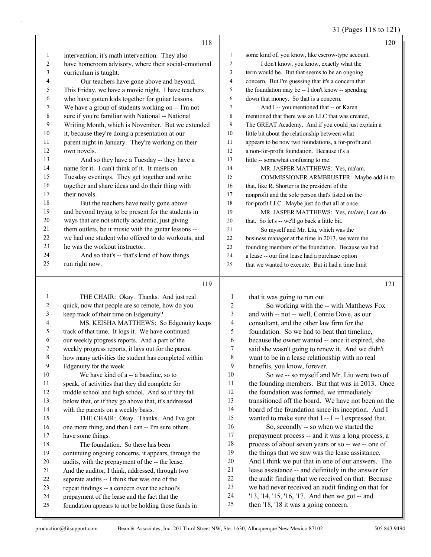31 (Pages 118 to 121)

|                | 118                                                  |                | 120                                                 |
|----------------|------------------------------------------------------|----------------|-----------------------------------------------------|
| 1              | intervention; it's math intervention. They also      | 1              | some kind of, you know, like escrow-type account.   |
| 2              | have homeroom advisory, where their social-emotional | 2              | I don't know, you know, exactly what the            |
| 3              | curriculum is taught.                                | 3              | term would be. But that seems to be an ongoing      |
| $\overline{4}$ | Our teachers have gone above and beyond.             | 4              | concern. But I'm guessing that it's a concern that  |
| 5              | This Friday, we have a movie night. I have teachers  | 5              | the foundation may be -- I don't know -- spending   |
| 6              | who have gotten kids together for guitar lessons.    | 6              | down that money. So that is a concern.              |
| 7              | We have a group of students working on -- I'm not    | $\overline{7}$ | And I -- you mentioned that -- or Karen             |
| 8              | sure if you're familiar with National -- National    | 8              | mentioned that there was an LLC that was created,   |
| 9              | Writing Month, which is November. But we extended    | 9              | The GREAT Academy. And if you could just explain a  |
| 10             | it, because they're doing a presentation at our      | 10             | little bit about the relationship between what      |
| 11             | parent night in January. They're working on their    | 11             | appears to be now two foundations, a for-profit and |
| 12             | own novels.                                          | 12             | a non-for-profit foundation. Because it's a         |
| 13             | And so they have a Tuesday -- they have a            | 13             | little -- somewhat confusing to me.                 |
| 14             | name for it. I can't think of it. It meets on        | 14             | MR. JASPER MATTHEWS: Yes, ma'am.                    |
| 15             | Tuesday evenings. They get together and write        | 15             | COMMISSIONER ARMBRUSTER: Maybe add in to            |
| 16             | together and share ideas and do their thing with     | 16             | that, like R. Shorter is the president of the       |
| 17             | their novels.                                        | 17             | nonprofit and the sole person that's listed on the  |
| 18             | But the teachers have really gone above              | 18             | for-profit LLC. Maybe just do that all at once.     |
| 19             | and beyond trying to be present for the students in  | 19             | MR. JASPER MATTHEWS: Yes, ma'am, I can do           |
| 20             | ways that are not strictly academic, just giving     | 20             | that. So let's -- we'll go back a little bit.       |
| 21             | them outlets, be it music with the guitar lessons -- | 21             | So myself and Mr. Liu, which was the                |
| 22             | we had one student who offered to do workouts, and   | 22             | business manager at the time in 2013, we were the   |
| 23             | he was the workout instructor.                       | 23             | founding members of the foundation. Because we had  |
| 24             | And so that's -- that's kind of how things           | 24             | a lease -- our first lease had a purchase option    |
| 25             | run right now.                                       | 25             | that we wanted to execute. But it had a time limit  |
|                | 119                                                  |                | 121                                                 |

1 THE CHAIR: Okay. Thanks. And just real quick, now that people are so remote, how do you keep track of their time on Edgenuity? 4 MS. KEISHA MATTHEWS: So Edgenuity keeps track of that time. It logs it. We have continued our weekly progress reports. And a part of the weekly progress reports, it lays out for the parent how many activities the student has completed within Edgenuity for the week. 10 We have kind of a -- a baseline, so to speak, of activities that they did complete for middle school and high school. And so if they fall below that, or if they go above that, it's addressed with the parents on a weekly basis. 15 THE CHAIR: Okay. Thanks. And I've got one more thing, and then I can -- I'm sure others have some things. 18 The foundation. So there has been continuing ongoing concerns, it appears, through the audits, with the prepayment of the -- the lease. And the auditor, I think, addressed, through two separate audits -- I think that was one of the repeat findings -- a concern over the school's prepayment of the lease and the fact that the foundation appears to not be holding those funds in that it was going to run out. 2 So working with the -- with Matthews Fox

 and with -- not -- well, Connie Dove, as our consultant, and the other law firm for the foundation. So we had to beat that timeline, 6 because the owner wanted  $-$  once it expired, she said she wasn't going to renew it. And we didn't said she wasn't going to renew it. And we didn't want to be in a lease relationship with no real benefits, you know, forever. 10 So we -- so myself and Mr. Liu were two of 11 the founding members. But that was in 2013. Once the foundation was formed, we immediately transitioned off the board. We have not been on the board of the foundation since its inception. And I 15 wanted to make sure that I -- I -- I expressed that. 16 So, secondly -- so when we started the prepayment process -- and it was a long process, a 18 process of about seven years or so -- we -- one of<br>19 the things that we saw was the lease assistance. the things that we saw was the lease assistance. And I think we put that in one of our answers. The

 lease assistance -- and definitely in the answer for the audit finding that we received on that. Because

we had never received an audit finding on that for

'13, '14, '15, '16, '17. And then we got -- and

then '18, '18 it was a going concern.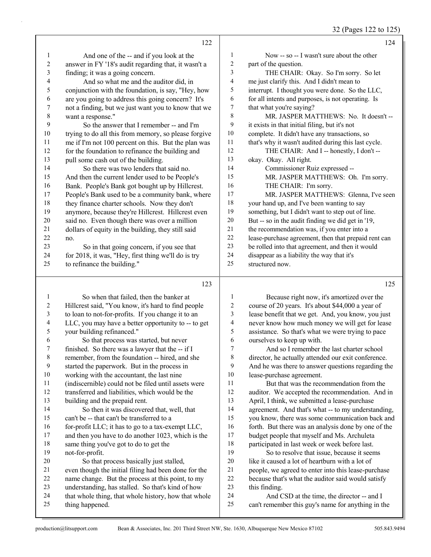32 (Pages 122 to 125)

|                          | 122                                                  |                          | 124                                                  |
|--------------------------|------------------------------------------------------|--------------------------|------------------------------------------------------|
| 1                        | And one of the -- and if you look at the             | $\mathbf{1}$             | Now -- so -- I wasn't sure about the other           |
| $\overline{c}$           | answer in FY '18's audit regarding that, it wasn't a | $\overline{c}$           | part of the question.                                |
| $\overline{\mathbf{3}}$  | finding; it was a going concern.                     | 3                        | THE CHAIR: Okay. So I'm sorry. So let                |
| 4                        | And so what me and the auditor did, in               | $\overline{4}$           | me just clarify this. And I didn't mean to           |
| 5                        | conjunction with the foundation, is say, "Hey, how   | 5                        | interrupt. I thought you were done. So the LLC,      |
| 6                        | are you going to address this going concern? It's    | 6                        | for all intents and purposes, is not operating. Is   |
| $\boldsymbol{7}$         | not a finding, but we just want you to know that we  | $\tau$                   | that what you're saying?                             |
| $\,$ $\,$                | want a response."                                    | 8                        | MR. JASPER MATTHEWS: No. It doesn't --               |
| 9                        | So the answer that I remember -- and I'm             | 9                        | it exists in that initial filing, but it's not       |
| $10\,$                   | trying to do all this from memory, so please forgive | $10\,$                   | complete. It didn't have any transactions, so        |
| 11                       | me if I'm not 100 percent on this. But the plan was  | 11                       | that's why it wasn't audited during this last cycle. |
| 12                       | for the foundation to refinance the building and     | 12                       | THE CHAIR: And I -- honestly, I don't --             |
| 13                       | pull some cash out of the building.                  | 13                       | okay. Okay. All right.                               |
| 14                       | So there was two lenders that said no.               | 14                       | Commissioner Ruiz expressed --                       |
| 15                       | And then the current lender used to be People's      | 15                       | MR. JASPER MATTHEWS: Oh. I'm sorry.                  |
| 16                       | Bank. People's Bank got bought up by Hillcrest.      | 16                       | THE CHAIR: I'm sorry.                                |
| 17                       | People's Bank used to be a community bank, where     | 17                       | MR. JASPER MATTHEWS: Glenna, I've seen               |
| 18                       | they finance charter schools. Now they don't         | 18                       | your hand up, and I've been wanting to say           |
| 19                       | anymore, because they're Hillcrest. Hillcrest even   | 19                       | something, but I didn't want to step out of line.    |
| $20\,$                   | said no. Even though there was over a million        | 20                       | But -- so in the audit finding we did get in '19,    |
| 21                       | dollars of equity in the building, they still said   | 21                       | the recommendation was, if you enter into a          |
| 22                       | no.                                                  | 22                       | lease-purchase agreement, then that prepaid rent can |
| 23                       | So in that going concern, if you see that            | 23                       | be rolled into that agreement, and then it would     |
| 24                       | for 2018, it was, "Hey, first thing we'll do is try  | 24                       | disappear as a liability the way that it's           |
| 25                       | to refinance the building."                          | 25                       | structured now.                                      |
|                          | 123                                                  |                          | 125                                                  |
| 1                        | So when that failed, then the banker at              | 1                        | Because right now, it's amortized over the           |
| 2                        | Hillcrest said, "You know, it's hard to find people  | $\sqrt{2}$               | course of 20 years. It's about \$44,000 a year of    |
| 3                        | to loan to not-for-profits. If you change it to an   | 3                        | lease benefit that we get. And, you know, you just   |
| $\overline{\mathcal{L}}$ | LLC, you may have a better opportunity to -- to get  | $\overline{\mathcal{A}}$ | never know how much money we will get for lease      |
| 5                        | your building refinanced."                           | 5                        | assistance. So that's what we were trying to pace    |

6 So that process was started, but never<br>
7 finished. So there was a lawyer that the -- if finished. So there was a lawyer that the  $-$  if I remember, from the foundation -- hired, and she started the paperwork. But in the process in working with the accountant, the last nine (indiscernible) could not be filed until assets were transferred and liabilities, which would be the building and the prepaid rent. 14 So then it was discovered that, well, that can't be -- that can't be transferred to a 16 for-profit LLC; it has to go to a tax-exempt LLC, 17 and then you have to do another 1023, which is the

18 same thing you've got to do to get the<br>19 not-for-profit. not-for-profit. 20 So that process basically just stalled, even though the initial filing had been done for the name change. But the process at this point, to my understanding, has stalled. So that's kind of how that whole thing, that whole history, how that whole thing happened.

 assistance. So that's what we were trying to pace 6 ourselves to keep up with.<br>7 And so I remember t And so I remember the last charter school

 director, he actually attended our exit conference. And he was there to answer questions regarding the lease-purchase agreement.

11 But that was the recommendation from the auditor. We accepted the recommendation. And in April, I think, we submitted a lease-purchase agreement. And that's what -- to my understanding, you know, there was some communication back and 16 forth. But there was an analysis done by one of the budget people that myself and Ms. Archuleta 18 participated in last week or week before last.<br>19 So to resolve that issue, because it seen So to resolve that issue, because it seems like it caused a lot of heartburn with a lot of people, we agreed to enter into this lease-purchase because that's what the auditor said would satisfy this finding.

24 And CSD at the time, the director -- and I can't remember this guy's name for anything in the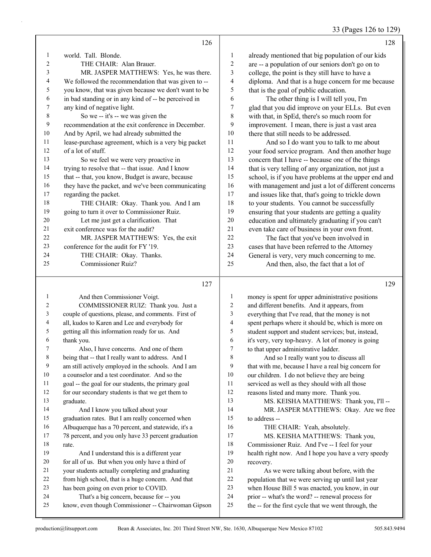# 33 (Pages 126 to 129)

|    | 126                                                  |    | 128                                                  |
|----|------------------------------------------------------|----|------------------------------------------------------|
|    | world. Tall. Blonde.                                 |    | already mentioned that big population of our kids    |
| 2  | THE CHAIR: Alan Brauer.                              | 2  | are -- a population of our seniors don't go on to    |
| 3  | MR. JASPER MATTHEWS: Yes, he was there.              | 3  | college, the point is they still have to have a      |
| 4  | We followed the recommendation that was given to --  | 4  | diploma. And that is a huge concern for me because   |
| 5  | you know, that was given because we don't want to be | 5  | that is the goal of public education.                |
| 6  | in bad standing or in any kind of -- be perceived in | 6  | The other thing is I will tell you, I'm              |
| 7  | any kind of negative light.                          | 7  | glad that you did improve on your ELLs. But even     |
| 8  | So we -- it's -- we was given the                    | 8  | with that, in SpEd, there's so much room for         |
| 9  | recommendation at the exit conference in December.   | 9  | improvement. I mean, there is just a vast area       |
| 10 | And by April, we had already submitted the           | 10 | there that still needs to be addressed.              |
| 11 | lease-purchase agreement, which is a very big packet | 11 | And so I do want you to talk to me about             |
| 12 | of a lot of stuff.                                   | 12 | your food service program. And then another huge     |
| 13 | So we feel we were very proactive in                 | 13 | concern that I have -- because one of the things     |
| 14 | trying to resolve that -- that issue. And I know     | 14 | that is very telling of any organization, not just a |
| 15 | that -- that, you know, Budget is aware, because     | 15 | school, is if you have problems at the upper end and |
| 16 | they have the packet, and we've been communicating   | 16 | with management and just a lot of different concerns |
| 17 | regarding the packet.                                | 17 | and issues like that, that's going to trickle down   |
| 18 | THE CHAIR: Okay. Thank you. And I am                 | 18 | to your students. You cannot be successfully         |
| 19 | going to turn it over to Commissioner Ruiz.          | 19 | ensuring that your students are getting a quality    |
| 20 | Let me just get a clarification. That                | 20 | education and ultimately graduating if you can't     |
| 21 | exit conference was for the audit?                   | 21 | even take care of business in your own front.        |
| 22 | MR. JASPER MATTHEWS: Yes, the exit                   | 22 | The fact that you've been involved in                |
| 23 | conference for the audit for FY '19.                 | 23 | cases that have been referred to the Attorney        |
| 24 | THE CHAIR: Okay. Thanks.                             | 24 | General is very, very much concerning to me.         |
| 25 | Commissioner Ruiz?                                   | 25 | And then, also, the fact that a lot of               |
|    | 127                                                  |    | 129                                                  |

|    | And then Commissioner Voigt.                        | 1  | money is spent for upper administrative positions    |
|----|-----------------------------------------------------|----|------------------------------------------------------|
| 2  | COMMISSIONER RUIZ: Thank you. Just a                | 2  | and different benefits. And it appears, from         |
| 3  | couple of questions, please, and comments. First of | 3  | everything that I've read, that the money is not     |
| 4  | all, kudos to Karen and Lee and everybody for       | 4  | spent perhaps where it should be, which is more on   |
| 5  | getting all this information ready for us. And      | 5  | student support and student services; but, instead,  |
| 6  | thank you.                                          | 6  | it's very, very top-heavy. A lot of money is going   |
| 7  | Also, I have concerns. And one of them              | 7  | to that upper administrative ladder.                 |
| 8  | being that -- that I really want to address. And I  | 8  | And so I really want you to discuss all              |
| 9  | am still actively employed in the schools. And I am | 9  | that with me, because I have a real big concern for  |
| 10 | a counselor and a test coordinator. And so the      | 10 | our children. I do not believe they are being        |
| 11 | goal -- the goal for our students, the primary goal | 11 | serviced as well as they should with all those       |
| 12 | for our secondary students is that we get them to   | 12 | reasons listed and many more. Thank you.             |
| 13 | graduate.                                           | 13 | MS. KEISHA MATTHEWS: Thank you, I'll --              |
| 14 | And I know you talked about your                    | 14 | MR. JASPER MATTHEWS: Okay. Are we free               |
| 15 | graduation rates. But I am really concerned when    | 15 | to address --                                        |
| 16 | Albuquerque has a 70 percent, and statewide, it's a | 16 | THE CHAIR: Yeah, absolutely.                         |
| 17 | 78 percent, and you only have 33 percent graduation | 17 | MS. KEISHA MATTHEWS: Thank you,                      |
| 18 | rate.                                               | 18 | Commissioner Ruiz. And I've -- I feel for your       |
| 19 | And I understand this is a different year           | 19 | health right now. And I hope you have a very speedy  |
| 20 | for all of us. But when you only have a third of    | 20 | recovery.                                            |
| 21 | your students actually completing and graduating    | 21 | As we were talking about before, with the            |
| 22 | from high school, that is a huge concern. And that  | 22 | population that we were serving up until last year   |
| 23 | has been going on even prior to COVID.              | 23 | when House Bill 5 was enacted, you know, in our      |
| 24 | That's a big concern, because for -- you            | 24 | prior -- what's the word? -- renewal process for     |
| 25 | know, even though Commissioner -- Chairwoman Gipson | 25 | the -- for the first cycle that we went through, the |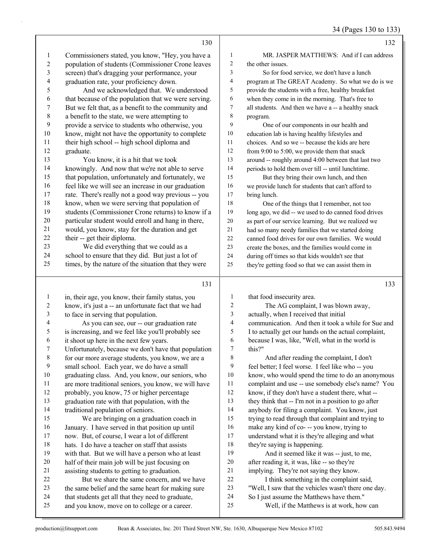|                | 130                                                  |                | 132                                                  |
|----------------|------------------------------------------------------|----------------|------------------------------------------------------|
| $\mathbf{1}$   | Commissioners stated, you know, "Hey, you have a     | 1              | MR. JASPER MATTHEWS: And if I can address            |
| $\overline{2}$ | population of students (Commissioner Crone leaves    | 2              | the other issues.                                    |
| 3              | screen) that's dragging your performance, your       | 3              | So for food service, we don't have a lunch           |
| $\overline{4}$ | graduation rate, your proficiency down.              | 4              | program at The GREAT Academy. So what we do is we    |
| 5              | And we acknowledged that. We understood              | 5              | provide the students with a free, healthy breakfast  |
| 6              | that because of the population that we were serving. | 6              | when they come in in the morning. That's free to     |
| 7              | But we felt that, as a benefit to the community and  | 7              | all students. And then we have a -- a healthy snack  |
| 8              | a benefit to the state, we were attempting to        | 8              | program.                                             |
| 9              | provide a service to students who otherwise, you     | 9              | One of our components in our health and              |
| 10             | know, might not have the opportunity to complete     | 10             | education lab is having healthy lifestyles and       |
| 11             | their high school -- high school diploma and         | 11             | choices. And so we -- because the kids are here      |
| 12             | graduate.                                            | 12             | from 9:00 to 5:00, we provide them that snack        |
| 13             | You know, it is a hit that we took                   | 13             | around -- roughly around 4:00 between that last two  |
| 14             | knowingly. And now that we're not able to serve      | 14             | periods to hold them over till -- until lunchtime.   |
| 15             | that population, unfortunately and fortunately, we   | 15             | But they bring their own lunch, and then             |
| 16             | feel like we will see an increase in our graduation  | 16             | we provide lunch for students that can't afford to   |
| 17             | rate. There's really not a good way previous -- you  | 17             | bring lunch.                                         |
| 18             | know, when we were serving that population of        | 18             | One of the things that I remember, not too           |
| 19             | students (Commissioner Crone returns) to know if a   | 19             | long ago, we did -- we used to do canned food drives |
| 20             | particular student would enroll and hang in there,   | 20             | as part of our service learning. But we realized we  |
| 21             | would, you know, stay for the duration and get       | 21             | had so many needy families that we started doing     |
| 22             | their -- get their diploma.                          | 22             | canned food drives for our own families. We would    |
| 23             | We did everything that we could as a                 | 23             | create the boxes, and the families would come in     |
| 24             | school to ensure that they did. But just a lot of    | 24             | during off times so that kids wouldn't see that      |
| 25             | times, by the nature of the situation that they were | 25             | they're getting food so that we can assist them in   |
|                | 131                                                  |                | 133                                                  |
| $\mathbf{1}$   | in, their age, you know, their family status, you    | 1              | that food insecurity area.                           |
| $\overline{2}$ | know, it's just a -- an unfortunate fact that we had | $\overline{c}$ | The AG complaint, I was blown away,                  |
| 3              | to face in serving that population.                  | 3              | actually, when I received that initial               |
| 4              | As you can see, our -- our graduation rate           | $\overline{4}$ | communication. And then it took a while for Sue and  |

 is increasing, and we feel like you'll probably see it shoot up here in the next few years. Unfortunately, because we don't have that population

- 
- for our more average students, you know, we are a
- small school. Each year, we do have a small
- graduating class. And, you know, our seniors, who are more traditional seniors, you know, we will have
- probably, you know, 75 or higher percentage
- graduation rate with that population, with the
- traditional population of seniors.

15 We are bringing on a graduation coach in January. I have served in that position up until now. But, of course, I wear a lot of different hats. I do have a teacher on staff that assists with that. But we will have a person who at least half of their main job will be just focusing on

- assisting students to getting to graduation. 22 But we share the same concern, and we have the same belief and the same heart for making sure that students get all that they need to graduate,
- and you know, move on to college or a career.
- I to actually get our hands on the actual complaint, 6 because I was, like, "Well, what in the world is  $\frac{7}{7}$  this?"
- this?"
- 8 And after reading the complaint, I don't feel better; I feel worse. I feel like who -- you know, who would spend the time to do an anonymous complaint and use -- use somebody else's name? You
- know, if they don't have a student there, what --
- they think that -- I'm not in a position to go after
- anybody for filing a complaint. You know, just
- trying to read through that complaint and trying to
- make any kind of co- -- you know, trying to understand what it is they're alleging and what
- they're saying is happening.
- 19 And it seemed like it was -- just, to me, after reading it, it was, like -- so they're
- implying. They're not saying they know.
- 22 I think something in the complaint said,
- "Well, I saw that the vehicles wasn't there one day.
- So I just assume the Matthews have them."
- 25 Well, if the Matthews is at work, how can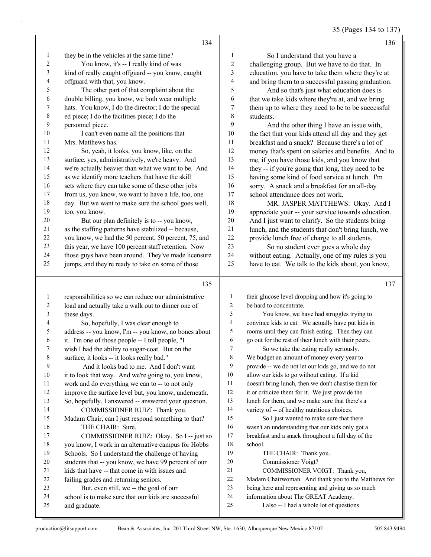35 (Pages 134 to 137)

|                          | 134                                                                                   |                  | 136                                                                                                 |
|--------------------------|---------------------------------------------------------------------------------------|------------------|-----------------------------------------------------------------------------------------------------|
| 1                        | they be in the vehicles at the same time?                                             | 1                | So I understand that you have a                                                                     |
| $\boldsymbol{2}$         | You know, it's -- I really kind of was                                                | $\overline{c}$   | challenging group. But we have to do that. In                                                       |
| $\mathfrak{Z}$           | kind of really caught offguard -- you know, caught                                    | $\mathfrak{Z}$   | education, you have to take them where they're at                                                   |
| $\overline{\mathcal{A}}$ | offguard with that, you know.                                                         | $\overline{4}$   | and bring them to a successful passing graduation.                                                  |
| 5                        | The other part of that complaint about the                                            | 5                | And so that's just what education does is                                                           |
| 6                        | double billing, you know, we both wear multiple                                       | 6                | that we take kids where they're at, and we bring                                                    |
| 7                        | hats. You know, I do the director; I do the special                                   | 7                | them up to where they need to be to be successful                                                   |
| $\,$ $\,$                | ed piece; I do the facilities piece; I do the                                         | $\,$ $\,$        | students.                                                                                           |
| 9                        | personnel piece.                                                                      | 9                | And the other thing I have an issue with,                                                           |
| 10                       | I can't even name all the positions that                                              | 10               | the fact that your kids attend all day and they get                                                 |
| $11\,$                   | Mrs. Matthews has.                                                                    | 11               | breakfast and a snack? Because there's a lot of                                                     |
| $12\,$                   | So, yeah, it looks, you know, like, on the                                            | 12               | money that's spent on salaries and benefits. And to                                                 |
| 13                       | surface, yes, administratively, we're heavy. And                                      | 13               | me, if you have those kids, and you know that                                                       |
| 14                       | we're actually heavier than what we want to be. And                                   | 14               | they -- if you're going that long, they need to be                                                  |
| 15                       | as we identify more teachers that have the skill                                      | 15               | having some kind of food service at lunch. I'm                                                      |
| 16                       | sets where they can take some of these other jobs                                     | 16               | sorry. A snack and a breakfast for an all-day                                                       |
| $17\,$                   | from us, you know, we want to have a life, too, one                                   | 17               | school attendance does not work.                                                                    |
| $18\,$                   | day. But we want to make sure the school goes well,                                   | 18               | MR. JASPER MATTHEWS: Okay. And I                                                                    |
| 19                       | too, you know.                                                                        | 19               | appreciate your -- your service towards education.                                                  |
| $20\,$                   | But our plan definitely is to -- you know,                                            | 20               | And I just want to clarify. So the students bring                                                   |
| 21                       | as the staffing patterns have stabilized -- because,                                  | 21               | lunch, and the students that don't bring lunch, we                                                  |
| $22\,$                   | you know, we had the 50 percent, 50 percent, 75, and                                  | 22               | provide lunch free of charge to all students.                                                       |
| 23                       | this year, we have 100 percent staff retention. Now                                   | 23               | So no student ever goes a whole day                                                                 |
| 24                       | those guys have been around. They've made licensure                                   | 24               | without eating. Actually, one of my rules is you                                                    |
| 25                       | jumps, and they're ready to take on some of those                                     | 25               | have to eat. We talk to the kids about, you know,                                                   |
|                          | 135                                                                                   |                  | 137                                                                                                 |
|                          |                                                                                       | $\mathbf{1}$     |                                                                                                     |
| $\mathbf{1}$             | responsibilities so we can reduce our administrative                                  |                  |                                                                                                     |
|                          |                                                                                       |                  | their glucose level dropping and how it's going to                                                  |
| $\overline{c}$           | load and actually take a walk out to dinner one of                                    | $\overline{c}$   | be hard to concentrate.                                                                             |
| $\mathfrak{Z}$           | these days.                                                                           | 3                | You know, we have had struggles trying to                                                           |
| $\overline{\mathcal{A}}$ | So, hopefully, I was clear enough to                                                  | 4                | convince kids to eat. We actually have put kids in                                                  |
| 5                        | address -- you know, I'm -- you know, no bones about                                  | 5                | rooms until they can finish eating. Then they can                                                   |
| 6                        | it. I'm one of those people -- I tell people, "I                                      | 6                | go out for the rest of their lunch with their peers.                                                |
| 7                        | wish I had the ability to sugar-coat. But on the                                      | $\boldsymbol{7}$ | So we take the eating really seriously.                                                             |
| 8                        | surface, it looks -- it looks really bad."                                            | 8                | We budget an amount of money every year to                                                          |
| 9                        | And it looks bad to me. And I don't want                                              | 9<br>10          | provide -- we do not let our kids go, and we do not                                                 |
| $10\,$                   | it to look that way. And we're going to, you know,                                    | 11               | allow our kids to go without eating. If a kid                                                       |
| 11<br>12                 | work and do everything we can to -- to not only                                       | 12               | doesn't bring lunch, then we don't chastise them for                                                |
| 13                       | improve the surface level but, you know, underneath.                                  | 13               | it or criticize them for it. We just provide the<br>lunch for them, and we make sure that there's a |
| 14                       | So, hopefully, I answered -- answered your question.<br>COMMISSIONER RUIZ: Thank you. | 14               | variety of -- of healthy nutritious choices.                                                        |
| 15                       | Madam Chair, can I just respond something to that?                                    | 15               | So I just wanted to make sure that there                                                            |
| 16                       | THE CHAIR: Sure.                                                                      | 16               | wasn't an understanding that our kids only got a                                                    |
| 17                       | COMMISSIONER RUIZ: Okay. So I -- just so                                              | 17               | breakfast and a snack throughout a full day of the                                                  |
| 18                       | you know, I work in an alternative campus for Hobbs                                   | 18               | school.                                                                                             |
| 19                       | Schools. So I understand the challenge of having                                      | 19               | THE CHAIR: Thank you.                                                                               |
| $20\,$                   | students that -- you know, we have 99 percent of our                                  | $20\,$           | Commissioner Voigt?                                                                                 |
| 21                       | kids that have -- that come in with issues and                                        | 21               | COMMISSIONER VOIGT: Thank you,                                                                      |
| 22                       | failing grades and returning seniors.                                                 | 22               | Madam Chairwoman. And thank you to the Matthews for                                                 |
| 23                       | But, even still, we -- the goal of our                                                | 23               | being here and representing and giving us so much                                                   |
| 24<br>25                 | school is to make sure that our kids are successful<br>and graduate.                  | 24<br>$25\,$     | information about The GREAT Academy.<br>I also -- I had a whole lot of questions                    |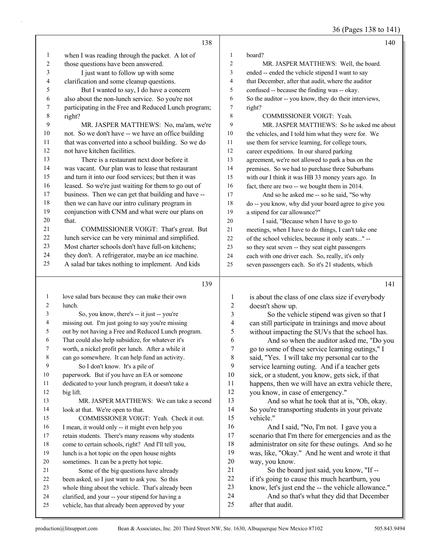36 (Pages 138 to 141)

|                | 138                                                                                                 |                         | 140                                                            |
|----------------|-----------------------------------------------------------------------------------------------------|-------------------------|----------------------------------------------------------------|
| 1              | when I was reading through the packet. A lot of                                                     | 1                       | board?                                                         |
| $\overline{c}$ | those questions have been answered.                                                                 | $\sqrt{2}$              | MR. JASPER MATTHEWS: Well, the board.                          |
| 3              | I just want to follow up with some                                                                  | 3                       | ended -- ended the vehicle stipend I want to say               |
| 4              | clarification and some cleanup questions.                                                           | 4                       | that December, after that audit, where the auditor             |
| 5              | But I wanted to say, I do have a concern                                                            | 5                       | confused -- because the finding was -- okay.                   |
| 6              | also about the non-lunch service. So you're not                                                     | 6                       | So the auditor -- you know, they do their interviews,          |
| 7              | participating in the Free and Reduced Lunch program;                                                | $\boldsymbol{7}$        | right?                                                         |
| $\,$ 8 $\,$    | right?                                                                                              | 8                       | COMMISSIONER VOIGT: Yeah.                                      |
| 9              | MR. JASPER MATTHEWS: No, ma'am, we're                                                               | 9                       | MR. JASPER MATTHEWS: So he asked me about                      |
| $10\,$         | not. So we don't have -- we have an office building                                                 | 10                      | the vehicles, and I told him what they were for. We            |
| 11             | that was converted into a school building. So we do                                                 | 11                      | use them for service learning, for college tours,              |
| 12             | not have kitchen facilities.                                                                        | 12                      | career expeditions. In our shared parking                      |
| 13             | There is a restaurant next door before it                                                           | 13                      | agreement, we're not allowed to park a bus on the              |
| 14             | was vacant. Our plan was to lease that restaurant                                                   | 14                      | premises. So we had to purchase three Suburbans                |
| 15             | and turn it into our food services; but then it was                                                 | 15                      | with our I think it was HB 33 money years ago. In              |
| 16             | leased. So we're just waiting for them to go out of                                                 | 16                      | fact, there are two -- we bought them in 2014.                 |
| 17             | business. Then we can get that building and have --                                                 | 17                      | And so he asked me -- so he said, "So why                      |
| 18             | then we can have our intro culinary program in                                                      | 18                      | do -- you know, why did your board agree to give you           |
| 19             | conjunction with CNM and what were our plans on                                                     | 19                      | a stipend for car allowance?"                                  |
| $20\,$         | that.                                                                                               | 20                      |                                                                |
| 21             | COMMISSIONER VOIGT: That's great. But                                                               | 21                      | I said, "Because when I have to go to                          |
| $22\,$         | lunch service can be very minimal and simplified.                                                   | 22                      | meetings, when I have to do things, I can't take one           |
| 23             | Most charter schools don't have full-on kitchens;                                                   | 23                      | of the school vehicles, because it only seats" --              |
| 24             | they don't. A refrigerator, maybe an ice machine.                                                   | 24                      | so they seat seven -- they seat eight passengers               |
| 25             | A salad bar takes nothing to implement. And kids                                                    | 25                      | each with one driver each. So, really, it's only               |
|                |                                                                                                     |                         | seven passengers each. So it's 21 students, which              |
|                |                                                                                                     |                         |                                                                |
|                | 139                                                                                                 |                         | 141                                                            |
|                |                                                                                                     |                         |                                                                |
| $\mathbf{1}$   | love salad bars because they can make their own                                                     | $\mathbf{1}$            | is about the class of one class size if everybody              |
| 2              | lunch.                                                                                              | $\overline{c}$          | doesn't show up.                                               |
| 3              | So, you know, there's -- it just -- you're                                                          | 3                       | So the vehicle stipend was given so that I                     |
| 4              | missing out. I'm just going to say you're missing                                                   | $\overline{\mathbf{4}}$ | can still participate in trainings and move about              |
| 5              | out by not having a Free and Reduced Lunch program.                                                 | 5                       | without impacting the SUVs that the school has.                |
| 6              | That could also help subsidize, for whatever it's                                                   | 6                       | And so when the auditor asked me, "Do you                      |
| 7              | worth, a nickel profit per lunch. After a while it                                                  | $\boldsymbol{7}$        | go to some of these service learning outings," I               |
| 8              | can go somewhere. It can help fund an activity.                                                     | 8                       | said, "Yes. I will take my personal car to the                 |
| 9              | So I don't know. It's a pile of                                                                     | 9                       | service learning outing. And if a teacher gets                 |
| 10             | paperwork. But if you have an EA or someone                                                         | 10                      | sick, or a student, you know, gets sick, if that               |
| 11             | dedicated to your lunch program, it doesn't take a                                                  | 11                      | happens, then we will have an extra vehicle there,             |
| 12             | big lift.                                                                                           | 12                      | you know, in case of emergency."                               |
| 13             | MR. JASPER MATTHEWS: We can take a second                                                           | 13                      | And so what he took that at is, "Oh, okay.                     |
| 14             | look at that. We're open to that.                                                                   | 14                      | So you're transporting students in your private                |
| 15             | COMMISSIONER VOIGT: Yeah. Check it out.                                                             | 15                      | vehicle."                                                      |
| 16             | I mean, it would only -- it might even help you                                                     | 16                      | And I said, "No, I'm not. I gave you a                         |
| 17             | retain students. There's many reasons why students                                                  | 17                      | scenario that I'm there for emergencies and as the             |
| $18\,$         | come to certain schools, right? And I'll tell you,                                                  | 18                      | administrator on site for these outings. And so he             |
| 19             | lunch is a hot topic on the open house nights                                                       | 19                      | was, like, "Okay." And he went and wrote it that               |
| $20\,$         | sometimes. It can be a pretty hot topic.                                                            | 20                      | way, you know.                                                 |
| 21             | Some of the big questions have already                                                              | 21                      | So the board just said, you know, "If --                       |
| 22             | been asked, so I just want to ask you. So this                                                      | 22                      | if it's going to cause this much heartburn, you                |
| 23             | whole thing about the vehicle. That's already been                                                  | 23                      | know, let's just end the -- the vehicle allowance."            |
| 24<br>25       | clarified, and your -- your stipend for having a<br>vehicle, has that already been approved by your | 24<br>25                | And so that's what they did that December<br>after that audit. |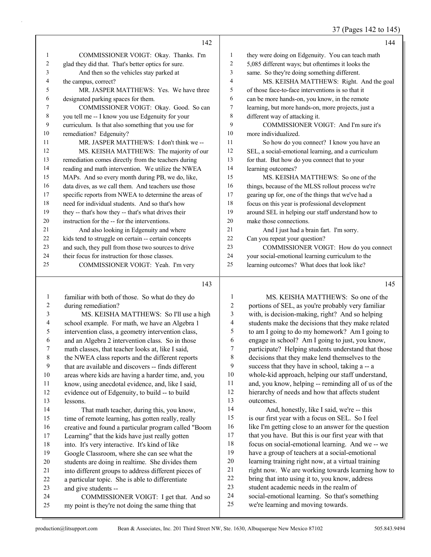37 (Pages 142 to 145)

|    | 142                                                  |    | 144                                                |
|----|------------------------------------------------------|----|----------------------------------------------------|
| 1  | COMMISSIONER VOIGT: Okay. Thanks. I'm                | 1  | they were doing on Edgenuity. You can teach math   |
| 2  | glad they did that. That's better optics for sure.   | 2  | 5,085 different ways; but oftentimes it looks the  |
| 3  | And then so the vehicles stay parked at              | 3  | same. So they're doing something different.        |
| 4  | the campus, correct?                                 | 4  | MS. KEISHA MATTHEWS: Right. And the goal           |
| 5  | MR. JASPER MATTHEWS: Yes. We have three              | 5  | of those face-to-face interventions is so that it  |
| 6  | designated parking spaces for them.                  | 6  | can be more hands-on, you know, in the remote      |
| 7  | COMMISSIONER VOIGT: Okay. Good. So can               | 7  | learning, but more hands-on, more projects, just a |
| 8  | you tell me -- I know you use Edgenuity for your     | 8  | different way of attacking it.                     |
| 9  | curriculum. Is that also something that you use for  | 9  | COMMISSIONER VOIGT: And I'm sure it's              |
| 10 | remediation? Edgenuity?                              | 10 | more individualized.                               |
| 11 | MR. JASPER MATTHEWS: I don't think we --             | 11 | So how do you connect? I know you have an          |
| 12 | MS. KEISHA MATTHEWS: The majority of our             | 12 | SEL, a social-emotional learning, and a curriculum |
| 13 | remediation comes directly from the teachers during  | 13 | for that. But how do you connect that to your      |
| 14 | reading and math intervention. We utilize the NWEA   | 14 | learning outcomes?                                 |
| 15 | MAPs. And so every month during PB, we do, like,     | 15 | MS. KEISHA MATTHEWS: So one of the                 |
| 16 | data dives, as we call them. And teachers use those  | 16 | things, because of the MLSS rollout process we're  |
| 17 | specific reports from NWEA to determine the areas of | 17 | gearing up for, one of the things that we've had a |
| 18 | need for individual students. And so that's how      | 18 | focus on this year is professional development     |
| 19 | they -- that's how they -- that's what drives their  | 19 | around SEL in helping our staff understand how to  |
| 20 | instruction for the -- for the interventions.        | 20 | make those connections.                            |
| 21 | And also looking in Edgenuity and where              | 21 | And I just had a brain fart. I'm sorry.            |
| 22 | kids tend to struggle on certain -- certain concepts | 22 | Can you repeat your question?                      |
| 23 | and such, they pull from those two sources to drive  | 23 | COMMISSIONER VOIGT: How do you connect             |
| 24 | their focus for instruction for those classes.       | 24 | your social-emotional learning curriculum to the   |
| 25 | COMMISSIONER VOIGT: Yeah. I'm very                   | 25 | learning outcomes? What does that look like?       |
|    | 143                                                  |    | 145                                                |
|    |                                                      |    |                                                    |

familiar with both of those. So what do they do

| 2              | during remediation?                                  |                |
|----------------|------------------------------------------------------|----------------|
| 3              | MS. KEISHA MATTHEWS: So I'll use a high              |                |
| $\overline{4}$ | school example. For math, we have an Algebra 1       |                |
| 5              | intervention class, a geometry intervention class,   |                |
| 6              | and an Algebra 2 intervention class. So in those     |                |
| 7              | math classes, that teacher looks at, like I said,    |                |
| 8              | the NWEA class reports and the different reports     |                |
| 9              | that are available and discovers -- finds different  |                |
| 10             | areas where kids are having a harder time, and, you  | 1              |
| 11             | know, using anecdotal evidence, and, like I said,    | 1              |
| 12             | evidence out of Edgenuity, to build -- to build      | 1              |
| 13             | lessons.                                             | 1              |
| 14             | That math teacher, during this, you know,            | 1              |
| 15             | time of remote learning, has gotten really, really   | 1              |
| 16             | creative and found a particular program called "Boom | 1              |
| 17             | Learning" that the kids have just really gotten      | 1              |
| 18             | into. It's very interactive. It's kind of like       | 1              |
| 19             | Google Classroom, where she can see what the         | 1              |
| 20             | students are doing in realtime. She divides them     | $\overline{c}$ |
| 21             | into different groups to address different pieces of | $\overline{c}$ |
| 22             | a particular topic. She is able to differentiate     | $\overline{c}$ |
| 23             | and give students --                                 | $\overline{2}$ |
| 24             | COMMISSIONER VOIGT: I get that. And so               | $\overline{c}$ |
| 25             | my point is they're not doing the same thing that    | $\overline{2}$ |
|                |                                                      |                |

1 MS. KEISHA MATTHEWS: So one of the portions of SEL, as you're probably very familiar with, is decision-making, right? And so helping students make the decisions that they make related to am I going to do my homework? Am I going to engage in school? Am I going to just, you know, participate? Helping students understand that those decisions that they make lend themselves to the success that they have in school, taking a -- a whole-kid approach, helping our staff understand, and, you know, helping -- reminding all of us of the 12 hierarchy of needs and how that affects student outcomes. 14 And, honestly, like I said, we're -- this is our first year with a focus on SEL. So I feel like I'm getting close to an answer for the question that you have. But this is our first year with that focus on social-emotional learning. And we -- we have a group of teachers at a social-emotional learning training right now, at a virtual training right now. We are working towards learning how to 22 bring that into using it to, you know, address

- student academic needs in the realm of
- social-emotional learning. So that's something
- we're learning and moving towards.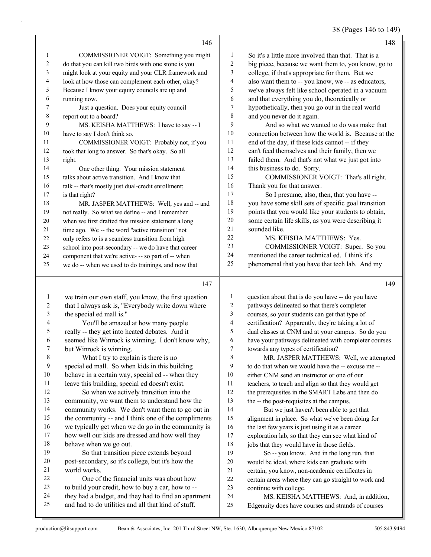|                |                                                      |                          | 38 (Pages 146 to 149)                                |
|----------------|------------------------------------------------------|--------------------------|------------------------------------------------------|
|                | 146                                                  |                          | 148                                                  |
| $\mathbf{1}$   | COMMISSIONER VOIGT: Something you might              | $\mathbf{1}$             | So it's a little more involved than that. That is a  |
| 2              | do that you can kill two birds with one stone is you | $\overline{c}$           | big piece, because we want them to, you know, go to  |
| 3              | might look at your equity and your CLR framework and | 3                        | college, if that's appropriate for them. But we      |
| 4              | look at how those can complement each other, okay?   | 4                        | also want them to -- you know, we -- as educators,   |
| 5              | Because I know your equity councils are up and       | 5                        | we've always felt like school operated in a vacuum   |
| 6              | running now.                                         | 6                        | and that everything you do, theoretically or         |
| 7              | Just a question. Does your equity council            | 7                        | hypothetically, then you go out in the real world    |
| 8              | report out to a board?                               | 8                        | and you never do it again.                           |
| 9              | MS. KEISHA MATTHEWS: I have to say -- I              | 9                        | And so what we wanted to do was make that            |
| 10             | have to say I don't think so.                        | 10                       | connection between how the world is. Because at the  |
| 11             | COMMISSIONER VOIGT: Probably not, if you             | 11                       | end of the day, if these kids cannot -- if they      |
| 12             | took that long to answer. So that's okay. So all     | 12                       | can't feed themselves and their family, then we      |
| 13             | right.                                               | 13                       | failed them. And that's not what we just got into    |
| 14             | One other thing. Your mission statement              | 14                       | this business to do. Sorry.                          |
| 15             | talks about active transition. And I know that       | 15                       | COMMISSIONER VOIGT: That's all right.                |
| 16             | talk -- that's mostly just dual-credit enrollment;   | 16                       | Thank you for that answer.                           |
| 17             | is that right?                                       | 17                       | So I presume, also, then, that you have --           |
| $18\,$         | MR. JASPER MATTHEWS: Well, yes and -- and            | 18                       | you have some skill sets of specific goal transition |
| 19             | not really. So what we define -- and I remember      | 19                       | points that you would like your students to obtain,  |
| $20\,$         | when we first drafted this mission statement a long  | $20\,$                   | some certain life skills, as you were describing it  |
| 21             | time ago. We -- the word "active transition" not     | 21                       | sounded like.                                        |
| 22             | only refers to is a seamless transition from high    | 22                       | MS. KEISHA MATTHEWS: Yes.                            |
| 23             | school into post-secondary -- we do have that career | 23                       | COMMISSIONER VOIGT: Super. So you                    |
| 24             | component that we're active- -- so part of -- when   | 24                       | mentioned the career technical ed. I think it's      |
| 25             | we do -- when we used to do trainings, and now that  | 25                       | phenomenal that you have that tech lab. And my       |
|                |                                                      |                          |                                                      |
|                | 147                                                  |                          | 149                                                  |
| $\mathbf{1}$   | we train our own staff, you know, the first question | 1                        | question about that is do you have -- do you have    |
| $\overline{c}$ | that I always ask is, "Everybody write down where    | $\overline{c}$           | pathways delineated so that there's completer        |
| $\mathfrak{Z}$ | the special ed mall is."                             | 3                        | courses, so your students can get that type of       |
| 4              | You'll be amazed at how many people                  | $\overline{\mathcal{L}}$ | certification? Apparently, they're taking a lot of   |
| 5              | really -- they get into heated debates. And it       | 5                        | dual classes at CNM and at your campus. So do you    |
| 6              | seemed like Winrock is winning. I don't know why,    | 6                        | have your pathways delineated with completer courses |
| 7              | but Winrock is winning.                              | 7                        | towards any types of certification?                  |
| $\,8\,$        | What I try to explain is there is no                 | 8                        | MR. JASPER MATTHEWS: Well, we attempted              |
| 9              | special ed mall. So when kids in this building       | 9                        | to do that when we would have the -- excuse me --    |
| 10             | behave in a certain way, special ed -- when they     | 10                       | either CNM send an instructor or one of our          |
| 11             | leave this building, special ed doesn't exist.       | 11                       | teachers, to teach and align so that they would get  |
| $12\,$         | So when we actively transition into the              | 12                       | the prerequisites in the SMART Labs and then do      |
| 13             | community, we want them to understand how the        | 13                       | the -- the post-requisites at the campus.            |
| 14             | community works. We don't want them to go out in     | 14                       | But we just haven't been able to get that            |
| 15             | the community -- and I think one of the compliments  | 15                       | alignment in place. So what we've been doing for     |
| 16             | we typically get when we do go in the community is   | 16                       | the last few years is just using it as a career      |
| 17             | how well our kids are dressed and how well they      | 17                       | exploration lab, so that they can see what kind of   |
| $18\,$         | behave when we go out.                               | $18\,$                   | jobs that they would have in those fields.           |
| 19             | So that transition piece extends beyond              | 19                       | So -- you know. And in the long run, that            |

 post-secondary, so it's college, but it's how the world works.

22 One of the financial units was about how<br>23 to build your credit, how to buy a car, how to -to build your credit, how to buy a car, how to --24 they had a budget, and they had to find an apartment<br>25 and had to do utilities and all that kind of stuff. and had to do utilities and all that kind of stuff.

24 MS. KEISHA MATTHEWS: And, in addition,

Edgenuity does have courses and strands of courses

 would be ideal, where kids can graduate with certain, you know, non-academic certificates in certain areas where they can go straight to work and

continue with college.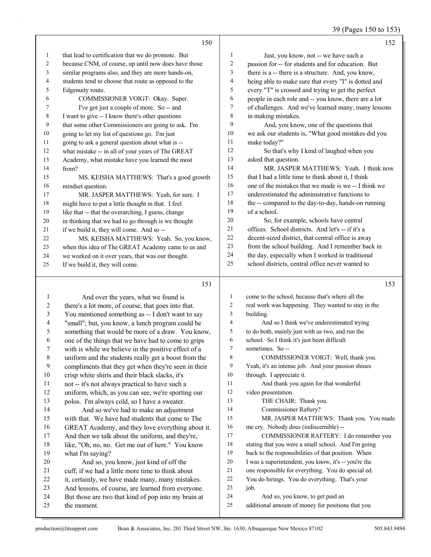## 39 (Pages 150 to 153)

|    | 150                                                  |                | 152                                                  |
|----|------------------------------------------------------|----------------|------------------------------------------------------|
| 1  | that lead to certification that we do promote. But   | 1              | Just, you know, not -- we have such a                |
| 2  | because CNM, of course, up until now does have those | $\overline{c}$ | passion for -- for students and for education. But   |
| 3  | similar programs also, and they are more hands-on,   | 3              | there is a -- there is a structure. And, you know,   |
| 4  | students tend to choose that route as opposed to the | 4              | being able to make sure that every "I" is dotted and |
| 5  | Edgenuity route.                                     | 5              | every "T" is crossed and trying to get the perfect   |
| 6  | COMMISSIONER VOIGT: Okay. Super.                     | 6              | people in each role and -- you know, there are a lot |
| 7  | I've got just a couple of more. So -- and            | 7              | of challenges. And we've learned many, many lessons  |
| 8  | I want to give -- I know there's other questions     | 8              | in making mistakes.                                  |
| 9  | that some other Commissioners are going to ask. I'm  | 9              | And, you know, one of the questions that             |
| 10 | going to let my list of questions go. I'm just       | 10             | we ask our students is, "What good mistakes did you  |
| 11 | going to ask a general question about what is --     | 11             | make today?"                                         |
| 12 | what mistake -- in all of your years of The GREAT    | 12             | So that's why I kind of laughed when you             |
| 13 | Academy, what mistake have you learned the most      | 13             | asked that question.                                 |
| 14 | from?                                                | 14             | MR. JASPER MATTHEWS: Yeah. I think now               |
| 15 | MS. KEISHA MATTHEWS: That's a good growth            | 15             | that I had a little time to think about it, I think  |
| 16 | mindset question.                                    | 16             | one of the mistakes that we made is we -- I think we |
| 17 | MR. JASPER MATTHEWS: Yeah, for sure. I               | 17             | underestimated the administrative functions to       |
| 18 | might have to put a little thought in that. I feel   | 18             | the -- compared to the day-to-day, hands-on running  |
| 19 | like that -- that the overarching, I guess, change   | 19             | of a school.                                         |
| 20 | in thinking that we had to go through is we thought  | 20             | So, for example, schools have central                |
| 21 | if we build it, they will come. And so --            | 21             | offices. School districts. And let's -- if it's a    |
| 22 | MS. KEISHA MATTHEWS: Yeah. So, you know,             | 22             | decent-sized district, that central office is away   |
| 23 | when this idea of The GREAT Academy came to us and   | 23             | from the school building. And I remember back in     |
| 24 | we worked on it over years, that was our thought.    | 24             | the day, especially when I worked in traditional     |
| 25 | If we build it, they will come.                      | 25             | school districts, central office never wanted to     |
|    | 151                                                  |                | 153                                                  |
|    |                                                      |                |                                                      |

| 1               | And over the years, what we found is                 | 1              | come to the school, because that's where all the     |
|-----------------|------------------------------------------------------|----------------|------------------------------------------------------|
| $\overline{2}$  | there's a lot more, of course, that goes into that.  | $\mathfrak{2}$ | real work was happening. They wanted to stay in the  |
| $\mathfrak{Z}$  | You mentioned something as -- I don't want to say    | 3              | building.                                            |
| $\overline{4}$  | "small"; but, you know, a lunch program could be     | 4              | And so I think we've underestimated trying           |
| 5               | something that would be more of a draw. You know,    | 5              | to do both, mainly just with us two, and run the     |
| 6               | one of the things that we have had to come to grips  | 6              | school. So I think it's just been difficult          |
| $\tau$          | with is while we believe in the positive effect of a | 7              | sometimes. So --                                     |
| $8\phantom{.0}$ | uniform and the students really get a boost from the | 8              | COMMISSIONER VOIGT: Well, thank you.                 |
| 9               | compliments that they get when they're seen in their | 9              | Yeah, it's an intense job. And your passion shines   |
| 10              | crisp white shirts and their black slacks, it's      | 10             | through. I appreciate it.                            |
| 11              | not -- it's not always practical to have such a      | 11             | And thank you again for that wonderful               |
| 12              | uniform, which, as you can see, we're sporting our   | 12             | video presentation.                                  |
| 13              | polos. I'm always cold, so I have a sweater.         | 13             | THE CHAIR: Thank you.                                |
| 14              | And so we've had to make an adjustment               | 14             | Commissioner Raftery?                                |
| 15              | with that. We have had students that come to The     | 15             | MR. JASPER MATTHEWS: Thank you. You made             |
| 16              | GREAT Academy, and they love everything about it.    | 16             | me cry. Nobody does (indiscernible) --               |
| 17              | And then we talk about the uniform, and they're,     | 17             | COMMISSIONER RAFTERY: I do remember you              |
| 18              | like, "Oh, no, no. Get me out of here." You know     | 18             | stating that you were a small school. And I'm going  |
| 19              | what I'm saying?                                     | 19             | back to the responsibilities of that position. When  |
| 20              | And so, you know, just kind of off the               | 20             | I was a superintendent, you know, it's -- you're the |
| 21              | cuff, if we had a little more time to think about    | 21             | one responsible for everything. You do special ed.   |
| 22              | it, certainly, we have made many, many mistakes.     | 22             | You do hirings. You do everything. That's your       |
| 23              | And lessons, of course, are learned from everyone.   | 23             | iob.                                                 |
| 24              | But those are two that kind of pop into my brain at  | 24             | And so, you know, to get paid an                     |
| 25              | the moment.                                          | 25             | additional amount of money for positions that you    |
|                 |                                                      |                |                                                      |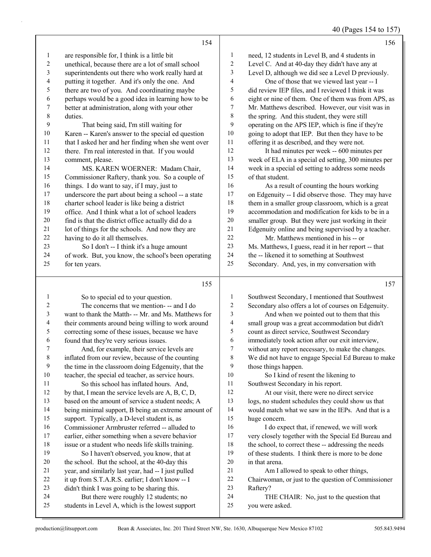40 (Pages 154 to 157)

|              | 154                                                  |                         | 156                                                  |
|--------------|------------------------------------------------------|-------------------------|------------------------------------------------------|
| $\mathbf{1}$ | are responsible for, I think is a little bit         | $\mathbf{1}$            | need, 12 students in Level B, and 4 students in      |
| 2            | unethical, because there are a lot of small school   | $\boldsymbol{2}$        | Level C. And at 40-day they didn't have any at       |
| 3            | superintendents out there who work really hard at    | 3                       | Level D, although we did see a Level D previously.   |
| 4            | putting it together. And it's only the one. And      | 4                       | One of those that we viewed last year -- I           |
| 5            | there are two of you. And coordinating maybe         | 5                       | did review IEP files, and I reviewed I think it was  |
| 6            | perhaps would be a good idea in learning how to be   | $\epsilon$              | eight or nine of them. One of them was from APS, as  |
| 7            | better at administration, along with your other      | $\boldsymbol{7}$        | Mr. Matthews described. However, our visit was in    |
| 8            | duties.                                              | $\,$ 8 $\,$             | the spring. And this student, they were still        |
| 9            | That being said, I'm still waiting for               | 9                       | operating on the APS IEP, which is fine if they're   |
| 10           | Karen -- Karen's answer to the special ed question   | 10                      | going to adopt that IEP. But then they have to be    |
| 11           | that I asked her and her finding when she went over  | 11                      | offering it as described, and they were not.         |
| 12           | there. I'm real interested in that. If you would     | 12                      | It had minutes per week -- 600 minutes per           |
| 13           | comment, please.                                     | 13                      | week of ELA in a special ed setting, 300 minutes per |
| 14           | MS. KAREN WOERNER: Madam Chair,                      | 14                      | week in a special ed setting to address some needs   |
| 15           | Commissioner Raftery, thank you. So a couple of      | 15                      | of that student.                                     |
| 16           | things. I do want to say, if I may, just to          | 16                      | As a result of counting the hours working            |
| 17           | underscore the part about being a school -- a state  | 17                      | on Edgenuity -- I did observe those. They may have   |
| 18           | charter school leader is like being a district       | $18\,$                  | them in a smaller group classroom, which is a great  |
| 19           | office. And I think what a lot of school leaders     | 19                      | accommodation and modification for kids to be in a   |
| $20\,$       | find is that the district office actually did do a   | 20                      | smaller group. But they were just working in their   |
| $21\,$       | lot of things for the schools. And now they are      | 21                      | Edgenuity online and being supervised by a teacher.  |
| 22           | having to do it all themselves.                      | 22                      | Mr. Matthews mentioned in his -- or                  |
| 23           | So I don't -- I think it's a huge amount             | 23                      | Ms. Matthews, I guess, read it in her report -- that |
| 24           | of work. But, you know, the school's been operating  | 24                      | the -- likened it to something at Southwest          |
| 25           | for ten years.                                       | 25                      | Secondary. And, yes, in my conversation with         |
|              | 155                                                  |                         | 157                                                  |
| $\mathbf{1}$ | So to special ed to your question.                   | $\mathbf{1}$            | Southwest Secondary, I mentioned that Southwest      |
| 2            | The concerns that we mention--- and I do             | $\overline{c}$          | Secondary also offers a lot of courses on Edgenuity. |
| 3            | want to thank the Matth- -- Mr. and Ms. Matthews for | 3                       | And when we pointed out to them that this            |
| 4            | their comments around being willing to work around   | $\overline{\mathbf{4}}$ | small group was a great accommodation but didn't     |
| 5            | correcting some of these issues, because we have     | $\mathfrak s$           | count as direct service, Southwest Secondary         |
| 6            | found that they're very serious issues.              | 6                       | immediately took action after our exit interview,    |
| 7            | And, for example, their service levels are           | 7                       | without any report necessary, to make the changes.   |
| 8            | inflated from our review, because of the counting    | 8                       | We did not have to engage Special Ed Bureau to make  |

 We did not have to engage Special Ed Bureau to make those things happen.

- 10 So I kind of resent the likening to Southwest Secondary in his report. 12 At our visit, there were no direct service logs, no student schedules they could show us that
- would match what we saw in the IEPs. And that is a huge concern. 16 I do expect that, if renewed, we will work
- very closely together with the Special Ed Bureau and 18 the school, to correct these -- addressing the needs of these students. I think there is more to be done in that arena.
- 21 Am I allowed to speak to other things,
- Chairwoman, or just to the question of Commissioner Raftery?
- 24 THE CHAIR: No, just to the question that you were asked.

 the time in the classroom doing Edgenuity, that the teacher, the special ed teacher, as service hours. 11 So this school has inflated hours. And, by that, I mean the service levels are A, B, C, D, based on the amount of service a student needs; A being minimal support, B being an extreme amount of

 support. Typically, a D-level student is, as Commissioner Armbruster referred -- alluded to earlier, either something when a severe behavior issue or a student who needs life skills training. 19 So I haven't observed, you know, that at the school. But the school, at the 40-day this year, and similarly last year, had -- I just pulled it up from S.T.A.R.S. earlier; I don't know -- I didn't think I was going to be sharing this. 24 But there were roughly 12 students; no students in Level A, which is the lowest support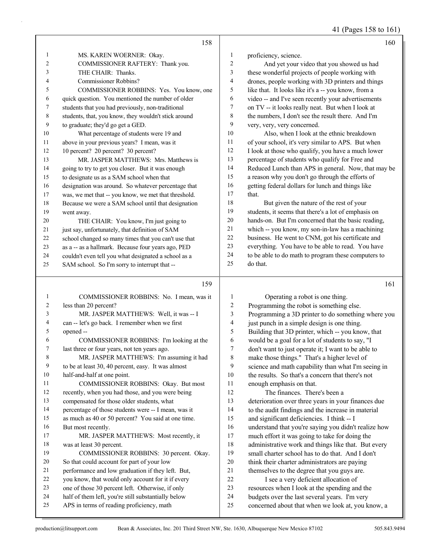41 (Pages 158 to 161)

|                |                                                      |                | $+1$ (Fages 1.30 to 101)                             |
|----------------|------------------------------------------------------|----------------|------------------------------------------------------|
|                | 158                                                  |                | 160                                                  |
| 1              | MS. KAREN WOERNER: Okay.                             | $\mathbf{1}$   | proficiency, science.                                |
| $\overline{c}$ | COMMISSIONER RAFTERY: Thank you.                     | $\overline{c}$ | And yet your video that you showed us had            |
| 3              | THE CHAIR: Thanks.                                   | 3              | these wonderful projects of people working with      |
| 4              | Commissioner Robbins?                                | 4              | drones, people working with 3D printers and things   |
| 5              | COMMISSIONER ROBBINS: Yes. You know, one             | 5              | like that. It looks like it's a -- you know, from a  |
| 6              | quick question. You mentioned the number of older    | 6              | video -- and I've seen recently your advertisements  |
| 7              | students that you had previously, non-traditional    | 7              | on TV -- it looks really neat. But when I look at    |
| 8              | students, that, you know, they wouldn't stick around | 8              | the numbers, I don't see the result there. And I'm   |
| 9              | to graduate; they'd go get a GED.                    | 9              | very, very, very concerned.                          |
| 10             | What percentage of students were 19 and              | 10             | Also, when I look at the ethnic breakdown            |
| 11             | above in your previous years? I mean, was it         | $11\,$         | of your school, it's very similar to APS. But when   |
| 12             | 10 percent? 20 percent? 30 percent?                  | 12             | I look at those who qualify, you have a much lower   |
| 13             | MR. JASPER MATTHEWS: Mrs. Matthews is                | 13             | percentage of students who qualify for Free and      |
| 14             | going to try to get you closer. But it was enough    | 14             | Reduced Lunch than APS in general. Now, that may be  |
| 15             | to designate us as a SAM school when that            | 15             | a reason why you don't go through the efforts of     |
| 16             | designation was around. So whatever percentage that  | 16             | getting federal dollars for lunch and things like    |
| 17             | was, we met that -- you know, we met that threshold. | 17             | that.                                                |
| 18             | Because we were a SAM school until that designation  | 18             | But given the nature of the rest of your             |
| 19             | went away.                                           | 19             | students, it seems that there's a lot of emphasis on |
| 20             | THE CHAIR: You know, I'm just going to               | 20             | hands-on. But I'm concerned that the basic reading,  |
| 21             | just say, unfortunately, that definition of SAM      | 21             | which -- you know, my son-in-law has a machining     |
| 22             | school changed so many times that you can't use that | 22             | business. He went to CNM, got his certificate and    |
| 23             | as a -- as a hallmark. Because four years ago, PED   | 23             | everything. You have to be able to read. You have    |
| 24             | couldn't even tell you what designated a school as a | 24             | to be able to do math to program these computers to  |
| 25             | SAM school. So I'm sorry to interrupt that --        | 25             | do that.                                             |
|                | 159                                                  |                | 161                                                  |
| 1              | COMMISSIONER ROBBINS: No. I mean, was it             | $\mathbf{1}$   | Operating a robot is one thing.                      |
| $\overline{c}$ | less than 20 percent?                                | $\overline{2}$ | Programming the robot is something else.             |
| 3              | MR. JASPER MATTHEWS: Well, it was -- I               | 3              | Programming a 3D printer to do something where you   |
| 4              | can -- let's go back. I remember when we first       | $\overline{4}$ | just punch in a simple design is one thing.          |
| 5              | opened--                                             | 5              | Building that 3D printer, which -- you know, that    |
| 6              | COMMISSIONER ROBBINS: I'm looking at the             | 6              | would be a goal for a lot of students to say, "I     |
| 7              | last three or four years, not ten years ago.         | 7              | don't want to just operate it; I want to be able to  |
| 8              | MR. JASPER MATTHEWS: I'm assuming it had             | 8              | make those things." That's a higher level of         |
| 9              | to be at least 30, 40 percent, easy. It was almost   | 9              | science and math capability than what I'm seeing in  |
| 10             | half-and-half at one point.                          | 10             | the results. So that's a concern that there's not    |
| 11             | COMMISSIONER ROBBINS: Okay. But most                 | 11             | enough emphasis on that.                             |
| 12             | recently, when you had those, and you were being     | 12             | The finances. There's been a                         |
| 13             | compensated for those older students, what           | 13             | deterioration over three years in your finances due  |

percentage of those students were -- I mean, was it

 as much as 40 or 50 percent? You said at one time. But most recently.

17 MR. JASPER MATTHEWS: Most recently, it was at least 30 percent. 19 COMMISSIONER ROBBINS: 30 percent. Okay. So that could account for part of your low performance and low graduation if they left. But, you know, that would only account for it if every one of those 30 percent left. Otherwise, if only

half of them left, you're still substantially below

APS in terms of reading proficiency, math

deterioration over three years in your finances due

to the audit findings and the increase in material

and significant deficiencies. I think -- I

 understand that you're saying you didn't realize how much effort it was going to take for doing the

administrative work and things like that. But every

small charter school has to do that. And I don't

think their charter administrators are paying

themselves to the degree that you guys are.

22 I see a very deficient allocation of

resources when I look at the spending and the

budgets over the last several years. I'm very

concerned about that when we look at, you know, a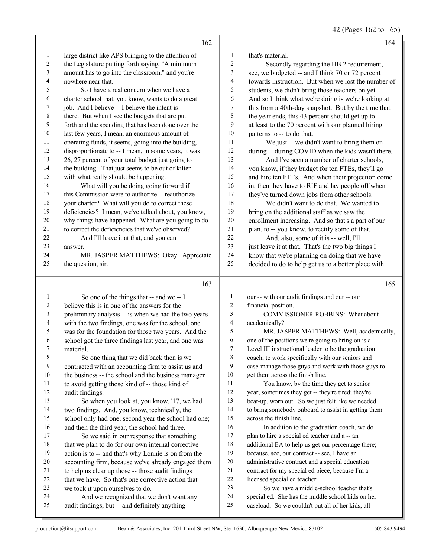42 (Pages 162 to 165)

|             | 162                                                                                                    |                  | 164                                                                                                      |
|-------------|--------------------------------------------------------------------------------------------------------|------------------|----------------------------------------------------------------------------------------------------------|
| 1           | large district like APS bringing to the attention of                                                   | 1                | that's material.                                                                                         |
| 2           | the Legislature putting forth saying, "A minimum                                                       | $\overline{c}$   | Secondly regarding the HB 2 requirement,                                                                 |
| 3           | amount has to go into the classroom," and you're                                                       | 3                | see, we budgeted -- and I think 70 or 72 percent                                                         |
| 4           | nowhere near that.                                                                                     | 4                | towards instruction. But when we lost the number of                                                      |
| 5           | So I have a real concern when we have a                                                                | 5                | students, we didn't bring those teachers on yet.                                                         |
| 6           | charter school that, you know, wants to do a great                                                     | 6                | And so I think what we're doing is we're looking at                                                      |
| 7           | job. And I believe -- I believe the intent is                                                          | 7                | this from a 40th-day snapshot. But by the time that                                                      |
| 8           | there. But when I see the budgets that are put                                                         | 8                | the year ends, this 43 percent should get up to --                                                       |
| 9           | forth and the spending that has been done over the                                                     | 9                | at least to the 70 percent with our planned hiring                                                       |
| 10          | last few years, I mean, an enormous amount of                                                          | 10               | patterns to -- to do that.                                                                               |
| 11          | operating funds, it seems, going into the building,                                                    | 11               | We just -- we didn't want to bring them on                                                               |
| 12          | disproportionate to -- I mean, in some years, it was                                                   | 12               | during -- during COVID when the kids wasn't there.                                                       |
| 13          | 26, 27 percent of your total budget just going to                                                      | 13               | And I've seen a number of charter schools,                                                               |
| 14          | the building. That just seems to be out of kilter                                                      | 14               | you know, if they budget for ten FTEs, they'll go                                                        |
| 15          | with what really should be happening.                                                                  | 15               | and hire ten FTEs. And when their projection come                                                        |
| 16          | What will you be doing going forward if                                                                | 16               | in, then they have to RIF and lay people off when                                                        |
| 17          | this Commission were to authorize -- reauthorize                                                       | 17               | they've turned down jobs from other schools.                                                             |
| 18          | your charter? What will you do to correct these                                                        | 18               | We didn't want to do that. We wanted to                                                                  |
| 19          | deficiencies? I mean, we've talked about, you know,                                                    | 19               | bring on the additional staff as we saw the                                                              |
| 20          | why things have happened. What are you going to do                                                     | $20\,$           | enrollment increasing. And so that's a part of our                                                       |
| 21          | to correct the deficiencies that we've observed?                                                       | $21\,$           | plan, to -- you know, to rectify some of that.                                                           |
| 22          | And I'll leave it at that, and you can                                                                 | 22               | And, also, some of it is -- well, I'll                                                                   |
| 23          | answer.                                                                                                | 23               | just leave it at that. That's the two big things I                                                       |
| 24          | MR. JASPER MATTHEWS: Okay. Appreciate                                                                  | 24               | know that we're planning on doing that we have                                                           |
| 25          | the question, sir.                                                                                     | 25               | decided to do to help get us to a better place with                                                      |
|             |                                                                                                        |                  |                                                                                                          |
|             |                                                                                                        |                  |                                                                                                          |
|             | 163                                                                                                    |                  | 165                                                                                                      |
| 1           | So one of the things that -- and we -- I                                                               | $\mathbf{1}$     | our -- with our audit findings and our -- our                                                            |
| 2           | believe this is in one of the answers for the                                                          | $\overline{c}$   | financial position.                                                                                      |
| 3           | preliminary analysis -- is when we had the two years                                                   | 3                | COMMISSIONER ROBBINS: What about                                                                         |
| 4           | with the two findings, one was for the school, one                                                     | 4                | academically?                                                                                            |
| 5           | was for the foundation for those two years. And the                                                    | 5                | MR. JASPER MATTHEWS: Well, academically,                                                                 |
| 6           | school got the three findings last year, and one was                                                   | 6                | one of the positions we're going to bring on is a                                                        |
| 7           | material.                                                                                              | $\boldsymbol{7}$ | Level III instructional leader to be the graduation                                                      |
| $\,$ 8 $\,$ | So one thing that we did back then is we                                                               | $\,8\,$          | coach, to work specifically with our seniors and                                                         |
| 9           | contracted with an accounting firm to assist us and                                                    | 9                | case-manage those guys and work with those guys to                                                       |
| 10          | the business -- the school and the business manager                                                    | 10<br>11         | get them across the finish line.                                                                         |
| 11<br>12    | to avoid getting those kind of -- those kind of                                                        | 12               | You know, by the time they get to senior                                                                 |
| 13          | audit findings.                                                                                        | 13               | year, sometimes they get -- they're tired; they're                                                       |
| 14          | So when you look at, you know, '17, we had                                                             | 14               | beat-up, worn out. So we just felt like we needed<br>to bring somebody onboard to assist in getting them |
| 15          | two findings. And, you know, technically, the                                                          | 15               | across the finish line.                                                                                  |
| 16          | school only had one; second year the school had one;<br>and then the third year, the school had three. | 16               | In addition to the graduation coach, we do                                                               |
| 17          | So we said in our response that something                                                              | 17               | plan to hire a special ed teacher and a -- an                                                            |
| 18          | that we plan to do for our own internal corrective                                                     | 18               | additional EA to help us get our percentage there;                                                       |
| 19          | action is to -- and that's why Lonnie is on from the                                                   | 19               | because, see, our contract -- see, I have an                                                             |
| 20          | accounting firm, because we've already engaged them                                                    | 20               | administrative contract and a special education                                                          |
| 21          | to help us clear up those -- those audit findings                                                      | 21               | contract for my special ed piece, because I'm a                                                          |
| 22          | that we have. So that's one corrective action that                                                     | 22               | licensed special ed teacher.                                                                             |
| 23          | we took it upon ourselves to do.                                                                       | 23               | So we have a middle-school teacher that's                                                                |
| 24<br>25    | And we recognized that we don't want any<br>audit findings, but -- and definitely anything             | 24<br>25         | special ed. She has the middle school kids on her<br>caseload. So we couldn't put all of her kids, all   |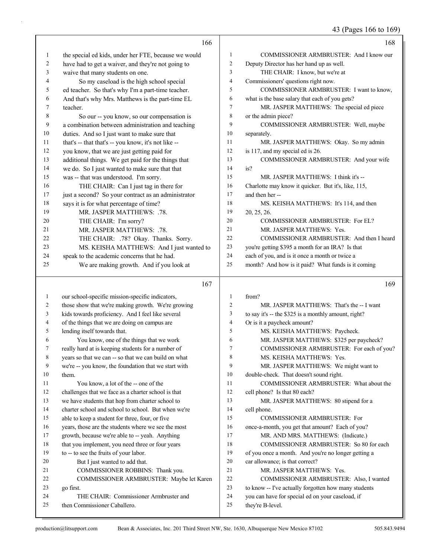43 (Pages 166 to 169)

|              | 166                                                                    |                | 168                                                                  |
|--------------|------------------------------------------------------------------------|----------------|----------------------------------------------------------------------|
| $\mathbf{1}$ | the special ed kids, under her FTE, because we would                   | 1              | COMMISSIONER ARMBRUSTER: And I know our                              |
| 2            | have had to get a waiver, and they're not going to                     | $\overline{c}$ | Deputy Director has her hand up as well.                             |
| 3            | waive that many students on one.                                       | 3              | THE CHAIR: I know, but we're at                                      |
| 4            | So my caseload is the high school special                              | 4              | Commissioners' questions right now.                                  |
| 5            | ed teacher. So that's why I'm a part-time teacher.                     | 5              | COMMISSIONER ARMBRUSTER: I want to know,                             |
| 6            | And that's why Mrs. Matthews is the part-time EL                       | 6              | what is the base salary that each of you gets?                       |
| 7            | teacher.                                                               | $\tau$         | MR. JASPER MATTHEWS: The special ed piece                            |
| 8            | So our -- you know, so our compensation is                             | 8              | or the admin piece?                                                  |
| 9            | a combination between administration and teaching                      | 9              | COMMISSIONER ARMBRUSTER: Well, maybe                                 |
| 10           | duties. And so I just want to make sure that                           | 10             | separately.                                                          |
| 11           | that's -- that that's -- you know, it's not like --                    | 11             | MR. JASPER MATTHEWS: Okay. So my admin                               |
| 12           | you know, that we are just getting paid for                            | 12             | is 117, and my special ed is 26.                                     |
| 13           | additional things. We get paid for the things that                     | 13             | COMMISSIONER ARMBRUSTER: And your wife                               |
| 14           | we do. So I just wanted to make sure that that                         | 14             | is?                                                                  |
| 15           | was -- that was understood. I'm sorry.                                 | 15             | MR. JASPER MATTHEWS: I think it's --                                 |
| 16           | THE CHAIR: Can I just tag in there for                                 | 16             | Charlotte may know it quicker. But it's, like, 115,                  |
| 17           | just a second? So your contract as an administrator                    | 17             | and then her-                                                        |
| 18           | says it is for what percentage of time?                                | 18             | MS. KEISHA MATTHEWS: It's 114, and then                              |
| 19           | MR. JASPER MATTHEWS: .78.                                              | 19             | 20, 25, 26.                                                          |
| 20           | THE CHAIR: I'm sorry?                                                  | 20             | COMMISSIONER ARMBRUSTER: For EL?                                     |
| 21           | MR. JASPER MATTHEWS: .78.                                              | 21             | MR. JASPER MATTHEWS: Yes.                                            |
| 22           | THE CHAIR: .78? Okay. Thanks. Sorry.                                   | 22             | COMMISSIONER ARMBRUSTER: And then I heard                            |
| 23           | MS. KEISHA MATTHEWS: And I just wanted to                              | 23             | you're getting \$395 a month for an IRA? Is that                     |
| 24           | speak to the academic concerns that he had.                            | 24             | each of you, and is it once a month or twice a                       |
| 25           | We are making growth. And if you look at                               | 25             | month? And how is it paid? What funds is it coming                   |
|              |                                                                        |                |                                                                      |
|              |                                                                        |                |                                                                      |
|              | 167                                                                    |                | 169                                                                  |
| 1            | our school-specific mission-specific indicators,                       | 1              | from?                                                                |
| 2            | those show that we're making growth. We're growing                     | $\overline{2}$ | MR. JASPER MATTHEWS: That's the -- I want                            |
| 3            | kids towards proficiency. And I feel like several                      | 3              | to say it's -- the \$325 is a monthly amount, right?                 |
| 4            | of the things that we are doing on campus are                          | $\overline{4}$ | Or is it a paycheck amount?                                          |
| 5            | lending itself towards that.                                           | 5              | MS. KEISHA MATTHEWS: Paycheck.                                       |
| 6            | You know, one of the things that we work                               | 6              | MR. JASPER MATTHEWS: \$325 per paycheck?                             |
| 7            | really hard at is keeping students for a number of                     | 7              | COMMISSIONER ARMBRUSTER: For each of you?                            |
| 8            | years so that we can -- so that we can build on what                   | 8              | MS. KEISHA MATTHEWS: Yes.                                            |
| 9            | we're -- you know, the foundation that we start with                   | 9              | MR. JASPER MATTHEWS: We might want to                                |
| 10           | them.                                                                  | 10             | double-check. That doesn't sound right.                              |
| 11           | You know, a lot of the -- one of the                                   | 11             | COMMISSIONER ARMBRUSTER: What about the                              |
| 12           | challenges that we face as a charter school is that                    | 12             | cell phone? Is that 80 each?                                         |
| 13           | we have students that hop from charter school to                       | 13             | MR. JASPER MATTHEWS: 80 stipend for a                                |
| 14           | charter school and school to school. But when we're                    | 14             | cell phone.                                                          |
| 15           | able to keep a student for three, four, or five                        | 15             | COMMISSIONER ARMBRUSTER: For                                         |
| 16           | years, those are the students where we see the most                    | 16             | once-a-month, you get that amount? Each of you?                      |
| 17           | growth, because we're able to -- yeah. Anything                        | 17             | MR. AND MRS. MATTHEWS: (Indicate.)                                   |
| 18           | that you implement, you need three or four years                       | 18             | COMMISSIONER ARMBRUSTER: So 80 for each                              |
| 19           | to -- to see the fruits of your labor.                                 | 19             | of you once a month. And you're no longer getting a                  |
| 20           | But I just wanted to add that.                                         | 20             | car allowance; is that correct?                                      |
| 21           | COMMISSIONER ROBBINS: Thank you.                                       | 21             | MR. JASPER MATTHEWS: Yes.                                            |
| 22           | COMMISSIONER ARMBRUSTER: Maybe let Karen                               | 22             | COMMISSIONER ARMBRUSTER: Also, I wanted                              |
| 23           | go first.                                                              | 23             | to know -- I've actually forgotten how many students                 |
| 24<br>25     | THE CHAIR: Commissioner Armbruster and<br>then Commissioner Caballero. | 24<br>25       | you can have for special ed on your caseload, if<br>they're B-level. |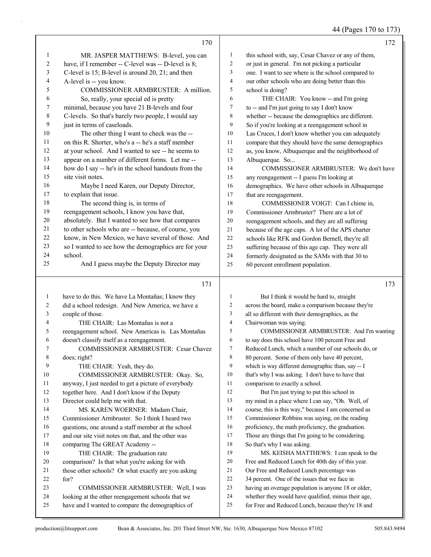44 (Pages 170 to 173)

|              | 170                                                                                   |                     | 172                                                                                                     |
|--------------|---------------------------------------------------------------------------------------|---------------------|---------------------------------------------------------------------------------------------------------|
| $\mathbf{1}$ | MR. JASPER MATTHEWS: B-level, you can                                                 | 1                   | this school with, say, Cesar Chavez or any of them,                                                     |
| 2            | have, if I remember -- C-level was -- D-level is 8;                                   | $\overline{c}$      | or just in general. I'm not picking a particular                                                        |
| 3            | C-level is 15; B-level is around 20, 21; and then                                     | 3                   | one. I want to see where is the school compared to                                                      |
| 4            | A-level is -- you know.                                                               | $\overline{4}$      | our other schools who are doing better than this                                                        |
| 5            | COMMISSIONER ARMBRUSTER: A million.                                                   | 5                   | school is doing?                                                                                        |
| 6            | So, really, your special ed is pretty                                                 | 6                   | THE CHAIR: You know -- and I'm going                                                                    |
| 7            | minimal, because you have 21 B-levels and four                                        | 7                   | to -- and I'm just going to say I don't know                                                            |
| 8            | C-levels. So that's barely two people, I would say                                    | $\,$ 8 $\,$         | whether -- because the demographics are different.                                                      |
| 9            | just in terms of caseloads.                                                           | 9                   | So if you're looking at a reengagement school in                                                        |
| 10           | The other thing I want to check was the --                                            | 10                  | Las Cruces, I don't know whether you can adequately                                                     |
| 11           | on this R. Shorter, who's a -- he's a staff member                                    | 11                  | compare that they should have the same demographics                                                     |
| 12           | at your school. And I wanted to see -- he seems to                                    | 12                  | as, you know, Albuquerque and the neighborhood of                                                       |
| 13           | appear on a number of different forms. Let me --                                      | 13                  | Albuquerque. So                                                                                         |
| 14           | how do I say -- he's in the school handouts from the                                  | 14                  | COMMISSIONER ARMBRUSTER: We don't have                                                                  |
| 15           | site visit notes.                                                                     | 15                  | any reengagement -- I guess I'm looking at                                                              |
| 16           | Maybe I need Karen, our Deputy Director,                                              | 16                  | demographics. We have other schools in Albuquerque                                                      |
| 17           | to explain that issue.                                                                | 17                  | that are reengagement.                                                                                  |
| $18\,$       | The second thing is, in terms of                                                      | 18                  | COMMISSIONER VOIGT: Can I chime in,                                                                     |
| 19           | reengagement schools, I know you have that,                                           | 19                  | Commissioner Armbruster? There are a lot of                                                             |
| $20\,$       | absolutely. But I wanted to see how that compares                                     | 20                  | reengagement schools, and they are all suffering                                                        |
| 21           | to other schools who are -- because, of course, you                                   | 21                  | because of the age caps. A lot of the APS charter                                                       |
| $22\,$       | know, in New Mexico, we have several of those. And                                    | 22                  | schools like RFK and Gordon Bernell, they're all                                                        |
| 23           | so I wanted to see how the demographics are for your                                  | 23                  | suffering because of this age cap. They were all                                                        |
| 24           | school.                                                                               | 24                  | formerly designated as the SAMs with that 30 to                                                         |
| 25           | And I guess maybe the Deputy Director may                                             | 25                  | 60 percent enrollment population.                                                                       |
|              |                                                                                       |                     |                                                                                                         |
|              |                                                                                       |                     |                                                                                                         |
|              | 171                                                                                   |                     | 173                                                                                                     |
|              |                                                                                       |                     |                                                                                                         |
| $\mathbf{1}$ | have to do this. We have La Montañas; I know they                                     | 1                   | But I think it would be hard to, straight                                                               |
| 2            | did a school redesign. And New America, we have a                                     | 2                   | across the board, make a comparison because they're                                                     |
| 3<br>4       | couple of those.                                                                      | 3<br>$\overline{4}$ | all so different with their demographics, as the                                                        |
| 5            | THE CHAIR: Las Montañas is not a                                                      | 5                   | Chairwoman was saying.                                                                                  |
| 6            | reengagement school. New Americas is. Las Montañas                                    | 6                   | COMMISSIONER ARMBRUSTER: And I'm wanting                                                                |
| 7            | doesn't classify itself as a reengagement.                                            | $\tau$              | to say does this school have 100 percent Free and                                                       |
|              | COMMISSIONER ARMBRUSTER: Cesar Chavez                                                 | 8                   | Reduced Lunch, which a number of our schools do, or                                                     |
| 8<br>9       | does; right?                                                                          | 9                   | 80 percent. Some of them only have 40 percent,                                                          |
| 10           | THE CHAIR: Yeah, they do.                                                             | 10                  | which is way different demographic than, say -- I                                                       |
| 11           | COMMISSIONER ARMBRUSTER: Okay. So,                                                    | 11                  | that's why I was asking. I don't have to have that                                                      |
| 12           | anyway, I just needed to get a picture of everybody                                   | 12                  | comparison to exactly a school.                                                                         |
| 13           | together here. And I don't know if the Deputy                                         | 13                  | But I'm just trying to put this school in                                                               |
| 14           | Director could help me with that.                                                     | 14                  | my mind in a place where I can say, "Oh. Well, of                                                       |
| 15           | MS. KAREN WOERNER: Madam Chair,<br>Commissioner Armbruster. So I think I heard two    | 15                  | course, this is this way," because I am concerned as<br>Commissioner Robbins was saying, on the reading |
| 16           | questions, one around a staff member at the school                                    | 16                  | proficiency, the math proficiency, the graduation.                                                      |
| 17           |                                                                                       | 17                  | Those are things that I'm going to be considering.                                                      |
| 18           | and our site visit notes on that, and the other was<br>comparing The GREAT Academy -- | 18                  | So that's why I was asking.                                                                             |
| 19           | THE CHAIR: The graduation rate                                                        | 19                  | MS. KEISHA MATTHEWS: I can speak to the                                                                 |
| 20           | comparison? Is that what you're asking for with                                       | 20                  | Free and Reduced Lunch for 40th day of this year.                                                       |
| 21           | those other schools? Or what exactly are you asking                                   | 21                  | Our Free and Reduced Lunch percentage was                                                               |
| 22           | for?                                                                                  | 22                  | 34 percent. One of the issues that we face in                                                           |
| 23           | COMMISSIONER ARMBRUSTER: Well, I was                                                  | 23                  | having an overage population is anyone 18 or older,                                                     |
| 24           | looking at the other reengagement schools that we                                     | 24                  | whether they would have qualified, minus their age,                                                     |
| 25           | have and I wanted to compare the demographics of                                      | 25                  | for Free and Reduced Lunch, because they're 18 and                                                      |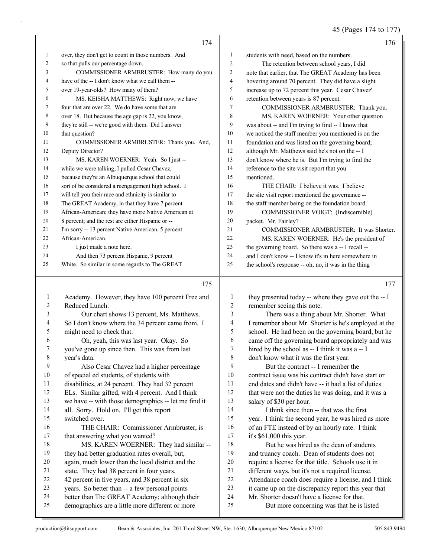(Degges 174 to

|              |                                                      |                  | 43 (Fages 174 to 177                                                 |
|--------------|------------------------------------------------------|------------------|----------------------------------------------------------------------|
|              | 174                                                  |                  | 176                                                                  |
| $\mathbf{1}$ | over, they don't get to count in those numbers. And  | $\mathbf{1}$     | students with need, based on the numbers.                            |
| 2            | so that pulls our percentage down.                   | $\sqrt{2}$       | The retention between school years, I did                            |
| 3            | COMMISSIONER ARMBRUSTER: How many do you             | 3                | note that earlier, that The GREAT Academy has been                   |
| 4            | have of the -- I don't know what we call them --     | $\overline{4}$   | hovering around 70 percent. They did have a slight                   |
| 5            | over 19-year-olds? How many of them?                 | 5                | increase up to 72 percent this year. Cesar Chavez'                   |
| 6            | MS. KEISHA MATTHEWS: Right now, we have              | 6                | retention between years is 87 percent.                               |
| 7            | four that are over 22. We do have some that are      | 7                | COMMISSIONER ARMBRUSTER: Thank you.                                  |
| 8            | over 18. But because the age gap is 22, you know,    | 8                | MS. KAREN WOERNER: Your other question                               |
| 9            | they're still -- we're good with them. Did I answer  | 9                | was about -- and I'm trying to find -- I know that                   |
| 10           | that question?                                       | 10               | we noticed the staff member you mentioned is on the                  |
| 11           | COMMISSIONER ARMBRUSTER: Thank you. And,             | 11               | foundation and was listed on the governing board;                    |
| 12           | Deputy Director?                                     | 12               | although Mr. Matthews said he's not on the -- I                      |
| 13           | MS. KAREN WOERNER: Yeah. So I just --                | 13               | don't know where he is. But I'm trying to find the                   |
| 14           | while we were talking, I pulled Cesar Chavez,        | 14               | reference to the site visit report that you                          |
| 15           | because they're an Albuquerque school that could     | 15               | mentioned.                                                           |
| 16           | sort of be considered a reengagement high school. I  | 16               | THE CHAIR: I believe it was. I believe                               |
| 17           | will tell you their race and ethnicity is similar to | 17               | the site visit report mentioned the governance --                    |
| 18           | The GREAT Academy, in that they have 7 percent       | 18               | the staff member being on the foundation board.                      |
| 19           | African-American; they have more Native American at  | 19               | COMMISSIONER VOIGT: (Indiscernible)                                  |
| 20           | 8 percent; and the rest are either Hispanic or --    | $20\,$           | packet. Mr. Fairley?                                                 |
| 21           | I'm sorry -- 13 percent Native American, 5 percent   | 21               | COMMISSIONER ARMBRUSTER: It was Shorter.                             |
| 22           | African-American.                                    | 22               | MS. KAREN WOERNER: He's the president of                             |
| 23           | I just made a note here.                             | 23               | the governing board. So there was a -- I recall --                   |
| 24           | And then 73 percent Hispanic, 9 percent              | 24               | and I don't know -- I know it's in here somewhere in                 |
| 25           | White. So similar in some regards to The GREAT       | 25               | the school's response -- oh, no, it was in the thing                 |
|              | 175                                                  |                  | 177                                                                  |
|              |                                                      |                  |                                                                      |
| $\mathbf{1}$ | Academy. However, they have 100 percent Free and     | $\mathbf{1}$     | they presented today -- where they gave out the -- I                 |
| 2            | Reduced Lunch.                                       | $\boldsymbol{2}$ | remember seeing this note.                                           |
| 3            | Our chart shows 13 percent, Ms. Matthews.            | $\mathfrak{Z}$   | There was a thing about Mr. Shorter. What                            |
| 4            | So I don't know where the 34 percent came from. I    | 4                | I remember about Mr. Shorter is he's employed at the                 |
| 5            | might need to check that.                            | 5                | school. He had been on the governing board, but he                   |
| 6            | Oh, yeah, this was last year. Okay. So               | 6                | came off the governing board appropriately and was                   |
| 7            | you've gone up since then. This was from last        | 7                | hired by the school as -- I think it was a -- I                      |
| $\,$ 8 $\,$  | year's data.                                         | 8                | don't know what it was the first year.                               |
| 9            | Also Cesar Chavez had a higher percentage            | 9                | But the contract -- I remember the                                   |
| 10           | of special ed students, of students with             | 10               | contract issue was his contract didn't have start or                 |
| 11           | disabilities, at 24 percent. They had 32 percent     | 11               | end dates and didn't have -- it had a list of duties                 |
| 12           | ELs. Similar gifted, with 4 percent. And I think     | 12               | that were not the duties he was doing, and it was a                  |
| 13<br>14     | we have -- with those demographics -- let me find it | 13<br>14         | salary of \$30 per hour.                                             |
| 15           | all. Sorry. Hold on. I'll get this report            | 15               | I think since then -- that was the first                             |
|              | switched over.                                       |                  | year. I think the second year, he was hired as more                  |
| 16           | THE CHAIR: Commissioner Armbruster, is               | 16<br>17         | of an FTE instead of by an hourly rate. I think                      |
| 17           | that answering what you wanted?                      | 18               | it's \$61,000 this year.<br>But he was hired as the dean of students |
| 18           | MS. KAREN WOERNER: They had similar --               | 19               |                                                                      |
| 19           | they had better graduation rates overall, but,       |                  | and truancy coach. Dean of students does not                         |

- state. They had 38 percent in four years,
- 42 percent in five years, and 38 percent in six
- years. So better than -- a few personal points
- better than The GREAT Academy; although their
- demographics are a little more different or more

 require a license for that title. Schools use it in different ways, but it's not a required license. Attendance coach does require a license, and I think it came up on the discrepancy report this year that Mr. Shorter doesn't have a license for that. 25 But more concerning was that he is listed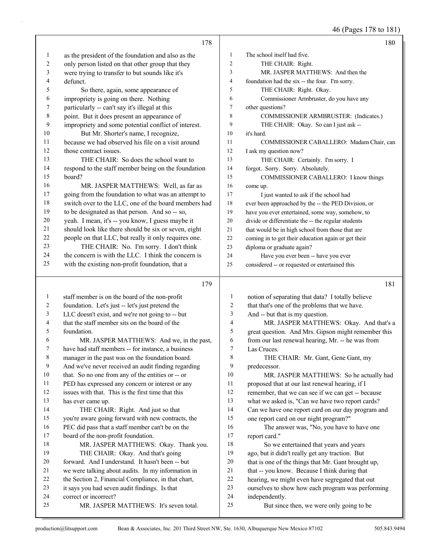46 (Pages 178 to 181)

|              | 178                                                                                                    |                | 180                                                                                 |
|--------------|--------------------------------------------------------------------------------------------------------|----------------|-------------------------------------------------------------------------------------|
| 1            | as the president of the foundation and also as the                                                     | 1              | The school itself had five.                                                         |
| 2            | only person listed on that other group that they                                                       | $\overline{c}$ | THE CHAIR: Right.                                                                   |
| 3            | were trying to transfer to but sounds like it's                                                        | 3              | MR. JASPER MATTHEWS: And then the                                                   |
| 4            | defunct.                                                                                               | 4              | foundation had the six -- the four. I'm sorry.                                      |
| 5            | So there, again, some appearance of                                                                    | 5              | THE CHAIR: Right. Okay.                                                             |
| 6            | impropriety is going on there. Nothing                                                                 | 6              | Commissioner Armbruster, do you have any                                            |
| 7            | particularly -- can't say it's illegal at this                                                         | 7              | other questions?                                                                    |
| $\,8\,$      | point. But it does present an appearance of                                                            | 8              | COMMISSIONER ARMBRUSTER: (Indicates.)                                               |
| 9            | impropriety and some potential conflict of interest.                                                   | 9              | THE CHAIR: Okay. So can I just ask --                                               |
| $10\,$       | But Mr. Shorter's name, I recognize,                                                                   | 10             | it's hard.                                                                          |
| 11           | because we had observed his file on a visit around                                                     | 11             | COMMISSIONER CABALLERO: Madam Chair, can                                            |
| 12           | those contract issues.                                                                                 | 12             | I ask my question now?                                                              |
| 13           | THE CHAIR: So does the school want to                                                                  | 13             | THE CHAIR: Certainly. I'm sorry. I                                                  |
| 14           | respond to the staff member being on the foundation                                                    | 14             | forgot. Sorry. Sorry. Absolutely.                                                   |
| 15           | board?                                                                                                 | 15             | COMMISSIONER CABALLERO: I know things                                               |
| 16           | MR. JASPER MATTHEWS: Well, as far as                                                                   | 16             | come up.                                                                            |
| 17           | going from the foundation to what was an attempt to                                                    | 17             | I just wanted to ask if the school had                                              |
| $18\,$       | switch over to the LLC, one of the board members had                                                   | 18             | ever been approached by the -- the PED Division, or                                 |
| 19           | to be designated as that person. And so -- so,                                                         | 19             | have you ever entertained, some way, somehow, to                                    |
| 20           | yeah. I mean, it's -- you know, I guess maybe it                                                       | 20             | divide or differentiate the -- the regular students                                 |
| 21           | should look like there should be six or seven, eight                                                   | 21             | that would be in high school from those that are                                    |
| 22           | people on that LLC, but really it only requires one.                                                   | $22\,$         | coming in to get their education again or get their                                 |
| 23           | THE CHAIR: No. I'm sorry. I don't think                                                                | 23             | diploma or graduate again?                                                          |
| 24           | the concern is with the LLC. I think the concern is                                                    | 24             | Have you ever been -- have you ever                                                 |
| 25           | with the existing non-profit foundation, that a                                                        | 25             | considered -- or requested or entertained this                                      |
|              | 179                                                                                                    |                |                                                                                     |
|              |                                                                                                        |                |                                                                                     |
|              |                                                                                                        |                | 181                                                                                 |
| $\mathbf{1}$ | staff member is on the board of the non-profit                                                         | $\mathbf{1}$   | notion of separating that data? I totally believe                                   |
| 2            | foundation. Let's just -- let's just pretend the                                                       | $\overline{c}$ | that that's one of the problems that we have.                                       |
| 3            | LLC doesn't exist, and we're not going to -- but                                                       | 3              | And -- but that is my question.                                                     |
| 4            | that the staff member sits on the board of the                                                         | $\overline{4}$ | MR. JASPER MATTHEWS: Okay. And that's a                                             |
| 5            | foundation.                                                                                            | 5              | great question. And Mrs. Gipson might remember this                                 |
| 6<br>7       | MR. JASPER MATTHEWS: And we, in the past,                                                              | 6<br>7         | from our last renewal hearing, Mr. -- he was from                                   |
|              | have had staff members -- for instance, a business                                                     |                | Las Cruces.                                                                         |
| 8<br>9       | manager in the past was on the foundation board.                                                       | 8<br>9         | THE CHAIR: Mr. Gant, Gene Gant, my                                                  |
| 10           | And we've never received an audit finding regarding                                                    | 10             | predecessor.                                                                        |
| 11           | that. So no one from any of the entities or -- or                                                      | 11             | MR. JASPER MATTHEWS: So he actually had                                             |
| 12           | PED has expressed any concern or interest or any<br>issues with that. This is the first time that this | 12             | proposed that at our last renewal hearing, if I                                     |
| 13           | has ever came up.                                                                                      | 13             | remember, that we can see if we can get -- because                                  |
| 14           |                                                                                                        | 14             | what we asked is, "Can we have two report cards?                                    |
| 15           | THE CHAIR: Right. And just so that<br>you're aware going forward with new contracts, the               | 15             | Can we have one report card on our day program and                                  |
| 16           | PEC did pass that a staff member can't be on the                                                       | 16             | one report card on our night program?"<br>The answer was, "No, you have to have one |
| 17           | board of the non-profit foundation.                                                                    | 17             | report card."                                                                       |
| 18           | MR. JASPER MATTHEWS: Okay. Thank you.                                                                  | 18             | So we entertained that years and years                                              |
| 19           | THE CHAIR: Okay. And that's going                                                                      | 19             | ago, but it didn't really get any traction. But                                     |
| 20           | forward. And I understand. It hasn't been -- but                                                       | 20             | that is one of the things that Mr. Gant brought up,                                 |
| 21           | we were talking about audits. In my information in                                                     | 21             | that -- you know. Because I think during that                                       |
| 22           | the Section 2, Financial Compliance, in that chart,                                                    | 22             | hearing, we might even have segregated that out                                     |
| 23           | it says you had seven audit findings. Is that                                                          | 23             | ourselves to show how each program was performing                                   |
| 24<br>25     | correct or incorrect?<br>MR. JASPER MATTHEWS: It's seven total.                                        | 24<br>25       | independently.<br>But since then, we were only going to be                          |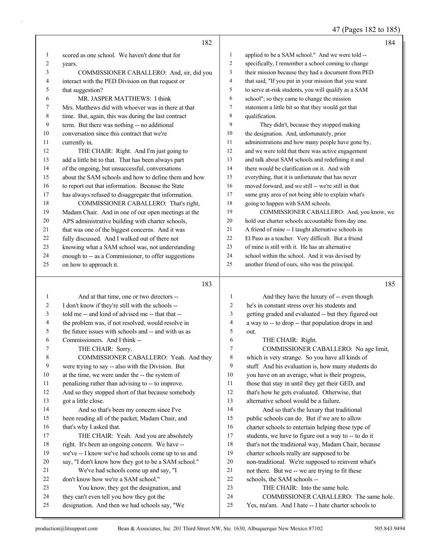47 (Pages 182 to 185)

|              | 182                                                                                        |                | 184                                                                                           |
|--------------|--------------------------------------------------------------------------------------------|----------------|-----------------------------------------------------------------------------------------------|
| 1            | scored as one school. We haven't done that for                                             | $\mathbf{1}$   | applied to be a SAM school." And we were told --                                              |
| 2            | years.                                                                                     | 2              | specifically, I remember a school coming to change                                            |
| 3            | COMMISSIONER CABALLERO: And, sir, did you                                                  | 3              | their mission because they had a document from PED                                            |
| 4            | interact with the PED Division on that request or                                          | 4              | that said, "If you put in your mission that you want                                          |
| 5            | that suggestion?                                                                           | 5              | to serve at-risk students, you will qualify as a SAM                                          |
| 6            | MR. JASPER MATTHEWS: I think                                                               | 6              | school"; so they came to change the mission                                                   |
| 7            | Mrs. Matthews did with whoever was in there at that                                        | 7              | statement a little bit so that they would get that                                            |
| 8            | time. But, again, this was during the last contract                                        | 8              | qualification.                                                                                |
| 9            | term. But there was nothing -- no additional                                               | 9              | They didn't, because they stopped making                                                      |
| 10           | conversation since this contract that we're                                                | 10             | the designation. And, unfortunately, prior                                                    |
| 11           | currently in.                                                                              | 11             | administrations and how many people have gone by,                                             |
| 12           | THE CHAIR: Right. And I'm just going to                                                    | 12             | and we were told that there was active engagement                                             |
| 13           | add a little bit to that. That has been always part                                        | 13             | and talk about SAM schools and redefining it and                                              |
| 14           | of the ongoing, but unsuccessful, conversations                                            | 14             | there would be clarification on it. And with                                                  |
| 15           | about the SAM schools and how to define them and how                                       | 15             | everything, that it is unfortunate that has never                                             |
| 16           | to report out that information. Because the State                                          | 16             | moved forward, and we still -- we're still in that                                            |
| 17           | has always refused to disaggregate that information.                                       | 17             | same gray area of not being able to explain what's                                            |
| 18           | COMMISSIONER CABALLERO: That's right,                                                      | 18             | going to happen with SAM schools.                                                             |
| 19           | Madam Chair. And in one of our open meetings at the                                        | 19             | COMMISSIONER CABALLERO: And, you know, we                                                     |
| 20           | APS administrative building with charter schools,                                          | 20             | hold our charter schools accountable from day one.                                            |
| 21           | that was one of the biggest concerns. And it was                                           | 21             | A friend of mine -- I taught alternative schools in                                           |
| 22           | fully discussed. And I walked out of there not                                             | 22             | El Paso as a teacher. Very difficult. But a friend                                            |
| 23           | knowing what a SAM school was, not understanding                                           | 23             | of mine is still with it. He has an alternative                                               |
| 24           | enough to -- as a Commissioner, to offer suggestions                                       | 24             | school within the school. And it was devised by                                               |
| 25           | on how to approach it.                                                                     | 25             | another friend of ours, who was the principal.                                                |
|              |                                                                                            |                |                                                                                               |
|              | 183                                                                                        |                | 185                                                                                           |
| $\mathbf{1}$ | And at that time, one or two directors --                                                  | $\mathbf{1}$   | And they have the luxury of -- even though                                                    |
| 2            | I don't know if they're still with the schools --                                          | $\overline{c}$ | he's in constant stress over his students and                                                 |
| 3            | told me -- and kind of advised me -- that that --                                          | 3              | getting graded and evaluated -- but they figured out                                          |
| 4            | the problem was, if not resolved, would resolve in                                         | 4              | a way to -- to drop -- that population drops in and                                           |
| 5            | the future issues with schools and -- and with us as                                       | 5              | out.                                                                                          |
| 6            | Commissioners. And I think --                                                              | 6              | THE CHAIR: Right.                                                                             |
| 7            | THE CHAIR: Sorry.                                                                          | 7              | COMMISSIONER CABALLERO: No age limit,                                                         |
| 8            | COMMISSIONER CABALLERO: Yeah. And they                                                     | 8              | which is very strange. So you have all kinds of                                               |
| 9            | were trying to say -- also with the Division. But                                          | 9              | stuff. And his evaluation is, how many students do                                            |
| 10           | at the time, we were under the -- the system of                                            | 10             | you have on an average, what is their progress,                                               |
| 11           | penalizing rather than advising to -- to improve.                                          | 11             | those that stay in until they get their GED, and                                              |
| 12           | And so they stopped short of that because somebody                                         | 12             | that's how he gets evaluated. Otherwise, that                                                 |
| 13           | got a little close.                                                                        | 13             | alternative school would be a failure.                                                        |
| 14           | And so that's been my concern since I've                                                   | 14             | And so that's the luxury that traditional                                                     |
| 15           | been reading all of the packet, Madam Chair, and                                           | 15             | public schools can do. But if we are to allow                                                 |
| 16           | that's why I asked that.                                                                   | 16             | charter schools to entertain helping these type of                                            |
| 17           | THE CHAIR: Yeah. And you are absolutely                                                    | 17             | students, we have to figure out a way to -- to do it                                          |
| $18\,$       | right. It's been an ongoing concern. We have --                                            | 18             | that's not the traditional way, Madam Chair, because                                          |
| 19           | we've -- I know we've had schools come up to us and                                        | 19             | charter schools really are supposed to be                                                     |
| 20           | say, "I don't know how they got to be a SAM school."                                       | 20             | non-traditional. We're supposed to reinvent what's                                            |
| 21           | We've had schools come up and say, "I                                                      | 21             | not there. But we -- we are trying to fit these                                               |
| 22           | don't know how we're a SAM school."                                                        | 22             | schools, the SAM schools --                                                                   |
| 23           | You know, they got the designation, and                                                    | 23             | THE CHAIR: Into the same hole.                                                                |
| 24<br>25     | they can't even tell you how they got the<br>designation. And then we had schools say, "We | 24<br>25       | COMMISSIONER CABALLERO: The same hole.<br>Yes, ma'am. And I hate -- I hate charter schools to |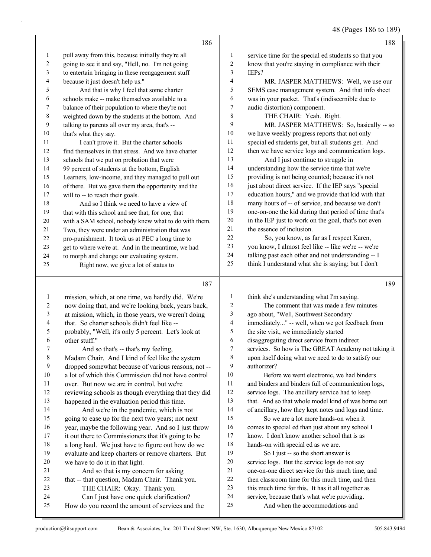48 (Pages 186 to 189)

|                | 186                                                                                          |                          | 188                                                                              |
|----------------|----------------------------------------------------------------------------------------------|--------------------------|----------------------------------------------------------------------------------|
| $\mathbf{1}$   | pull away from this, because initially they're all                                           | $\mathbf{1}$             | service time for the special ed students so that you                             |
| 2              | going to see it and say, "Hell, no. I'm not going                                            | $\overline{2}$           | know that you're staying in compliance with their                                |
| $\mathfrak{Z}$ | to entertain bringing in these reengagement stuff                                            | 3                        | IEPs?                                                                            |
| 4              | because it just doesn't help us."                                                            | $\overline{4}$           | MR. JASPER MATTHEWS: Well, we use our                                            |
| 5              | And that is why I feel that some charter                                                     | 5                        | SEMS case management system. And that info sheet                                 |
| 6              | schools make -- make themselves available to a                                               | 6                        | was in your packet. That's (indiscernible due to                                 |
| 7              | balance of their population to where they're not                                             | 7                        | audio distortion) component.                                                     |
| 8              | weighted down by the students at the bottom. And                                             | 8                        | THE CHAIR: Yeah. Right.                                                          |
| 9              | talking to parents all over my area, that's --                                               | 9                        | MR. JASPER MATTHEWS: So, basically -- so                                         |
| 10             | that's what they say.                                                                        | $10\,$                   | we have weekly progress reports that not only                                    |
| 11             | I can't prove it. But the charter schools                                                    | 11                       | special ed students get, but all students get. And                               |
| 12             | find themselves in that stress. And we have charter                                          | $12\,$                   | then we have service logs and communication logs.                                |
| 13             | schools that we put on probation that were                                                   | 13                       | And I just continue to struggle in                                               |
| 14             | 99 percent of students at the bottom, English                                                | 14                       | understanding how the service time that we're                                    |
| 15             | Learners, low-income, and they managed to pull out                                           | 15                       | providing is not being counted; because it's not                                 |
| 16             | of there. But we gave them the opportunity and the                                           | 16                       | just about direct service. If the IEP says "special                              |
| 17             | will to -- to reach their goals.                                                             | $17\,$                   | education hours," and we provide that kid with that                              |
| 18             | And so I think we need to have a view of                                                     | 18                       | many hours of -- of service, and because we don't                                |
| 19             | that with this school and see that, for one, that                                            | 19                       | one-on-one the kid during that period of time that's                             |
| $20\,$         | with a SAM school, nobody knew what to do with them.                                         | $20\,$                   | in the IEP just to work on the goal, that's not even                             |
| 21             | Two, they were under an administration that was                                              | $21$                     | the essence of inclusion.                                                        |
| 22             | pro-punishment. It took us at PEC a long time to                                             | 22                       | So, you know, as far as I respect Karen,                                         |
| 23             | get to where we're at. And in the meantime, we had                                           | 23<br>24                 | you know, I almost feel like -- like we're -- we're                              |
| 24             | to morph and change our evaluating system.                                                   | 25                       | talking past each other and not understanding -- I                               |
| 25             | Right now, we give a lot of status to                                                        |                          | think I understand what she is saying; but I don't                               |
|                |                                                                                              |                          |                                                                                  |
|                | 187                                                                                          |                          | 189                                                                              |
| $\mathbf{1}$   | mission, which, at one time, we hardly did. We're                                            | $\mathbf{1}$             | think she's understanding what I'm saying.                                       |
| $\overline{c}$ | now doing that, and we're looking back, years back,                                          | 2                        | The comment that was made a few minutes                                          |
| 3              | at mission, which, in those years, we weren't doing                                          | $\mathfrak{Z}$           | ago about, "Well, Southwest Secondary                                            |
| 4              | that. So charter schools didn't feel like --                                                 | $\overline{\mathcal{L}}$ | immediately" -- well, when we got feedback from                                  |
| 5              | probably, "Well, it's only 5 percent. Let's look at                                          | 5                        | the site visit, we immediately started                                           |
| 6              | other stuff."                                                                                | 6                        | disaggregating direct service from indirect                                      |
|                | And so that's -- that's my feeling,                                                          | 7                        | services. So how is The GREAT Academy not taking it                              |
| 8              | Madam Chair. And I kind of feel like the system                                              | 8                        | upon itself doing what we need to do to satisfy our                              |
| 9              | dropped somewhat because of various reasons, not --                                          | 9                        | authorizer?                                                                      |
| 10             | a lot of which this Commission did not have control                                          | 10                       | Before we went electronic, we had binders                                        |
| 11             | over. But now we are in control, but we're                                                   | 11                       | and binders and binders full of communication logs,                              |
| 12             | reviewing schools as though everything that they did                                         | 12                       | service logs. The ancillary service had to keep                                  |
| 13             | happened in the evaluation period this time.                                                 | 13                       | that. And so that whole model kind of was borne out                              |
| 14             | And we're in the pandemic, which is not                                                      | 14                       | of ancillary, how they kept notes and logs and time.                             |
| 15             | going to ease up for the next two years; not next                                            | 15                       | So we are a lot more hands-on when it                                            |
| 16             | year, maybe the following year. And so I just throw                                          | 16                       | comes to special ed than just about any school I                                 |
| 17             | it out there to Commissioners that it's going to be                                          | 17                       | know. I don't know another school that is as                                     |
| 18             | a long haul. We just have to figure out how do we                                            | 18                       | hands-on with special ed as we are.                                              |
| 19             | evaluate and keep charters or remove charters. But                                           | 19                       | So I just -- so the short answer is                                              |
| 20             | we have to do it in that light.                                                              | $20\,$                   | service logs. But the service logs do not say                                    |
| 21             | And so that is my concern for asking                                                         | 21                       | one-on-one direct service for this much time, and                                |
| 22             | that -- that question, Madam Chair. Thank you.                                               | 22                       | then classroom time for this much time, and then                                 |
| 23             | THE CHAIR: Okay. Thank you.                                                                  | 23                       | this much time for this. It has it all together as                               |
| 24<br>25       | Can I just have one quick clarification?<br>How do you record the amount of services and the | 24<br>25                 | service, because that's what we're providing.<br>And when the accommodations and |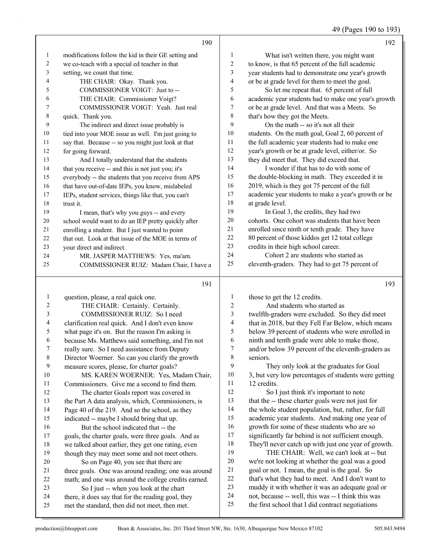49 (Pages 190 to 193)

|                | 190                                                  |                         | 192                                                  |
|----------------|------------------------------------------------------|-------------------------|------------------------------------------------------|
| 1              | modifications follow the kid in their GE setting and | $\mathbf{1}$            | What isn't written there, you might want             |
| $\overline{c}$ | we co-teach with a special ed teacher in that        | $\overline{c}$          | to know, is that 65 percent of the full academic     |
| 3              | setting, we count that time.                         | 3                       | year students had to demonstrate one year's growth   |
| 4              | THE CHAIR: Okay. Thank you.                          | $\overline{\mathbf{4}}$ | or be at grade level for them to meet the goal.      |
| 5              | COMMISSIONER VOIGT: Just to --                       | 5                       | So let me repeat that. 65 percent of full            |
| 6              | THE CHAIR: Commissioner Voigt?                       | 6                       | academic year students had to make one year's growth |
| 7              | COMMISSIONER VOIGT: Yeah. Just real                  | 7                       | or be at grade level. And that was a Meets. So       |
| $\,8\,$        | quick. Thank you.                                    | 8                       | that's how they got the Meets.                       |
| 9              | The indirect and direct issue probably is            | 9                       | On the math -- so it's not all their                 |
| 10             | tied into your MOE issue as well. I'm just going to  | 10                      | students. On the math goal, Goal 2, 60 percent of    |
| 11             | say that. Because -- so you might just look at that  | 11                      | the full academic year students had to make one      |
| 12             | for going forward.                                   | 12                      | year's growth or be at grade level, either/or. So    |
| 13             | And I totally understand that the students           | 13                      | they did meet that. They did exceed that.            |
| 14             | that you receive -- and this is not just you; it's   | 14                      | I wonder if that has to do with some of              |
| 15             | everybody -- the students that you receive from APS  | 15                      | the double-blocking in math. They exceeded it in     |
| 16             | that have out-of-date IEPs, you know, mislabeled     | 16                      | 2019, which is they got 75 percent of the full       |
| 17             | IEPs, student services, things like that, you can't  | 17                      | academic year students to make a year's growth or be |
| 18             | trust it.                                            | 18                      | at grade level.                                      |
| 19             | I mean, that's why you guys -- and every             | 19                      | In Goal 3, the credits, they had two                 |
| $20\,$         | school would want to do an IEP pretty quickly after  | 20                      | cohorts. One cohort was students that have been      |
| 21             | enrolling a student. But I just wanted to point      | 21                      | enrolled since ninth or tenth grade. They have       |
| 22             | that out. Look at that issue of the MOE in terms of  | 22                      | 80 percent of those kiddos get 12 total college      |
| 23             | your direct and indirect.                            | 23                      | credits in their high school career.                 |
| 24             | MR. JASPER MATTHEWS: Yes, ma'am.                     | 24                      | Cohort 2 are students who started as                 |
| 25             | COMMISSIONER RUIZ: Madam Chair, I have a             | 25                      | eleventh-graders. They had to get 75 percent of      |
|                | 191                                                  |                         | 193                                                  |
| $\mathbf{1}$   | question, please, a real quick one.                  | $\mathbf{1}$            | those to get the 12 credits.                         |
| 2              | THE CHAIR: Certainly. Certainly.                     | $\overline{c}$          | And students who started as                          |
| 3              | COMMISSIONER RUIZ: So I need                         | 3                       | twelfth-graders were excluded. So they did meet      |
| 4              | clarification real quick. And I don't even know      | 4                       | that in 2018, but they Fell Far Below, which means   |
| 5              | what page it's on. But the reason I'm asking is      | 5                       | below 39 percent of students who were enrolled in    |
| 6              | because Ms. Matthews said something, and I'm not     | 6                       | ninth and tenth grade were able to make those,       |

- really sure. So I need assistance from Deputy Director Woerner. So can you clarify the growth measure scores, please, for charter goals?
	- 10 MS. KAREN WOERNER: Yes, Madam Chair, Commissioners. Give me a second to find them. 12 The charter Goals report was covered in the Part A data analysis, which, Commissioners, is Page 40 of the 219. And so the school, as they indicated -- maybe I should bring that up. 16 But the school indicated that -- the goals, the charter goals, were three goals. And as
	- we talked about earlier, they get one rating, even though they may meet some and not meet others. 20 So on Page 40, you see that there are three goals. One was around reading; one was around math; and one was around the college credits earned. 23 So I just -- when you look at the chart
	- there, it does say that for the reading goal, they
	- met the standard, then did not meet, then met.

- 6 ninth and tenth grade were able to make those,<br>
7 and/or below 39 percent of the eleventh-grader and/or below 39 percent of the eleventh-graders as seniors. 9 They only look at the graduates for Goal
- 3, but very low percentages of students were getting 12 credits.
- 12 So I just think it's important to note that the -- these charter goals were not just for the whole student population, but, rather, for full academic year students. And making one year of growth for some of these students who are so significantly far behind is not sufficient enough. 18 They'll never catch up with just one year of growth.<br>19 THE CHAIR: Well, we can't look at -- but THE CHAIR: Well, we can't look at -- but we're not looking at whether the goal was a good goal or not. I mean, the goal is the goal. So that's what they had to meet. And I don't want to muddy it with whether it was an adequate goal or not, because -- well, this was -- I think this was
- the first school that I did contract negotiations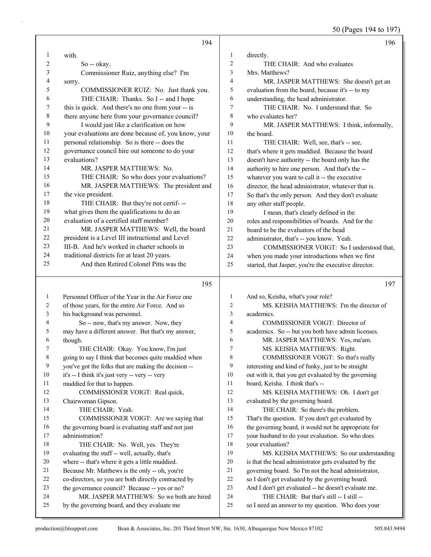50 (Pages 194 to 197)

|                | 194                                                  |                | 196                                                  |
|----------------|------------------------------------------------------|----------------|------------------------------------------------------|
| $\mathbf{1}$   | with.                                                | $\mathbf{1}$   | directly.                                            |
| $\overline{c}$ | So -- okay.                                          | $\overline{2}$ | THE CHAIR: And who evaluates                         |
| 3              | Commissioner Ruiz, anything else? I'm                | 3              | Mrs. Matthews?                                       |
| 4              | sorry.                                               | $\overline{4}$ | MR. JASPER MATTHEWS: She doesn't get an              |
| 5              | COMMISSIONER RUIZ: No. Just thank you.               | 5              | evaluation from the board, because it's -- to my     |
| 6              | THE CHAIR: Thanks. So I -- and I hope                | 6              | understanding, the head administrator.               |
| 7              | this is quick. And there's no one from your -- is    | $\tau$         | THE CHAIR: No. I understand that. So                 |
| $\,$ 8 $\,$    | there anyone here from your governance council?      | 8              | who evaluates her?                                   |
| 9              | I would just like a clarification on how             | 9              | MR. JASPER MATTHEWS: I think, informally,            |
| $10\,$         | your evaluations are done because of, you know, your | 10             | the board.                                           |
| 11             | personal relationship. So is there -- does the       | 11             | THE CHAIR: Well, see, that's -- see,                 |
| 12             | governance council hire out someone to do your       | 12             | that's where it gets muddied. Because the board      |
| 13             | evaluations?                                         | 13             | doesn't have authority -- the board only has the     |
| 14             | MR. JASPER MATTHEWS: No.                             | 14             | authority to hire one person. And that's the --      |
| 15             | THE CHAIR: So who does your evaluations?             | 15             | whatever you want to call it -- the executive        |
| 16             | MR. JASPER MATTHEWS: The president and               | 16             | director, the head administrator, whatever that is.  |
| 17             | the vice president.                                  | 17             | So that's the only person. And they don't evaluate   |
| 18             | THE CHAIR: But they're not certif---                 | 18             | any other staff people.                              |
| 19             | what gives them the qualifications to do an          | 19             | I mean, that's clearly defined in the                |
| 20             | evaluation of a certified staff member?              | 20             | roles and responsibilities of boards. And for the    |
| 21             | MR. JASPER MATTHEWS: Well, the board                 | 21             | board to be the evaluators of the head               |
| $22\,$         | president is a Level III instructional and Level     | 22             | administrator, that's -- you know. Yeah.             |
| 23             | III-B. And he's worked in charter schools in         | 23             | COMMISSIONER VOIGT: So I understood that,            |
| 24             | traditional districts for at least 20 years.         | 24             | when you made your introductions when we first       |
| 25             | And then Retired Colonel Pitts was the               | 25             | started, that Jasper, you're the executive director. |
|                |                                                      |                |                                                      |
|                | 195                                                  |                | 197                                                  |
| $\mathbf{1}$   | Personnel Officer of the Year in the Air Force one   | $\mathbf{1}$   | And so, Keisha, what's your role?                    |
| 2              | of those years, for the entire Air Force. And so     | $\overline{c}$ | MS. KEISHA MATTHEWS: I'm the director of             |
| 3              | his background was personnel.                        | $\mathfrak{Z}$ | academics.                                           |
| 4              | So -- now, that's my answer. Now, they               | $\overline{4}$ | COMMISSIONER VOIGT: Director of                      |
| 5              | may have a different answer. But that's my answer,   | 5              | academics. So -- but you both have admin licenses.   |
| 6              | though.                                              | 6              | MR. JASPER MATTHEWS: Yes, ma'am.                     |
| 7              | THE CHAIR: Okay. You know, I'm just                  | $\overline{7}$ | MS. KEISHA MATTHEWS: Right.                          |
| 8              | going to say I think that becomes quite muddied when | 8              | COMMISSIONER VOIGT: So that's really                 |
| 9              | you've got the folks that are making the decision -- | 9              | interesting and kind of funky, just to be straight   |
| 10             | it's -- I think it's just very -- very -- very       | 10             | out with it, that you get evaluated by the governing |
| 11             | muddied for that to happen.                          | 11             | board, Keisha. I think that's --                     |
| 12             | COMMISSIONER VOIGT: Real quick,                      | 12             | MS. KEISHA MATTHEWS: Oh. I don't get                 |
| 13             | Chairwoman Gipson.                                   | 13             | evaluated by the governing board.                    |
| 14             | THE CHAIR: Yeah.                                     | 14             | THE CHAIR: So there's the problem.                   |
| 15             | COMMISSIONER VOIGT: Are we saying that               | 15             | That's the question. If you don't get evaluated by   |
| 16             | the governing board is evaluating staff and not just | 16             | the governing board, it would not be appropriate for |
| 17             | administration?                                      | 17             | your husband to do your evaluation. So who does      |
| 18             | THE CHAIR: No. Well, yes. They're                    | 18             | your evaluation?                                     |
| 19             | evaluating the staff -- well, actually, that's       | 19             | MS. KEISHA MATTHEWS: So our understanding            |
| $20\,$         | where -- that's where it gets a little muddied.      | 20             | is that the head administrator gets evaluated by the |
| 21             | Because Mr. Matthews is the only -- oh, you're       | 21             | governing board. So I'm not the head administrator,  |
| 22             | co-directors, so you are both directly contracted by | 22             | so I don't get evaluated by the governing board.     |
| 23             | the governance council? Because -- yes or no?        | 23             | And I don't get evaluated -- he doesn't evaluate me. |
| 24             | MR. JASPER MATTHEWS: So we both are hired            | 24             | THE CHAIR: But that's still -- I still --            |
| 25             | by the governing board, and they evaluate me         | 25             | so I need an answer to my question. Who does your    |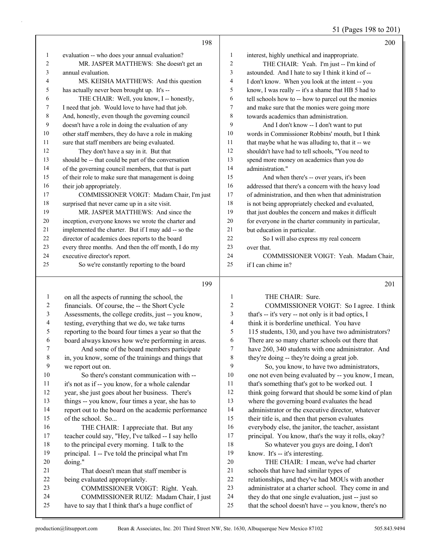51 (Pages 198 to 201)

|              | 198                                                                                            |                | 200                                                                                                         |
|--------------|------------------------------------------------------------------------------------------------|----------------|-------------------------------------------------------------------------------------------------------------|
| 1            | evaluation -- who does your annual evaluation?                                                 | 1              | interest, highly unethical and inappropriate.                                                               |
| 2            | MR. JASPER MATTHEWS: She doesn't get an                                                        | $\sqrt{2}$     | THE CHAIR: Yeah. I'm just -- I'm kind of                                                                    |
| 3            | annual evaluation.                                                                             | 3              | astounded. And I hate to say I think it kind of --                                                          |
| 4            | MS. KEISHA MATTHEWS: And this question                                                         | $\overline{4}$ | I don't know. When you look at the intent -- you                                                            |
| 5            | has actually never been brought up. It's --                                                    | 5              | know, I was really -- it's a shame that HB 5 had to                                                         |
| 6            | THE CHAIR: Well, you know, I -- honestly,                                                      | 6              | tell schools how to -- how to parcel out the monies                                                         |
| 7            | I need that job. Would love to have had that job.                                              | $\tau$         | and make sure that the monies were going more                                                               |
| 8            | And, honestly, even though the governing council                                               | 8              | towards academics than administration.                                                                      |
| 9            | doesn't have a role in doing the evaluation of any                                             | 9              | And I don't know -- I don't want to put                                                                     |
| 10           | other staff members, they do have a role in making                                             | 10             | words in Commissioner Robbins' mouth, but I think                                                           |
| 11           | sure that staff members are being evaluated.                                                   | 11             | that maybe what he was alluding to, that it -- we                                                           |
| 12           | They don't have a say in it. But that                                                          | 12             | shouldn't have had to tell schools, "You need to                                                            |
| 13           | should be -- that could be part of the conversation                                            | 13             | spend more money on academics than you do                                                                   |
| 14           | of the governing council members, that that is part                                            | 14             | administration."                                                                                            |
| 15           | of their role to make sure that management is doing                                            | 15             | And when there's -- over years, it's been                                                                   |
| 16           | their job appropriately.                                                                       | 16             | addressed that there's a concern with the heavy load                                                        |
| 17           | COMMISSIONER VOIGT: Madam Chair, I'm just                                                      | 17             | of administration, and then when that administration                                                        |
| 18           | surprised that never came up in a site visit.                                                  | 18             | is not being appropriately checked and evaluated,                                                           |
| 19           | MR. JASPER MATTHEWS: And since the                                                             | 19             | that just doubles the concern and makes it difficult                                                        |
| 20           | inception, everyone knows we wrote the charter and                                             | 20             | for everyone in the charter community in particular,                                                        |
| 21           | implemented the charter. But if I may add -- so the                                            | 21             | but education in particular.                                                                                |
| 22           | director of academics does reports to the board                                                | 22             | So I will also express my real concern                                                                      |
| 23           | every three months. And then the off month, I do my                                            | 23             | over that.                                                                                                  |
| 24           | executive director's report.                                                                   | 24             | COMMISSIONER VOIGT: Yeah. Madam Chair,                                                                      |
| 25           | So we're constantly reporting to the board                                                     | 25             | if I can chime in?                                                                                          |
|              |                                                                                                |                |                                                                                                             |
|              | 199                                                                                            |                | 201                                                                                                         |
| $\mathbf{1}$ |                                                                                                | $\mathbf{1}$   | THE CHAIR: Sure.                                                                                            |
| 2            | on all the aspects of running the school, the<br>financials. Of course, the -- the Short Cycle | $\overline{c}$ | COMMISSIONER VOIGT: So I agree. I think                                                                     |
| 3            | Assessments, the college credits, just -- you know,                                            | 3              | that's -- it's very -- not only is it bad optics, I                                                         |
| 4            | testing, everything that we do, we take turns                                                  | 4              | think it is borderline unethical. You have                                                                  |
| 5            | reporting to the board four times a year so that the                                           | 5              | 115 students, 130, and you have two administrators?                                                         |
| 6            | board always knows how we're performing in areas.                                              | 6              | There are so many charter schools out there that                                                            |
| 7            | And some of the board members participate                                                      | 7              | have 260, 340 students with one administrator. And                                                          |
| $\,8\,$      | in, you know, some of the trainings and things that                                            | 8              | they're doing -- they're doing a great job.                                                                 |
| 9            | we report out on.                                                                              | 9              | So, you know, to have two administrators,                                                                   |
| 10           | So there's constant communication with --                                                      | 10             | one not even being evaluated by -- you know, I mean,                                                        |
| 11           | it's not as if -- you know, for a whole calendar                                               | 11             | that's something that's got to be worked out. I                                                             |
| 12           | year, she just goes about her business. There's                                                | 12             | think going forward that should be some kind of plan                                                        |
| 13           | things -- you know, four times a year, she has to                                              | 13             | where the governing board evaluates the head                                                                |
| 14           | report out to the board on the academic performance                                            | 14             | administrator or the executive director, whatever                                                           |
| 15           | of the school. So                                                                              | 15             | their title is, and then that person evaluates                                                              |
| 16           | THE CHAIR: I appreciate that. But any                                                          | 16             | everybody else, the janitor, the teacher, assistant                                                         |
| 17           | teacher could say, "Hey, I've talked -- I say hello                                            | 17             | principal. You know, that's the way it rolls, okay?                                                         |
| 18           | to the principal every morning. I talk to the                                                  | 18             | So whatever you guys are doing, I don't                                                                     |
| 19           | principal. I -- I've told the principal what I'm                                               | 19             | know. It's -- it's interesting.                                                                             |
| 20           | doing."                                                                                        | $20\,$         | THE CHAIR: I mean, we've had charter                                                                        |
| 21           | That doesn't mean that staff member is                                                         | 21             | schools that have had similar types of                                                                      |
| 22           | being evaluated appropriately.                                                                 | $22\,$         | relationships, and they've had MOUs with another                                                            |
| 23           | COMMISSIONER VOIGT: Right. Yeah.                                                               | 23             | administrator at a charter school. They come in and                                                         |
| 24<br>25     | COMMISSIONER RUIZ: Madam Chair, I just<br>have to say that I think that's a huge conflict of   | 24<br>25       | they do that one single evaluation, just -- just so<br>that the school doesn't have -- you know, there's no |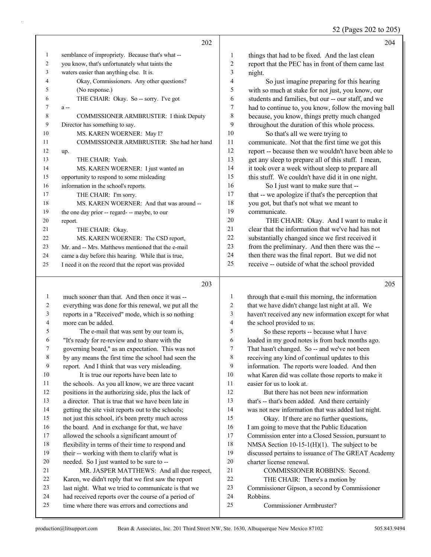52 (Pages 202 to 205)

|    | 202                                                  |                | 204                                                  |
|----|------------------------------------------------------|----------------|------------------------------------------------------|
| 1  | semblance of impropriety. Because that's what --     | 1              | things that had to be fixed. And the last clean      |
| 2  | you know, that's unfortunately what taints the       | $\overline{2}$ | report that the PEC has in front of them came last   |
| 3  | waters easier than anything else. It is.             | 3              | night.                                               |
| 4  | Okay, Commissioners. Any other questions?            | $\overline{4}$ | So just imagine preparing for this hearing           |
| 5  | (No response.)                                       | 5              | with so much at stake for not just, you know, our    |
| 6  | THE CHAIR: Okay. So -- sorry. I've got               | 6              | students and families, but our -- our staff, and we  |
| 7  | $a -$                                                | 7              | had to continue to, you know, follow the moving ball |
| 8  | COMMISSIONER ARMBRUSTER: I think Deputy              | 8              | because, you know, things pretty much changed        |
| 9  | Director has something to say.                       | 9              | throughout the duration of this whole process.       |
| 10 | MS. KAREN WOERNER: May I?                            | 10             | So that's all we were trying to                      |
| 11 | COMMISSIONER ARMBRUSTER: She had her hand            | 11             | communicate. Not that the first time we got this     |
| 12 | up.                                                  | 12             | report -- because then we wouldn't have been able to |
| 13 | THE CHAIR: Yeah.                                     | 13             | get any sleep to prepare all of this stuff. I mean,  |
| 14 | MS. KAREN WOERNER: I just wanted an                  | 14             | it took over a week without sleep to prepare all     |
| 15 | opportunity to respond to some misleading            | 15             | this stuff. We couldn't have did it in one night.    |
| 16 | information in the school's reports.                 | 16             | So I just want to make sure that --                  |
| 17 | THE CHAIR: I'm sorry.                                | 17             | that -- we apologize if that's the perception that   |
| 18 | MS. KAREN WOERNER: And that was around --            | 18             | you got, but that's not what we meant to             |
| 19 | the one day prior -- regard- -- maybe, to our        | 19             | communicate.                                         |
| 20 | report.                                              | 20             | THE CHAIR: Okay. And I want to make it               |
| 21 | THE CHAIR: Okay.                                     | 21             | clear that the information that we've had has not    |
| 22 | MS. KAREN WOERNER: The CSD report,                   | 22             | substantially changed since we first received it     |
| 23 | Mr. and -- Mrs. Matthews mentioned that the e-mail   | 23             | from the preliminary. And then there was the --      |
| 24 | came a day before this hearing. While that is true,  | 24             | then there was the final report. But we did not      |
| 25 | I need it on the record that the report was provided | 25             | receive -- outside of what the school provided       |
|    | 203                                                  |                | 205                                                  |

### 

| 1              | much sooner than that. And then once it was --       | 1              | through that e-mail this morning, the information    |
|----------------|------------------------------------------------------|----------------|------------------------------------------------------|
| $\overline{2}$ | everything was done for this renewal, we put all the | 2              | that we have didn't change last night at all. We     |
| 3              | reports in a "Received" mode, which is so nothing    | 3              | haven't received any new information except for what |
| 4              | more can be added.                                   | $\overline{4}$ | the school provided to us.                           |
| 5              | The e-mail that was sent by our team is,             | 5              | So these reports -- because what I have              |
| 6              | "It's ready for re-review and to share with the      | 6              | loaded in my good notes is from back months ago.     |
| 7              | governing board," as an expectation. This was not    | 7              | That hasn't changed. So -- and we've not been        |
| 8              | by any means the first time the school had seen the  | 8              | receiving any kind of continual updates to this      |
| 9              | report. And I think that was very misleading.        | 9              | information. The reports were loaded. And then       |
| 10             | It is true our reports have been late to             | 10             | what Karen did was collate those reports to make it  |
| 11             | the schools. As you all know, we are three vacant    | 11             | easier for us to look at.                            |
| 12             | positions in the authorizing side, plus the lack of  | 12             | But there has not been new information               |
| 13             | a director. That is true that we have been late in   | 13             | that's -- that's been added. And there certainly     |
| 14             | getting the site visit reports out to the schools;   | 14             | was not new information that was added last night.   |
| 15             | not just this school, it's been pretty much across   | 15             | Okay. If there are no further questions,             |
| 16             | the board. And in exchange for that, we have         | 16             | I am going to move that the Public Education         |
| 17             | allowed the schools a significant amount of          | 17             | Commission enter into a Closed Session, pursuant to  |
| 18             | flexibility in terms of their time to respond and    | 18             | NMSA Section 10-15-1(H)(1). The subject to be        |
| 19             | their -- working with them to clarify what is        | 19             | discussed pertains to issuance of The GREAT Academy  |
| 20             | needed. So I just wanted to be sure to --            | 20             | charter license renewal.                             |
| 21             | MR. JASPER MATTHEWS: And all due respect,            | 21             | <b>COMMISSIONER ROBBINS: Second.</b>                 |
| 22             | Karen, we didn't reply that we first saw the report  | 22             | THE CHAIR: There's a motion by                       |
| 23             | last night. What we tried to communicate is that we  | 23             | Commissioner Gipson, a second by Commissioner        |
| 24             | had received reports over the course of a period of  | 24             | Robbins.                                             |
| 25             | time where there was errors and corrections and      | 25             | Commissioner Armbruster?                             |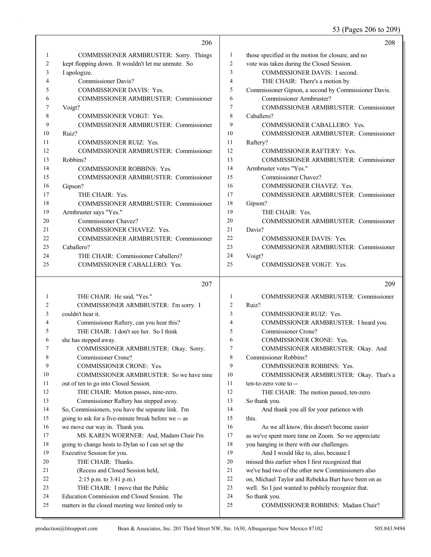53 (Pages 206 to 209)

|              | 206                                                                                |                | 208                                                                               |
|--------------|------------------------------------------------------------------------------------|----------------|-----------------------------------------------------------------------------------|
| $\mathbf{1}$ | COMMISSIONER ARMBRUSTER: Sorry. Things                                             | 1              | those specified in the motion for closure, and no                                 |
| 2            | kept flopping down. It wouldn't let me unmute. So                                  | $\overline{c}$ | vote was taken during the Closed Session.                                         |
| 3            | I apologize.                                                                       | $\overline{3}$ | COMMISSIONER DAVIS: I second.                                                     |
| 4            | <b>Commissioner Davis?</b>                                                         | 4              | THE CHAIR: There's a motion by                                                    |
| 5            | COMMISSIONER DAVIS: Yes.                                                           | 5              | Commissioner Gipson, a second by Commissioner Davis.                              |
| 6            | COMMISSIONER ARMBRUSTER: Commissioner                                              | 6              | Commissioner Armbruster?                                                          |
| 7            | Voigt?                                                                             | $\overline{7}$ | <b>COMMISSIONER ARMBRUSTER: Commissioner</b>                                      |
| 8            | <b>COMMISSIONER VOIGT: Yes.</b>                                                    | 8              | Caballero?                                                                        |
| 9            | COMMISSIONER ARMBRUSTER: Commissioner                                              | 9              | COMMISSIONER CABALLERO: Yes.                                                      |
| 10           | Ruiz?                                                                              | 10             | <b>COMMISSIONER ARMBRUSTER: Commissioner</b>                                      |
| 11           | <b>COMMISSIONER RUIZ: Yes.</b>                                                     | 11             | Raftery?                                                                          |
| 12           | COMMISSIONER ARMBRUSTER: Commissioner                                              | 12             | <b>COMMISSIONER RAFTERY: Yes.</b>                                                 |
| 13           | Robbins?                                                                           | 13             | <b>COMMISSIONER ARMBRUSTER: Commissioner</b>                                      |
| 14           | <b>COMMISSIONER ROBBINS: Yes.</b>                                                  | 14             | Armbruster votes "Yes."                                                           |
| 15           | COMMISSIONER ARMBRUSTER: Commissioner                                              | 15             | Commissioner Chavez?                                                              |
| 16           | Gipson?                                                                            | 16             | COMMISSIONER CHAVEZ: Yes.                                                         |
| 17           | THE CHAIR: Yes.                                                                    | 17             | COMMISSIONER ARMBRUSTER: Commissioner                                             |
| 18           | COMMISSIONER ARMBRUSTER: Commissioner                                              | 18             | Gipson?                                                                           |
| 19           | Armbruster says "Yes."                                                             | 19             | THE CHAIR: Yes.                                                                   |
| 20           | Commissioner Chavez?                                                               | 20             | COMMISSIONER ARMBRUSTER: Commissioner                                             |
| 21           | <b>COMMISSIONER CHAVEZ: Yes.</b>                                                   | 21             | Davis?                                                                            |
| 22           | COMMISSIONER ARMBRUSTER: Commissioner                                              | 22             | <b>COMMISSIONER DAVIS: Yes.</b>                                                   |
| 23           | Caballero?                                                                         | 23             | COMMISSIONER ARMBRUSTER: Commissioner                                             |
| 24           | THE CHAIR: Commissioner Caballero?                                                 | 24             | Voigt?                                                                            |
| 25           | COMMISSIONER CABALLERO: Yes.                                                       | 25             | <b>COMMISSIONER VOIGT: Yes.</b>                                                   |
|              |                                                                                    |                |                                                                                   |
|              |                                                                                    |                |                                                                                   |
|              | 207                                                                                |                | 209                                                                               |
| 1            |                                                                                    | 1              |                                                                                   |
| 2            | THE CHAIR: He said, "Yes."                                                         | $\overline{2}$ | COMMISSIONER ARMBRUSTER: Commissioner<br>Ruiz?                                    |
| 3            | COMMISSIONER ARMBRUSTER: I'm sorry. I<br>couldn't hear it.                         | 3              | <b>COMMISSIONER RUIZ: Yes.</b>                                                    |
| 4            |                                                                                    | 4              |                                                                                   |
| 5            | Commissioner Raftery, can you hear this?<br>THE CHAIR: I don't see her. So I think | 5              | COMMISSIONER ARMBRUSTER: I heard you.<br>Commissioner Crone?                      |
| 6            |                                                                                    | 6              | COMMISSIONER CRONE: Yes.                                                          |
| 7            | she has stepped away.                                                              | 7              |                                                                                   |
| 8            | COMMISSIONER ARMBRUSTER: Okay. Sorry.<br>Commissioner Crone?                       | 8              | COMMISSIONER ARMBRUSTER: Okay. And                                                |
| 9            | COMMISSIONER CRONE: Yes.                                                           | 9              | Commissioner Robbins?                                                             |
| 10           | COMMISSIONER ARMBRUSTER: So we have nine                                           | 10             | COMMISSIONER ROBBINS: Yes.<br>COMMISSIONER ARMBRUSTER: Okay. That's a             |
| 11           | out of ten to go into Closed Session.                                              | 11             | ten-to-zero vote to --                                                            |
| 12           | THE CHAIR: Motion passes, nine-zero.                                               | 12             |                                                                                   |
| 13           | Commissioner Raftery has stepped away.                                             | 13             | THE CHAIR: The motion passed, ten-zero.<br>So thank you.                          |
| 14           | So, Commissioners, you have the separate link. I'm                                 | 14             | And thank you all for your patience with                                          |
| 15           | going to ask for a five-minute break before we -- as                               | 15             | this.                                                                             |
| 16           |                                                                                    | 16             | As we all know, this doesn't become easier                                        |
| 17           | we move our way in. Thank you.<br>MS. KAREN WOERNER: And, Madam Chair I'm          | 17             |                                                                                   |
| 18           | going to change hosts to Dylan so I can set up the                                 | 18             | as we've spent more time on Zoom. So we appreciate                                |
| 19           | Executive Session for you.                                                         | 19             | you hanging in there with our challenges.<br>And I would like to, also, because I |
| 20           | THE CHAIR: Thanks.                                                                 | 20             | missed this earlier when I first recognized that                                  |
| 21           | (Recess and Closed Session held,                                                   | 21             | we've had two of the other new Commissioners also                                 |
| 22           | 2:15 p.m. to 3:41 p.m.)                                                            | 22             | on, Michael Taylor and Rebekka Burt have been on as                               |
| 23           | THE CHAIR: I move that the Public                                                  | 23             | well. So I just wanted to publicly recognize that.                                |
| 24           | Education Commission end Closed Session. The                                       | 24             | So thank you.                                                                     |
| 25           | matters in the closed meeting wee limited only to                                  | 25             | COMMISSIONER ROBBINS: Madam Chair?                                                |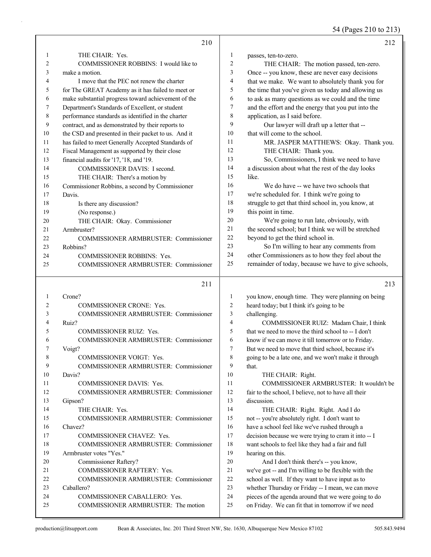54 (Pages 210 to 213)

|                | 210                                                                 |                | 212                                                                                                       |
|----------------|---------------------------------------------------------------------|----------------|-----------------------------------------------------------------------------------------------------------|
| 1              | THE CHAIR: Yes.                                                     | 1              | passes, ten-to-zero.                                                                                      |
| $\overline{2}$ | COMMISSIONER ROBBINS: I would like to                               | $\overline{c}$ | THE CHAIR: The motion passed, ten-zero.                                                                   |
| 3              | make a motion.                                                      | 3              | Once -- you know, these are never easy decisions                                                          |
| 4              | I move that the PEC not renew the charter                           | 4              | that we make. We want to absolutely thank you for                                                         |
| 5              | for The GREAT Academy as it has failed to meet or                   | 5              | the time that you've given us today and allowing us                                                       |
| 6              | make substantial progress toward achievement of the                 | 6              | to ask as many questions as we could and the time                                                         |
| 7              | Department's Standards of Excellent, or student                     | 7              | and the effort and the energy that you put into the                                                       |
| 8              | performance standards as identified in the charter                  | 8              | application, as I said before.                                                                            |
| 9              | contract, and as demonstrated by their reports to                   | 9              | Our lawyer will draft up a letter that --                                                                 |
| 10             | the CSD and presented in their packet to us. And it                 | 10             | that will come to the school.                                                                             |
| 11             | has failed to meet Generally Accepted Standards of                  | 11             | MR. JASPER MATTHEWS: Okay. Thank you.                                                                     |
| 12             | Fiscal Management as supported by their close                       | 12             | THE CHAIR: Thank you.                                                                                     |
| 13             | financial audits for '17, '18, and '19.                             | 13             | So, Commissioners, I think we need to have                                                                |
| 14             | COMMISSIONER DAVIS: I second.                                       | 14             | a discussion about what the rest of the day looks                                                         |
| 15             | THE CHAIR: There's a motion by                                      | 15             | like.                                                                                                     |
| 16             | Commissioner Robbins, a second by Commissioner                      | 16             | We do have -- we have two schools that                                                                    |
| 17             | Davis.                                                              | 17             | we're scheduled for. I think we're going to                                                               |
| 18             | Is there any discussion?                                            | 18             | struggle to get that third school in, you know, at                                                        |
| 19             | (No response.)                                                      | 19             | this point in time.                                                                                       |
| 20             | THE CHAIR: Okay. Commissioner                                       | 20             | We're going to run late, obviously, with                                                                  |
| 21             | Armbruster?                                                         | 21             | the second school; but I think we will be stretched                                                       |
| 22             | COMMISSIONER ARMBRUSTER: Commissioner                               | 22             | beyond to get the third school in.                                                                        |
| 23             | Robbins?                                                            | 23             | So I'm willing to hear any comments from                                                                  |
| 24             | <b>COMMISSIONER ROBBINS: Yes.</b>                                   | 24             | other Commissioners as to how they feel about the                                                         |
| 25             | COMMISSIONER ARMBRUSTER: Commissioner                               | 25             | remainder of today, because we have to give schools,                                                      |
|                |                                                                     |                |                                                                                                           |
|                | 211                                                                 |                | 213                                                                                                       |
| 1              | Crone?                                                              | 1              | you know, enough time. They were planning on being                                                        |
| 2              | COMMISSIONER CRONE: Yes.                                            | 2              | heard today; but I think it's going to be                                                                 |
| 3              | <b>COMMISSIONER ARMBRUSTER: Commissioner</b>                        | 3              | challenging.                                                                                              |
| 4              | Ruiz?                                                               | 4              | COMMISSIONER RUIZ: Madam Chair, I think                                                                   |
| 5              | <b>COMMISSIONER RUIZ: Yes.</b>                                      | 5              | that we need to move the third school to -- I don't                                                       |
| 6              | COMMISSIONER ARMBRUSTER: Commissioner                               | 6              | know if we can move it till tomorrow or to Friday.                                                        |
| 7              | Voigt?                                                              | 7              | But we need to move that third school, because it's                                                       |
| 8              | COMMISSIONER VOIGT: Yes.                                            | 8              | going to be a late one, and we won't make it through                                                      |
| 9              | COMMISSIONER ARMBRUSTER: Commissioner                               | 9              | that.                                                                                                     |
| 10             | Davis?                                                              | 10             | THE CHAIR: Right.                                                                                         |
| 11             | COMMISSIONER DAVIS: Yes.                                            | 11             | COMMISSIONER ARMBRUSTER: It wouldn't be                                                                   |
| 12             | COMMISSIONER ARMBRUSTER: Commissioner                               | 12             | fair to the school, I believe, not to have all their                                                      |
| 13             | Gipson?                                                             | 13             | discussion.                                                                                               |
| 14             | THE CHAIR: Yes.                                                     | 14             | THE CHAIR: Right. Right. And I do                                                                         |
| 15             | COMMISSIONER ARMBRUSTER: Commissioner                               | 15             | not -- you're absolutely right. I don't want to                                                           |
| 16             | Chavez?                                                             | 16             | have a school feel like we've rushed through a                                                            |
| 17             | COMMISSIONER CHAVEZ: Yes.                                           | 17             | decision because we were trying to cram it into -- I                                                      |
| 18             | COMMISSIONER ARMBRUSTER: Commissioner                               | 18             | want schools to feel like they had a fair and full                                                        |
| 19             | Armbruster votes "Yes."                                             | 19             | hearing on this.                                                                                          |
| 20             | Commissioner Raftery?                                               | 20             | And I don't think there's -- you know,                                                                    |
| 21             | COMMISSIONER RAFTERY: Yes.                                          | 21             | we've got -- and I'm willing to be flexible with the                                                      |
| 22             | <b>COMMISSIONER ARMBRUSTER: Commissioner</b>                        | 22             | school as well. If they want to have input as to                                                          |
| 23             | Caballero?                                                          | 23             | whether Thursday or Friday -- I mean, we can move                                                         |
| 24<br>25       | COMMISSIONER CABALLERO: Yes.<br>COMMISSIONER ARMBRUSTER: The motion | 24<br>25       | pieces of the agenda around that we were going to do<br>on Friday. We can fit that in tomorrow if we need |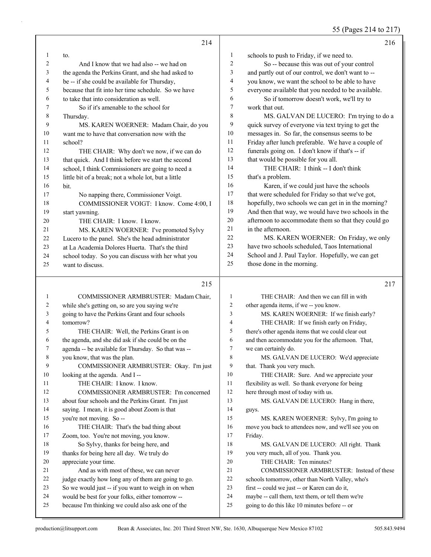## 55 (Pages 214 to 217)

|          | 214                                                                                                     |                | 216                                                                                                |
|----------|---------------------------------------------------------------------------------------------------------|----------------|----------------------------------------------------------------------------------------------------|
| 1        | to.                                                                                                     | 1              | schools to push to Friday, if we need to.                                                          |
| 2        | And I know that we had also -- we had on                                                                | 2              | So -- because this was out of your control                                                         |
| 3        | the agenda the Perkins Grant, and she had asked to                                                      | 3              | and partly out of our control, we don't want to --                                                 |
| 4        | be -- if she could be available for Thursday,                                                           | 4              | you know, we want the school to be able to have                                                    |
| 5        | because that fit into her time schedule. So we have                                                     | 5              | everyone available that you needed to be available.                                                |
| 6        | to take that into consideration as well.                                                                | 6              | So if tomorrow doesn't work, we'll try to                                                          |
| 7        | So if it's amenable to the school for                                                                   | 7              | work that out.                                                                                     |
| 8        | Thursday.                                                                                               | 8              | MS. GALVAN DE LUCERO: I'm trying to do a                                                           |
| 9        | MS. KAREN WOERNER: Madam Chair, do you                                                                  | 9              | quick survey of everyone via text trying to get the                                                |
| 10       | want me to have that conversation now with the                                                          | 10             | messages in. So far, the consensus seems to be                                                     |
| 11       | school?                                                                                                 | 11             | Friday after lunch preferable. We have a couple of                                                 |
| 12       | THE CHAIR: Why don't we now, if we can do                                                               | 12             | funerals going on. I don't know if that's -- if                                                    |
| 13       | that quick. And I think before we start the second                                                      | 13             | that would be possible for you all.                                                                |
| 14       | school, I think Commissioners are going to need a                                                       | 14             | THE CHAIR: I think -- I don't think                                                                |
| 15       | little bit of a break; not a whole lot, but a little                                                    | 15             | that's a problem.                                                                                  |
| 16       | bit.                                                                                                    | 16             | Karen, if we could just have the schools                                                           |
| 17       | No napping there, Commissioner Voigt.                                                                   | 17             | that were scheduled for Friday so that we've got,                                                  |
| 18       | COMMISSIONER VOIGT: I know. Come 4:00, I                                                                | 18             | hopefully, two schools we can get in in the morning?                                               |
| 19       | start yawning.                                                                                          | 19             | And then that way, we would have two schools in the                                                |
| 20       | THE CHAIR: I know. I know.                                                                              | 20             | afternoon to accommodate them so that they could go                                                |
| 21       | MS. KAREN WOERNER: I've promoted Sylvy                                                                  | 21             | in the afternoon.                                                                                  |
| 22       | Lucero to the panel. She's the head administrator                                                       | 22             | MS. KAREN WOERNER: On Friday, we only                                                              |
| 23       | at La Academia Dolores Huerta. That's the third                                                         | 23             | have two schools scheduled, Taos International                                                     |
| 24       | school today. So you can discuss with her what you                                                      | 24             | School and J. Paul Taylor. Hopefully, we can get                                                   |
| 25       | want to discuss.                                                                                        | 25             | those done in the morning.                                                                         |
|          | 215                                                                                                     |                | 217                                                                                                |
| 1        | COMMISSIONER ARMBRUSTER: Madam Chair,                                                                   | $\mathbf{1}$   | THE CHAIR: And then we can fill in with                                                            |
| 2        | while she's getting on, so are you saying we're                                                         | 2              | other agenda items, if we -- you know.                                                             |
| 3        | going to have the Perkins Grant and four schools                                                        | 3              | MS. KAREN WOERNER: If we finish early?                                                             |
| 4        | tomorrow?                                                                                               | $\overline{4}$ | THE CHAIR: If we finish early on Friday,                                                           |
| 5        | THE CHAIR: Well, the Perkins Grant is on                                                                | 5              | there's other agenda items that we could clear out                                                 |
| 6        | the agenda, and she did ask if she could be on the                                                      | 6              | and then accommodate you for the afternoon. That,                                                  |
| 7        | agenda -- be available for Thursday. So that was --                                                     | 7              | we can certainly do.                                                                               |
| 8        | you know, that was the plan.                                                                            | 8              | MS. GALVAN DE LUCERO: We'd appreciate                                                              |
| 9        | COMMISSIONER ARMBRUSTER: Okay. I'm just                                                                 | 9              | that. Thank you very much.                                                                         |
| 10       | looking at the agenda. And I-                                                                           | 10             | THE CHAIR: Sure. And we appreciate your                                                            |
| 11       | THE CHAIR: I know. I know.                                                                              | 11             | flexibility as well. So thank everyone for being                                                   |
| 12       | COMMISSIONER ARMBRUSTER: I'm concerned                                                                  | 12             | here through most of today with us.                                                                |
| 13       | about four schools and the Perkins Grant. I'm just                                                      | 13             | MS. GALVAN DE LUCERO: Hang in there,                                                               |
| 14       | saying. I mean, it is good about Zoom is that                                                           | 14             | guys.                                                                                              |
| 15       | you're not moving. So --                                                                                | 15             | MS. KAREN WOERNER: Sylvy, I'm going to                                                             |
| 16       | THE CHAIR: That's the bad thing about                                                                   | 16             | move you back to attendees now, and we'll see you on                                               |
| 17       | Zoom, too. You're not moving, you know.                                                                 | 17             | Friday.                                                                                            |
| 18       | So Sylvy, thanks for being here, and                                                                    | 18             | MS. GALVAN DE LUCERO: All right. Thank                                                             |
| 19       | thanks for being here all day. We truly do                                                              | 19             | you very much, all of you. Thank you.                                                              |
| 20       | appreciate your time.                                                                                   | 20             | THE CHAIR: Ten minutes?                                                                            |
| 21       | And as with most of these, we can never                                                                 | 21             | COMMISSIONER ARMBRUSTER: Instead of these                                                          |
| 22       |                                                                                                         |                |                                                                                                    |
|          | judge exactly how long any of them are going to go.                                                     | 22             | schools tomorrow, other than North Valley, who's                                                   |
| 23<br>24 | So we would just -- if you want to weigh in on when<br>would be best for your folks, either tomorrow -- | 23<br>$24\,$   | first -- could we just -- or Karen can do it,<br>maybe -- call them, text them, or tell them we're |

going to do this like 10 minutes before -- or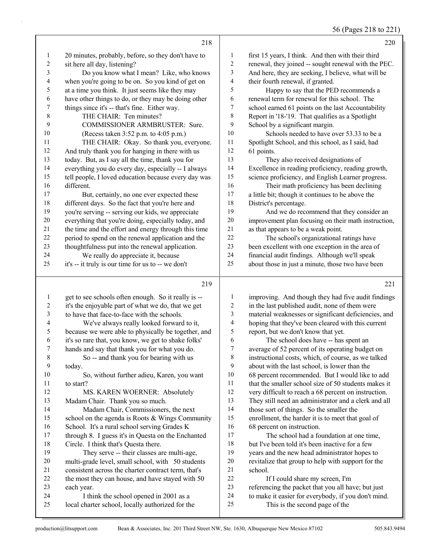56 (Pages 218 to 221)

|                | 218                                                  |                          | 220                                                                                                       |
|----------------|------------------------------------------------------|--------------------------|-----------------------------------------------------------------------------------------------------------|
| 1              | 20 minutes, probably, before, so they don't have to  | 1                        | first 15 years, I think. And then with their third                                                        |
| $\overline{c}$ | sit here all day, listening?                         | $\sqrt{2}$               | renewal, they joined -- sought renewal with the PEC.                                                      |
| 3              | Do you know what I mean? Like, who knows             | 3                        | And here, they are seeking, I believe, what will be                                                       |
| 4              | when you're going to be on. So you kind of get on    | $\overline{\mathcal{A}}$ | their fourth renewal, if granted.                                                                         |
| 5              | at a time you think. It just seems like they may     | 5                        | Happy to say that the PED recommends a                                                                    |
| 6              | have other things to do, or they may be doing other  | 6                        | renewal term for renewal for this school. The                                                             |
| 7              | things since it's -- that's fine. Either way.        | 7                        | school earned 61 points on the last Accountability                                                        |
| 8              | THE CHAIR: Ten minutes?                              | 8                        | Report in '18-'19. That qualifies as a Spotlight                                                          |
| 9              | COMMISSIONER ARMBRUSTER: Sure.                       | 9                        | School by a significant margin.                                                                           |
| 10             | (Recess taken 3:52 p.m. to 4:05 p.m.)                | 10                       | Schools needed to have over 53.33 to be a                                                                 |
| 11             | THE CHAIR: Okay. So thank you, everyone.             | 11                       | Spotlight School, and this school, as I said, had                                                         |
| 12             | And truly thank you for hanging in there with us     | 12                       | 61 points.                                                                                                |
| 13             | today. But, as I say all the time, thank you for     | 13                       | They also received designations of                                                                        |
| 14             | everything you do every day, especially -- I always  | 14                       | Excellence in reading proficiency, reading growth,                                                        |
| 15             | tell people, I loved education because every day was | 15                       | science proficiency, and English Learner progress.                                                        |
| 16             | different.                                           | 16                       | Their math proficiency has been declining                                                                 |
| 17             | But, certainly, no one ever expected these           | 17                       | a little bit; though it continues to be above the                                                         |
| 18             | different days. So the fact that you're here and     | 18                       | District's percentage.                                                                                    |
| 19             | you're serving -- serving our kids, we appreciate    | 19                       | And we do recommend that they consider an                                                                 |
| 20             | everything that you're doing, especially today, and  | $20\,$                   | improvement plan focusing on their math instruction,                                                      |
| 21             | the time and the effort and energy through this time | $21\,$                   | as that appears to be a weak point.                                                                       |
| 22             | period to spend on the renewal application and the   | 22                       | The school's organizational ratings have                                                                  |
| 23             | thoughtfulness put into the renewal application.     | 23                       | been excellent with one exception in the area of                                                          |
| 24             | We really do appreciate it, because                  | 24                       | financial audit findings. Although we'll speak                                                            |
| 25             | it's -- it truly is our time for us to -- we don't   | 25                       | about those in just a minute, those two have been                                                         |
|                |                                                      |                          |                                                                                                           |
|                | 219                                                  |                          | 221                                                                                                       |
| $\mathbf{1}$   | get to see schools often enough. So it really is --  | 1                        | improving. And though they had five audit findings                                                        |
| 2              | it's the enjoyable part of what we do, that we get   | $\overline{c}$           | in the last published audit, none of them were                                                            |
| 3              | to have that face-to-face with the schools.          | 3                        | material weaknesses or significant deficiencies, and                                                      |
| 4              | We've always really looked forward to it,            | 4                        | hoping that they've been cleared with this current                                                        |
| 5              | because we were able to physically be together, and  | 5                        | report, but we don't know that yet.                                                                       |
| 6              | it's so rare that, you know, we get to shake folks'  | 6                        | The school does have -- has spent an                                                                      |
| $\overline{7}$ | hands and say that thank you for what you do.        | 7                        | average of 52 percent of its operating budget on                                                          |
| $\,$ 8 $\,$    | So -- and thank you for bearing with us              | $\,$ $\,$                | instructional costs, which, of course, as we talked                                                       |
| 9              | today.                                               | 9                        | about with the last school, is lower than the                                                             |
| 10             | So, without further adieu, Karen, you want           | 10                       | 68 percent recommended. But I would like to add                                                           |
| 11             | to start?                                            | 11                       | that the smaller school size of 50 students makes it                                                      |
| 12             | MS. KAREN WOERNER: Absolutely                        | 12                       | very difficult to reach a 68 percent on instruction.                                                      |
| 13             | Madam Chair. Thank you so much.                      | 13                       | They still need an administrator and a clerk and all                                                      |
| 14             | Madam Chair, Commissioners, the next                 | 14                       | those sort of things. So the smaller the                                                                  |
| 15             | school on the agenda is Roots & Wings Community      | 15                       | enrollment, the harder it is to meet that goal of                                                         |
| 16             | School. It's a rural school serving Grades K         | 16                       | 68 percent on instruction.                                                                                |
| 17             | through 8. I guess it's in Questa on the Enchanted   | 17                       | The school had a foundation at one time,                                                                  |
| 18             | Circle. I think that's Questa there.                 | 18                       | but I've been told it's been inactive for a few                                                           |
| 19             | They serve -- their classes are multi-age,           | 19                       | years and the new head administrator hopes to                                                             |
| $20\,$         | multi-grade level, small school, with 50 students    | $20\,$                   | revitalize that group to help with support for the                                                        |
| 21             | consistent across the charter contract term, that's  | 21                       | school.                                                                                                   |
| $22\,$<br>23   | the most they can house, and have stayed with 50     | $22\,$<br>23             | If I could share my screen, I'm                                                                           |
| 24             | each year.<br>I think the school opened in 2001 as a | 24                       | referencing the packet that you all have; but just<br>to make it easier for everybody, if you don't mind. |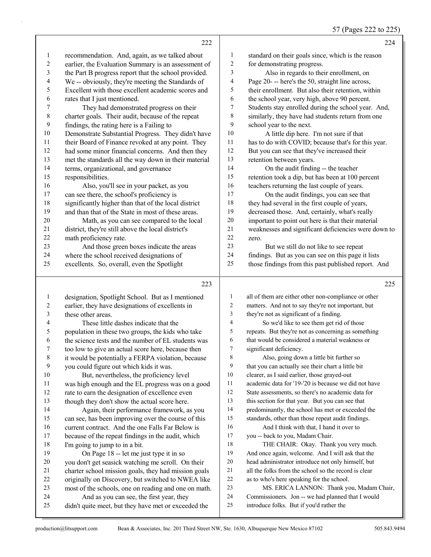### 57 (Pages 222 to 225)

|              | 222                                                  |                | 224                                                  |
|--------------|------------------------------------------------------|----------------|------------------------------------------------------|
| $\mathbf{1}$ | recommendation. And, again, as we talked about       | 1              | standard on their goals since, which is the reason   |
| 2            | earlier, the Evaluation Summary is an assessment of  | 2              | for demonstrating progress.                          |
| 3            | the Part B progress report that the school provided. | 3              | Also in regards to their enrollment, on              |
| 4            | We -- obviously, they're meeting the Standards of    | 4              | Page 20--- here's the 50, straight line across,      |
| 5            | Excellent with those excellent academic scores and   | 5              | their enrollment. But also their retention, within   |
| 6            | rates that I just mentioned.                         | 6              | the school year, very high, above 90 percent.        |
| 7            | They had demonstrated progress on their              | 7              | Students stay enrolled during the school year. And,  |
| $\,$ $\,$    | charter goals. Their audit, because of the repeat    | 8              | similarly, they have had students return from one    |
| 9            | findings, the rating here is a Failing to            | 9              | school year to the next.                             |
| 10           | Demonstrate Substantial Progress. They didn't have   | $10\,$         | A little dip here. I'm not sure if that              |
| 11           | their Board of Finance revoked at any point. They    | 11             | has to do with COVID; because that's for this year.  |
| 12           | had some minor financial concerns. And then they     | 12             | But you can see that they've increased their         |
| 13           | met the standards all the way down in their material | 13             | retention between years.                             |
| 14           | terms, organizational, and governance                | 14             | On the audit finding -- the teacher                  |
| 15           | responsibilities.                                    | 15             | retention took a dip, but has been at 100 percent    |
| 16           | Also, you'll see in your packet, as you              | 16             | teachers returning the last couple of years.         |
| 17           | can see there, the school's proficiency is           | 17             | On the audit findings, you can see that              |
| 18           | significantly higher than that of the local district | 18             | they had several in the first couple of years,       |
| 19           | and than that of the State in most of these areas.   | 19             | decreased those. And, certainly, what's really       |
| 20           | Math, as you can see compared to the local           | $20\,$         | important to point out here is that their material   |
| 21           | district, they're still above the local district's   | 21             | weaknesses and significant deficiencies were down to |
| 22           | math proficiency rate.                               | 22             | zero.                                                |
| 23           | And those green boxes indicate the areas             | 23             | But we still do not like to see repeat               |
| 24           | where the school received designations of            | 24             | findings. But as you can see on this page it lists   |
| 25           | excellents. So, overall, even the Spotlight          | 25             | those findings from this past published report. And  |
|              |                                                      |                |                                                      |
|              | 223                                                  |                | 225                                                  |
| $\mathbf{1}$ | designation, Spotlight School. But as I mentioned    | $\mathbf{1}$   | all of them are either other non-compliance or other |
| 2            | earlier, they have designations of excellents in     | $\overline{c}$ | matters. And not to say they're not important, but   |
| 3            | these other areas.                                   | 3              | they're not as significant of a finding.             |
| 4            | These little dashes indicate that the                | 4              | So we'd like to see them get rid of those            |
| 5            | population in these two groups, the kids who take    | 5              | repeats. But they're not as concerning as something  |
| 6            | the science tests and the number of EL students was  | 6              | that would be considered a material weakness or      |
| 7            | too low to give an actual score here, because then   | 7              | significant deficiency.                              |
| 8            | it would be potentially a FERPA violation, because   | 8              | Also, going down a little bit further so             |
| 9            | you could figure out which kids it was.              | 9              | that you can actually see their chart a little bit   |
| 10           | But, nevertheless, the proficiency level             | 10             | clearer, as I said earlier, those grayed-out         |
| 11           | was high enough and the EL progress was on a good    | 11             | academic data for '19-'20 is because we did not have |
| 12           | rate to earn the designation of excellence even      | 12             | State assessments, so there's no academic data for   |
| 13           | though they don't show the actual score here.        | 13             | this section for that year. But you can see that     |
| 14           | Again, their performance framework, as you           | 14             | predominantly, the school has met or exceeded the    |
| 15           | can see, has been improving over the course of this  | 15             | standards, other than those repeat audit findings.   |
| 16           | current contract. And the one Falls Far Below is     | 16             | And I think with that, I hand it over to             |
| 17           | because of the repeat findings in the audit, which   | 17             | you -- back to you, Madam Chair.                     |
| 18           | I'm going to jump to in a bit.                       | 18             | THE CHAIR: Okay. Thank you very much.                |
| 19           | On Page 18 -- let me just type it in so              | 19             | And once again, welcome. And I will ask that the     |

- you don't get seasick watching me scroll. On their charter school mission goals, they had mission goals head administrator introduce not only himself, but all the folks from the school so the record is clear as to who's here speaking for the school.
- originally on Discovery, but switched to NWEA like most of the schools, one on reading and one on math.
- 24 And as you can see, the first year, they didn't quite meet, but they have met or exceeded the

introduce folks. But if you'd rather the

23 MS. ERICA LANNON: Thank you, Madam Chair, Commissioners. Jon -- we had planned that I would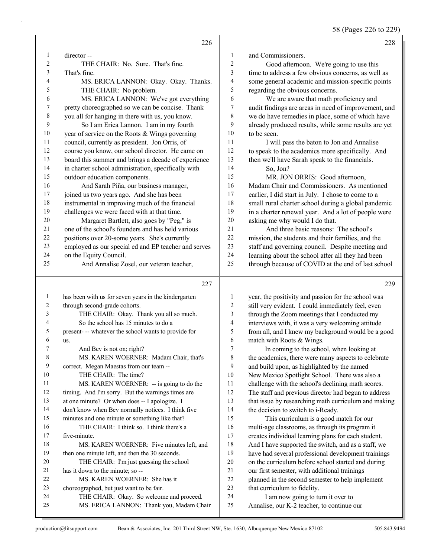58 (Pages 226 to 229)

|                | 226                                                                                  |                          | 228                                                                             |
|----------------|--------------------------------------------------------------------------------------|--------------------------|---------------------------------------------------------------------------------|
| 1              | director-                                                                            | 1                        | and Commissioners.                                                              |
| $\overline{c}$ | THE CHAIR: No. Sure. That's fine.                                                    | 2                        | Good afternoon. We're going to use this                                         |
| 3              | That's fine.                                                                         | 3                        | time to address a few obvious concerns, as well as                              |
| 4              | MS. ERICA LANNON: Okay. Okay. Thanks.                                                | $\overline{\mathcal{L}}$ | some general academic and mission-specific points                               |
| 5              | THE CHAIR: No problem.                                                               | 5                        | regarding the obvious concerns.                                                 |
| 6              | MS. ERICA LANNON: We've got everything                                               | 6                        | We are aware that math proficiency and                                          |
| 7              | pretty choreographed so we can be concise. Thank                                     | 7                        | audit findings are areas in need of improvement, and                            |
| $\,$ 8 $\,$    | you all for hanging in there with us, you know.                                      | 8                        | we do have remedies in place, some of which have                                |
| 9              | So I am Erica Lannon. I am in my fourth                                              | 9                        | already produced results, while some results are yet                            |
| $10\,$         | year of service on the Roots & Wings governing                                       | 10                       | to be seen.                                                                     |
| 11             | council, currently as president. Jon Orris, of                                       | 11                       | I will pass the baton to Jon and Annalise                                       |
| 12             | course you know, our school director. He came on                                     | 12                       | to speak to the academics more specifically. And                                |
| 13             | board this summer and brings a decade of experience                                  | 13                       | then we'll have Sarah speak to the financials.                                  |
| 14             | in charter school administration, specifically with                                  | 14                       | So, Jon?                                                                        |
| 15             | outdoor education components.                                                        | 15                       | MR. JON ORRIS: Good afternoon,                                                  |
| 16             | And Sarah Piña, our business manager,                                                | 16                       | Madam Chair and Commissioners. As mentioned                                     |
| 17             | joined us two years ago. And she has been                                            | 17                       | earlier, I did start in July. I chose to come to a                              |
| 18             | instrumental in improving much of the financial                                      | 18                       | small rural charter school during a global pandemic                             |
| 19             | challenges we were faced with at that time.                                          | 19                       | in a charter renewal year. And a lot of people were                             |
| 20             | Margaret Bartlett, also goes by "Peg," is                                            | 20                       | asking me why would I do that.                                                  |
| 21             | one of the school's founders and has held various                                    | 21                       | And three basic reasons: The school's                                           |
| 22             | positions over 20-some years. She's currently                                        | $22\,$                   | mission, the students and their families, and the                               |
| 23             | employed as our special ed and EP teacher and serves                                 | 23                       | staff and governing council. Despite meeting and                                |
| 24             | on the Equity Council.                                                               | 24                       | learning about the school after all they had been                               |
| 25             | And Annalise Zosel, our veteran teacher,                                             | 25                       | through because of COVID at the end of last school                              |
|                | 227                                                                                  |                          | 229                                                                             |
| $\mathbf{1}$   | has been with us for seven years in the kindergarten                                 | 1                        | year, the positivity and passion for the school was                             |
| 2              | through second-grade cohorts.                                                        | 2                        | still very evident. I could immediately feel, even                              |
| 3              | THE CHAIR: Okay. Thank you all so much.                                              |                          |                                                                                 |
| 4              |                                                                                      | 3                        | through the Zoom meetings that I conducted my                                   |
|                | So the school has 15 minutes to do a                                                 | $\overline{4}$           | interviews with, it was a very welcoming attitude                               |
| 5              | present--- whatever the school wants to provide for                                  | 5                        | from all, and I knew my background would be a good                              |
| 6              | us.                                                                                  | 6                        | match with Roots & Wings.                                                       |
| 7              | And Bev is not on; right?                                                            | 7                        | In coming to the school, when looking at                                        |
| 8              | MS. KAREN WOERNER: Madam Chair, that's                                               | 8                        | the academics, there were many aspects to celebrate                             |
| 9              | correct. Megan Maestas from our team --                                              | 9                        | and build upon, as highlighted by the named                                     |
| 10             | THE CHAIR: The time?                                                                 | $10\,$                   | New Mexico Spotlight School. There was also a                                   |
| 11             | MS. KAREN WOERNER: -- is going to do the                                             | 11                       | challenge with the school's declining math scores.                              |
| 12             | timing. And I'm sorry. But the warnings times are                                    | 12                       | The staff and previous director had begun to address                            |
| 13             | at one minute? Or when does -- I apologize. I                                        | 13                       | that issue by researching math curriculum and making                            |
| 14             | don't know when Bev normally notices. I think five                                   | 14                       | the decision to switch to i-Ready.                                              |
| 15             | minutes and one minute or something like that?                                       | 15                       | This curriculum is a good match for our                                         |
| 16             | THE CHAIR: I think so. I think there's a                                             | 16                       | multi-age classrooms, as through its program it                                 |
| 17             | five-minute.                                                                         | 17                       | creates individual learning plans for each student.                             |
| 18             | MS. KAREN WOERNER: Five minutes left, and                                            | 18                       | And I have supported the switch, and as a staff, we                             |
| 19             | then one minute left, and then the 30 seconds.                                       | 19                       | have had several professional development trainings                             |
| 20             | THE CHAIR: I'm just guessing the school                                              | $20\,$                   | on the curriculum before school started and during                              |
| 21             | has it down to the minute; so --                                                     | 21                       | our first semester, with additional trainings                                   |
| 22             | MS. KAREN WOERNER: She has it                                                        | $22\,$                   | planned in the second semester to help implement                                |
| 23             | choreographed, but just want to be fair.                                             | 23                       | that curriculum to fidelity.                                                    |
| 24<br>25       | THE CHAIR: Okay. So welcome and proceed.<br>MS. ERICA LANNON: Thank you, Madam Chair | 24<br>25                 | I am now going to turn it over to<br>Annalise, our K-2 teacher, to continue our |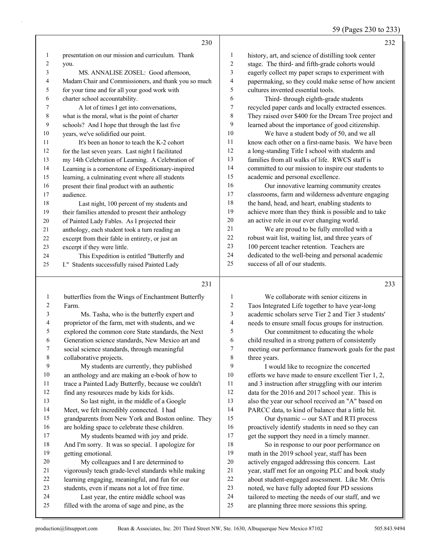59 (Pages 230 to 233)

|                | 230                                                  |                | 232                                                   |
|----------------|------------------------------------------------------|----------------|-------------------------------------------------------|
| 1              | presentation on our mission and curriculum. Thank    | 1              | history, art, and science of distilling took center   |
| 2              | you.                                                 | 2              | stage. The third- and fifth-grade cohorts would       |
| 3              | MS. ANNALISE ZOSEL: Good afternoon,                  | 3              | eagerly collect my paper scraps to experiment with    |
| 4              | Madam Chair and Commissioners, and thank you so much | 4              | papermaking, so they could make sense of how ancient  |
| 5              | for your time and for all your good work with        | 5              | cultures invented essential tools.                    |
| 6              | charter school accountability.                       | 6              | Third-through eighth-grade students                   |
| 7              | A lot of times I get into conversations,             | 7              | recycled paper cards and locally extracted essences.  |
| 8              | what is the moral, what is the point of charter      | 8              | They raised over \$400 for the Dream Tree project and |
| 9              | schools? And I hope that through the last five       | 9              | learned about the importance of good citizenship.     |
| 10             | years, we've solidified our point.                   | 10             | We have a student body of 50, and we all              |
| 11             | It's been an honor to teach the K-2 cohort           | 11             | know each other on a first-name basis. We have been   |
| 12             | for the last seven years. Last night I facilitated   | 12             | a long-standing Title I school with students and      |
| 13             | my 14th Celebration of Learning. A Celebration of    | 13             | families from all walks of life. RWCS staff is        |
| 14             | Learning is a cornerstone of Expeditionary-inspired  | 14             | committed to our mission to inspire our students to   |
| 15             | learning, a culminating event where all students     | 15             | academic and personal excellence.                     |
| 16             | present their final product with an authentic        | 16             | Our innovative learning community creates             |
| 17             | audience.                                            | 17             | classrooms, farm and wilderness adventure engaging    |
| 18             | Last night, 100 percent of my students and           | 18             | the hand, head, and heart, enabling students to       |
| 19             | their families attended to present their anthology   | 19             | achieve more than they think is possible and to take  |
| 20             | of Painted Lady Fables. As I projected their         | 20             | an active role in our ever changing world.            |
| 21             | anthology, each student took a turn reading an       | 21             | We are proud to be fully enrolled with a              |
| 22             | excerpt from their fable in entirety, or just an     | 22             | robust wait list, waiting list, and three years of    |
| 23             | excerpt if they were little.                         | 23             | 100 percent teacher retention. Teachers are           |
| 24             | This Expedition is entitled "Butterfly and           | 24             | dedicated to the well-being and personal academic     |
| 25             | I." Students successfully raised Painted Lady        | 25             | success of all of our students.                       |
|                | 231                                                  |                | 233                                                   |
| 1              | butterflies from the Wings of Enchantment Butterfly  | 1              | We collaborate with senior citizens in                |
| $\overline{c}$ | Farm.                                                | $\overline{c}$ | Taos Integrated Life together to have year-long       |
| 3              | Ms. Tasha, who is the butterfly expert and           | 3              | academic scholars serve Tier 2 and Tier 3 students'   |

 proprietor of the farm, met with students, and we explored the common core State standards, the Next 6 Generation science standards, New Mexico art and<br>
7 social science standards, through meaningful social science standards, through meaningful collaborative projects. 9 My students are currently, they published an anthology and are making an e-book of how to trace a Painted Lady Butterfly, because we couldn't find any resources made by kids for kids. 13 So last night, in the middle of a Google Meet, we felt incredibly connected. I had grandparents from New York and Boston online. They are holding space to celebrate these children.

17 My students beamed with joy and pride. And I'm sorry. It was so special. I apologize for getting emotional.

- 20 My colleagues and I are determined to
- vigorously teach grade-level standards while making

learning engaging, meaningful, and fun for our

- students, even if means not a lot of free time. 24 Last year, the entire middle school was
- filled with the aroma of sage and pine, as the

| 1              | We collaborate with senior citizens in               |
|----------------|------------------------------------------------------|
| $\overline{2}$ | Taos Integrated Life together to have year-long      |
| 3              | academic scholars serve Tier 2 and Tier 3 students'  |
| $\overline{4}$ | needs to ensure small focus groups for instruction.  |
| 5              | Our commitment to educating the whole                |
| 6              | child resulted in a strong pattern of consistently   |
| 7              | meeting our performance framework goals for the past |
| 8              | three years.                                         |
| 9              | I would like to recognize the concerted              |
| 10             | efforts we have made to ensure excellent Tier 1, 2,  |
| 11             | and 3 instruction after struggling with our interim  |
| 12             | data for the 2016 and 2017 school year. This is      |
| 13             | also the year our school received an "A" based on    |
| 14             | PARCC data, to kind of balance that a little bit.    |
| 15             | Our dynamic -- our SAT and RTI process               |
| 16             | proactively identify students in need so they can    |
| 17             | get the support they need in a timely manner.        |
| 18             | So in response to our poor performance on            |
| 19             | math in the 2019 school year, staff has been         |
| 20             | actively engaged addressing this concern. Last       |
| 21             | year, staff met for an ongoing PLC and book study    |
| 22             | about student-engaged assessment. Like Mr. Orris     |
| 23             | noted, we have fully adopted four PD sessions        |
| 24             | tailored to meeting the needs of our staff, and we   |
| 25             | are planning three more sessions this spring.        |
|                |                                                      |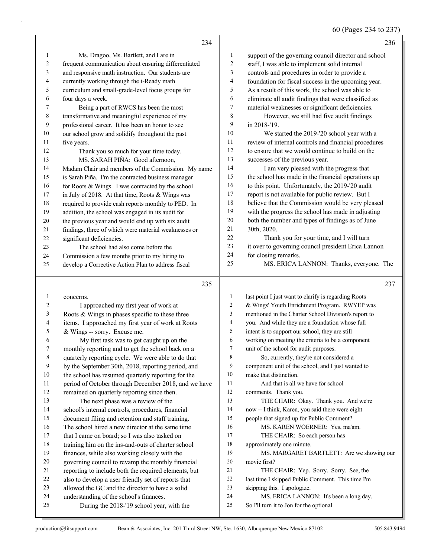# 60 (Pages 234 to 237)

|                | 234                                                                                  |                | 236                                                                                |
|----------------|--------------------------------------------------------------------------------------|----------------|------------------------------------------------------------------------------------|
| 1              | Ms. Dragoo, Ms. Bartlett, and I are in                                               | $\mathbf{1}$   | support of the governing council director and school                               |
| $\overline{c}$ | frequent communication about ensuring differentiated                                 | $\overline{c}$ | staff, I was able to implement solid internal                                      |
| 3              | and responsive math instruction. Our students are                                    | 3              | controls and procedures in order to provide a                                      |
| 4              | currently working through the i-Ready math                                           | 4              | foundation for fiscal success in the upcoming year.                                |
| 5              | curriculum and small-grade-level focus groups for                                    | 5              | As a result of this work, the school was able to                                   |
| 6              | four days a week.                                                                    | 6              | eliminate all audit findings that were classified as                               |
| 7              | Being a part of RWCS has been the most                                               | 7              | material weaknesses or significant deficiencies.                                   |
| 8              | transformative and meaningful experience of my                                       | $\,$ $\,$      | However, we still had five audit findings                                          |
| 9              | professional career. It has been an honor to see                                     | 9              | in 2018-'19.                                                                       |
| 10             | our school grow and solidify throughout the past                                     | 10             | We started the 2019-'20 school year with a                                         |
| 11             | five years.                                                                          | 11             | review of internal controls and financial procedures                               |
| 12             | Thank you so much for your time today.                                               | 12             | to ensure that we would continue to build on the                                   |
| 13             | MS. SARAH PIÑA: Good afternoon,                                                      | 13             | successes of the previous year.                                                    |
| 14             | Madam Chair and members of the Commission. My name                                   | 14             | I am very pleased with the progress that                                           |
| 15             | is Sarah Piña. I'm the contracted business manager                                   | 15             | the school has made in the financial operations up                                 |
| 16             | for Roots & Wings. I was contracted by the school                                    | 16             | to this point. Unfortunately, the 2019-'20 audit                                   |
| 17             | in July of 2018. At that time, Roots & Wings was                                     | 17             | report is not available for public review. But I                                   |
| 18             | required to provide cash reports monthly to PED. In                                  | 18             | believe that the Commission would be very pleased                                  |
| 19             | addition, the school was engaged in its audit for                                    | 19             | with the progress the school has made in adjusting                                 |
| 20             | the previous year and would end up with six audit                                    | 20             | both the number and types of findings as of June                                   |
| 21             | findings, three of which were material weaknesses or                                 | 21             | 30th, 2020.                                                                        |
| 22             | significant deficiencies.                                                            | 22             | Thank you for your time, and I will turn                                           |
| 23             | The school had also come before the                                                  | 23             | it over to governing council president Erica Lannon                                |
| 24             | Commission a few months prior to my hiring to                                        | 24             | for closing remarks.                                                               |
| 25             | develop a Corrective Action Plan to address fiscal                                   | 25             | MS. ERICA LANNON: Thanks, everyone. The                                            |
|                |                                                                                      |                |                                                                                    |
|                |                                                                                      |                |                                                                                    |
|                | 235                                                                                  |                | 237                                                                                |
|                |                                                                                      |                |                                                                                    |
| 1              | concerns.                                                                            | $\mathbf{1}$   | last point I just want to clarify is regarding Roots                               |
| $\overline{c}$ | I approached my first year of work at                                                | $\overline{2}$ | & Wings' Youth Enrichment Program. RWYEP was                                       |
| 3              | Roots & Wings in phases specific to these three                                      | 3              | mentioned in the Charter School Division's report to                               |
| 4              | items. I approached my first year of work at Roots                                   | $\overline{4}$ | you. And while they are a foundation whose full                                    |
| 5              | & Wings -- sorry. Excuse me.                                                         | 5              | intent is to support our school, they are still                                    |
| 6              | My first task was to get caught up on the                                            | 6              | working on meeting the criteria to be a component                                  |
| 7              | monthly reporting and to get the school back on a                                    | $\tau$         | unit of the school for audit purposes.                                             |
| 8              | quarterly reporting cycle. We were able to do that                                   | 8              | So, currently, they're not considered a                                            |
| 9              | by the September 30th, 2018, reporting period, and                                   | 9              | component unit of the school, and I just wanted to                                 |
| 10             | the school has resumed quarterly reporting for the                                   | 10             | make that distinction.                                                             |
| 11             | period of October through December 2018, and we have                                 | 11             | And that is all we have for school                                                 |
| 12             | remained on quarterly reporting since then.                                          | 12             | comments. Thank you.                                                               |
| 13             | The next phase was a review of the                                                   | 13             | THE CHAIR: Okay. Thank you. And we're                                              |
| 14             | school's internal controls, procedures, financial                                    | 14             | now -- I think, Karen, you said there were eight                                   |
| 15             | document filing and retention and staff training.                                    | 15             | people that signed up for Public Comment?                                          |
| 16             | The school hired a new director at the same time                                     | 16             | MS. KAREN WOERNER: Yes, ma'am.                                                     |
| 17             | that I came on board; so I was also tasked on                                        | 17             | THE CHAIR: So each person has                                                      |
| 18             | training him on the ins-and-outs of charter school                                   | 18             | approximately one minute.                                                          |
| 19             | finances, while also working closely with the                                        | 19             | MS. MARGARET BARTLETT: Are we showing our                                          |
| 20             | governing council to revamp the monthly financial                                    | $20\,$         | movie first?                                                                       |
| 21             | reporting to include both the required elements, but                                 | 21             | THE CHAIR: Yep. Sorry. Sorry. See, the                                             |
| 22             | also to develop a user friendly set of reports that                                  | $22\,$         | last time I skipped Public Comment. This time I'm                                  |
| 23             | allowed the GC and the director to have a solid                                      | 23             | skipping this. I apologize.                                                        |
| 24<br>25       | understanding of the school's finances.<br>During the 2018-'19 school year, with the | 24<br>25       | MS. ERICA LANNON: It's been a long day.<br>So I'll turn it to Jon for the optional |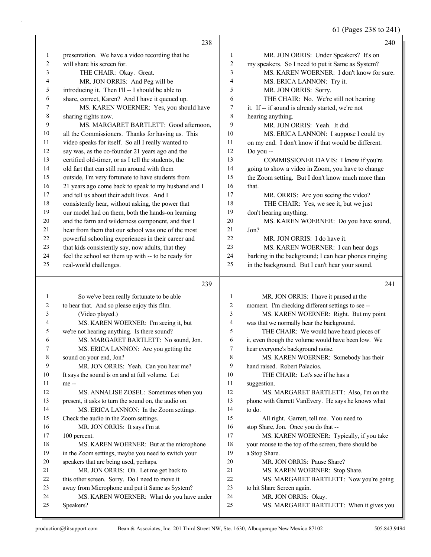61 (Pages 238 to 241)

|              | 238                                                  |                         | 240                                                  |
|--------------|------------------------------------------------------|-------------------------|------------------------------------------------------|
| 1            | presentation. We have a video recording that he      | $\mathbf{1}$            | MR. JON ORRIS: Under Speakers? It's on               |
| 2            | will share his screen for.                           | $\overline{\mathbf{c}}$ | my speakers. So I need to put it Same as System?     |
| 3            | THE CHAIR: Okay. Great.                              | 3                       | MS. KAREN WOERNER: I don't know for sure.            |
| 4            | MR. JON ORRIS: And Peg will be                       | 4                       | MS. ERICA LANNON: Try it.                            |
| 5            | introducing it. Then I'll -- I should be able to     | 5                       | MR. JON ORRIS: Sorry.                                |
| 6            | share, correct, Karen? And I have it queued up.      | 6                       | THE CHAIR: No. We're still not hearing               |
| 7            | MS. KAREN WOERNER: Yes, you should have              | 7                       | it. If -- if sound is already started, we're not     |
| 8            | sharing rights now.                                  | 8                       | hearing anything.                                    |
| 9            | MS. MARGARET BARTLETT: Good afternoon,               | 9                       | MR. JON ORRIS: Yeah. It did.                         |
| 10           | all the Commissioners. Thanks for having us. This    | 10                      | MS. ERICA LANNON: I suppose I could try              |
| 11           | video speaks for itself. So all I really wanted to   | 11                      | on my end. I don't know if that would be different.  |
| 12           | say was, as the co-founder 21 years ago and the      | 12                      | Do you --                                            |
| 13           | certified old-timer, or as I tell the students, the  | 13                      | COMMISSIONER DAVIS: I know if you're                 |
| 14           | old fart that can still run around with them         | 14                      | going to show a video in Zoom, you have to change    |
| 15           | outside, I'm very fortunate to have students from    | 15                      | the Zoom setting. But I don't know much more than    |
| 16           | 21 years ago come back to speak to my husband and I  | 16                      | that.                                                |
| 17           | and tell us about their adult lives. And I           | 17                      | MR. ORRIS: Are you seeing the video?                 |
| 18           | consistently hear, without asking, the power that    | 18                      | THE CHAIR: Yes, we see it, but we just               |
| 19           | our model had on them, both the hands-on learning    | 19                      | don't hearing anything.                              |
| 20           | and the farm and wilderness component, and that I    | 20                      | MS. KAREN WOERNER: Do you have sound,                |
| 21           | hear from them that our school was one of the most   | 21                      | Jon?                                                 |
| 22           | powerful schooling experiences in their career and   | 22                      | MR. JON ORRIS: I do have it.                         |
| 23           | that kids consistently say, now adults, that they    | 23                      | MS. KAREN WOERNER: I can hear dogs                   |
| 24           | feel the school set them up with -- to be ready for  | 24                      | barking in the background; I can hear phones ringing |
| 25           | real-world challenges.                               | 25                      | in the background. But I can't hear your sound.      |
|              | 239                                                  |                         | 241                                                  |
| $\mathbf{1}$ | So we've been really fortunate to be able            | $\mathbf{1}$            | MR. JON ORRIS: I have it paused at the               |
| 2            | to hear that. And so please enjoy this film.         | 2                       | moment. I'm checking different settings to see --    |
| 3            | (Video played.)                                      | 3                       | MS. KAREN WOERNER: Right. But my point               |
| 4            | MS. KAREN WOERNER: I'm seeing it, but                | 4                       | was that we normally hear the background.            |
| 5            | we're not hearing anything. Is there sound?          | 5                       | THE CHAIR: We would have heard pieces of             |
| 6            | MS. MARGARET BARTLETT: No sound, Jon.                | 6                       | it, even though the volume would have been low. We   |
| 7            | MS. ERICA LANNON: Are you getting the                | 7                       | hear everyone's background noise.                    |
| 8            | sound on your end, Jon?                              | 8                       | MS. KAREN WOERNER: Somebody has their                |
| 9            | MR. JON ORRIS: Yeah. Can you hear me?                | 9                       | hand raised. Robert Palacios.                        |
| 10           | It says the sound is on and at full volume. Let      | 10                      | THE CHAIR: Let's see if he has a                     |
| 11           | me --                                                | 11                      | suggestion.                                          |
| 12           | MS. ANNALISE ZOSEL: Sometimes when you               | 12                      | MS. MARGARET BARTLETT: Also, I'm on the              |
| 13           | present, it asks to turn the sound on, the audio on. | 13                      | phone with Garrett VanEvery. He says he knows what   |
| 14           | MS. ERICA LANNON: In the Zoom settings.              | 14                      | to do.                                               |
| 15           | Check the audio in the Zoom settings.                | 15                      | All right. Garrett, tell me. You need to             |
| 16           | MR. JON ORRIS: It says I'm at                        | 16                      | stop Share, Jon. Once you do that --                 |
| 17           | 100 percent.                                         | 17                      | MS. KAREN WOERNER: Typically, if you take            |
| 18           | MS. KAREN WOERNER: But at the microphone             | 18                      | your mouse to the top of the screen, there should be |
| 19           | in the Zoom settings, maybe you need to switch your  | 19                      | a Stop Share.                                        |
| 20           | speakers that are being used, perhaps.               | 20                      | MR. JON ORRIS: Pause Share?                          |
| 21           | MR. JON ORRIS: Oh. Let me get back to                | 21                      | MS. KAREN WOERNER: Stop Share.                       |
| 22           | this other screen. Sorry. Do I need to move it       | 22                      | MS. MARGARET BARTLETT: Now you're going              |
| 23           | away from Microphone and put it Same as System?      | 23                      | to hit Share Screen again.                           |
| 24           | MS. KAREN WOERNER: What do you have under            | 24                      | MR. JON ORRIS: Okay.                                 |
| 25           | Speakers?                                            | 25                      | MS. MARGARET BARTLETT: When it gives you             |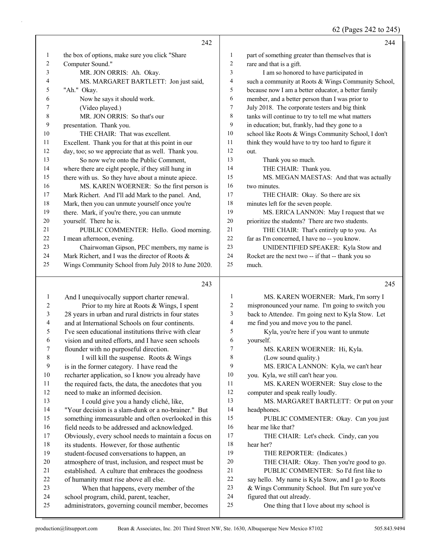62 (Pages 242 to 245)

|                |                                                      |                  | $02(1950)$ $212(021)$                               |
|----------------|------------------------------------------------------|------------------|-----------------------------------------------------|
|                | 242                                                  |                  | 244                                                 |
| 1              | the box of options, make sure you click "Share       | $\mathbf{1}$     | part of something greater than themselves that is   |
| 2              | Computer Sound."                                     | $\overline{c}$   | rare and that is a gift.                            |
| 3              | MR. JON ORRIS: Ah. Okay.                             | 3                | I am so honored to have participated in             |
| 4              | MS. MARGARET BARTLETT: Jon just said,                | 4                | such a community at Roots & Wings Community School, |
| 5              | "Ah." Okay.                                          | 5                | because now I am a better educator, a better family |
| 6              | Now he says it should work.                          | 6                | member, and a better person than I was prior to     |
| 7              | (Video played.)                                      | $\tau$           | July 2018. The corporate testers and big think      |
| $\,8\,$        | MR. JON ORRIS: So that's our                         | 8                | tanks will continue to try to tell me what matters  |
| 9              | presentation. Thank you.                             | 9                | in education; but, frankly, had they gone to a      |
| 10             | THE CHAIR: That was excellent.                       | 10               | school like Roots & Wings Community School, I don't |
| 11             | Excellent. Thank you for that at this point in our   | 11               | think they would have to try too hard to figure it  |
| 12             | day, too; so we appreciate that as well. Thank you.  | 12               | out.                                                |
| 13             | So now we're onto the Public Comment,                | 13               | Thank you so much.                                  |
| 14             | where there are eight people, if they still hung in  | 14               | THE CHAIR: Thank you.                               |
| 15             | there with us. So they have about a minute apiece.   | 15               | MS. MEGAN MAESTAS: And that was actually            |
| 16             | MS. KAREN WOERNER: So the first person is            | 16               | two minutes.                                        |
| 17             | Mark Richert. And I'll add Mark to the panel. And,   | 17               | THE CHAIR: Okay. So there are six                   |
| 18             | Mark, then you can unmute yourself once you're       | 18               | minutes left for the seven people.                  |
| 19             | there. Mark, if you're there, you can unmute         | 19               | MS. ERICA LANNON: May I request that we             |
| $20\,$         | yourself. There he is.                               | $20\,$           | prioritize the students? There are two students.    |
| 21             | PUBLIC COMMENTER: Hello. Good morning.               | 21               | THE CHAIR: That's entirely up to you. As            |
| 22             | I mean afternoon, evening.                           | 22               | far as I'm concerned, I have no -- you know.        |
| 23             | Chairwoman Gipson, PEC members, my name is           | 23               | UNIDENTIFIED SPEAKER: Kyla Stow and                 |
| 24             | Mark Richert, and I was the director of Roots &      | 24               | Rocket are the next two -- if that -- thank you so  |
| 25             | Wings Community School from July 2018 to June 2020.  | 25               | much.                                               |
|                |                                                      |                  |                                                     |
|                | 243                                                  |                  | 245                                                 |
| $\mathbf{1}$   | And I unequivocally support charter renewal.         | $\mathbf{1}$     | MS. KAREN WOERNER: Mark, I'm sorry I                |
| $\overline{c}$ | Prior to my hire at Roots & Wings, I spent           | $\boldsymbol{2}$ | mispronounced your name. I'm going to switch you    |
| $\mathfrak{Z}$ | 28 years in urban and rural districts in four states | 3                | back to Attendee. I'm going next to Kyla Stow. Let  |
| 4              | and at International Schools on four continents.     | $\overline{4}$   | me find you and move you to the panel.              |
| 5              | I've seen educational institutions thrive with clear | 5                | Kyla, you're here if you want to unmute             |
| 6              | vision and united efforts, and I have seen schools   | 6                | yourself.                                           |
| 7              | flounder with no purposeful direction.               | 7                | MS. KAREN WOERNER: Hi, Kyla.                        |
| 8              | I will kill the suspense. Roots & Wings              | $\,$ 8 $\,$      | (Low sound quality.)                                |
| 9              | is in the former category. I have read the           | 9                | MS. ERICA LANNON: Kyla, we can't hear               |
| 10             | recharter application, so I know you already have    | 10               | you. Kyla, we still can't hear you.                 |
| 11             | the required facts, the data, the anecdotes that you | 11               | MS. KAREN WOERNER: Stay close to the                |
| 12             | need to make an informed decision.                   | $12\,$           | computer and speak really loudly.                   |
| 13             | I could give you a handy cliché, like,               | 13               | MS. MARGARET BARTLETT: Or put on your               |
| 14             | "Your decision is a slam-dunk or a no-brainer." But  | 14               | headphones.                                         |
| 15             | something immeasurable and often overlooked in this  | 15               | PUBLIC COMMENTER: Okay. Can you just                |
| 16             | field needs to be addressed and acknowledged.        | 16               | hear me like that?                                  |
| 17             | Obviously, every school needs to maintain a focus on | 17               | THE CHAIR: Let's check. Cindy, can you              |
| 18             | its students. However, for those authentic           | $18\,$           | hear her?                                           |
| 19             | student-focused conversations to happen, an          | 19               | THE REPORTER: (Indicates.)                          |
| $20\,$         | atmosphere of trust, inclusion, and respect must be  | $20\,$           | THE CHAIR: Okay. Then you're good to go.            |
| 21             | established. A culture that embraces the goodness    | $21\,$           | PUBLIC COMMENTER: So I'd first like to              |
|                |                                                      |                  |                                                     |
| 22             | of humanity must rise above all else.                | $22\,$<br>23     | say hello. My name is Kyla Stow, and I go to Roots  |

- figured that out already.
- 25 One thing that I love about my school is

school program, child, parent, teacher,

administrators, governing council member, becomes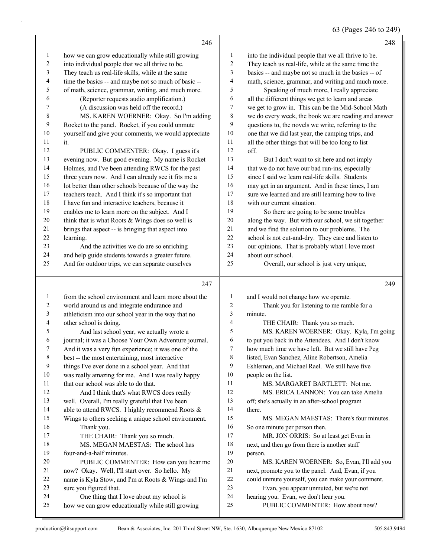|                  | 246                                                  |                  | 248                                                  |
|------------------|------------------------------------------------------|------------------|------------------------------------------------------|
| $\mathbf{1}$     | how we can grow educationally while still growing    | 1                | into the individual people that we all thrive to be. |
| $\overline{c}$   | into individual people that we all thrive to be.     | $\sqrt{2}$       | They teach us real-life, while at the same time the  |
| 3                | They teach us real-life skills, while at the same    | 3                | basics -- and maybe not so much in the basics -- of  |
| 4                | time the basics -- and maybe not so much of basic -- | $\overline{4}$   | math, science, grammar, and writing and much more.   |
| 5                | of math, science, grammar, writing, and much more.   | 5                | Speaking of much more, I really appreciate           |
| 6                | (Reporter requests audio amplification.)             | 6                | all the different things we get to learn and areas   |
| 7                | (A discussion was held off the record.)              | $\tau$           | we get to grow in. This can be the Mid-School Math   |
| $\,8\,$          | MS. KAREN WOERNER: Okay. So I'm adding               | $\,8\,$          | we do every week, the book we are reading and answer |
| $\mathbf{9}$     | Rocket to the panel. Rocket, if you could unmute     | $\boldsymbol{9}$ | questions to, the novels we write, referring to the  |
| $10\,$           |                                                      | $10\,$           |                                                      |
| 11               | yourself and give your comments, we would appreciate | 11               | one that we did last year, the camping trips, and    |
| 12               | it.                                                  |                  | all the other things that will be too long to list   |
|                  | PUBLIC COMMENTER: Okay. I guess it's                 | $12\,$           | off.                                                 |
| 13               | evening now. But good evening. My name is Rocket     | 13               | But I don't want to sit here and not imply           |
| 14               | Holmes, and I've been attending RWCS for the past    | 14               | that we do not have our bad run-ins, especially      |
| 15               | three years now. And I can already see it fits me a  | 15               | since I said we learn real-life skills. Students     |
| $16\,$           | lot better than other schools because of the way the | 16               | may get in an argument. And in these times, I am     |
| $17\,$           | teachers teach. And I think it's so important that   | 17               | sure we learned and are still learning how to live   |
| 18               | I have fun and interactive teachers, because it      | $18\,$           | with our current situation.                          |
| 19               | enables me to learn more on the subject. And I       | 19               | So there are going to be some troubles               |
| $20\,$           | think that is what Roots $&Wings$ does so well is    | $20\,$           | along the way. But with our school, we sit together  |
| 21               | brings that aspect -- is bringing that aspect into   | 21               | and we find the solution to our problems. The        |
| $22\,$           | learning.                                            | 22               | school is not cut-and-dry. They care and listen to   |
| 23               | And the activities we do are so enriching            | 23               | our opinions. That is probably what I love most      |
| 24               | and help guide students towards a greater future.    | 24               | about our school.                                    |
| 25               | And for outdoor trips, we can separate ourselves     | 25               | Overall, our school is just very unique,             |
|                  |                                                      |                  |                                                      |
|                  | 247                                                  |                  | 249                                                  |
|                  |                                                      |                  |                                                      |
| $\mathbf{1}$     | from the school environment and learn more about the | $\mathbf{1}$     | and I would not change how we operate.               |
| $\boldsymbol{2}$ | world around us and integrate endurance and          | $\boldsymbol{2}$ | Thank you for listening to me ramble for a           |
| $\mathfrak{Z}$   | athleticism into our school year in the way that no  | $\mathfrak z$    | minute.                                              |
| $\overline{4}$   | other school is doing.                               | $\overline{4}$   | THE CHAIR: Thank you so much.                        |
| 5                | And last school year, we actually wrote a            | 5                | MS. KAREN WOERNER: Okay. Kyla, I'm going             |
| 6                | journal; it was a Choose Your Own Adventure journal. | 6                | to put you back in the Attendees. And I don't know   |
| 7                | And it was a very fun experience; it was one of the  | $\tau$           | how much time we have left. But we still have Peg    |
| 8                | best -- the most entertaining, most interactive      | 8                | listed, Evan Sanchez, Aline Robertson, Amelia        |
| 9                | things I've ever done in a school year. And that     | 9                | Eshleman, and Michael Rael. We still have five       |
| 10               | was really amazing for me. And I was really happy    | 10               | people on the list.                                  |
| 11               | that our school was able to do that.                 | 11               | MS. MARGARET BARTLETT: Not me.                       |
| 12               | And I think that's what RWCS does really             | 12               | MS. ERICA LANNON: You can take Amelia                |
| 13               | well. Overall, I'm really grateful that I've been    | 13               | off; she's actually in an after-school program       |
| 14               | able to attend RWCS. I highly recommend Roots &      | 14               | there.                                               |
| 15               | Wings to others seeking a unique school environment. | 15               | MS. MEGAN MAESTAS: There's four minutes.             |
| 16               | Thank you.                                           | 16               | So one minute per person then.                       |
| 17               | THE CHAIR: Thank you so much.                        | 17               | MR. JON ORRIS: So at least get Evan in               |
| $18\,$           | MS. MEGAN MAESTAS: The school has                    | 18               | next, and then go from there is another staff        |
| 19               | four-and-a-half minutes.                             | 19               | person.                                              |
| $20\,$           | PUBLIC COMMENTER: How can you hear me                | 20               | MS. KAREN WOERNER: So, Evan, I'll add you            |
| 21               | now? Okay. Well, I'll start over. So hello. My       | $21\,$           | next, promote you to the panel. And, Evan, if you    |
| $22\,$           | name is Kyla Stow, and I'm at Roots & Wings and I'm  | 22               | could unmute yourself, you can make your comment.    |
| 23               | sure you figured that.                               | 23               | Evan, you appear unmuted, but we're not              |
| 24               | One thing that I love about my school is             | 24               | hearing you. Evan, we don't hear you.                |
| 25               | how we can grow educationally while still growing    | 25               | PUBLIC COMMENTER: How about now?                     |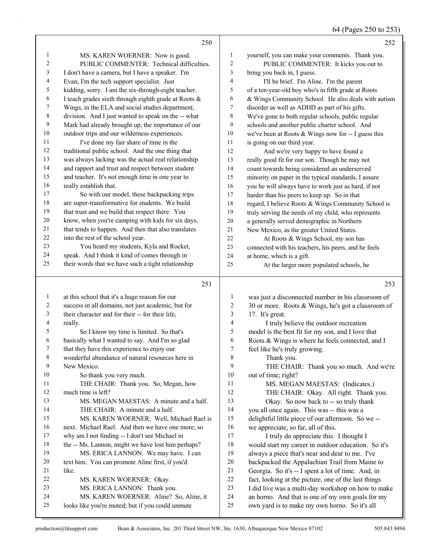# 64 (Pages 250 to 253)

|                               | 250                                                                                            |                | 252                                                                                               |
|-------------------------------|------------------------------------------------------------------------------------------------|----------------|---------------------------------------------------------------------------------------------------|
| 1                             | MS. KAREN WOERNER: Now is good.                                                                | 1              | yourself, you can make your comments. Thank you.                                                  |
| 2                             | PUBLIC COMMENTER: Technical difficulties.                                                      | 2              | PUBLIC COMMENTER: It kicks you out to                                                             |
| 3                             | I don't have a camera, but I have a speaker. I'm                                               | 3              | bring you back in, I guess.                                                                       |
| 4                             | Evan; I'm the tech support specialist. Just                                                    | 4              | I'll be brief. I'm Aline. I'm the parent                                                          |
| 5                             | kidding, sorry. I am the six-through-eight teacher.                                            | 5              | of a ten-year-old boy who's in fifth grade at Roots                                               |
| 6                             | I teach grades sixth through eighth grade at Roots &                                           | 6              | & Wings Community School. He also deals with autism                                               |
| 7                             | Wings, in the ELA and social studies department,                                               | 7              | disorder as well as ADHD as part of his gifts.                                                    |
| $\,$ $\,$                     | division. And I just wanted to speak on the -- what                                            | 8              | We've gone to both regular schools, public regular                                                |
| $\mathbf{9}$                  | Mark had already brought up, the importance of our                                             | 9              | schools and another public charter school. And                                                    |
| $10\,$                        | outdoor trips and our wilderness experiences.                                                  | 10             | we've been at Roots $&$ Wings now for -- I guess this                                             |
| 11                            | I've done my fair share of time in the                                                         | 11             | is going on our third year.                                                                       |
| 12                            | traditional public school. And the one thing that                                              | 12             | And we're very happy to have found a                                                              |
| 13                            | was always lacking was the actual real relationship                                            | 13             | really good fit for our son. Though he may not                                                    |
| 14                            | and rapport and trust and respect between student                                              | 14             | count towards being considered an underserved                                                     |
| 15                            | and teacher. It's not enough time in one year to                                               | 15             | minority on paper in the typical standards, I assure                                              |
| 16                            | really establish that.                                                                         | 16             | you he will always have to work just as hard, if not                                              |
| 17                            | So with our model, these backpacking trips                                                     | $17\,$         | harder than his peers to keep up. So in that                                                      |
| $18\,$                        | are super-transformative for students. We build                                                | $18\,$         | regard, I believe Roots & Wings Community School is                                               |
| 19                            | that trust and we build that respect there. You                                                | 19             | truly serving the needs of my child, who represents                                               |
| $20\,$                        | know, when you're camping with kids for six days,                                              | $20\,$         | a generally served demographic in Northern                                                        |
| 21                            | that tends to happen. And then that also translates                                            | $21\,$         | New Mexico, as the greater United States.                                                         |
| 22                            | into the rest of the school year.                                                              | 22             | At Roots & Wings School, my son has                                                               |
| 23                            | You heard my students, Kyla and Rocket,                                                        | 23             | connected with his teachers, his peers, and he feels                                              |
| 24                            | speak. And I think it kind of comes through in                                                 | 24             | at home, which is a gift.                                                                         |
| 25                            | their words that we have such a tight relationship                                             | 25             | At the larger more populated schools, he                                                          |
|                               |                                                                                                |                |                                                                                                   |
|                               | 251                                                                                            |                | 253                                                                                               |
|                               |                                                                                                |                |                                                                                                   |
| $\mathbf{1}$                  | at this school that it's a huge reason for our                                                 | 1              | was just a disconnected number in his classroom of                                                |
| 2                             | success in all domains, not just academic, but for                                             | $\sqrt{2}$     | 30 or more. Roots & Wings, he's got a classroom of                                                |
| 3<br>$\overline{\mathcal{A}}$ | their character and for their -- for their life,                                               | 3              | 17. It's great.                                                                                   |
| 5                             | really.                                                                                        | $\overline{4}$ | I truly believe the outdoor recreation                                                            |
| 6                             | So I know my time is limited. So that's                                                        | 5<br>6         | model is the best fit for my son, and I love that                                                 |
| 7                             | basically what I wanted to say. And I'm so glad<br>that they have this experience to enjoy our | $\tau$         | Roots & Wings is where he feels connected, and I                                                  |
| 8                             | wonderful abundance of natural resources here in                                               | 8              | feel like he's truly growing.                                                                     |
| 9                             | New Mexico.                                                                                    | 9              | Thank you.<br>THE CHAIR: Thank you so much. And we're                                             |
| 10                            | So thank you very much.                                                                        | $10\,$         | out of time; right?                                                                               |
| 11                            | THE CHAIR: Thank you. So, Megan, how                                                           | 11             | MS. MEGAN MAESTAS: (Indicates.)                                                                   |
| 12                            | much time is left?                                                                             | 12             | THE CHAIR: Okay. All right. Thank you.                                                            |
| 13                            | MS. MEGAN MAESTAS: A minute and a half.                                                        | 13             | Okay. So now back to -- so truly thank                                                            |
| 14                            | THE CHAIR: A minute and a half.                                                                | 14             | you all once again. This was -- this was a                                                        |
| 15                            | MS. KAREN WOERNER: Well, Michael Rael is                                                       | 15             | delightful little piece of our afternoon. So we --                                                |
| 16                            | next. Michael Rael. And then we have one more; so                                              | 16             | we appreciate, so far, all of this.                                                               |
| 17                            | why am I not finding -- I don't see Michael in                                                 | 17             | I truly do appreciate this. I thought I                                                           |
| 18                            | the -- Ms. Lannon, might we have lost him perhaps?                                             | 18             | would start my career in outdoor education. So it's                                               |
| 19                            | MS. ERICA LANNON: We may have. I can                                                           | 19             | always a piece that's near and dear to me. I've                                                   |
| 20                            | text him. You can promote Aline first, if you'd                                                | $20\,$         | backpacked the Appalachian Trail from Maine to                                                    |
| 21                            | like.                                                                                          | 21             | Georgia. So it's -- I spent a lot of time. And, in                                                |
| 22                            | MS. KAREN WOERNER: Okay.                                                                       | $22\,$         | fact, looking at the picture, one of the last things                                              |
| 23                            | MS. ERICA LANNON: Thank you.                                                                   | 23             | I did live was a multi-day workshop on how to make                                                |
| 24<br>25                      | MS. KAREN WOERNER: Aline? So, Aline, it<br>looks like you're muted; but if you could unmute    | 24<br>25       | an horno. And that is one of my own goals for my<br>own yard is to make my own horno. So it's all |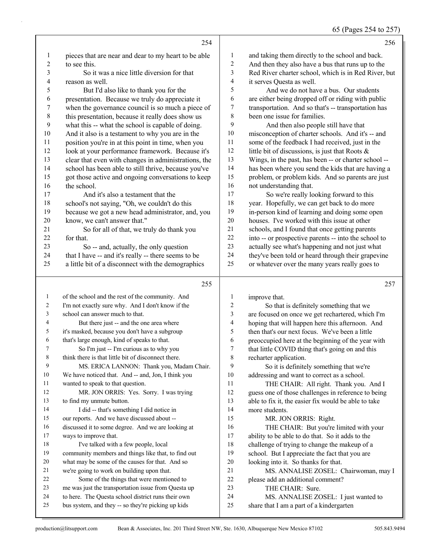65 (Pages 254 to 257)

|                          |                                                      |              | $\frac{1}{2}$ $\frac{1}{2}$ $\frac{1}{2}$ $\frac{1}{2}$ $\frac{1}{2}$ $\frac{1}{2}$ $\frac{1}{2}$ $\frac{1}{2}$ $\frac{1}{2}$ $\frac{1}{2}$ |
|--------------------------|------------------------------------------------------|--------------|---------------------------------------------------------------------------------------------------------------------------------------------|
|                          | 254                                                  |              | 256                                                                                                                                         |
| 1                        | pieces that are near and dear to my heart to be able | 1            | and taking them directly to the school and back.                                                                                            |
| $\overline{c}$           | to see this.                                         | 2            | And then they also have a bus that runs up to the                                                                                           |
| 3                        | So it was a nice little diversion for that           | 3            | Red River charter school, which is in Red River, but                                                                                        |
| $\overline{\mathcal{L}}$ | reason as well.                                      | 4            | it serves Questa as well.                                                                                                                   |
| 5                        | But I'd also like to thank you for the               | 5            | And we do not have a bus. Our students                                                                                                      |
| 6                        | presentation. Because we truly do appreciate it      | 6            | are either being dropped off or riding with public                                                                                          |
| $\overline{7}$           | when the governance council is so much a piece of    | 7            | transportation. And so that's -- transportation has                                                                                         |
| $\,$ $\,$                | this presentation, because it really does show us    | 8            | been one issue for families.                                                                                                                |
| 9                        | what this -- what the school is capable of doing.    | 9            | And then also people still have that                                                                                                        |
| 10                       | And it also is a testament to why you are in the     | 10           | misconception of charter schools. And it's -- and                                                                                           |
| 11                       | position you're in at this point in time, when you   | 11           | some of the feedback I had received, just in the                                                                                            |
| 12                       | look at your performance framework. Because it's     | 12           | little bit of discussions, is just that Roots &                                                                                             |
| 13                       | clear that even with changes in administrations, the | 13           | Wings, in the past, has been -- or charter school --                                                                                        |
| 14                       | school has been able to still thrive, because you've | 14           | has been where you send the kids that are having a                                                                                          |
| 15                       | got those active and ongoing conversations to keep   | 15           | problem, or problem kids. And so parents are just                                                                                           |
| 16                       | the school.                                          | 16           | not understanding that.                                                                                                                     |
| 17                       | And it's also a testament that the                   | 17           | So we're really looking forward to this                                                                                                     |
| 18                       | school's not saying, "Oh, we couldn't do this        | 18           | year. Hopefully, we can get back to do more                                                                                                 |
| 19                       | because we got a new head administrator, and, you    | 19           | in-person kind of learning and doing some open                                                                                              |
| 20                       | know, we can't answer that."                         | 20           | houses. I've worked with this issue at other                                                                                                |
| 21                       | So for all of that, we truly do thank you            | 21           | schools, and I found that once getting parents                                                                                              |
| 22                       | for that.                                            | 22           | into -- or prospective parents -- into the school to                                                                                        |
| 23                       | So -- and, actually, the only question               | 23           | actually see what's happening and not just what                                                                                             |
| 24                       | that I have -- and it's really -- there seems to be  | 24           | they've been told or heard through their grapevine                                                                                          |
| 25                       | a little bit of a disconnect with the demographics   | 25           | or whatever over the many years really goes to                                                                                              |
|                          | 255                                                  |              | 257                                                                                                                                         |
| $\mathbf{1}$             | of the school and the rest of the community. And     | $\mathbf{1}$ | improve that.                                                                                                                               |
| 2                        | I'm not exactly sure why. And I don't know if the    | 2            | So that is definitely something that we                                                                                                     |
| 3                        | school can answer much to that.                      | 3            | are focused on once we get rechartered, which I'm                                                                                           |
| 4                        | But there just -- and the one area where             | 4            | hoping that will happen here this afternoon. And                                                                                            |
| 5                        | it's masked, because you don't have a subgroup       | 5            | then that's our next focus. We've been a little                                                                                             |
| 6                        | that's large enough, kind of speaks to that.         | 6            | preoccupied here at the beginning of the year with                                                                                          |
| $\mathcal{L}$            | So I'm just -- I'm curious as to why you             | Τ            | that little COVID thing that's going on and this                                                                                            |
| 8                        | think there is that little bit of disconnect there.  | 8            | recharter application.                                                                                                                      |
| 9                        | MS. ERICA LANNON: Thank you, Madam Chair.            | 9            | So it is definitely something that we're                                                                                                    |
| 10                       | We have noticed that. And -- and, Jon, I think you   | 10           | addressing and want to correct as a school.                                                                                                 |
| 11                       | wanted to speak to that question.                    | 11           | THE CHAIR: All right. Thank you. And I                                                                                                      |
| 12                       | MR. JON ORRIS: Yes. Sorry. I was trying              | 12           | guess one of those challenges in reference to being                                                                                         |
| 13                       | to find my unmute button.                            | 13           | able to fix it, the easier fix would be able to take                                                                                        |
| 14                       | I did -- that's something I did notice in            | 14           | more students.                                                                                                                              |
| 15                       | our reports. And we have discussed about --          | 15           | MR. JON ORRIS: Right.                                                                                                                       |
| 16                       | discussed it to some degree. And we are looking at   | 16           | THE CHAIR: But you're limited with your                                                                                                     |
| $17\,$                   | ways to improve that.                                | 17           | ability to be able to do that. So it adds to the                                                                                            |
| 18                       | I've talked with a few people, local                 | $18\,$       | challenge of trying to change the makeup of a                                                                                               |
| 19                       | community members and things like that, to find out  | 19           | school. But I appreciate the fact that you are                                                                                              |
| 20                       | what may be some of the causes for that. And so      | $20\,$       | looking into it. So thanks for that.                                                                                                        |
| 21                       | we're going to work on building upon that.           | 21           | MS. ANNALISE ZOSEL: Chairwoman, may I                                                                                                       |

- 22 Some of the things that were mentioned to<br>23 me was just the transportation issue from Questa me was just the transportation issue from Questa up to here. The Questa school district runs their own
- bus system, and they -- so they're picking up kids
- 24 MS. ANNALISE ZOSEL: I just wanted to share that I am a part of a kindergarten

22 please add an additional comment?<br>23 THE CHAIR: Sure. THE CHAIR: Sure.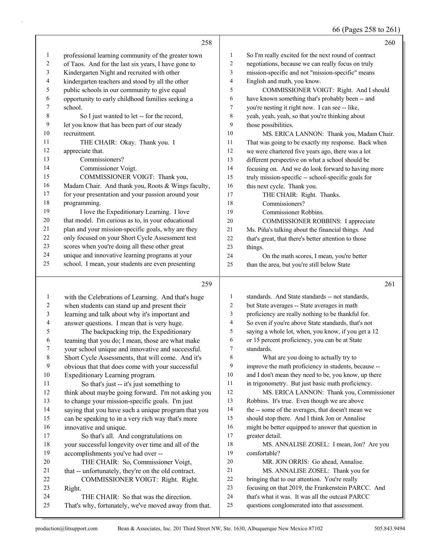66 (Pages 258 to 261)

|                | 258                                                 |    | 260                                                  |
|----------------|-----------------------------------------------------|----|------------------------------------------------------|
| 1              | professional learning community of the greater town | 1  | So I'm really excited for the next round of contract |
| 2              | of Taos. And for the last six years, I have gone to | 2  | negotiations, because we can really focus on truly   |
| 3              | Kindergarten Night and recruited with other         | 3  | mission-specific and not "mission-specific" means    |
| 4              | kindergarten teachers and stood by all the other    | 4  | English and math, you know.                          |
| 5              | public schools in our community to give equal       | 5  | COMMISSIONER VOIGT: Right. And I should              |
| 6              | opportunity to early childhood families seeking a   | 6  | have known something that's probably been -- and     |
| 7              | school.                                             | 7  | you're nesting it right now. I can see -- like,      |
| 8              | So I just wanted to let -- for the record,          | 8  | yeah, yeah, yeah, so that you're thinking about      |
| 9              | let you know that has been part of our steady       | 9  | those possibilities.                                 |
| 10             | recruitment.                                        | 10 | MS. ERICA LANNON: Thank you, Madam Chair.            |
| 11             | THE CHAIR: Okay. Thank you. I                       | 11 | That was going to be exactly my response. Back when  |
| 12             | appreciate that.                                    | 12 | we were chartered five years ago, there was a lot    |
| 13             | Commissioners?                                      | 13 | different perspective on what a school should be     |
| 14             | Commissioner Voigt.                                 | 14 | focusing on. And we do look forward to having more   |
| 15             | COMMISSIONER VOIGT: Thank you,                      | 15 | truly mission-specific -- school-specific goals for  |
| 16             | Madam Chair. And thank you, Roots & Wings faculty,  | 16 | this next cycle. Thank you.                          |
| 17             | for your presentation and your passion around your  | 17 | THE CHAIR: Right. Thanks.                            |
| 18             | programming.                                        | 18 | Commissioners?                                       |
| 19             | I love the Expeditionary Learning. I love           | 19 | Commissioner Robbins.                                |
| 20             | that model. I'm curious as to, in your educational  | 20 | COMMISSIONER ROBBINS: I appreciate                   |
| 21             | plan and your mission-specific goals, why are they  | 21 | Ms. Piña's talking about the financial things. And   |
| 22             | only focused on your Short Cycle Assessment test    | 22 | that's great, that there's better attention to those |
| 23             | scores when you're doing all these other great      | 23 | things.                                              |
| 24             | unique and innovative learning programs at your     | 24 | On the math scores, I mean, you're better            |
| 25             | school. I mean, your students are even presenting   | 25 | than the area, but you're still below State          |
|                | 259                                                 |    | 261                                                  |
| $\mathbf{1}$   | with the Celebrations of Learning. And that's huge  | 1  | standards. And State standards -- not standards,     |
| $\overline{2}$ | when students can stand up and present their        | 2  | but State averages -- State averages in math         |
| 3              | learning and talk about why it's important and      | 3  | proficiency are really nothing to be thankful for.   |

 answer questions. I mean that is very huge. So even if you're above State standards, that's not saying a whole lot, when, you know, if you get a 12

standards.

greater detail.

comfortable?

or 15 percent proficiency, you can be at State

8 What are you doing to actually try to

 Robbins. It's true. Even though we are above the -- some of the averages, that doesn't mean we should stop there. And I think Jon or Annalise might be better equipped to answer that question in

20 MR. JON ORRIS: Go ahead, Annalise. 21 MS. ANNALISE ZOSEL: Thank you for bringing that to our attention. You're really

 improve the math proficiency in students, because -- 10 and I don't mean they need to be, you know, up there in trigonometry. But just basic math proficiency.

12 MS. ERICA LANNON: Thank you, Commissioner

18 MS. ANNALISE ZOSEL: I mean, Jon? Are you

 focusing on that 2019, the Frankenstein PARCC. And that's what it was. It was all the outcast PARCC questions conglomerated into that assessment.

5 The backpacking trip, the Expeditionary teaming that you do; I mean, those are what make

- your school unique and innovative and successful.
- Short Cycle Assessments, that will come. And it's
- obvious that that does come with your successful
- Expeditionary Learning program.
- 11 So that's just -- it's just something to think about maybe going forward. I'm not asking you
- to change your mission-specific goals. I'm just
- saying that you have such a unique program that you
- can be speaking to in a very rich way that's more
- innovative and unique. 17 So that's all. And congratulations on your successful longevity over time and all of the accomplishments you've had over --
- 20 THE CHAIR: So, Commissioner Voigt, 21 that -- unfortunately, they're on the old contract. 22 COMMISSIONER VOIGT: Right. Right.
- Right.
- 24 THE CHAIR: So that was the direction.
- That's why, fortunately, we've moved away from that.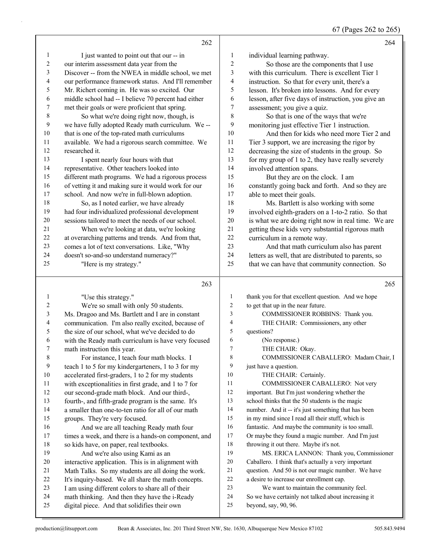# 67 (Pages 262 to 265)

|                  | 262                                                                                                       |              | 264                                                                                      |
|------------------|-----------------------------------------------------------------------------------------------------------|--------------|------------------------------------------------------------------------------------------|
| $\mathbf{1}$     | I just wanted to point out that our -- in                                                                 | $\mathbf{1}$ | individual learning pathway.                                                             |
| $\boldsymbol{2}$ | our interim assessment data year from the                                                                 | 2            | So those are the components that I use                                                   |
| 3                | Discover -- from the NWEA in middle school, we met                                                        | 3            | with this curriculum. There is excellent Tier 1                                          |
| 4                | our performance framework status. And I'll remember                                                       | 4            | instruction. So that for every unit, there's a                                           |
| 5                | Mr. Richert coming in. He was so excited. Our                                                             | 5            | lesson. It's broken into lessons. And for every                                          |
| 6                | middle school had -- I believe 70 percent had either                                                      | 6            | lesson, after five days of instruction, you give an                                      |
| 7                | met their goals or were proficient that spring.                                                           | 7            | assessment; you give a quiz.                                                             |
| 8                | So what we're doing right now, though, is                                                                 | 8            | So that is one of the ways that we're                                                    |
| 9                | we have fully adopted Ready math curriculum. We --                                                        | 9            | monitoring just effective Tier 1 instruction.                                            |
| 10               | that is one of the top-rated math curriculums                                                             | 10           | And then for kids who need more Tier 2 and                                               |
| 11               | available. We had a rigorous search committee. We                                                         | 11           | Tier 3 support, we are increasing the rigor by                                           |
| 12               | researched it.                                                                                            | 12           | decreasing the size of students in the group. So                                         |
| 13               | I spent nearly four hours with that                                                                       | 13           | for my group of 1 to 2, they have really severely                                        |
| 14               | representative. Other teachers looked into                                                                | 14           | involved attention spans.                                                                |
| 15               | different math programs. We had a rigorous process                                                        | 15           | But they are on the clock. I am                                                          |
| 16               | of vetting it and making sure it would work for our                                                       | 16           | constantly going back and forth. And so they are                                         |
| 17               | school. And now we're in full-blown adoption.                                                             | 17           | able to meet their goals.                                                                |
| $18\,$           | So, as I noted earlier, we have already                                                                   | 18           | Ms. Bartlett is also working with some                                                   |
| 19               | had four individualized professional development                                                          | 19           | involved eighth-graders on a 1-to-2 ratio. So that                                       |
| 20               | sessions tailored to meet the needs of our school.                                                        | 20           | is what we are doing right now in real time. We are                                      |
| 21               | When we're looking at data, we're looking                                                                 | 21           | getting these kids very substantial rigorous math                                        |
| $22\,$           | at overarching patterns and trends. And from that,                                                        | 22           | curriculum in a remote way.                                                              |
| 23               | comes a lot of text conversations. Like, "Why                                                             | 23           | And that math curriculum also has parent                                                 |
| 24               | doesn't so-and-so understand numeracy?"                                                                   | 24           | letters as well, that are distributed to parents, so                                     |
| 25               | "Here is my strategy."                                                                                    | 25           | that we can have that community connection. So                                           |
|                  |                                                                                                           |              |                                                                                          |
|                  | 263                                                                                                       |              | 265                                                                                      |
| 1                |                                                                                                           | $\mathbf{1}$ |                                                                                          |
| 2                | "Use this strategy."                                                                                      | 2            | thank you for that excellent question. And we hope<br>to get that up in the near future. |
| 3                | We're so small with only 50 students.                                                                     | 3            |                                                                                          |
| 4                | Ms. Dragoo and Ms. Bartlett and I are in constant                                                         | 4            | COMMISSIONER ROBBINS: Thank you.<br>THE CHAIR: Commissioners, any other                  |
| 5                | communication. I'm also really excited, because of                                                        | 5            | questions?                                                                               |
| 6                | the size of our school, what we've decided to do                                                          | 6            | (No response.)                                                                           |
| 7                | with the Ready math curriculum is have very focused                                                       | $\tau$       | THE CHAIR: Okay.                                                                         |
| $\,$ 8 $\,$      | math instruction this year.<br>For instance, I teach four math blocks. I                                  | 8            | COMMISSIONER CABALLERO: Madam Chair, I                                                   |
| 9                | teach 1 to 5 for my kindergarteners, 1 to 3 for my                                                        | 9            | just have a question.                                                                    |
| $10\,$           |                                                                                                           | 10           | THE CHAIR: Certainly.                                                                    |
| 11               | accelerated first-graders, 1 to 2 for my students<br>with exceptionalities in first grade, and 1 to 7 for | 11           | COMMISSIONER CABALLERO: Not very                                                         |
| 12               | our second-grade math block. And our third-,                                                              | 12           | important. But I'm just wondering whether the                                            |
| 13               |                                                                                                           | 13           | school thinks that the 50 students is the magic                                          |
| 14               | fourth-, and fifth-grade program is the same. It's<br>a smaller than one-to-ten ratio for all of our math | 14           | number. And it -- it's just something that has been                                      |
| 15               | groups. They're very focused.                                                                             | 15           | in my mind since I read all their stuff, which is                                        |
| 16               | And we are all teaching Ready math four                                                                   | 16           | fantastic. And maybe the community is too small.                                         |
| 17               | times a week, and there is a hands-on component, and                                                      | 17           | Or maybe they found a magic number. And I'm just                                         |
| 18               | so kids have, on paper, real textbooks.                                                                   | $18\,$       | throwing it out there. Maybe it's not.                                                   |
| 19               | And we're also using Kami as an                                                                           | 19           | MS. ERICA LANNON: Thank you, Commissioner                                                |
| 20               | interactive application. This is in alignment with                                                        | $20\,$       | Caballero. I think that's actually a very important                                      |
| 21               | Math Talks. So my students are all doing the work.                                                        | 21           | question. And 50 is not our magic number. We have                                        |
| 22               | It's inquiry-based. We all share the math concepts.                                                       | $22\,$       | a desire to increase our enrollment cap.                                                 |
| 23               | I am using different colors to share all of their                                                         | $23\,$       | We want to maintain the community feel.                                                  |
| 24<br>25         | math thinking. And then they have the i-Ready<br>digital piece. And that solidifies their own             | 24<br>25     | So we have certainly not talked about increasing it<br>beyond, say, 90, 96.              |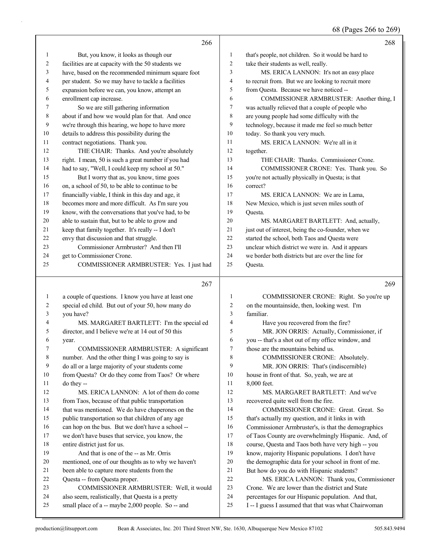68 (Pages 266 to 269)

|        | 266                                                                                                   |                     | 268                                                                                                      |
|--------|-------------------------------------------------------------------------------------------------------|---------------------|----------------------------------------------------------------------------------------------------------|
| 1      | But, you know, it looks as though our                                                                 | 1                   | that's people, not children. So it would be hard to                                                      |
| 2      | facilities are at capacity with the 50 students we                                                    | $\overline{c}$      | take their students as well, really.                                                                     |
| 3      | have, based on the recommended minimum square foot                                                    | 3                   | MS. ERICA LANNON: It's not an easy place                                                                 |
| 4      | per student. So we may have to tackle a facilities                                                    | 4                   | to recruit from. But we are looking to recruit more                                                      |
| 5      | expansion before we can, you know, attempt an                                                         | 5                   | from Questa. Because we have noticed --                                                                  |
| 6      | enrollment cap increase.                                                                              | 6                   | COMMISSIONER ARMBRUSTER: Another thing, I                                                                |
| 7      | So we are still gathering information                                                                 | 7                   | was actually relieved that a couple of people who                                                        |
| 8      | about if and how we would plan for that. And once                                                     | 8                   | are young people had some difficulty with the                                                            |
| 9      | we're through this hearing, we hope to have more                                                      | 9                   | technology, because it made me feel so much better                                                       |
| 10     | details to address this possibility during the                                                        | 10                  | today. So thank you very much.                                                                           |
| 11     | contract negotiations. Thank you.                                                                     | 11                  | MS. ERICA LANNON: We're all in it                                                                        |
| 12     | THE CHAIR: Thanks. And you're absolutely                                                              | 12                  | together.                                                                                                |
| 13     | right. I mean, 50 is such a great number if you had                                                   | 13                  | THE CHAIR: Thanks. Commissioner Crone.                                                                   |
| 14     | had to say, "Well, I could keep my school at 50."                                                     | 14                  | COMMISSIONER CRONE: Yes. Thank you. So                                                                   |
| 15     | But I worry that as, you know, time goes                                                              | 15                  | you're not actually physically in Questa; is that                                                        |
| 16     | on, a school of 50, to be able to continue to be                                                      | 16                  | correct?                                                                                                 |
| 17     | financially viable, I think in this day and age, it                                                   | 17                  | MS. ERICA LANNON: We are in Lama,                                                                        |
| 18     | becomes more and more difficult. As I'm sure you                                                      | 18                  | New Mexico, which is just seven miles south of                                                           |
| 19     | know, with the conversations that you've had, to be                                                   | 19                  | Questa.                                                                                                  |
| 20     | able to sustain that, but to be able to grow and                                                      | 20                  | MS. MARGARET BARTLETT: And, actually,                                                                    |
| 21     | keep that family together. It's really -- I don't                                                     | 21                  | just out of interest, being the co-founder, when we                                                      |
| 22     | envy that discussion and that struggle.                                                               | 22                  | started the school, both Taos and Questa were                                                            |
| 23     | Commissioner Armbruster? And then I'll                                                                | 23                  | unclear which district we were in. And it appears                                                        |
| 24     | get to Commissioner Crone.                                                                            | 24                  | we border both districts but are over the line for                                                       |
| 25     | COMMISSIONER ARMBRUSTER: Yes. I just had                                                              | 25                  | Questa.                                                                                                  |
|        |                                                                                                       |                     |                                                                                                          |
|        |                                                                                                       |                     |                                                                                                          |
|        | 267                                                                                                   |                     | 269                                                                                                      |
|        |                                                                                                       |                     |                                                                                                          |
| 1      | a couple of questions. I know you have at least one                                                   | 1                   | COMMISSIONER CRONE: Right. So you're up                                                                  |
| 2      | special ed child. But out of your 50, how many do                                                     | $\overline{c}$<br>3 | on the mountainside, then, looking west. I'm                                                             |
| 3<br>4 | you have?                                                                                             | 4                   | familiar.                                                                                                |
| 5      | MS. MARGARET BARTLETT: I'm the special ed                                                             | 5                   | Have you recovered from the fire?                                                                        |
| 6      | director, and I believe we're at 14 out of 50 this                                                    | 6                   | MR. JON ORRIS: Actually, Commissioner, if                                                                |
| 7      | year.                                                                                                 | 7                   | you -- that's a shot out of my office window, and<br>those are the mountains behind us.                  |
| 8      | COMMISSIONER ARMBRUSTER: A significant                                                                |                     |                                                                                                          |
| 9      | number. And the other thing I was going to say is                                                     | 8<br>9              | COMMISSIONER CRONE: Absolutely.                                                                          |
| 10     | do all or a large majority of your students come                                                      | 10                  | MR. JON ORRIS: That's (indiscernible)                                                                    |
| 11     | from Questa? Or do they come from Taos? Or where                                                      | 11                  | house in front of that. So, yeah, we are at                                                              |
| 12     | do they --<br>MS. ERICA LANNON: A lot of them do come                                                 | 12                  | 8,000 feet.<br>MS. MARGARET BARTLETT: And we've                                                          |
| 13     | from Taos, because of that public transportation                                                      | 13                  | recovered quite well from the fire.                                                                      |
| 14     |                                                                                                       | 14                  | COMMISSIONER CRONE: Great. Great. So                                                                     |
| 15     | that was mentioned. We do have chaperones on the<br>public transportation so that children of any age | 15                  |                                                                                                          |
| 16     | can hop on the bus. But we don't have a school --                                                     | 16                  | that's actually my question, and it links in with<br>Commissioner Armbruster's, is that the demographics |
| 17     | we don't have buses that service, you know, the                                                       | 17                  | of Taos County are overwhelmingly Hispanic. And, of                                                      |
| 18     | entire district just for us.                                                                          | 18                  | course, Questa and Taos both have very high -- you                                                       |
| 19     | And that is one of the -- as Mr. Orris                                                                | 19                  | know, majority Hispanic populations. I don't have                                                        |
| 20     | mentioned, one of our thoughts as to why we haven't                                                   | 20                  | the demographic data for your school in front of me.                                                     |
| 21     | been able to capture more students from the                                                           | 21                  | But how do you do with Hispanic students?                                                                |
| 22     | Questa -- from Questa proper.                                                                         | 22                  | MS. ERICA LANNON: Thank you, Commissioner                                                                |
| 23     | COMMISSIONER ARMBRUSTER: Well, it would                                                               | 23                  | Crone. We are lower than the district and State                                                          |
| 24     | also seem, realistically, that Questa is a pretty                                                     | 24                  | percentages for our Hispanic population. And that,                                                       |
| 25     | small place of a -- maybe 2,000 people. So -- and                                                     | 25                  | I -- I guess I assumed that that was what Chairwoman                                                     |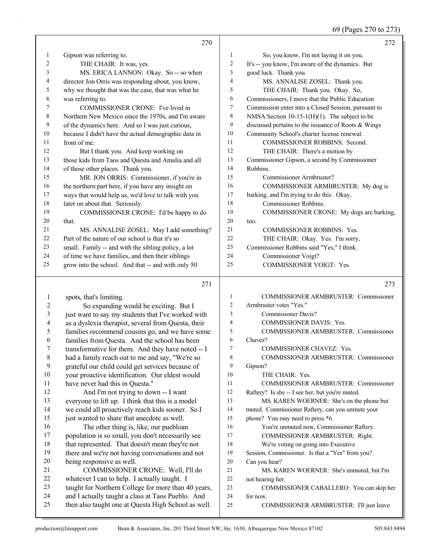69 (Pages 270 to 273)

|                | 270                                                                                                    |                     | 272                                                   |
|----------------|--------------------------------------------------------------------------------------------------------|---------------------|-------------------------------------------------------|
| 1              | Gipson was referring to.                                                                               | 1                   | So, you know, I'm not laying it on you.               |
| 2              | THE CHAIR: It was, yes.                                                                                | $\boldsymbol{2}$    | It's -- you know, I'm aware of the dynamics. But      |
| 3              | MS. ERICA LANNON: Okay. So -- so when                                                                  | 3                   | good luck. Thank you.                                 |
| 4              | director Jon Orris was responding about, you know,                                                     | $\overline{4}$      | MS. ANNALISE ZOSEL: Thank you.                        |
| 5              | why we thought that was the case, that was what he                                                     | 5                   | THE CHAIR: Thank you. Okay. So,                       |
| 6              | was referring to.                                                                                      | 6                   | Commissioners, I move that the Public Education       |
| 7              | COMMISSIONER CRONE: I've lived in                                                                      | $\tau$              | Commission enter into a Closed Session, pursuant to   |
| 8              | Northern New Mexico since the 1970s, and I'm aware                                                     | 8                   | NMSA Section $10-15-1(H)(1)$ . The subject to be      |
| 9              | of the dynamics here. And so I was just curious,                                                       | 9                   | discussed pertains to the issuance of Roots & Wings   |
| 10             | because I didn't have the actual demographic data in                                                   | 10                  | Community School's charter license renewal.           |
| 11             | front of me.                                                                                           | 11                  | COMMISSIONER ROBBINS: Second.                         |
| 12             | But I thank you. And keep working on                                                                   | 12                  | THE CHAIR: There's a motion by                        |
| 13             | those kids from Taos and Questa and Amalia and all                                                     | 13                  | Commissioner Gipson, a second by Commissioner         |
| 14             | of those other places. Thank you.                                                                      | 14                  | Robbins.                                              |
| 15             | MR. JON ORRIS: Commissioner, if you're in                                                              | 15                  | Commissioner Armbruster?                              |
| 16             | the northern part here, if you have any insight on                                                     | 16                  | COMMISSIONER ARMBRUSTER: My dog is                    |
| 17             | ways that would help us, we'd love to talk with you                                                    | 17                  | barking, and I'm trying to do this. Okay.             |
| 18             | later on about that. Seriously.                                                                        | 18                  | Commissioner Robbins.                                 |
| 19             | COMMISSIONER CRONE: I'd be happy to do                                                                 | 19                  | COMMISSIONER CRONE: My dogs are barking,              |
| 20             | that.                                                                                                  | 20                  | too.                                                  |
| 21             | MS. ANNALISE ZOSEL: May I add something?                                                               | 21                  | <b>COMMISSIONER ROBBINS: Yes.</b>                     |
| 22             | Part of the nature of our school is that it's so                                                       | 22                  | THE CHAIR: Okay. Yes. I'm sorry,                      |
| 23             | small. Family -- and with the sibling policy, a lot                                                    | 23<br>24            | Commissioner Robbins said "Yes," I think.             |
| 24<br>25       | of time we have families, and then their siblings                                                      | 25                  | Commissioner Voigt?<br>COMMISSIONER VOIGT: Yes.       |
|                | grow into the school. And that -- and with only 50                                                     |                     |                                                       |
|                | 271                                                                                                    |                     | 273                                                   |
|                |                                                                                                        |                     |                                                       |
| $\mathbf{1}$   | spots, that's limiting.                                                                                | $\mathbf{1}$        | <b>COMMISSIONER ARMBRUSTER: Commissioner</b>          |
| 2              | So expanding would be exciting. But I                                                                  | $\overline{c}$<br>3 | Armbruster votes "Yes."<br><b>Commissioner Davis?</b> |
| $\mathfrak{Z}$ | just want to say my students that I've worked with                                                     | 4                   | COMMISSIONER DAVIS: Yes.                              |
| 4<br>5         | as a dyslexia therapist, several from Questa, their<br>families recommend cousins go, and we have some | 5                   | <b>COMMISSIONER ARMBRUSTER: Commissioner</b>          |
| 6              | families from Questa. And the school has been                                                          | 6                   | Chavez?                                               |
| 7              | transformative for them. And they have noted -- I                                                      | 7                   | COMMISSIONER CHAVEZ: Yes.                             |
| 8              | had a family reach out to me and say, "We're so                                                        | 8                   | COMMISSIONER ARMBRUSTER: Commissioner                 |
| 9              | grateful our child could get services because of                                                       | 9                   | Gipson?                                               |
| 10             | your proactive identification. Our eldest would                                                        | 10                  | THE CHAIR: Yes.                                       |
| 11             | have never had this in Questa."                                                                        | 11                  | COMMISSIONER ARMBRUSTER: Commissioner                 |
| 12             | And I'm not trying to down -- I want                                                                   | 12                  | Raftery? Is she -- I see her, but you're muted.       |
| 13             | everyone to lift up. I think that this is a model                                                      | 13                  | MS. KAREN WOERNER: She's on the phone but             |
| 14             | we could all proactively reach kids sooner. So I                                                       | 14                  | muted. Commissioner Raftery, can you unmute your      |
| 15             | just wanted to share that anecdote as well.                                                            | 15                  | phone? You may need to press *6.                      |
| 16             | The other thing is, like, our puebloan                                                                 | 16                  | You're unmuted now, Commissioner Raftery.             |
| 17             |                                                                                                        |                     | COMMISSIONER ARMBRUSTER: Right.                       |
|                | population is so small, you don't necessarily see                                                      | 17                  |                                                       |
| $18\,$         | that represented. That doesn't mean they're not                                                        | 18                  | We're voting on going into Executive                  |
| 19             | there and we're not having conversations and not                                                       | 19                  | Session, Commissioner. Is that a "Yes" from you?      |
| $20\,$         | being responsive as well.                                                                              | $20\,$              | Can you hear?                                         |
| 21             | COMMISSIONER CRONE: Well, I'll do                                                                      | 21                  | MS. KAREN WOERNER: She's unmuted, but I'm             |
| 22             | whatever I can to help. I actually taught. I                                                           | $22\,$              | not hearing her.                                      |
| 23             | taught for Northern College for more than 40 years,                                                    | 23                  | COMMISSIONER CABALLERO: You can skip her              |
| 24             | and I actually taught a class at Taos Pueblo. And                                                      | 24                  | for now.                                              |
| 25             | then also taught one at Questa High School as well.                                                    | 25                  | COMMISSIONER ARMBRUSTER: I'll just leave              |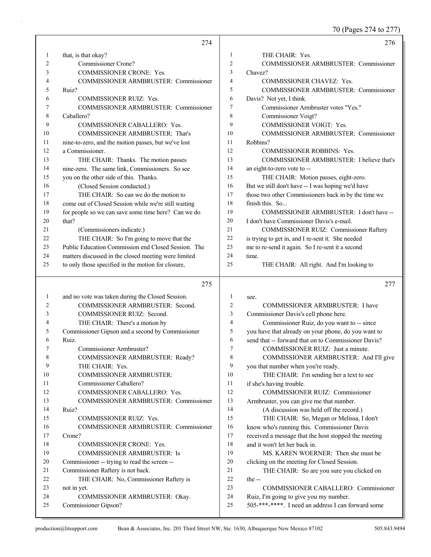70 (Pages 274 to 277)

|        | 274                                                       |                | 276                                                                                                        |
|--------|-----------------------------------------------------------|----------------|------------------------------------------------------------------------------------------------------------|
| 1      | that, is that okay?                                       | 1              | THE CHAIR: Yes.                                                                                            |
| 2      | Commissioner Crone?                                       | $\overline{2}$ | COMMISSIONER ARMBRUSTER: Commissioner                                                                      |
| 3      | COMMISSIONER CRONE: Yes.                                  | 3              | Chavez?                                                                                                    |
| 4      | <b>COMMISSIONER ARMBRUSTER: Commissioner</b>              | $\overline{4}$ | COMMISSIONER CHAVEZ: Yes.                                                                                  |
| 5      | Ruiz?                                                     | 5              | COMMISSIONER ARMBRUSTER: Commissioner                                                                      |
| 6      | <b>COMMISSIONER RUIZ: Yes.</b>                            | 6              | Davis? Not yet, I think.                                                                                   |
| 7      | COMMISSIONER ARMBRUSTER: Commissioner                     | $\overline{7}$ | Commissioner Armbruster votes "Yes."                                                                       |
| 8      | Caballero?                                                | 8              | Commissioner Voigt?                                                                                        |
| 9      | COMMISSIONER CABALLERO: Yes.                              | 9              | COMMISSIONER VOIGT: Yes.                                                                                   |
| 10     | COMMISSIONER ARMBRUSTER: That's                           | 10             | <b>COMMISSIONER ARMBRUSTER: Commissioner</b>                                                               |
| 11     | nine-to-zero, and the motion passes, but we've lost       | 11             | Robbins?                                                                                                   |
| 12     | a Commissioner.                                           | 12             | <b>COMMISSIONER ROBBINS: Yes.</b>                                                                          |
| 13     | THE CHAIR: Thanks. The motion passes                      | 13             | COMMISSIONER ARMBRUSTER: I believe that's                                                                  |
| 14     | nine-zero. The same link, Commissioners. So see           | 14             | an eight-to-zero vote to --                                                                                |
| 15     | you on the other side of this. Thanks.                    | 15             | THE CHAIR: Motion passes, eight-zero.                                                                      |
| 16     | (Closed Session conducted.)                               | 16             | But we still don't have -- I was hoping we'd have                                                          |
| 17     | THE CHAIR: So can we do the motion to                     | 17             | those two other Commissioners back in by the time we                                                       |
| 18     | come out of Closed Session while we're still waiting      | 18             | finish this. So                                                                                            |
| 19     | for people so we can save some time here? Can we do       | 19             | COMMISSIONER ARMBRUSTER: I don't have --                                                                   |
| 20     | that?                                                     | 20             | I don't have Commissioner Davis's e-mail.                                                                  |
| 21     | (Commissioners indicate.)                                 | 21             | COMMISSIONER RUIZ: Commissioner Raftery                                                                    |
| 22     | THE CHAIR: So I'm going to move that the                  | 22             | is trying to get in, and I re-sent it. She needed                                                          |
| 23     | Public Education Commission end Closed Session. The       | 23             | me to re-send it again. So I re-sent it a second                                                           |
| 24     | matters discussed in the closed meeting were limited      | 24             | time.                                                                                                      |
| 25     | to only those specified in the motion for closure,        | 25             | THE CHAIR: All right. And I'm looking to                                                                   |
|        | 275                                                       |                |                                                                                                            |
|        |                                                           |                | 277                                                                                                        |
|        |                                                           |                |                                                                                                            |
| 1      | and no vote was taken during the Closed Session.          | 1              | see.                                                                                                       |
| 2<br>3 | COMMISSIONER ARMBRUSTER: Second.                          | $\overline{c}$ | COMMISSIONER ARMBRUSTER: I have                                                                            |
| 4      | COMMISSIONER RUIZ: Second.                                | 3<br>4         | Commissioner Davis's cell phone here.                                                                      |
| 5      | THE CHAIR: There's a motion by                            | 5              | Commissioner Ruiz, do you want to -- since                                                                 |
| 6      | Commissioner Gipson and a second by Commissioner<br>Ruiz. | 6              | you have that already on your phone, do you want to<br>send that -- forward that on to Commissioner Davis? |
| 7      | Commissioner Armbruster?                                  | 7              | COMMISSIONER RUIZ: Just a minute.                                                                          |
| 8      | COMMISSIONER ARMBRUSTER: Ready?                           | 8              | COMMISSIONER ARMBRUSTER: And I'll give                                                                     |
| 9      | THE CHAIR: Yes.                                           | 9              | you that number when you're ready.                                                                         |
| 10     | <b>COMMISSIONER ARMBRUSTER:</b>                           | 10             | THE CHAIR: I'm sending her a text to see                                                                   |
| 11     | Commissioner Caballero?                                   | 11             | if she's having trouble.                                                                                   |
| 12     | COMMISSIONER CABALLERO: Yes.                              | 12             | COMMISSIONER RUIZ: Commissioner                                                                            |
| 13     | COMMISSIONER ARMBRUSTER: Commissioner                     | 13             | Armbruster, you can give me that number.                                                                   |
| 14     | Ruiz?                                                     | 14             | (A discussion was held off the record.)                                                                    |
| 15     | COMMISSIONER RUIZ: Yes.                                   | 15             | THE CHAIR: So, Megan or Melissa, I don't                                                                   |
| 16     | COMMISSIONER ARMBRUSTER: Commissioner                     | 16             | know who's running this. Commissioner Davis                                                                |
| 17     | Crone?                                                    | 17             | received a message that the host stopped the meeting                                                       |
| 18     | COMMISSIONER CRONE: Yes.                                  | $18\,$         | and it won't let her back in.                                                                              |
| 19     | <b>COMMISSIONER ARMBRUSTER: Is</b>                        | 19             | MS. KAREN WOERNER: Then she must be                                                                        |
| 20     | Commissioner -- trying to read the screen --              | 20             | clicking on the meeting for Closed Session.                                                                |
| 21     | Commissioner Raftery is not back.                         | 21             | THE CHAIR: So are you sure you clicked on                                                                  |
| 22     | THE CHAIR: No, Commissioner Raftery is                    | 22             | the $-$                                                                                                    |
| 23     | not in yet.                                               | 23             | COMMISSIONER CABALLERO: Commissioner                                                                       |
| 24     | COMMISSIONER ARMBRUSTER: Okay.                            | 24             | Ruiz, I'm going to give you my number.                                                                     |
| 25     | Commissioner Gipson?                                      | 25             | 505-***-****. I need an address I can forward some                                                         |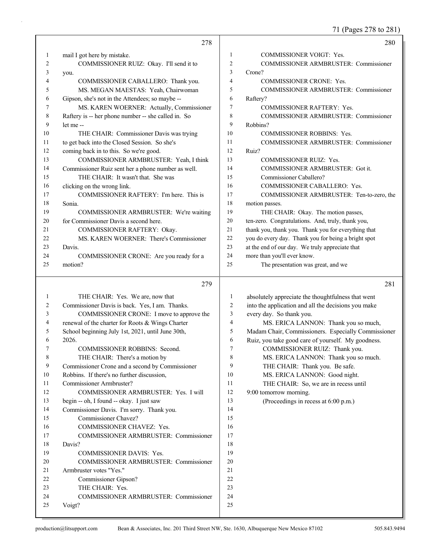71 (Pages 278 to 281)

|          |                                                     |                | $\cdot$ $\sim$ $\cdot$ $\sim$                       |
|----------|-----------------------------------------------------|----------------|-----------------------------------------------------|
|          | 278                                                 |                | 280                                                 |
| 1        | mail I got here by mistake.                         | $\mathbf{1}$   | COMMISSIONER VOIGT: Yes.                            |
| 2        | COMMISSIONER RUIZ: Okay. I'll send it to            | $\overline{2}$ | COMMISSIONER ARMBRUSTER: Commissioner               |
| 3        | you.                                                | 3              | Crone?                                              |
| 4        | COMMISSIONER CABALLERO: Thank you.                  | $\overline{4}$ | COMMISSIONER CRONE: Yes.                            |
| 5        | MS. MEGAN MAESTAS: Yeah, Chairwoman                 | 5              | <b>COMMISSIONER ARMBRUSTER: Commissioner</b>        |
| 6        | Gipson, she's not in the Attendees; so maybe --     | 6              | Raftery?                                            |
| 7        | MS. KAREN WOERNER: Actually, Commissioner           | 7              | <b>COMMISSIONER RAFTERY: Yes.</b>                   |
| 8        | Raftery is -- her phone number -- she called in. So | 8              | <b>COMMISSIONER ARMBRUSTER: Commissioner</b>        |
| 9        | let me --                                           | 9              | Robbins?                                            |
| 10       | THE CHAIR: Commissioner Davis was trying            | 10             | COMMISSIONER ROBBINS: Yes.                          |
| 11       | to get back into the Closed Session. So she's       | 11             | <b>COMMISSIONER ARMBRUSTER: Commissioner</b>        |
| 12       | coming back in to this. So we're good.              | 12             | Ruiz?                                               |
| 13       | COMMISSIONER ARMBRUSTER: Yeah, I think              | 13             | <b>COMMISSIONER RUIZ: Yes.</b>                      |
| 14       | Commissioner Ruiz sent her a phone number as well.  | 14             | COMMISSIONER ARMBRUSTER: Got it.                    |
| 15       | THE CHAIR: It wasn't that. She was                  | 15             | Commissioner Caballero?                             |
| 16       | clicking on the wrong link.                         | 16             | COMMISSIONER CABALLERO: Yes.                        |
| 17       | COMMISSIONER RAFTERY: I'm here. This is             | 17             | COMMISSIONER ARMBRUSTER: Ten-to-zero, the           |
| 18       | Sonia.                                              | 18             | motion passes.                                      |
| 19       | COMMISSIONER ARMBRUSTER: We're waiting              | 19             | THE CHAIR: Okay. The motion passes,                 |
| 20       | for Commissioner Davis a second here.               | 20             | ten-zero. Congratulations. And, truly, thank you,   |
| 21       | COMMISSIONER RAFTERY: Okay.                         | 21             | thank you, thank you. Thank you for everything that |
| 22       | MS. KAREN WOERNER: There's Commissioner             | 22             | you do every day. Thank you for being a bright spot |
| 23       | Davis.                                              | 23             | at the end of our day. We truly appreciate that     |
| 24       | COMMISSIONER CRONE: Are you ready for a             | 24             | more than you'll ever know.                         |
| 25       | motion?                                             | 25             | The presentation was great, and we                  |
|          | 279                                                 |                | 281                                                 |
| 1        | THE CHAIR: Yes. We are, now that                    | 1              | absolutely appreciate the thoughtfulness that went  |
| 2        | Commissioner Davis is back. Yes, I am. Thanks.      | 2              | into the application and all the decisions you make |
| 3        | COMMISSIONER CRONE: I move to approve the           | 3              | every day. So thank you.                            |
| 4        | renewal of the charter for Roots & Wings Charter    | 4              | MS. ERICA LANNON: Thank you so much,                |
| 5        | School beginning July 1st, 2021, until June 30th,   | 5              | Madam Chair, Commissioners. Especially Commissioner |
| 6        | 2026.                                               | 6              | Ruiz, you take good care of yourself. My goodness.  |
| $\prime$ | COMMISSIONER ROBBINS: Second.                       | 7              | COMMISSIONER RUIZ: Thank you.                       |
| 8        | THE CHAIR: There's a motion by                      | $\,8\,$        | MS. ERICA LANNON: Thank you so much.                |
| 9        | Commissioner Crone and a second by Commissioner     | 9              | THE CHAIR: Thank you. Be safe.                      |
| 10       | Robbins. If there's no further discussion,          | 10             | MS. ERICA LANNON: Good night.                       |
| 11       | Commissioner Armbruster?                            | 11             | THE CHAIR: So, we are in recess until               |
| 12       | COMMISSIONER ARMBRUSTER: Yes. I will                | 12             | 9:00 tomorrow morning.                              |
| 13       | begin -- oh, I found -- okay. I just saw            | 13             | (Proceedings in recess at 6:00 p.m.)                |
| 14       | Commissioner Davis. I'm sorry. Thank you.           | 14             |                                                     |
| 15       | Commissioner Chavez?                                | 15             |                                                     |
| 16       | COMMISSIONER CHAVEZ: Yes.                           | 16             |                                                     |
| 17       | COMMISSIONER ARMBRUSTER: Commissioner               | 17             |                                                     |
| 18       | Davis?                                              | 18             |                                                     |
| 19       | COMMISSIONER DAVIS: Yes.                            | 19             |                                                     |
| 20       | COMMISSIONER ARMBRUSTER: Commissioner               | 20             |                                                     |
| 21       | Armbruster votes "Yes."                             | 21             |                                                     |
| 22       | Commissioner Gipson?                                | $22\,$         |                                                     |
| 23<br>24 | THE CHAIR: Yes.                                     | 23<br>24       |                                                     |
| 25       | COMMISSIONER ARMBRUSTER: Commissioner<br>Voigt?     | 25             |                                                     |
|          |                                                     |                |                                                     |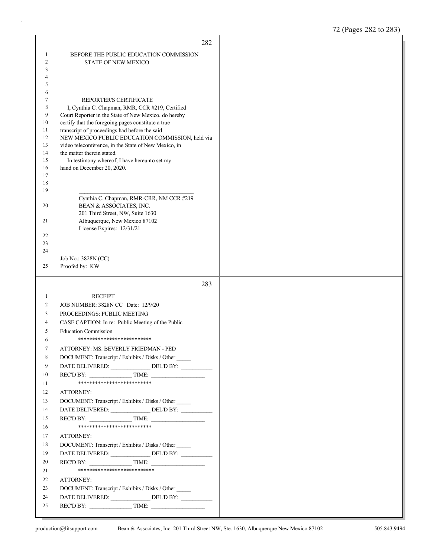|          | 282                                                                                                     |  |
|----------|---------------------------------------------------------------------------------------------------------|--|
| 1        | BEFORE THE PUBLIC EDUCATION COMMISSION                                                                  |  |
| 2        | <b>STATE OF NEW MEXICO</b>                                                                              |  |
| 3        |                                                                                                         |  |
| 4        |                                                                                                         |  |
| 5        |                                                                                                         |  |
| 6        |                                                                                                         |  |
| 7        | REPORTER'S CERTIFICATE                                                                                  |  |
| 8<br>9   | I, Cynthia C. Chapman, RMR, CCR #219, Certified<br>Court Reporter in the State of New Mexico, do hereby |  |
| 10       | certify that the foregoing pages constitute a true                                                      |  |
| 11       | transcript of proceedings had before the said                                                           |  |
| 12       | NEW MEXICO PUBLIC EDUCATION COMMISSION, held via                                                        |  |
| 13       | video teleconference, in the State of New Mexico, in                                                    |  |
| 14       | the matter therein stated.                                                                              |  |
| 15       | In testimony whereof, I have hereunto set my                                                            |  |
| 16<br>17 | hand on December 20, 2020.                                                                              |  |
| 18       |                                                                                                         |  |
| 19       |                                                                                                         |  |
|          | Cynthia C. Chapman, RMR-CRR, NM CCR #219                                                                |  |
| 20       | BEAN & ASSOCIATES, INC.                                                                                 |  |
|          | 201 Third Street, NW, Suite 1630                                                                        |  |
| 21       | Albuquerque, New Mexico 87102                                                                           |  |
| 22       | License Expires: 12/31/21                                                                               |  |
| 23       |                                                                                                         |  |
| 24       |                                                                                                         |  |
|          | Job No.: 3828N (CC)                                                                                     |  |
| 25       | Proofed by: KW                                                                                          |  |
|          |                                                                                                         |  |
|          |                                                                                                         |  |
|          | 283                                                                                                     |  |
| 1        | <b>RECEIPT</b>                                                                                          |  |
| 2        | JOB NUMBER: 3828N CC Date: 12/9/20                                                                      |  |
| 3        | PROCEEDINGS: PUBLIC MEETING                                                                             |  |
| 4        | CASE CAPTION: In re: Public Meeting of the Public                                                       |  |
| 5        | <b>Education Commission</b>                                                                             |  |
| 6        | **************************                                                                              |  |
| 7        | ATTORNEY: MS. BEVERLY FRIEDMAN - PED                                                                    |  |
| 8        | DOCUMENT: Transcript / Exhibits / Disks / Other                                                         |  |
| 9        |                                                                                                         |  |
| 10       |                                                                                                         |  |
| 11       | *************************                                                                               |  |
| 12       | ATTORNEY:                                                                                               |  |
| 13       | DOCUMENT: Transcript / Exhibits / Disks / Other                                                         |  |
| 14       |                                                                                                         |  |
| 15       | REC'D BY: TIME:                                                                                         |  |
| 16       | **************************                                                                              |  |
| 17       | ATTORNEY:                                                                                               |  |
| 18       | DOCUMENT: Transcript / Exhibits / Disks / Other                                                         |  |
| 19       | DATE DELIVERED: DEL'D BY:                                                                               |  |
| 20       | REC'D BY: TIME:                                                                                         |  |
| 21       | ***************************                                                                             |  |
| 22       | ATTORNEY:                                                                                               |  |
| 23       | DOCUMENT: Transcript / Exhibits / Disks / Other                                                         |  |
| 24<br>25 | DATE DELIVERED: ________________ DEL'D BY: __________<br>$RECD BY:$ TIME:                               |  |